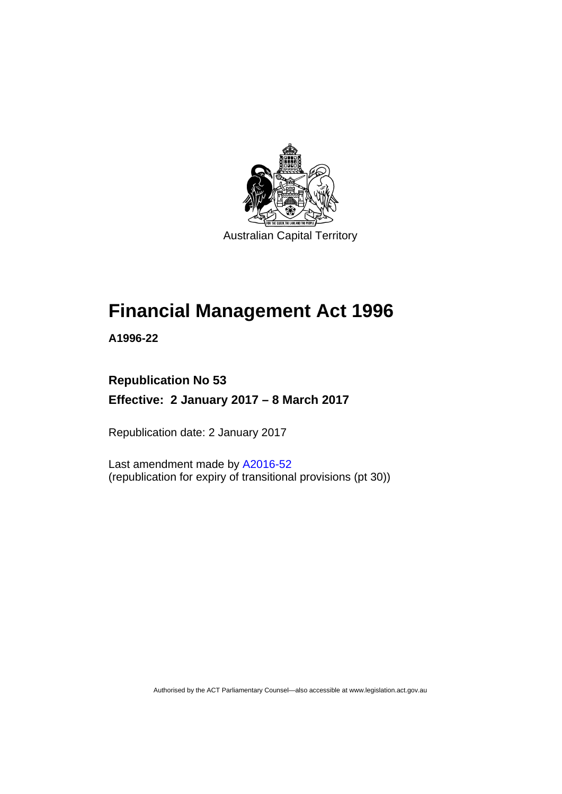

Australian Capital Territory

# **Financial Management Act 1996**

**A1996-22** 

## **Republication No 53 Effective: 2 January 2017 – 8 March 2017**

Republication date: 2 January 2017

Last amendment made by [A2016-52](http://www.legislation.act.gov.au/a/2016-52/default.asp) (republication for expiry of transitional provisions (pt 30))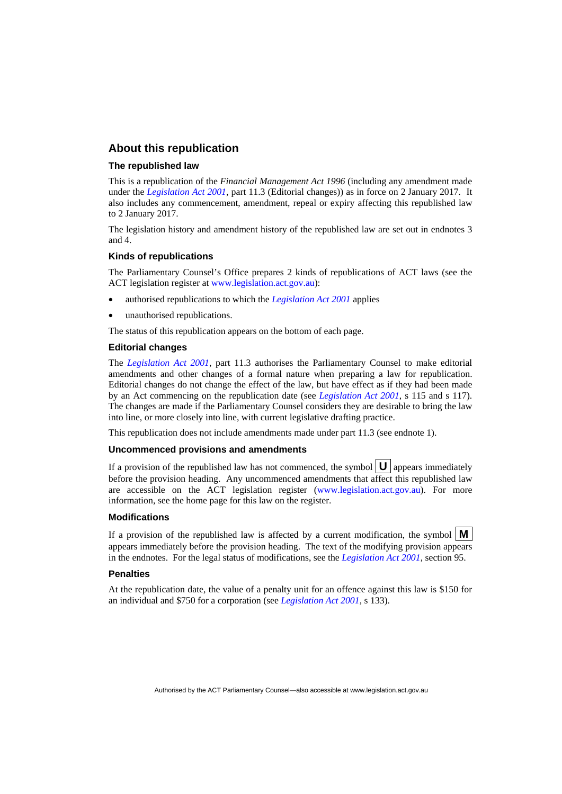#### **About this republication**

#### **The republished law**

This is a republication of the *Financial Management Act 1996* (including any amendment made under the *[Legislation Act 2001](http://www.legislation.act.gov.au/a/2001-14)*, part 11.3 (Editorial changes)) as in force on 2 January 2017*.* It also includes any commencement, amendment, repeal or expiry affecting this republished law to 2 January 2017.

The legislation history and amendment history of the republished law are set out in endnotes 3 and 4.

#### **Kinds of republications**

The Parliamentary Counsel's Office prepares 2 kinds of republications of ACT laws (see the ACT legislation register at [www.legislation.act.gov.au](http://www.legislation.act.gov.au/)):

- authorised republications to which the *[Legislation Act 2001](http://www.legislation.act.gov.au/a/2001-14)* applies
- unauthorised republications.

The status of this republication appears on the bottom of each page.

#### **Editorial changes**

The *[Legislation Act 2001](http://www.legislation.act.gov.au/a/2001-14)*, part 11.3 authorises the Parliamentary Counsel to make editorial amendments and other changes of a formal nature when preparing a law for republication. Editorial changes do not change the effect of the law, but have effect as if they had been made by an Act commencing on the republication date (see *[Legislation Act 2001](http://www.legislation.act.gov.au/a/2001-14)*, s 115 and s 117). The changes are made if the Parliamentary Counsel considers they are desirable to bring the law into line, or more closely into line, with current legislative drafting practice.

This republication does not include amendments made under part 11.3 (see endnote 1).

#### **Uncommenced provisions and amendments**

If a provision of the republished law has not commenced, the symbol  $\mathbf{U}$  appears immediately before the provision heading. Any uncommenced amendments that affect this republished law are accessible on the ACT legislation register [\(www.legislation.act.gov.au\)](http://www.legislation.act.gov.au/). For more information, see the home page for this law on the register.

#### **Modifications**

If a provision of the republished law is affected by a current modification, the symbol  $\mathbf{M}$ appears immediately before the provision heading. The text of the modifying provision appears in the endnotes. For the legal status of modifications, see the *[Legislation Act 2001](http://www.legislation.act.gov.au/a/2001-14)*, section 95.

#### **Penalties**

At the republication date, the value of a penalty unit for an offence against this law is \$150 for an individual and \$750 for a corporation (see *[Legislation Act 2001](http://www.legislation.act.gov.au/a/2001-14)*, s 133).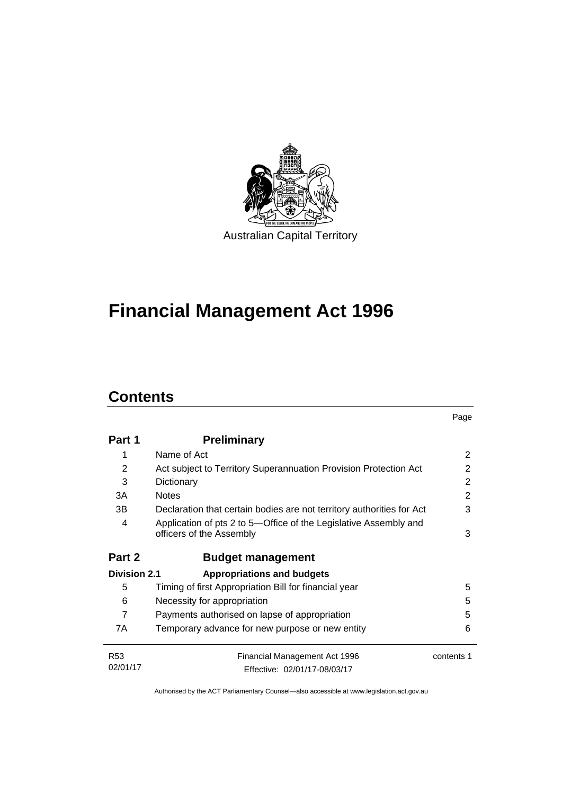

# **Financial Management Act 1996**

## **Contents**

l.

|                     |                                                                                              | Page       |
|---------------------|----------------------------------------------------------------------------------------------|------------|
| Part 1              | <b>Preliminary</b>                                                                           |            |
| 1                   | Name of Act                                                                                  | 2          |
| 2                   | Act subject to Territory Superannuation Provision Protection Act                             | 2          |
| 3                   | Dictionary                                                                                   | 2          |
| 3A                  | <b>Notes</b>                                                                                 | 2          |
| 3В                  | Declaration that certain bodies are not territory authorities for Act                        | 3          |
| 4                   | Application of pts 2 to 5—Office of the Legislative Assembly and<br>officers of the Assembly | 3          |
| Part 2              | <b>Budget management</b>                                                                     |            |
| <b>Division 2.1</b> | <b>Appropriations and budgets</b>                                                            |            |
| 5                   | Timing of first Appropriation Bill for financial year                                        | 5          |
| 6                   | Necessity for appropriation                                                                  | 5          |
| $\overline{7}$      | Payments authorised on lapse of appropriation                                                | 5          |
| 7A                  | Temporary advance for new purpose or new entity                                              | 6          |
| <b>R53</b>          | Financial Management Act 1996                                                                | contents 1 |
| 02/01/17            | Effective: 02/01/17-08/03/17                                                                 |            |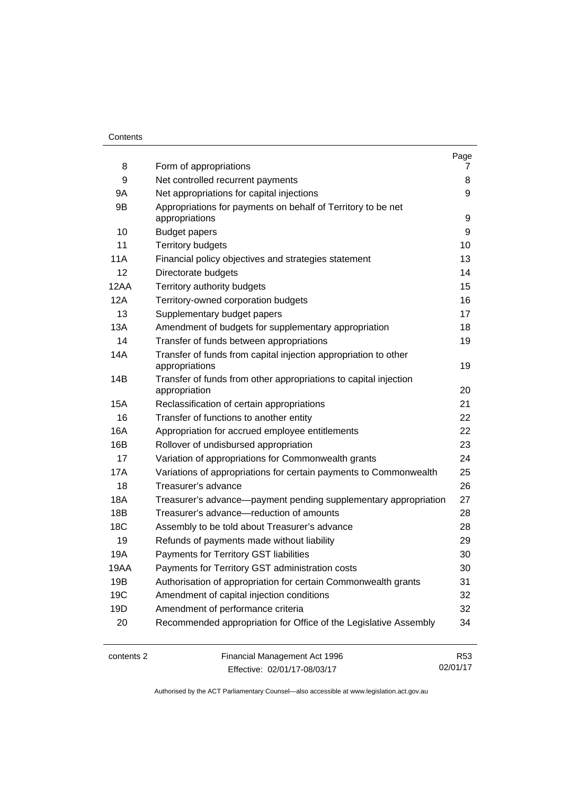#### **Contents**

| 8    | Form of appropriations                                                            | Page<br>7 |
|------|-----------------------------------------------------------------------------------|-----------|
| 9    | Net controlled recurrent payments                                                 | 8         |
| 9Α   | Net appropriations for capital injections                                         | 9         |
| 9Β   | Appropriations for payments on behalf of Territory to be net                      |           |
|      | appropriations                                                                    | 9         |
| 10   | <b>Budget papers</b>                                                              | 9         |
| 11   | <b>Territory budgets</b>                                                          | 10        |
| 11A  | Financial policy objectives and strategies statement                              | 13        |
| 12   | Directorate budgets                                                               | 14        |
| 12AA | Territory authority budgets                                                       | 15        |
| 12A  | Territory-owned corporation budgets                                               | 16        |
| 13   | Supplementary budget papers                                                       | 17        |
| 13A  | Amendment of budgets for supplementary appropriation                              | 18        |
| 14   | Transfer of funds between appropriations                                          | 19        |
| 14A  | Transfer of funds from capital injection appropriation to other<br>appropriations | 19        |
| 14B  | Transfer of funds from other appropriations to capital injection<br>appropriation | 20        |
| 15A  | Reclassification of certain appropriations                                        | 21        |
| 16   | Transfer of functions to another entity                                           | 22        |
| 16A  | Appropriation for accrued employee entitlements                                   | 22        |
| 16B  | Rollover of undisbursed appropriation                                             | 23        |
| 17   | Variation of appropriations for Commonwealth grants                               | 24        |
| 17A  | Variations of appropriations for certain payments to Commonwealth                 | 25        |
| 18   | Treasurer's advance                                                               | 26        |
| 18A  | Treasurer's advance-payment pending supplementary appropriation                   | 27        |
| 18B  | Treasurer's advance-reduction of amounts                                          | 28        |
| 18C  | Assembly to be told about Treasurer's advance                                     | 28        |
| 19   | Refunds of payments made without liability                                        | 29        |
| 19A  | Payments for Territory GST liabilities                                            | 30        |
| 19AA | Payments for Territory GST administration costs                                   | 30        |
| 19B  | Authorisation of appropriation for certain Commonwealth grants                    | 31        |
| 19C  | Amendment of capital injection conditions                                         | 32        |
| 19D  | Amendment of performance criteria                                                 | 32        |
| 20   | Recommended appropriation for Office of the Legislative Assembly                  | 34        |

contents 2 Financial Management Act 1996 Effective: 02/01/17-08/03/17

R53 02/01/17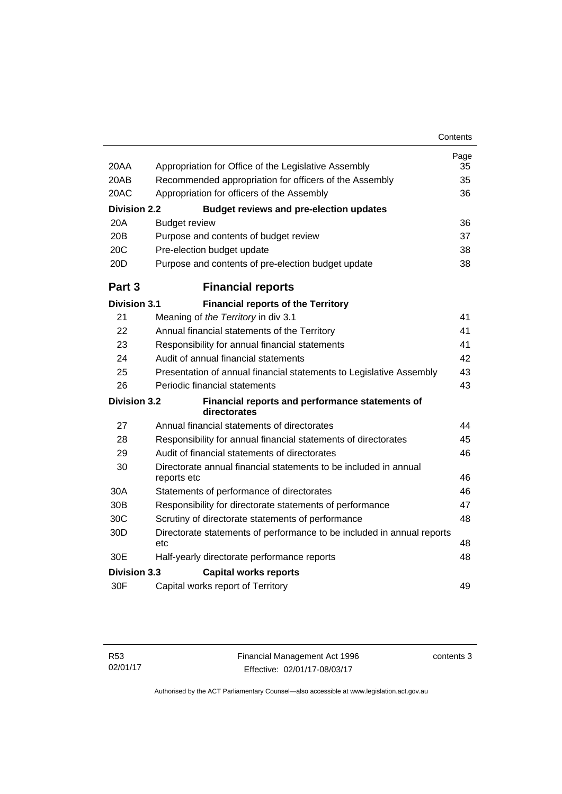| 20AA                | Appropriation for Office of the Legislative Assembly                            | Page<br>35 |
|---------------------|---------------------------------------------------------------------------------|------------|
| 20AB                | Recommended appropriation for officers of the Assembly                          | 35         |
| 20AC                | Appropriation for officers of the Assembly                                      | 36         |
| <b>Division 2.2</b> | <b>Budget reviews and pre-election updates</b>                                  |            |
| 20A                 | <b>Budget review</b>                                                            | 36         |
| 20B                 | Purpose and contents of budget review                                           | 37         |
| 20C                 | Pre-election budget update                                                      | 38         |
| 20D                 | Purpose and contents of pre-election budget update                              | 38         |
| Part <sub>3</sub>   | <b>Financial reports</b>                                                        |            |
| <b>Division 3.1</b> | <b>Financial reports of the Territory</b>                                       |            |
| 21                  | Meaning of the Territory in div 3.1                                             | 41         |
| 22                  | Annual financial statements of the Territory                                    | 41         |
| 23                  | Responsibility for annual financial statements                                  | 41         |
| 24                  | Audit of annual financial statements                                            | 42         |
| 25                  | Presentation of annual financial statements to Legislative Assembly             | 43         |
| 26                  | Periodic financial statements                                                   | 43         |
| <b>Division 3.2</b> | Financial reports and performance statements of<br>directorates                 |            |
| 27                  | Annual financial statements of directorates                                     | 44         |
| 28                  | Responsibility for annual financial statements of directorates                  | 45         |
| 29                  | Audit of financial statements of directorates                                   | 46         |
| 30                  | Directorate annual financial statements to be included in annual<br>reports etc | 46         |
| 30A                 | Statements of performance of directorates                                       | 46         |
| 30 <sub>B</sub>     | Responsibility for directorate statements of performance                        | 47         |
| 30C                 | Scrutiny of directorate statements of performance                               | 48         |
| 30D                 | Directorate statements of performance to be included in annual reports          |            |
|                     | etc                                                                             | 48         |
| 30E                 | Half-yearly directorate performance reports                                     | 48         |
| <b>Division 3.3</b> | <b>Capital works reports</b>                                                    |            |
| 30F                 | Capital works report of Territory                                               | 49         |

contents 3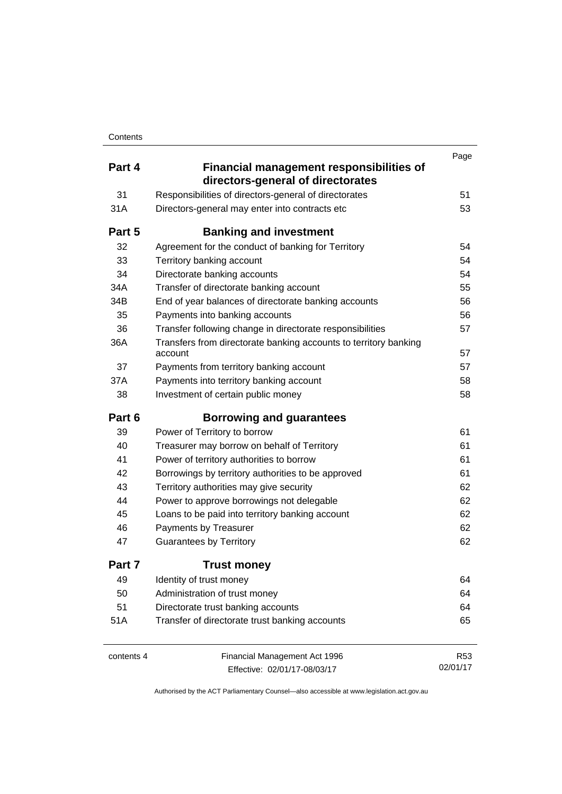|            |                                                                                      | Page       |
|------------|--------------------------------------------------------------------------------------|------------|
| Part 4     | <b>Financial management responsibilities of</b><br>directors-general of directorates |            |
| 31         | Responsibilities of directors-general of directorates                                | 51         |
| 31A        | Directors-general may enter into contracts etc                                       | 53         |
| Part 5     | <b>Banking and investment</b>                                                        |            |
| 32         | Agreement for the conduct of banking for Territory                                   | 54         |
| 33         | Territory banking account                                                            | 54         |
| 34         | Directorate banking accounts                                                         | 54         |
| 34A        | Transfer of directorate banking account                                              | 55         |
| 34B        | End of year balances of directorate banking accounts                                 | 56         |
| 35         | Payments into banking accounts                                                       | 56         |
| 36         | Transfer following change in directorate responsibilities                            | 57         |
| 36A        | Transfers from directorate banking accounts to territory banking<br>account          | 57         |
| 37         | Payments from territory banking account                                              | 57         |
| 37A        | Payments into territory banking account                                              | 58         |
| 38         | Investment of certain public money                                                   | 58         |
| Part 6     | <b>Borrowing and guarantees</b>                                                      |            |
| 39         | Power of Territory to borrow                                                         | 61         |
| 40         | Treasurer may borrow on behalf of Territory                                          | 61         |
| 41         | Power of territory authorities to borrow                                             | 61         |
| 42         | Borrowings by territory authorities to be approved                                   | 61         |
| 43         | Territory authorities may give security                                              | 62         |
| 44         | Power to approve borrowings not delegable                                            | 62         |
| 45         | Loans to be paid into territory banking account                                      | 62         |
| 46         | Payments by Treasurer                                                                | 62         |
| 47         | <b>Guarantees by Territory</b>                                                       | 62         |
| Part 7     | <b>Trust money</b>                                                                   |            |
| 49         | Identity of trust money                                                              | 64         |
| 50         | Administration of trust money                                                        | 64         |
| 51         | Directorate trust banking accounts                                                   | 64         |
| 51A        | Transfer of directorate trust banking accounts                                       | 65         |
| contents 4 | Financial Management Act 1996                                                        | <b>R53</b> |
|            | Effective: 02/01/17-08/03/17                                                         | 02/01/17   |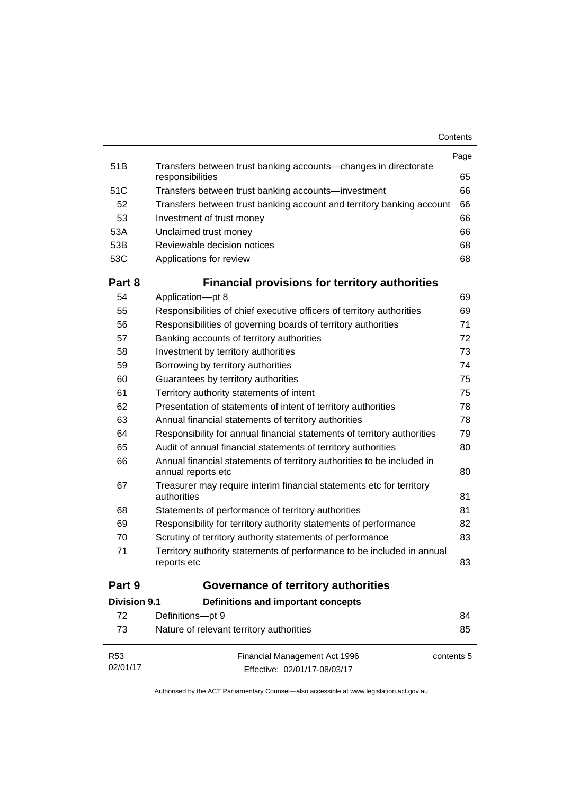| Contents |
|----------|
|----------|

|                     |                                                                                              | Page       |
|---------------------|----------------------------------------------------------------------------------------------|------------|
| 51 <sub>B</sub>     | Transfers between trust banking accounts-changes in directorate<br>responsibilities          | 65         |
| 51C                 | Transfers between trust banking accounts-investment                                          | 66         |
| 52                  | Transfers between trust banking account and territory banking account                        | 66         |
| 53                  | Investment of trust money                                                                    | 66         |
| 53A                 | Unclaimed trust money                                                                        | 66         |
| 53B                 | Reviewable decision notices                                                                  | 68         |
| 53C                 | Applications for review                                                                      | 68         |
| Part 8              | <b>Financial provisions for territory authorities</b>                                        |            |
| 54                  | Application-pt 8                                                                             | 69         |
| 55                  | Responsibilities of chief executive officers of territory authorities                        | 69         |
| 56                  | Responsibilities of governing boards of territory authorities                                | 71         |
| 57                  | Banking accounts of territory authorities                                                    | 72         |
| 58                  | Investment by territory authorities                                                          | 73         |
| 59                  | Borrowing by territory authorities                                                           | 74         |
| 60                  | Guarantees by territory authorities                                                          | 75         |
| 61                  | Territory authority statements of intent                                                     | 75         |
| 62                  | Presentation of statements of intent of territory authorities                                | 78         |
| 63                  | Annual financial statements of territory authorities                                         | 78         |
| 64                  | Responsibility for annual financial statements of territory authorities                      | 79         |
| 65                  | Audit of annual financial statements of territory authorities                                | 80         |
| 66                  | Annual financial statements of territory authorities to be included in<br>annual reports etc | 80         |
| 67                  | Treasurer may require interim financial statements etc for territory<br>authorities          | 81         |
| 68                  | Statements of performance of territory authorities                                           | 81         |
| 69                  | Responsibility for territory authority statements of performance                             | 82         |
| 70                  | Scrutiny of territory authority statements of performance                                    | 83         |
| 71                  | Territory authority statements of performance to be included in annual<br>reports etc        | 83         |
| Part 9              | <b>Governance of territory authorities</b>                                                   |            |
| <b>Division 9.1</b> | Definitions and important concepts                                                           |            |
| 72                  | Definitions-pt 9                                                                             | 84         |
| 73                  | Nature of relevant territory authorities                                                     | 85         |
| R <sub>53</sub>     | Financial Management Act 1996                                                                | contents 5 |
| 02/01/17            | Effective: 02/01/17-08/03/17                                                                 |            |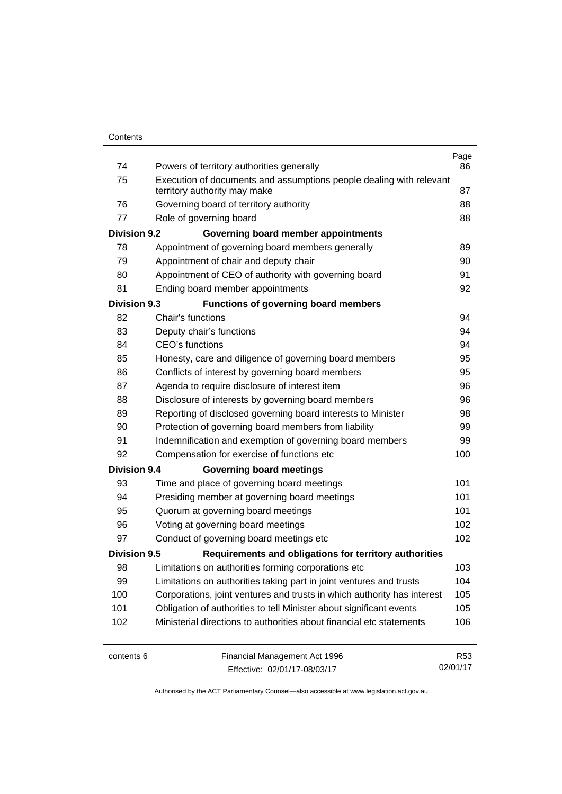| 74                  | Powers of territory authorities generally                               | Page<br>86      |
|---------------------|-------------------------------------------------------------------------|-----------------|
| 75                  | Execution of documents and assumptions people dealing with relevant     |                 |
|                     | territory authority may make                                            | 87              |
| 76                  | Governing board of territory authority                                  | 88              |
| 77                  | Role of governing board                                                 | 88              |
| <b>Division 9.2</b> | Governing board member appointments                                     |                 |
| 78                  | Appointment of governing board members generally                        | 89              |
| 79                  | Appointment of chair and deputy chair                                   | 90              |
| 80                  | Appointment of CEO of authority with governing board                    | 91              |
| 81                  | Ending board member appointments                                        | 92              |
| <b>Division 9.3</b> | <b>Functions of governing board members</b>                             |                 |
| 82                  | Chair's functions                                                       | 94              |
| 83                  | Deputy chair's functions                                                | 94              |
| 84                  | <b>CEO's functions</b>                                                  | 94              |
| 85                  | Honesty, care and diligence of governing board members                  | 95              |
| 86                  | Conflicts of interest by governing board members                        | 95              |
| 87                  | Agenda to require disclosure of interest item                           | 96              |
| 88                  | Disclosure of interests by governing board members                      | 96              |
| 89                  | Reporting of disclosed governing board interests to Minister            | 98              |
| 90                  | Protection of governing board members from liability                    | 99              |
| 91                  | Indemnification and exemption of governing board members                | 99              |
| 92                  | Compensation for exercise of functions etc                              | 100             |
| <b>Division 9.4</b> | <b>Governing board meetings</b>                                         |                 |
| 93                  | Time and place of governing board meetings                              | 101             |
| 94                  | Presiding member at governing board meetings                            | 101             |
| 95                  | Quorum at governing board meetings                                      | 101             |
| 96                  | Voting at governing board meetings                                      | 102             |
| 97                  | Conduct of governing board meetings etc                                 | 102             |
| <b>Division 9.5</b> | Requirements and obligations for territory authorities                  |                 |
| 98                  | Limitations on authorities forming corporations etc                     | 103             |
| 99                  | Limitations on authorities taking part in joint ventures and trusts     | 104             |
| 100                 | Corporations, joint ventures and trusts in which authority has interest | 105             |
| 101                 | Obligation of authorities to tell Minister about significant events     | 105             |
| 102                 | Ministerial directions to authorities about financial etc statements    | 106             |
| contents 6          | Financial Management Act 1996                                           | R <sub>53</sub> |

Effective: 02/01/17-08/03/17

02/01/17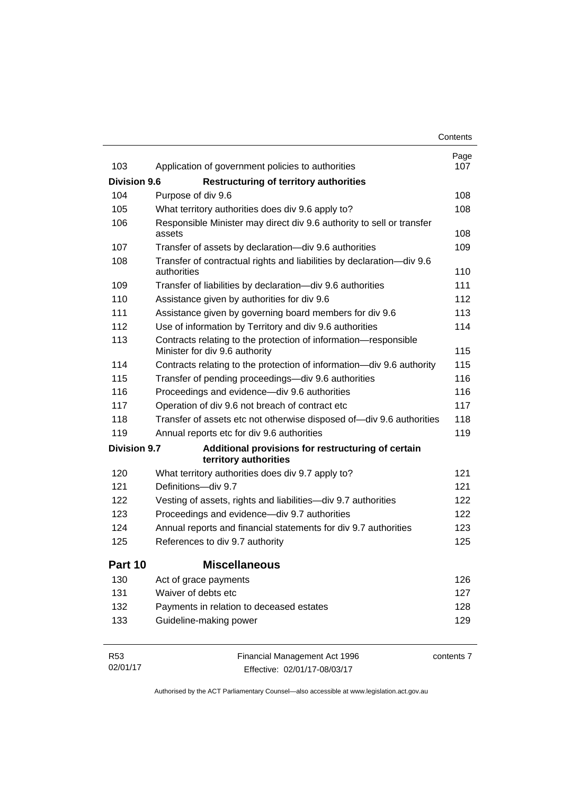|                     |                                                                                                   | Contents    |
|---------------------|---------------------------------------------------------------------------------------------------|-------------|
| 103                 |                                                                                                   | Page<br>107 |
|                     | Application of government policies to authorities                                                 |             |
| <b>Division 9.6</b> | <b>Restructuring of territory authorities</b>                                                     |             |
| 104                 | Purpose of div 9.6                                                                                | 108         |
| 105                 | What territory authorities does div 9.6 apply to?                                                 | 108         |
| 106                 | Responsible Minister may direct div 9.6 authority to sell or transfer<br>assets                   | 108         |
| 107                 | Transfer of assets by declaration-div 9.6 authorities                                             | 109         |
| 108                 | Transfer of contractual rights and liabilities by declaration-div 9.6<br>authorities              | 110         |
| 109                 | Transfer of liabilities by declaration-div 9.6 authorities                                        | 111         |
| 110                 | Assistance given by authorities for div 9.6                                                       | 112         |
| 111                 | Assistance given by governing board members for div 9.6                                           | 113         |
| 112                 | Use of information by Territory and div 9.6 authorities                                           | 114         |
| 113                 | Contracts relating to the protection of information-responsible<br>Minister for div 9.6 authority | 115         |
| 114                 | Contracts relating to the protection of information-div 9.6 authority                             | 115         |
| 115                 | Transfer of pending proceedings-div 9.6 authorities                                               | 116         |
| 116                 | Proceedings and evidence-div 9.6 authorities                                                      | 116         |
| 117                 | Operation of div 9.6 not breach of contract etc                                                   | 117         |
| 118                 | Transfer of assets etc not otherwise disposed of-div 9.6 authorities                              | 118         |
| 119                 | Annual reports etc for div 9.6 authorities                                                        | 119         |
| <b>Division 9.7</b> | Additional provisions for restructuring of certain<br>territory authorities                       |             |
| 120                 | What territory authorities does div 9.7 apply to?                                                 | 121         |
| 121                 | Definitions-div 9.7                                                                               | 121         |
| 122                 | Vesting of assets, rights and liabilities-div 9.7 authorities                                     | 122         |
| 123                 | Proceedings and evidence-div 9.7 authorities                                                      | 122         |
| 124                 | Annual reports and financial statements for div 9.7 authorities                                   | 123         |
| 125                 | References to div 9.7 authority                                                                   | 125         |
| Part 10             | <b>Miscellaneous</b>                                                                              |             |
| 130                 | Act of grace payments                                                                             | 126         |
| 131                 | Waiver of debts etc                                                                               | 127         |
| 132                 | Payments in relation to deceased estates                                                          | 128         |
| 133                 | Guideline-making power                                                                            | 129         |
| R <sub>53</sub>     | Financial Management Act 1996                                                                     | contents 7  |

Effective: 02/01/17-08/03/17

02/01/17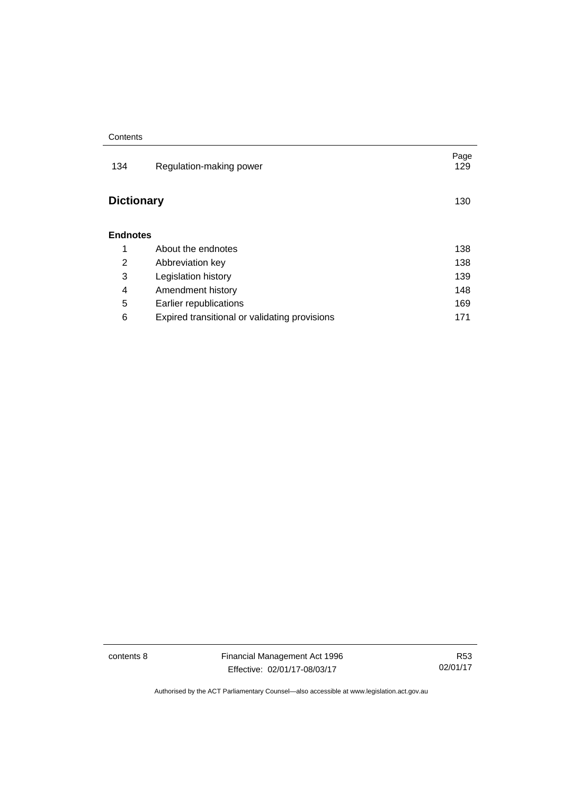| 134               | Regulation-making power                       | Page<br>129 |
|-------------------|-----------------------------------------------|-------------|
| <b>Dictionary</b> |                                               | 130         |
| <b>Endnotes</b>   |                                               |             |
| 1                 | About the endnotes                            | 138         |
| 2                 | Abbreviation key                              | 138         |
| 3                 | Legislation history                           | 139         |
| 4                 | Amendment history                             | 148         |
| 5                 | Earlier republications                        | 169         |
| 6                 | Expired transitional or validating provisions | 171         |

contents 8 Financial Management Act 1996 Effective: 02/01/17-08/03/17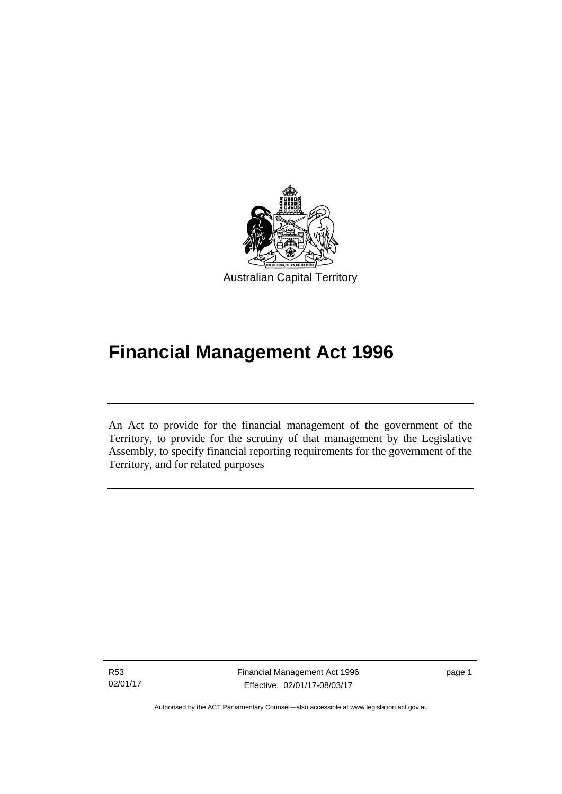

# **Financial Management Act 1996**

An Act to provide for the financial management of the government of the Territory, to provide for the scrutiny of that management by the Legislative Assembly, to specify financial reporting requirements for the government of the Territory, and for related purposes

R53 02/01/17

l

Financial Management Act 1996 Effective: 02/01/17-08/03/17

page 1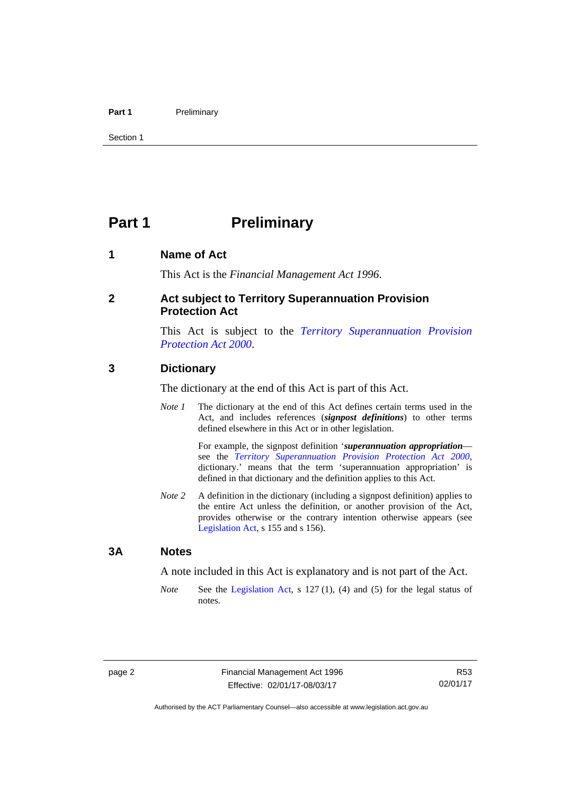#### Part 1 **Preliminary**

Section 1

## <span id="page-11-0"></span>**Part 1** Preliminary

#### <span id="page-11-1"></span>**1 Name of Act**

This Act is the *Financial Management Act 1996*.

#### <span id="page-11-2"></span>**2 Act subject to Territory Superannuation Provision Protection Act**

This Act is subject to the *[Territory Superannuation Provision](http://www.legislation.act.gov.au/a/2000-21)  [Protection Act 2000](http://www.legislation.act.gov.au/a/2000-21)*.

#### <span id="page-11-3"></span>**3 Dictionary**

The dictionary at the end of this Act is part of this Act.

*Note 1* The dictionary at the end of this Act defines certain terms used in the Act, and includes references (*signpost definitions*) to other terms defined elsewhere in this Act or in other legislation.

> For example, the signpost definition '*superannuation appropriation* see the *[Territory Superannuation Provision Protection Act 2000](http://www.legislation.act.gov.au/a/2000-21)*, dictionary.' means that the term 'superannuation appropriation' is defined in that dictionary and the definition applies to this Act.

*Note 2* A definition in the dictionary (including a signpost definition) applies to the entire Act unless the definition, or another provision of the Act, provides otherwise or the contrary intention otherwise appears (see [Legislation Act,](http://www.legislation.act.gov.au/a/2001-14) s 155 and s 156).

#### <span id="page-11-4"></span>**3A Notes**

A note included in this Act is explanatory and is not part of the Act.

*Note* See the [Legislation Act,](http://www.legislation.act.gov.au/a/2001-14) s 127 (1), (4) and (5) for the legal status of notes.

R53 02/01/17

Authorised by the ACT Parliamentary Counsel—also accessible at www.legislation.act.gov.au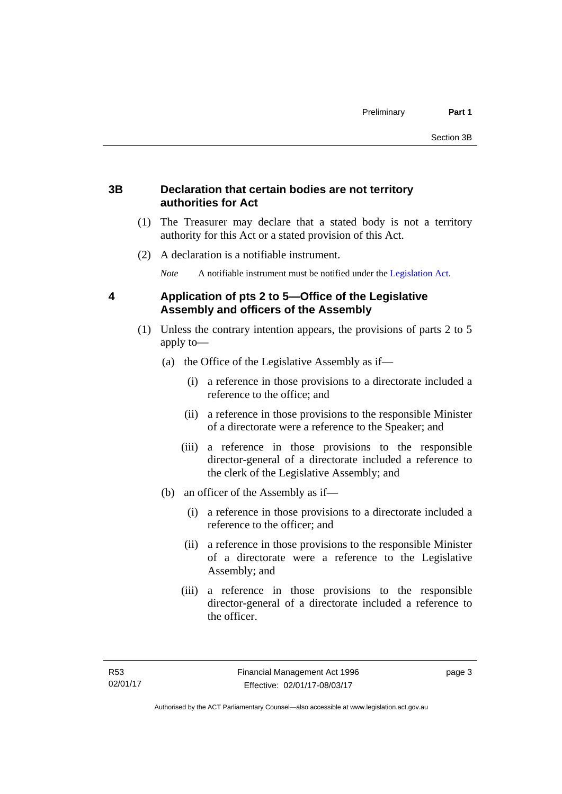### <span id="page-12-0"></span>**3B Declaration that certain bodies are not territory authorities for Act**

- (1) The Treasurer may declare that a stated body is not a territory authority for this Act or a stated provision of this Act.
- (2) A declaration is a notifiable instrument.

*Note* A notifiable instrument must be notified under the [Legislation Act](http://www.legislation.act.gov.au/a/2001-14).

### <span id="page-12-1"></span>**4 Application of pts 2 to 5—Office of the Legislative Assembly and officers of the Assembly**

- (1) Unless the contrary intention appears, the provisions of parts 2 to 5 apply to—
	- (a) the Office of the Legislative Assembly as if—
		- (i) a reference in those provisions to a directorate included a reference to the office; and
		- (ii) a reference in those provisions to the responsible Minister of a directorate were a reference to the Speaker; and
		- (iii) a reference in those provisions to the responsible director-general of a directorate included a reference to the clerk of the Legislative Assembly; and
	- (b) an officer of the Assembly as if—
		- (i) a reference in those provisions to a directorate included a reference to the officer; and
		- (ii) a reference in those provisions to the responsible Minister of a directorate were a reference to the Legislative Assembly; and
		- (iii) a reference in those provisions to the responsible director-general of a directorate included a reference to the officer.

page 3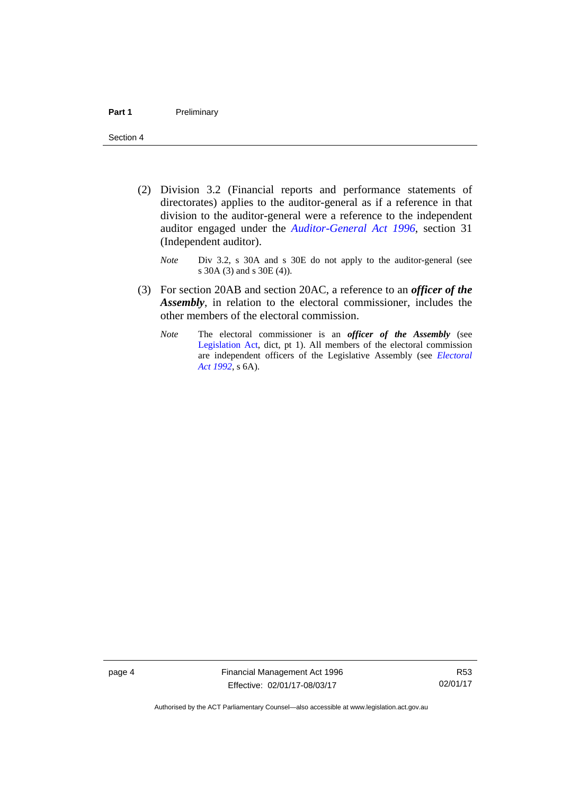- (2) Division 3.2 (Financial reports and performance statements of directorates) applies to the auditor-general as if a reference in that division to the auditor-general were a reference to the independent auditor engaged under the *[Auditor-General Act 1996](http://www.legislation.act.gov.au/a/1996-23)*, section 31 (Independent auditor).
	- *Note* Div 3.2, s 30A and s 30E do not apply to the auditor-general (see s 30A (3) and s 30E (4)).
- (3) For section 20AB and section 20AC, a reference to an *officer of the Assembly*, in relation to the electoral commissioner, includes the other members of the electoral commission.
	- *Note* The electoral commissioner is an *officer of the Assembly* (see [Legislation Act](http://www.legislation.act.gov.au/a/2001-14), dict, pt 1). All members of the electoral commission are independent officers of the Legislative Assembly (see *[Electoral](http://www.legislation.act.gov.au/a/1992-71)  [Act 1992](http://www.legislation.act.gov.au/a/1992-71)*, s 6A).

page 4 Financial Management Act 1996 Effective: 02/01/17-08/03/17

R53 02/01/17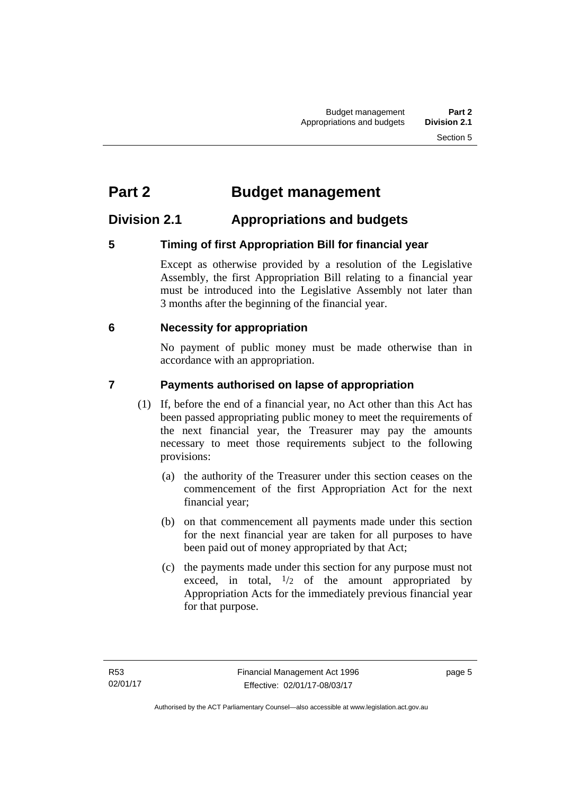## <span id="page-14-0"></span>**Part 2 Budget management**

## <span id="page-14-1"></span>**Division 2.1 Appropriations and budgets**

## <span id="page-14-2"></span>**5 Timing of first Appropriation Bill for financial year**

Except as otherwise provided by a resolution of the Legislative Assembly, the first Appropriation Bill relating to a financial year must be introduced into the Legislative Assembly not later than 3 months after the beginning of the financial year.

### <span id="page-14-3"></span> **6 Necessity for appropriation**

No payment of public money must be made otherwise than in accordance with an appropriation.

## <span id="page-14-4"></span>**7 Payments authorised on lapse of appropriation**

- (1) If, before the end of a financial year, no Act other than this Act has been passed appropriating public money to meet the requirements of the next financial year, the Treasurer may pay the amounts necessary to meet those requirements subject to the following provisions:
	- (a) the authority of the Treasurer under this section ceases on the commencement of the first Appropriation Act for the next financial year;
	- (b) on that commencement all payments made under this section for the next financial year are taken for all purposes to have been paid out of money appropriated by that Act;
	- (c) the payments made under this section for any purpose must not exceed, in total,  $\frac{1}{2}$  of the amount appropriated by Appropriation Acts for the immediately previous financial year for that purpose.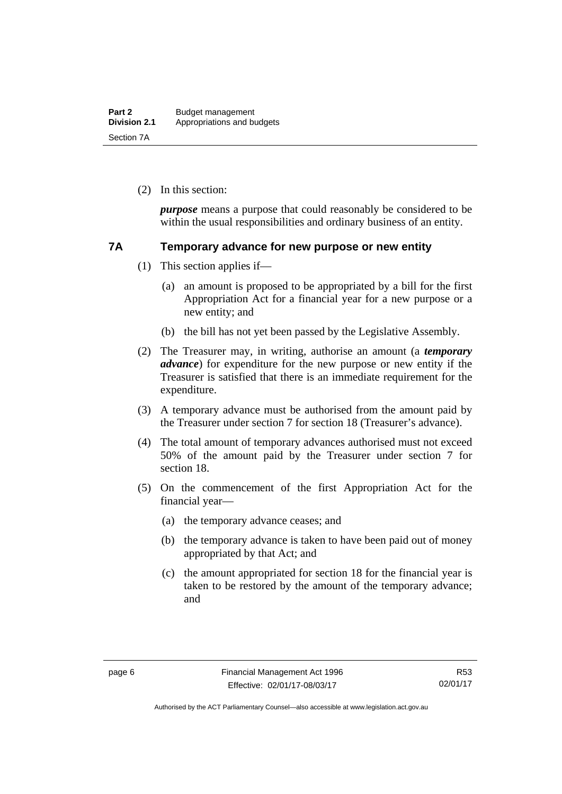(2) In this section:

*purpose* means a purpose that could reasonably be considered to be within the usual responsibilities and ordinary business of an entity.

#### <span id="page-15-0"></span>**7A Temporary advance for new purpose or new entity**

- (1) This section applies if—
	- (a) an amount is proposed to be appropriated by a bill for the first Appropriation Act for a financial year for a new purpose or a new entity; and
	- (b) the bill has not yet been passed by the Legislative Assembly.
- (2) The Treasurer may, in writing, authorise an amount (a *temporary advance*) for expenditure for the new purpose or new entity if the Treasurer is satisfied that there is an immediate requirement for the expenditure.
- (3) A temporary advance must be authorised from the amount paid by the Treasurer under section 7 for section 18 (Treasurer's advance).
- (4) The total amount of temporary advances authorised must not exceed 50% of the amount paid by the Treasurer under section 7 for section 18.
- (5) On the commencement of the first Appropriation Act for the financial year—
	- (a) the temporary advance ceases; and
	- (b) the temporary advance is taken to have been paid out of money appropriated by that Act; and
	- (c) the amount appropriated for section 18 for the financial year is taken to be restored by the amount of the temporary advance; and

R53 02/01/17

Authorised by the ACT Parliamentary Counsel—also accessible at www.legislation.act.gov.au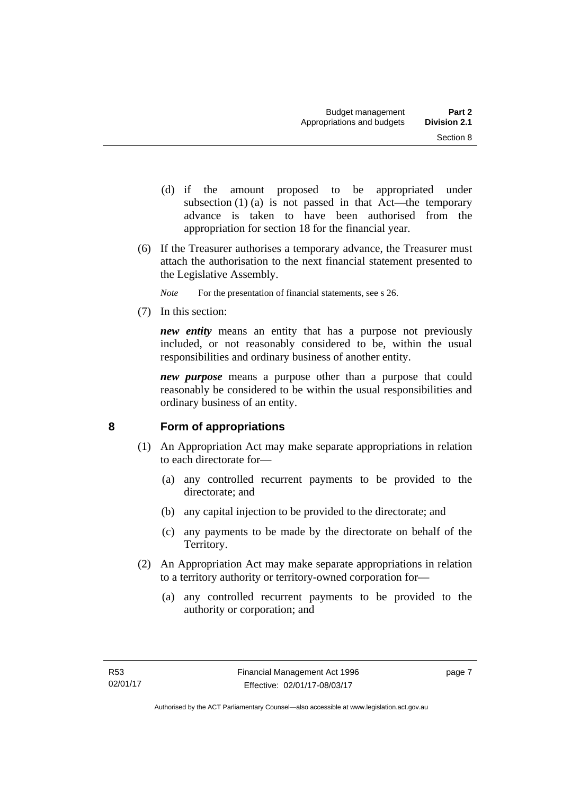- (d) if the amount proposed to be appropriated under subsection  $(1)$  (a) is not passed in that Act—the temporary advance is taken to have been authorised from the appropriation for section 18 for the financial year.
- (6) If the Treasurer authorises a temporary advance, the Treasurer must attach the authorisation to the next financial statement presented to the Legislative Assembly.
	- *Note* For the presentation of financial statements, see s 26.
- (7) In this section:

*new entity* means an entity that has a purpose not previously included, or not reasonably considered to be, within the usual responsibilities and ordinary business of another entity.

*new purpose* means a purpose other than a purpose that could reasonably be considered to be within the usual responsibilities and ordinary business of an entity.

## <span id="page-16-0"></span>**8 Form of appropriations**

- (1) An Appropriation Act may make separate appropriations in relation to each directorate for—
	- (a) any controlled recurrent payments to be provided to the directorate; and
	- (b) any capital injection to be provided to the directorate; and
	- (c) any payments to be made by the directorate on behalf of the Territory.
- (2) An Appropriation Act may make separate appropriations in relation to a territory authority or territory-owned corporation for—
	- (a) any controlled recurrent payments to be provided to the authority or corporation; and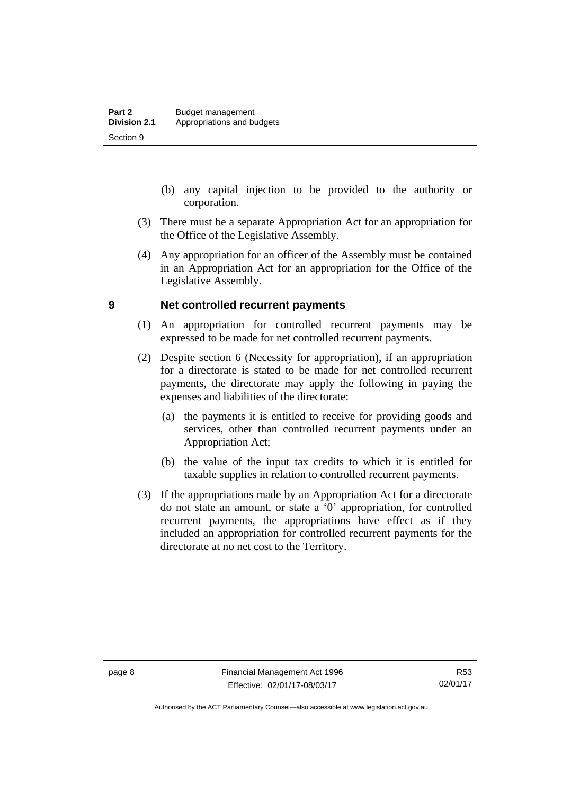- (b) any capital injection to be provided to the authority or corporation.
- (3) There must be a separate Appropriation Act for an appropriation for the Office of the Legislative Assembly.
- (4) Any appropriation for an officer of the Assembly must be contained in an Appropriation Act for an appropriation for the Office of the Legislative Assembly.

#### <span id="page-17-0"></span>**9 Net controlled recurrent payments**

- (1) An appropriation for controlled recurrent payments may be expressed to be made for net controlled recurrent payments.
- (2) Despite section 6 (Necessity for appropriation), if an appropriation for a directorate is stated to be made for net controlled recurrent payments, the directorate may apply the following in paying the expenses and liabilities of the directorate:
	- (a) the payments it is entitled to receive for providing goods and services, other than controlled recurrent payments under an Appropriation Act;
	- (b) the value of the input tax credits to which it is entitled for taxable supplies in relation to controlled recurrent payments.
- (3) If the appropriations made by an Appropriation Act for a directorate do not state an amount, or state a '0' appropriation, for controlled recurrent payments, the appropriations have effect as if they included an appropriation for controlled recurrent payments for the directorate at no net cost to the Territory.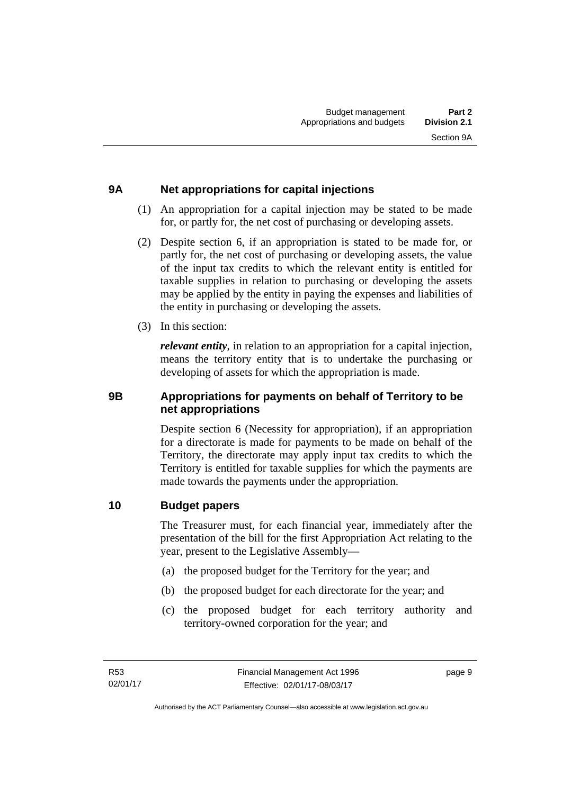## <span id="page-18-0"></span>**9A Net appropriations for capital injections**

- (1) An appropriation for a capital injection may be stated to be made for, or partly for, the net cost of purchasing or developing assets.
- (2) Despite section 6, if an appropriation is stated to be made for, or partly for, the net cost of purchasing or developing assets, the value of the input tax credits to which the relevant entity is entitled for taxable supplies in relation to purchasing or developing the assets may be applied by the entity in paying the expenses and liabilities of the entity in purchasing or developing the assets.
- (3) In this section:

*relevant entity*, in relation to an appropriation for a capital injection, means the territory entity that is to undertake the purchasing or developing of assets for which the appropriation is made.

### <span id="page-18-1"></span>**9B Appropriations for payments on behalf of Territory to be net appropriations**

Despite section 6 (Necessity for appropriation), if an appropriation for a directorate is made for payments to be made on behalf of the Territory, the directorate may apply input tax credits to which the Territory is entitled for taxable supplies for which the payments are made towards the payments under the appropriation.

### <span id="page-18-2"></span>**10 Budget papers**

The Treasurer must, for each financial year, immediately after the presentation of the bill for the first Appropriation Act relating to the year, present to the Legislative Assembly—

- (a) the proposed budget for the Territory for the year; and
- (b) the proposed budget for each directorate for the year; and
- (c) the proposed budget for each territory authority and territory-owned corporation for the year; and

page 9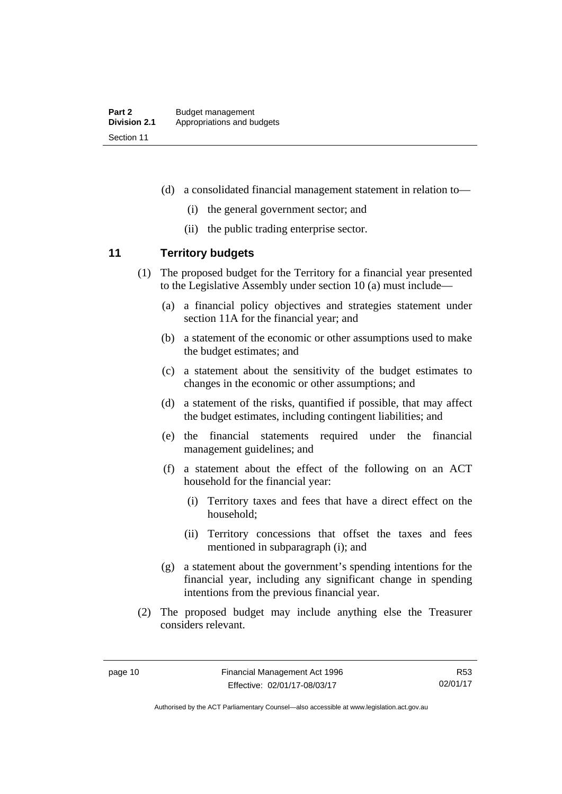- (d) a consolidated financial management statement in relation to—
	- (i) the general government sector; and
	- (ii) the public trading enterprise sector.

### <span id="page-19-0"></span>**11 Territory budgets**

- (1) The proposed budget for the Territory for a financial year presented to the Legislative Assembly under section 10 (a) must include—
	- (a) a financial policy objectives and strategies statement under section 11A for the financial year; and
	- (b) a statement of the economic or other assumptions used to make the budget estimates; and
	- (c) a statement about the sensitivity of the budget estimates to changes in the economic or other assumptions; and
	- (d) a statement of the risks, quantified if possible, that may affect the budget estimates, including contingent liabilities; and
	- (e) the financial statements required under the financial management guidelines; and
	- (f) a statement about the effect of the following on an ACT household for the financial year:
		- (i) Territory taxes and fees that have a direct effect on the household;
		- (ii) Territory concessions that offset the taxes and fees mentioned in subparagraph (i); and
	- (g) a statement about the government's spending intentions for the financial year, including any significant change in spending intentions from the previous financial year.
- (2) The proposed budget may include anything else the Treasurer considers relevant.

Authorised by the ACT Parliamentary Counsel—also accessible at www.legislation.act.gov.au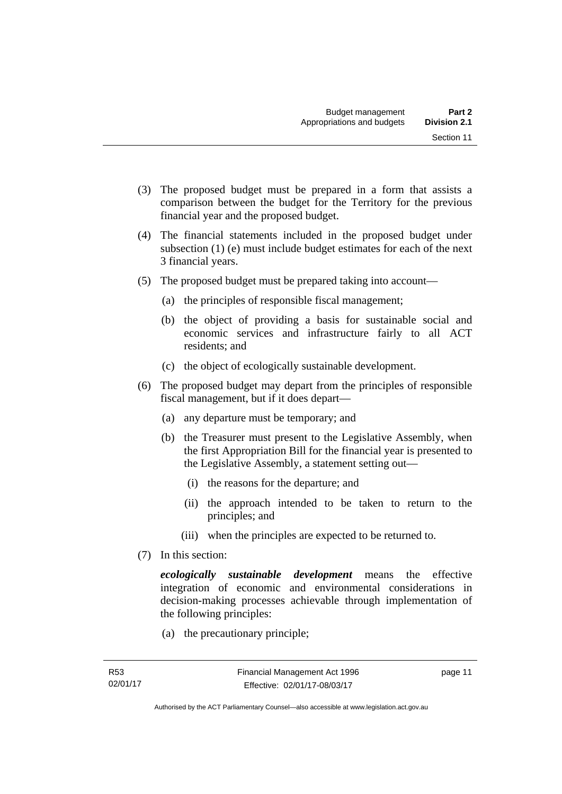- 
- (3) The proposed budget must be prepared in a form that assists a comparison between the budget for the Territory for the previous financial year and the proposed budget.
- (4) The financial statements included in the proposed budget under subsection (1) (e) must include budget estimates for each of the next 3 financial years.
- (5) The proposed budget must be prepared taking into account—
	- (a) the principles of responsible fiscal management;
	- (b) the object of providing a basis for sustainable social and economic services and infrastructure fairly to all ACT residents; and
	- (c) the object of ecologically sustainable development.
- (6) The proposed budget may depart from the principles of responsible fiscal management, but if it does depart—
	- (a) any departure must be temporary; and
	- (b) the Treasurer must present to the Legislative Assembly, when the first Appropriation Bill for the financial year is presented to the Legislative Assembly, a statement setting out—
		- (i) the reasons for the departure; and
		- (ii) the approach intended to be taken to return to the principles; and
		- (iii) when the principles are expected to be returned to.
- (7) In this section:

*ecologically sustainable development* means the effective integration of economic and environmental considerations in decision-making processes achievable through implementation of the following principles:

(a) the precautionary principle;

page 11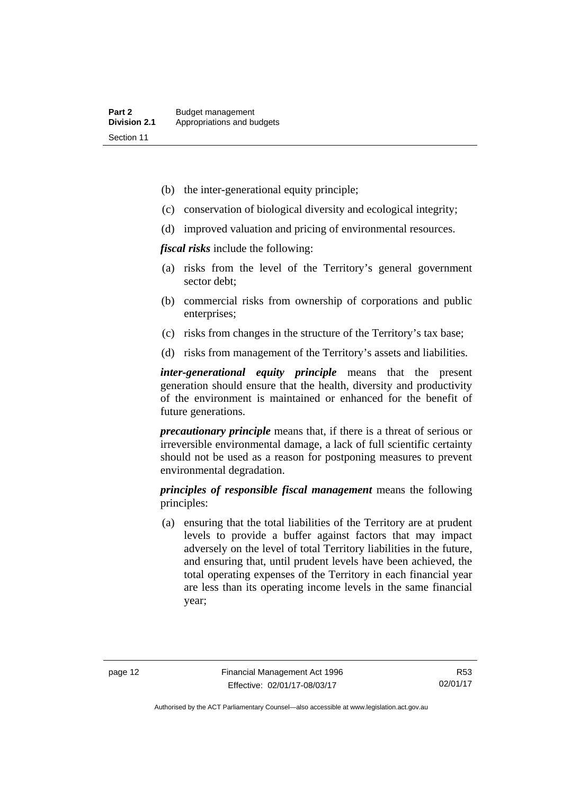- (b) the inter-generational equity principle;
- (c) conservation of biological diversity and ecological integrity;
- (d) improved valuation and pricing of environmental resources.

*fiscal risks* include the following:

- (a) risks from the level of the Territory's general government sector debt;
- (b) commercial risks from ownership of corporations and public enterprises;
- (c) risks from changes in the structure of the Territory's tax base;
- (d) risks from management of the Territory's assets and liabilities.

*inter-generational equity principle* means that the present generation should ensure that the health, diversity and productivity of the environment is maintained or enhanced for the benefit of future generations.

*precautionary principle* means that, if there is a threat of serious or irreversible environmental damage, a lack of full scientific certainty should not be used as a reason for postponing measures to prevent environmental degradation.

*principles of responsible fiscal management* means the following principles:

 (a) ensuring that the total liabilities of the Territory are at prudent levels to provide a buffer against factors that may impact adversely on the level of total Territory liabilities in the future, and ensuring that, until prudent levels have been achieved, the total operating expenses of the Territory in each financial year are less than its operating income levels in the same financial year;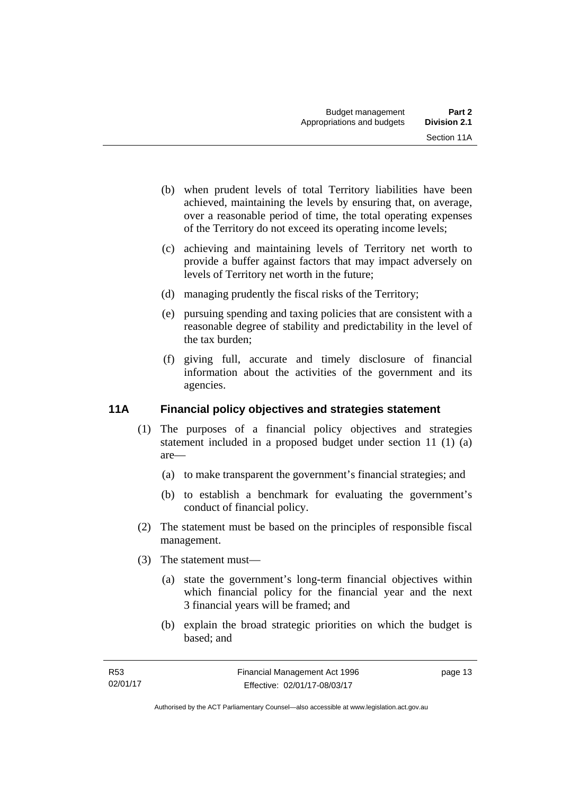- (b) when prudent levels of total Territory liabilities have been achieved, maintaining the levels by ensuring that, on average, over a reasonable period of time, the total operating expenses of the Territory do not exceed its operating income levels;
- (c) achieving and maintaining levels of Territory net worth to provide a buffer against factors that may impact adversely on levels of Territory net worth in the future;
- (d) managing prudently the fiscal risks of the Territory;
- (e) pursuing spending and taxing policies that are consistent with a reasonable degree of stability and predictability in the level of the tax burden;
- (f) giving full, accurate and timely disclosure of financial information about the activities of the government and its agencies.

### <span id="page-22-0"></span>**11A Financial policy objectives and strategies statement**

- (1) The purposes of a financial policy objectives and strategies statement included in a proposed budget under section 11 (1) (a) are—
	- (a) to make transparent the government's financial strategies; and
	- (b) to establish a benchmark for evaluating the government's conduct of financial policy.
- (2) The statement must be based on the principles of responsible fiscal management.
- (3) The statement must—
	- (a) state the government's long-term financial objectives within which financial policy for the financial year and the next 3 financial years will be framed; and
	- (b) explain the broad strategic priorities on which the budget is based; and

page 13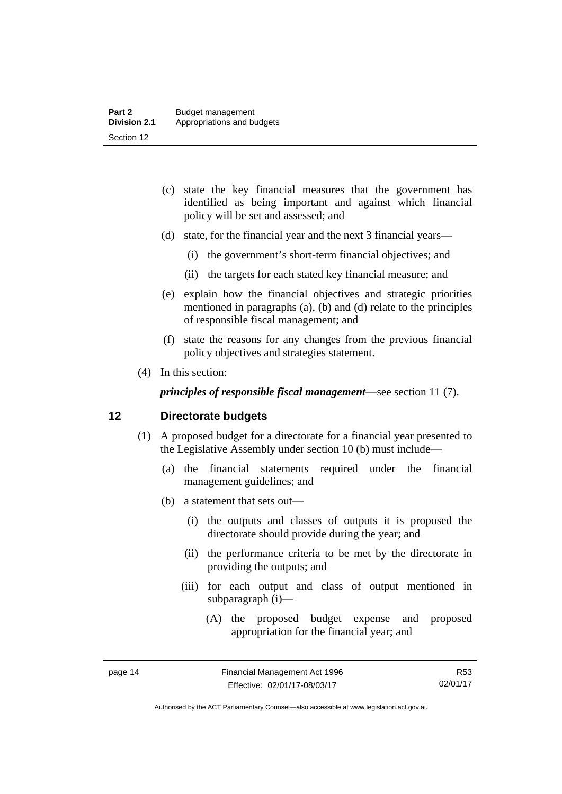- (c) state the key financial measures that the government has identified as being important and against which financial policy will be set and assessed; and
- (d) state, for the financial year and the next 3 financial years—
	- (i) the government's short-term financial objectives; and
	- (ii) the targets for each stated key financial measure; and
- (e) explain how the financial objectives and strategic priorities mentioned in paragraphs (a), (b) and (d) relate to the principles of responsible fiscal management; and
- (f) state the reasons for any changes from the previous financial policy objectives and strategies statement.
- (4) In this section:

*principles of responsible fiscal management*—see section 11 (7).

#### <span id="page-23-0"></span>**12 Directorate budgets**

- (1) A proposed budget for a directorate for a financial year presented to the Legislative Assembly under section 10 (b) must include—
	- (a) the financial statements required under the financial management guidelines; and
	- (b) a statement that sets out—
		- (i) the outputs and classes of outputs it is proposed the directorate should provide during the year; and
		- (ii) the performance criteria to be met by the directorate in providing the outputs; and
		- (iii) for each output and class of output mentioned in subparagraph (i)—
			- (A) the proposed budget expense and proposed appropriation for the financial year; and

R53 02/01/17

Authorised by the ACT Parliamentary Counsel—also accessible at www.legislation.act.gov.au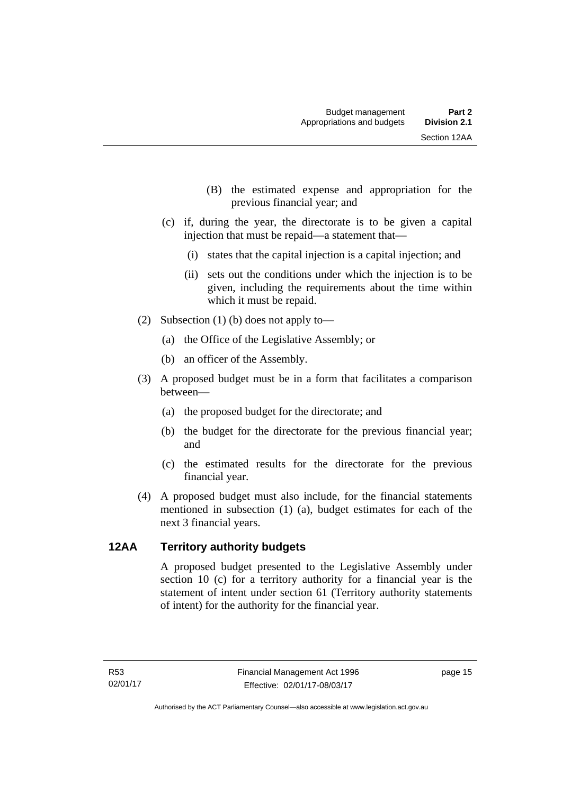- (B) the estimated expense and appropriation for the previous financial year; and
- (c) if, during the year, the directorate is to be given a capital injection that must be repaid—a statement that—
	- (i) states that the capital injection is a capital injection; and
	- (ii) sets out the conditions under which the injection is to be given, including the requirements about the time within which it must be repaid.
- (2) Subsection (1) (b) does not apply to—
	- (a) the Office of the Legislative Assembly; or
	- (b) an officer of the Assembly.
- (3) A proposed budget must be in a form that facilitates a comparison between—
	- (a) the proposed budget for the directorate; and
	- (b) the budget for the directorate for the previous financial year; and
	- (c) the estimated results for the directorate for the previous financial year.
- (4) A proposed budget must also include, for the financial statements mentioned in subsection (1) (a), budget estimates for each of the next 3 financial years.

#### <span id="page-24-0"></span>**12AA Territory authority budgets**

A proposed budget presented to the Legislative Assembly under section 10 (c) for a territory authority for a financial year is the statement of intent under section 61 (Territory authority statements of intent) for the authority for the financial year.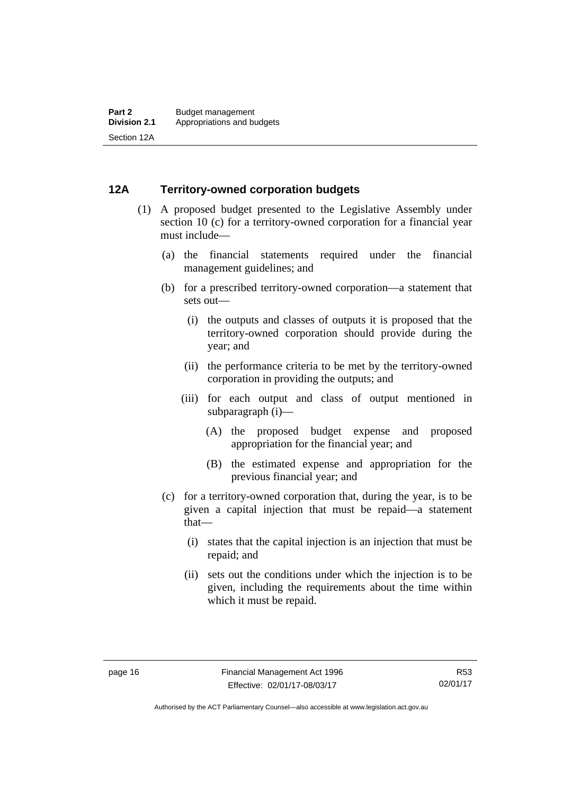#### <span id="page-25-0"></span>**12A Territory-owned corporation budgets**

- (1) A proposed budget presented to the Legislative Assembly under section 10 (c) for a territory-owned corporation for a financial year must include—
	- (a) the financial statements required under the financial management guidelines; and
	- (b) for a prescribed territory-owned corporation—a statement that sets out—
		- (i) the outputs and classes of outputs it is proposed that the territory-owned corporation should provide during the year; and
		- (ii) the performance criteria to be met by the territory-owned corporation in providing the outputs; and
		- (iii) for each output and class of output mentioned in subparagraph (i)—
			- (A) the proposed budget expense and proposed appropriation for the financial year; and
			- (B) the estimated expense and appropriation for the previous financial year; and
	- (c) for a territory-owned corporation that, during the year, is to be given a capital injection that must be repaid—a statement that—
		- (i) states that the capital injection is an injection that must be repaid; and
		- (ii) sets out the conditions under which the injection is to be given, including the requirements about the time within which it must be repaid.

Authorised by the ACT Parliamentary Counsel—also accessible at www.legislation.act.gov.au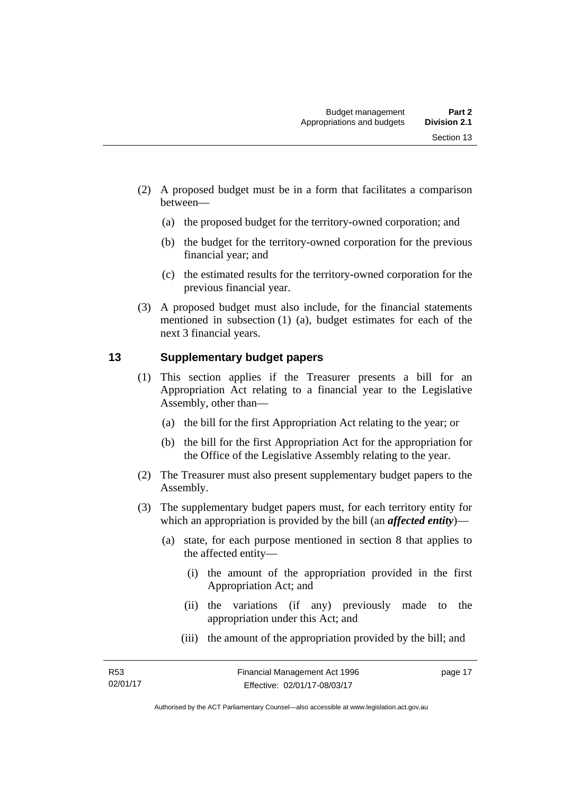- (2) A proposed budget must be in a form that facilitates a comparison between—
	- (a) the proposed budget for the territory-owned corporation; and
	- (b) the budget for the territory-owned corporation for the previous financial year; and
	- (c) the estimated results for the territory-owned corporation for the previous financial year.
- (3) A proposed budget must also include, for the financial statements mentioned in subsection (1) (a), budget estimates for each of the next 3 financial years.

### <span id="page-26-0"></span>**13 Supplementary budget papers**

- (1) This section applies if the Treasurer presents a bill for an Appropriation Act relating to a financial year to the Legislative Assembly, other than—
	- (a) the bill for the first Appropriation Act relating to the year; or
	- (b) the bill for the first Appropriation Act for the appropriation for the Office of the Legislative Assembly relating to the year.
- (2) The Treasurer must also present supplementary budget papers to the Assembly.
- (3) The supplementary budget papers must, for each territory entity for which an appropriation is provided by the bill (an *affected entity*)—
	- (a) state, for each purpose mentioned in section 8 that applies to the affected entity—
		- (i) the amount of the appropriation provided in the first Appropriation Act; and
		- (ii) the variations (if any) previously made to the appropriation under this Act; and
		- (iii) the amount of the appropriation provided by the bill; and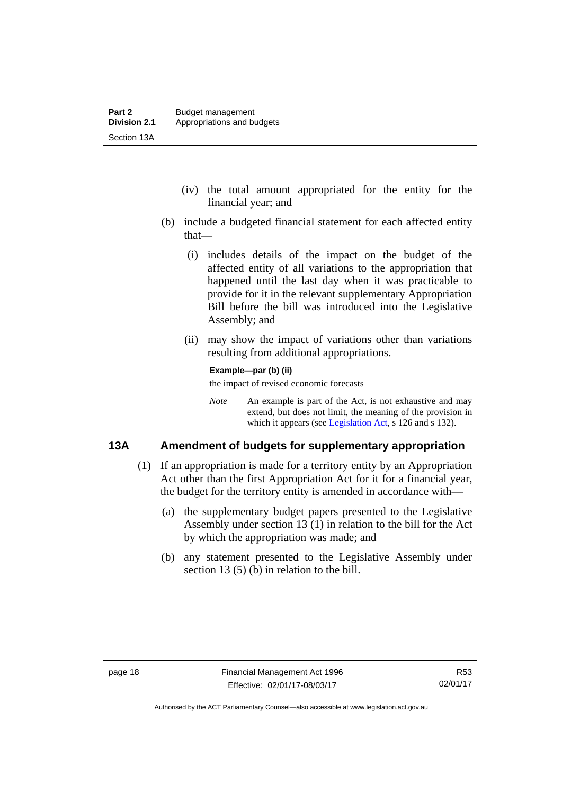- (iv) the total amount appropriated for the entity for the financial year; and
- (b) include a budgeted financial statement for each affected entity that—
	- (i) includes details of the impact on the budget of the affected entity of all variations to the appropriation that happened until the last day when it was practicable to provide for it in the relevant supplementary Appropriation Bill before the bill was introduced into the Legislative Assembly; and
	- (ii) may show the impact of variations other than variations resulting from additional appropriations.

#### **Example—par (b) (ii)**

the impact of revised economic forecasts

*Note* An example is part of the Act, is not exhaustive and may extend, but does not limit, the meaning of the provision in which it appears (see [Legislation Act,](http://www.legislation.act.gov.au/a/2001-14) s 126 and s 132).

#### <span id="page-27-0"></span>**13A Amendment of budgets for supplementary appropriation**

- (1) If an appropriation is made for a territory entity by an Appropriation Act other than the first Appropriation Act for it for a financial year, the budget for the territory entity is amended in accordance with—
	- (a) the supplementary budget papers presented to the Legislative Assembly under section 13 (1) in relation to the bill for the Act by which the appropriation was made; and
	- (b) any statement presented to the Legislative Assembly under section 13 (5) (b) in relation to the bill.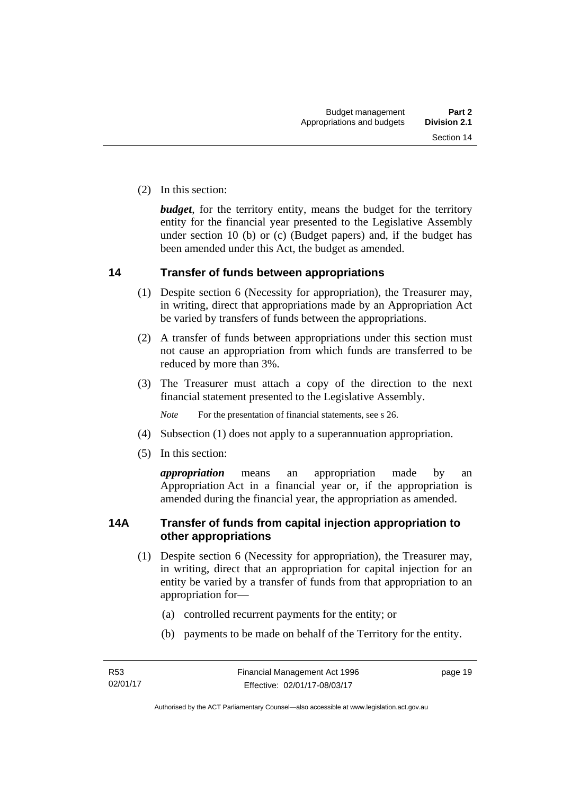(2) In this section:

*budget*, for the territory entity, means the budget for the territory entity for the financial year presented to the Legislative Assembly under section 10 (b) or (c) (Budget papers) and, if the budget has been amended under this Act, the budget as amended.

#### <span id="page-28-0"></span>**14 Transfer of funds between appropriations**

- (1) Despite section 6 (Necessity for appropriation), the Treasurer may, in writing, direct that appropriations made by an Appropriation Act be varied by transfers of funds between the appropriations.
- (2) A transfer of funds between appropriations under this section must not cause an appropriation from which funds are transferred to be reduced by more than 3%.
- (3) The Treasurer must attach a copy of the direction to the next financial statement presented to the Legislative Assembly.

*Note* For the presentation of financial statements, see s 26.

- (4) Subsection (1) does not apply to a superannuation appropriation.
- (5) In this section:

*appropriation* means an appropriation made by an Appropriation Act in a financial year or, if the appropriation is amended during the financial year, the appropriation as amended.

#### <span id="page-28-1"></span>**14A Transfer of funds from capital injection appropriation to other appropriations**

- (1) Despite section 6 (Necessity for appropriation), the Treasurer may, in writing, direct that an appropriation for capital injection for an entity be varied by a transfer of funds from that appropriation to an appropriation for—
	- (a) controlled recurrent payments for the entity; or
	- (b) payments to be made on behalf of the Territory for the entity.

page 19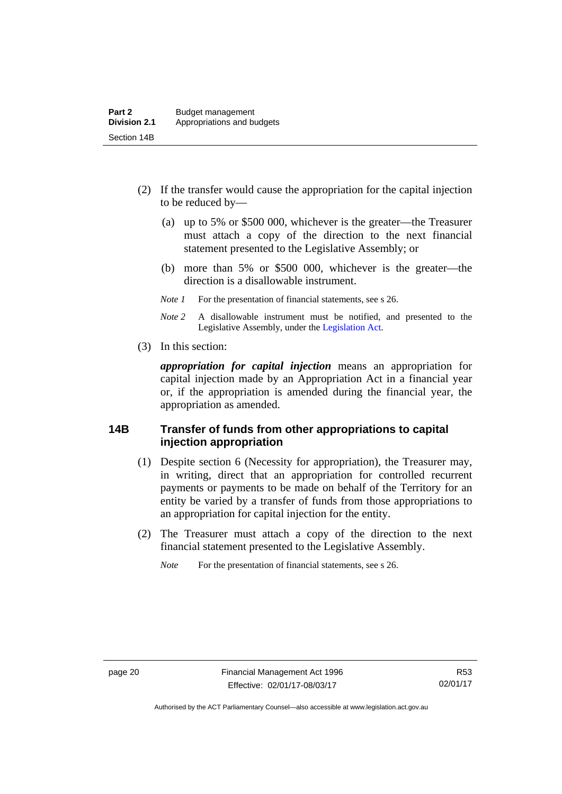- (2) If the transfer would cause the appropriation for the capital injection to be reduced by—
	- (a) up to 5% or \$500 000, whichever is the greater—the Treasurer must attach a copy of the direction to the next financial statement presented to the Legislative Assembly; or
	- (b) more than 5% or \$500 000, whichever is the greater—the direction is a disallowable instrument.
	- *Note 1* For the presentation of financial statements, see s 26.
	- *Note 2* A disallowable instrument must be notified, and presented to the Legislative Assembly, under the [Legislation Act.](http://www.legislation.act.gov.au/a/2001-14)
- (3) In this section:

*appropriation for capital injection* means an appropriation for capital injection made by an Appropriation Act in a financial year or, if the appropriation is amended during the financial year, the appropriation as amended.

#### <span id="page-29-0"></span>**14B Transfer of funds from other appropriations to capital injection appropriation**

- (1) Despite section 6 (Necessity for appropriation), the Treasurer may, in writing, direct that an appropriation for controlled recurrent payments or payments to be made on behalf of the Territory for an entity be varied by a transfer of funds from those appropriations to an appropriation for capital injection for the entity.
- (2) The Treasurer must attach a copy of the direction to the next financial statement presented to the Legislative Assembly.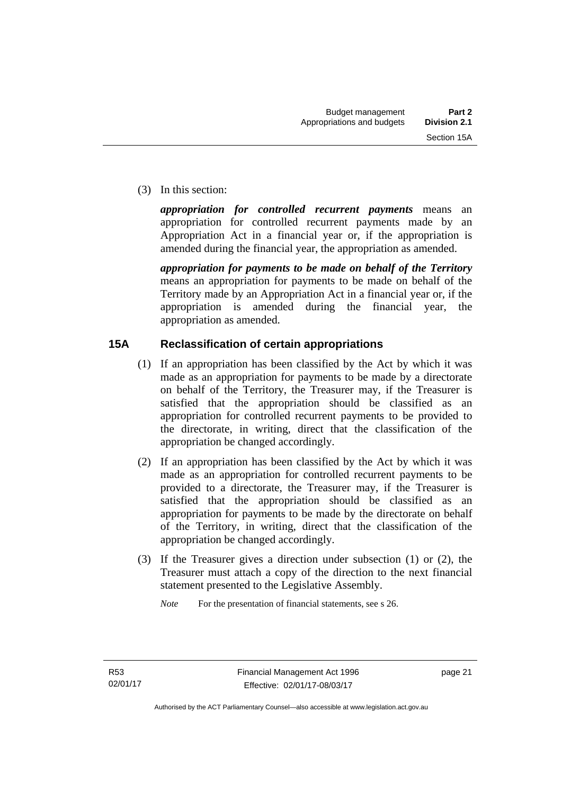(3) In this section:

*appropriation for controlled recurrent payments* means an appropriation for controlled recurrent payments made by an Appropriation Act in a financial year or, if the appropriation is amended during the financial year, the appropriation as amended.

*appropriation for payments to be made on behalf of the Territory* means an appropriation for payments to be made on behalf of the Territory made by an Appropriation Act in a financial year or, if the appropriation is amended during the financial year, the appropriation as amended.

### <span id="page-30-0"></span>**15A Reclassification of certain appropriations**

- (1) If an appropriation has been classified by the Act by which it was made as an appropriation for payments to be made by a directorate on behalf of the Territory, the Treasurer may, if the Treasurer is satisfied that the appropriation should be classified as an appropriation for controlled recurrent payments to be provided to the directorate, in writing, direct that the classification of the appropriation be changed accordingly.
- (2) If an appropriation has been classified by the Act by which it was made as an appropriation for controlled recurrent payments to be provided to a directorate, the Treasurer may, if the Treasurer is satisfied that the appropriation should be classified as an appropriation for payments to be made by the directorate on behalf of the Territory, in writing, direct that the classification of the appropriation be changed accordingly.
- (3) If the Treasurer gives a direction under subsection (1) or (2), the Treasurer must attach a copy of the direction to the next financial statement presented to the Legislative Assembly.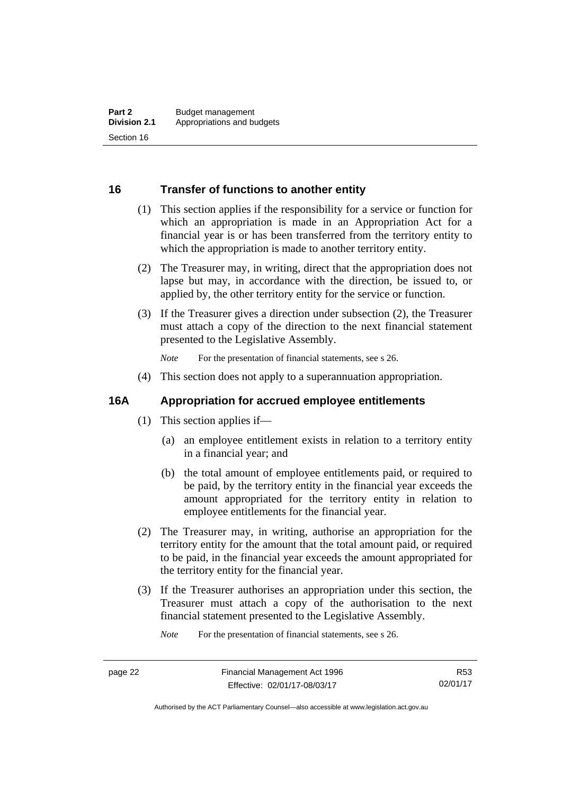#### <span id="page-31-0"></span>**16 Transfer of functions to another entity**

- (1) This section applies if the responsibility for a service or function for which an appropriation is made in an Appropriation Act for a financial year is or has been transferred from the territory entity to which the appropriation is made to another territory entity.
- (2) The Treasurer may, in writing, direct that the appropriation does not lapse but may, in accordance with the direction, be issued to, or applied by, the other territory entity for the service or function.
- (3) If the Treasurer gives a direction under subsection (2), the Treasurer must attach a copy of the direction to the next financial statement presented to the Legislative Assembly.

*Note* For the presentation of financial statements, see s 26.

(4) This section does not apply to a superannuation appropriation.

#### <span id="page-31-1"></span>**16A Appropriation for accrued employee entitlements**

- (1) This section applies if—
	- (a) an employee entitlement exists in relation to a territory entity in a financial year; and
	- (b) the total amount of employee entitlements paid, or required to be paid, by the territory entity in the financial year exceeds the amount appropriated for the territory entity in relation to employee entitlements for the financial year.
- (2) The Treasurer may, in writing, authorise an appropriation for the territory entity for the amount that the total amount paid, or required to be paid, in the financial year exceeds the amount appropriated for the territory entity for the financial year.
- (3) If the Treasurer authorises an appropriation under this section, the Treasurer must attach a copy of the authorisation to the next financial statement presented to the Legislative Assembly.

R53 02/01/17

Authorised by the ACT Parliamentary Counsel—also accessible at www.legislation.act.gov.au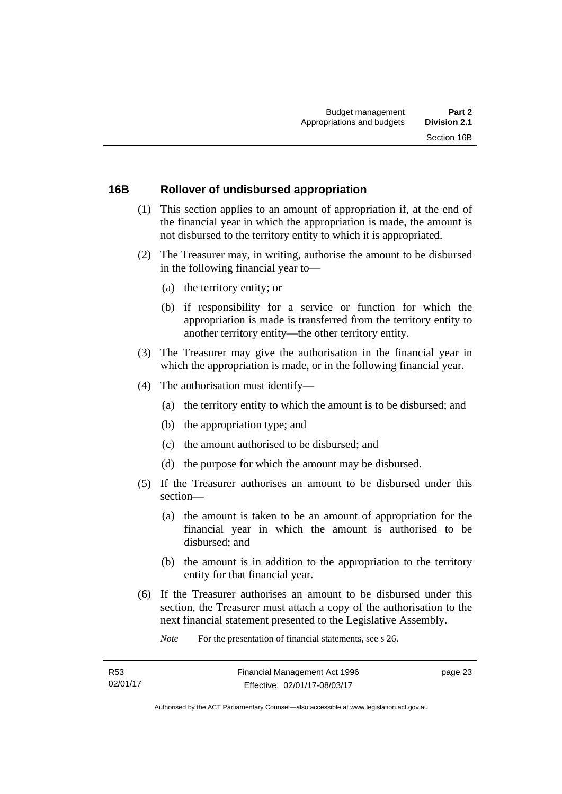#### <span id="page-32-0"></span>**16B Rollover of undisbursed appropriation**

- (1) This section applies to an amount of appropriation if, at the end of the financial year in which the appropriation is made, the amount is not disbursed to the territory entity to which it is appropriated.
- (2) The Treasurer may, in writing, authorise the amount to be disbursed in the following financial year to—
	- (a) the territory entity; or
	- (b) if responsibility for a service or function for which the appropriation is made is transferred from the territory entity to another territory entity—the other territory entity.
- (3) The Treasurer may give the authorisation in the financial year in which the appropriation is made, or in the following financial year.
- (4) The authorisation must identify—
	- (a) the territory entity to which the amount is to be disbursed; and
	- (b) the appropriation type; and
	- (c) the amount authorised to be disbursed; and
	- (d) the purpose for which the amount may be disbursed.
- (5) If the Treasurer authorises an amount to be disbursed under this section—
	- (a) the amount is taken to be an amount of appropriation for the financial year in which the amount is authorised to be disbursed; and
	- (b) the amount is in addition to the appropriation to the territory entity for that financial year.
- (6) If the Treasurer authorises an amount to be disbursed under this section, the Treasurer must attach a copy of the authorisation to the next financial statement presented to the Legislative Assembly.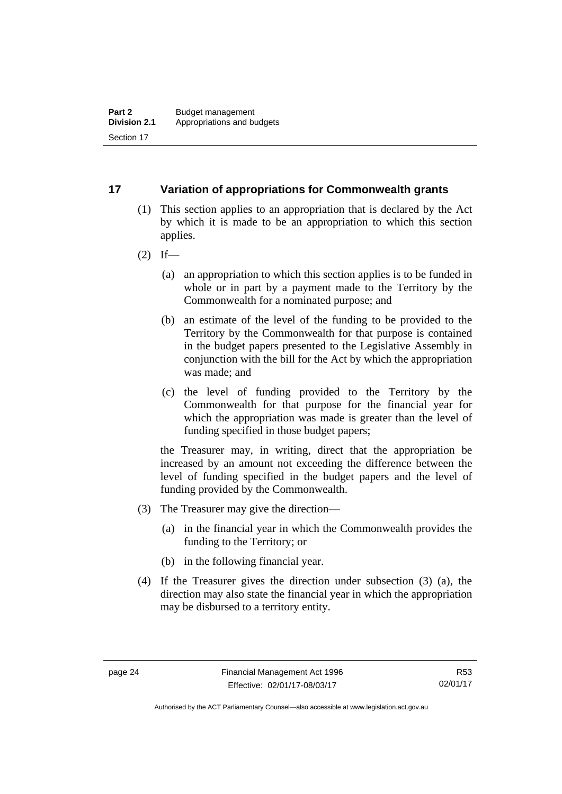### <span id="page-33-0"></span>**17 Variation of appropriations for Commonwealth grants**

- (1) This section applies to an appropriation that is declared by the Act by which it is made to be an appropriation to which this section applies.
- $(2)$  If—
	- (a) an appropriation to which this section applies is to be funded in whole or in part by a payment made to the Territory by the Commonwealth for a nominated purpose; and
	- (b) an estimate of the level of the funding to be provided to the Territory by the Commonwealth for that purpose is contained in the budget papers presented to the Legislative Assembly in conjunction with the bill for the Act by which the appropriation was made; and
	- (c) the level of funding provided to the Territory by the Commonwealth for that purpose for the financial year for which the appropriation was made is greater than the level of funding specified in those budget papers;

the Treasurer may, in writing, direct that the appropriation be increased by an amount not exceeding the difference between the level of funding specified in the budget papers and the level of funding provided by the Commonwealth.

- (3) The Treasurer may give the direction—
	- (a) in the financial year in which the Commonwealth provides the funding to the Territory; or
	- (b) in the following financial year.
- (4) If the Treasurer gives the direction under subsection (3) (a), the direction may also state the financial year in which the appropriation may be disbursed to a territory entity.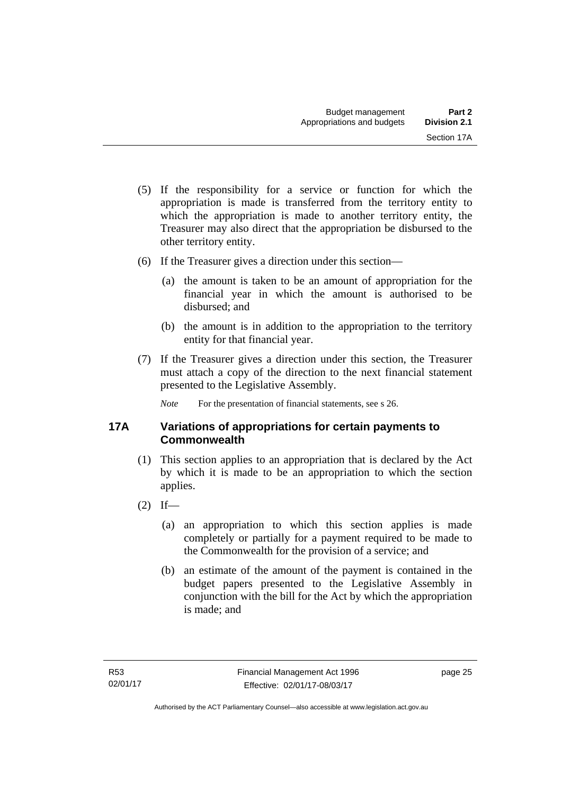- (5) If the responsibility for a service or function for which the appropriation is made is transferred from the territory entity to which the appropriation is made to another territory entity, the Treasurer may also direct that the appropriation be disbursed to the other territory entity.
- (6) If the Treasurer gives a direction under this section—
	- (a) the amount is taken to be an amount of appropriation for the financial year in which the amount is authorised to be disbursed; and
	- (b) the amount is in addition to the appropriation to the territory entity for that financial year.
- (7) If the Treasurer gives a direction under this section, the Treasurer must attach a copy of the direction to the next financial statement presented to the Legislative Assembly.

*Note* For the presentation of financial statements, see s 26.

### <span id="page-34-0"></span>**17A Variations of appropriations for certain payments to Commonwealth**

- (1) This section applies to an appropriation that is declared by the Act by which it is made to be an appropriation to which the section applies.
- $(2)$  If—
	- (a) an appropriation to which this section applies is made completely or partially for a payment required to be made to the Commonwealth for the provision of a service; and
	- (b) an estimate of the amount of the payment is contained in the budget papers presented to the Legislative Assembly in conjunction with the bill for the Act by which the appropriation is made; and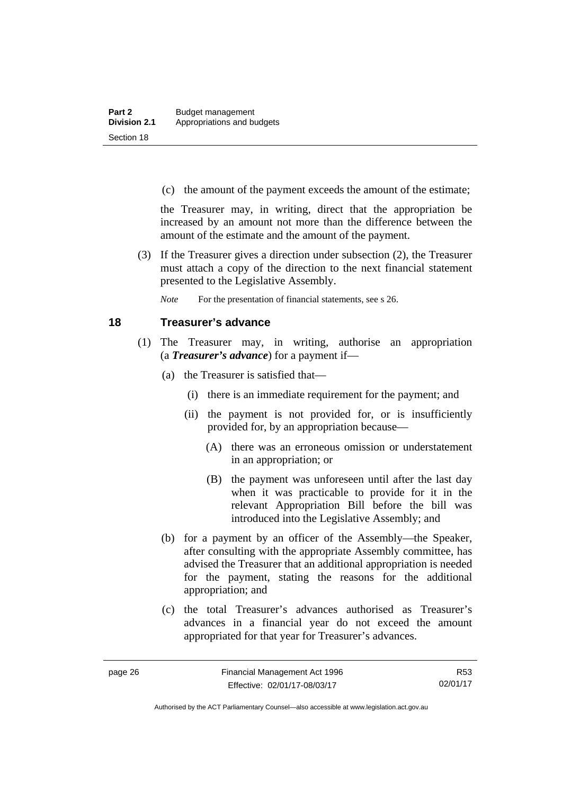(c) the amount of the payment exceeds the amount of the estimate;

the Treasurer may, in writing, direct that the appropriation be increased by an amount not more than the difference between the amount of the estimate and the amount of the payment.

 (3) If the Treasurer gives a direction under subsection (2), the Treasurer must attach a copy of the direction to the next financial statement presented to the Legislative Assembly.

*Note* For the presentation of financial statements, see s 26.

#### <span id="page-35-0"></span>**18 Treasurer's advance**

- (1) The Treasurer may, in writing, authorise an appropriation (a *Treasurer's advance*) for a payment if—
	- (a) the Treasurer is satisfied that—
		- (i) there is an immediate requirement for the payment; and
		- (ii) the payment is not provided for, or is insufficiently provided for, by an appropriation because—
			- (A) there was an erroneous omission or understatement in an appropriation; or
			- (B) the payment was unforeseen until after the last day when it was practicable to provide for it in the relevant Appropriation Bill before the bill was introduced into the Legislative Assembly; and
	- (b) for a payment by an officer of the Assembly—the Speaker, after consulting with the appropriate Assembly committee, has advised the Treasurer that an additional appropriation is needed for the payment, stating the reasons for the additional appropriation; and
	- (c) the total Treasurer's advances authorised as Treasurer's advances in a financial year do not exceed the amount appropriated for that year for Treasurer's advances.

R53 02/01/17

Authorised by the ACT Parliamentary Counsel—also accessible at www.legislation.act.gov.au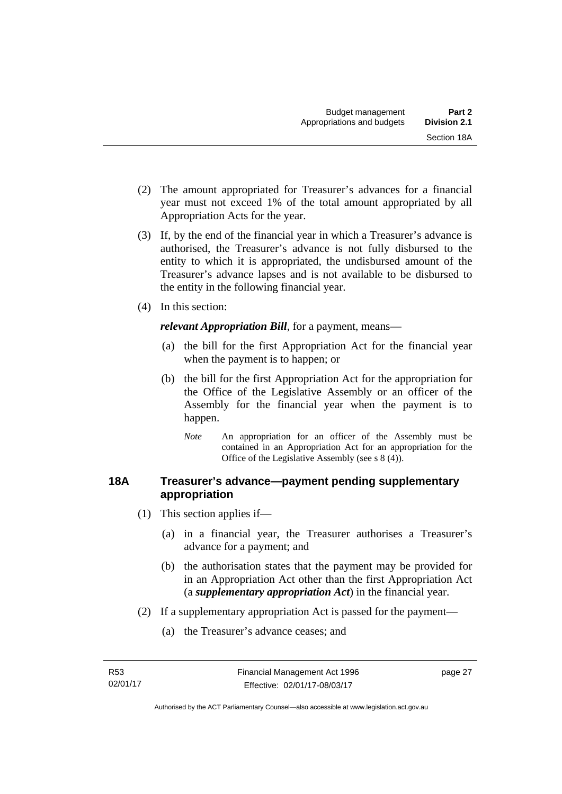- (2) The amount appropriated for Treasurer's advances for a financial year must not exceed 1% of the total amount appropriated by all Appropriation Acts for the year.
- (3) If, by the end of the financial year in which a Treasurer's advance is authorised, the Treasurer's advance is not fully disbursed to the entity to which it is appropriated, the undisbursed amount of the Treasurer's advance lapses and is not available to be disbursed to the entity in the following financial year.
- (4) In this section:

*relevant Appropriation Bill*, for a payment, means—

- (a) the bill for the first Appropriation Act for the financial year when the payment is to happen; or
- (b) the bill for the first Appropriation Act for the appropriation for the Office of the Legislative Assembly or an officer of the Assembly for the financial year when the payment is to happen.
	- *Note* An appropriation for an officer of the Assembly must be contained in an Appropriation Act for an appropriation for the Office of the Legislative Assembly (see s 8 (4)).

## **18A Treasurer's advance—payment pending supplementary appropriation**

- (1) This section applies if—
	- (a) in a financial year, the Treasurer authorises a Treasurer's advance for a payment; and
	- (b) the authorisation states that the payment may be provided for in an Appropriation Act other than the first Appropriation Act (a *supplementary appropriation Act*) in the financial year.
- (2) If a supplementary appropriation Act is passed for the payment—
	- (a) the Treasurer's advance ceases; and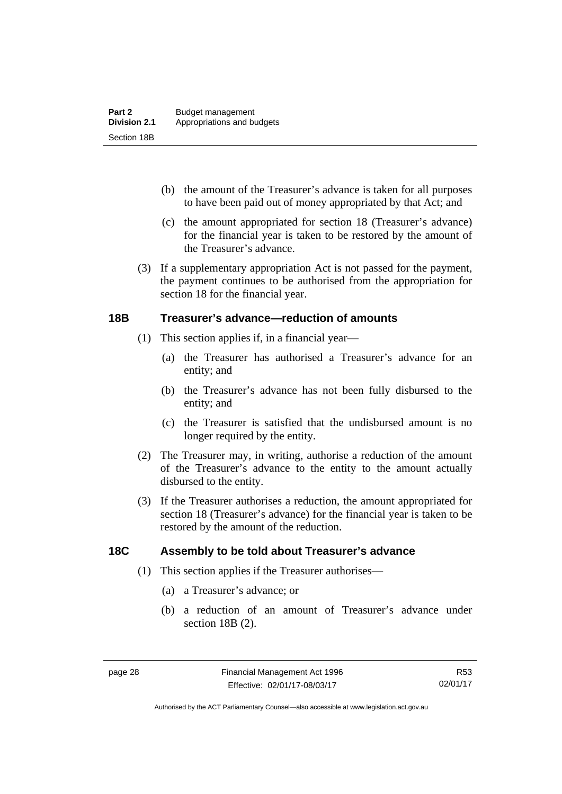- (b) the amount of the Treasurer's advance is taken for all purposes to have been paid out of money appropriated by that Act; and
- (c) the amount appropriated for section 18 (Treasurer's advance) for the financial year is taken to be restored by the amount of the Treasurer's advance.
- (3) If a supplementary appropriation Act is not passed for the payment, the payment continues to be authorised from the appropriation for section 18 for the financial year.

### **18B Treasurer's advance—reduction of amounts**

- (1) This section applies if, in a financial year—
	- (a) the Treasurer has authorised a Treasurer's advance for an entity; and
	- (b) the Treasurer's advance has not been fully disbursed to the entity; and
	- (c) the Treasurer is satisfied that the undisbursed amount is no longer required by the entity.
- (2) The Treasurer may, in writing, authorise a reduction of the amount of the Treasurer's advance to the entity to the amount actually disbursed to the entity.
- (3) If the Treasurer authorises a reduction, the amount appropriated for section 18 (Treasurer's advance) for the financial year is taken to be restored by the amount of the reduction.

## **18C Assembly to be told about Treasurer's advance**

- (1) This section applies if the Treasurer authorises—
	- (a) a Treasurer's advance; or
	- (b) a reduction of an amount of Treasurer's advance under section 18B (2).

Authorised by the ACT Parliamentary Counsel—also accessible at www.legislation.act.gov.au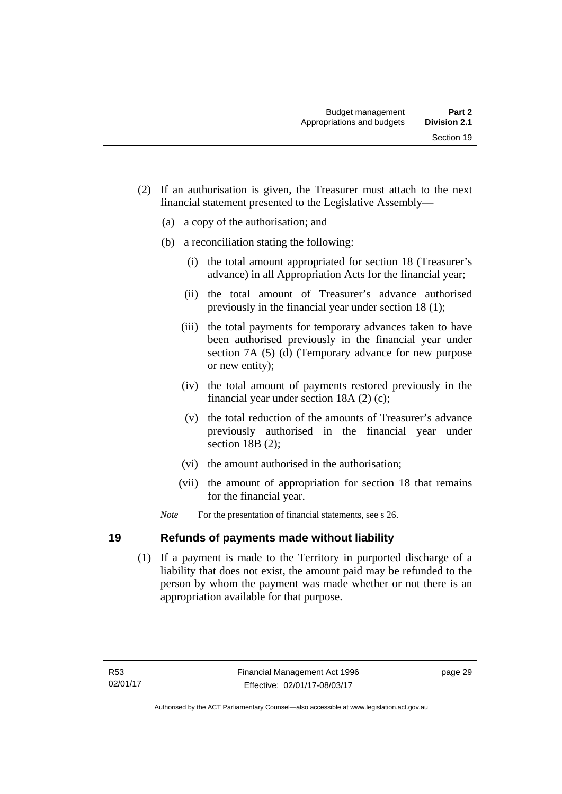- (2) If an authorisation is given, the Treasurer must attach to the next financial statement presented to the Legislative Assembly—
	- (a) a copy of the authorisation; and
	- (b) a reconciliation stating the following:
		- (i) the total amount appropriated for section 18 (Treasurer's advance) in all Appropriation Acts for the financial year;
		- (ii) the total amount of Treasurer's advance authorised previously in the financial year under section 18 (1);
		- (iii) the total payments for temporary advances taken to have been authorised previously in the financial year under section 7A (5) (d) (Temporary advance for new purpose or new entity);
		- (iv) the total amount of payments restored previously in the financial year under section 18A (2) (c);
		- (v) the total reduction of the amounts of Treasurer's advance previously authorised in the financial year under section 18B (2):
		- (vi) the amount authorised in the authorisation;
		- (vii) the amount of appropriation for section 18 that remains for the financial year.
	- *Note* For the presentation of financial statements, see s 26.

## **19 Refunds of payments made without liability**

 (1) If a payment is made to the Territory in purported discharge of a liability that does not exist, the amount paid may be refunded to the person by whom the payment was made whether or not there is an appropriation available for that purpose.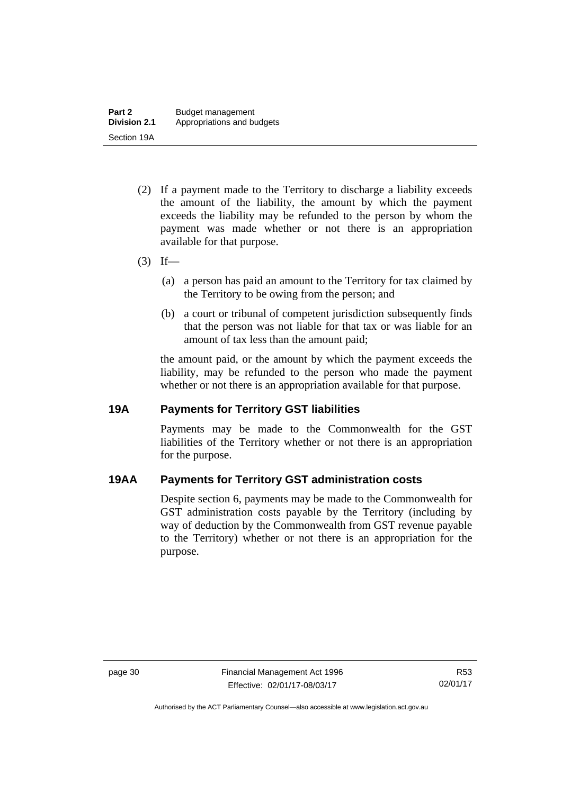- (2) If a payment made to the Territory to discharge a liability exceeds the amount of the liability, the amount by which the payment exceeds the liability may be refunded to the person by whom the payment was made whether or not there is an appropriation available for that purpose.
- $(3)$  If—
	- (a) a person has paid an amount to the Territory for tax claimed by the Territory to be owing from the person; and
	- (b) a court or tribunal of competent jurisdiction subsequently finds that the person was not liable for that tax or was liable for an amount of tax less than the amount paid;

the amount paid, or the amount by which the payment exceeds the liability, may be refunded to the person who made the payment whether or not there is an appropriation available for that purpose.

### **19A Payments for Territory GST liabilities**

Payments may be made to the Commonwealth for the GST liabilities of the Territory whether or not there is an appropriation for the purpose.

## **19AA Payments for Territory GST administration costs**

Despite section 6, payments may be made to the Commonwealth for GST administration costs payable by the Territory (including by way of deduction by the Commonwealth from GST revenue payable to the Territory) whether or not there is an appropriation for the purpose.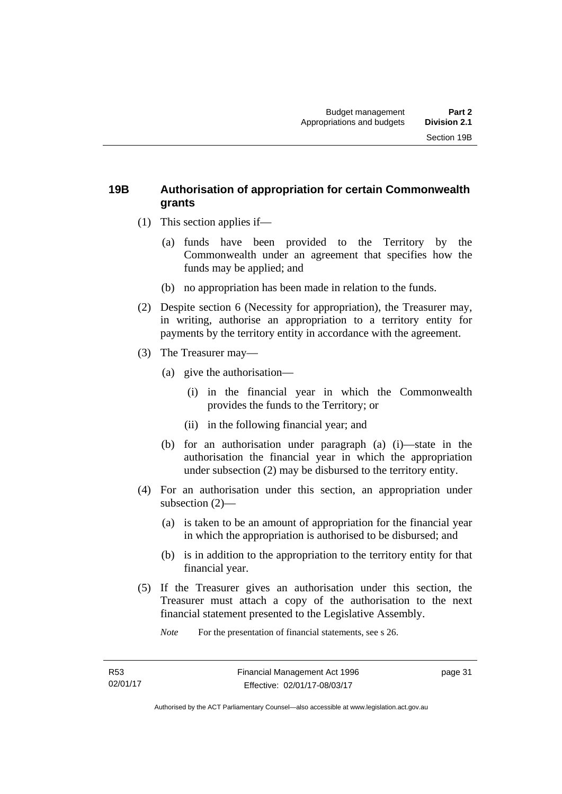## **19B Authorisation of appropriation for certain Commonwealth grants**

- (1) This section applies if—
	- (a) funds have been provided to the Territory by the Commonwealth under an agreement that specifies how the funds may be applied; and
	- (b) no appropriation has been made in relation to the funds.
- (2) Despite section 6 (Necessity for appropriation), the Treasurer may, in writing, authorise an appropriation to a territory entity for payments by the territory entity in accordance with the agreement.
- (3) The Treasurer may—
	- (a) give the authorisation—
		- (i) in the financial year in which the Commonwealth provides the funds to the Territory; or
		- (ii) in the following financial year; and
	- (b) for an authorisation under paragraph (a) (i)—state in the authorisation the financial year in which the appropriation under subsection (2) may be disbursed to the territory entity.
- (4) For an authorisation under this section, an appropriation under subsection (2)—
	- (a) is taken to be an amount of appropriation for the financial year in which the appropriation is authorised to be disbursed; and
	- (b) is in addition to the appropriation to the territory entity for that financial year.
- (5) If the Treasurer gives an authorisation under this section, the Treasurer must attach a copy of the authorisation to the next financial statement presented to the Legislative Assembly.

*Note* For the presentation of financial statements, see s 26.

page 31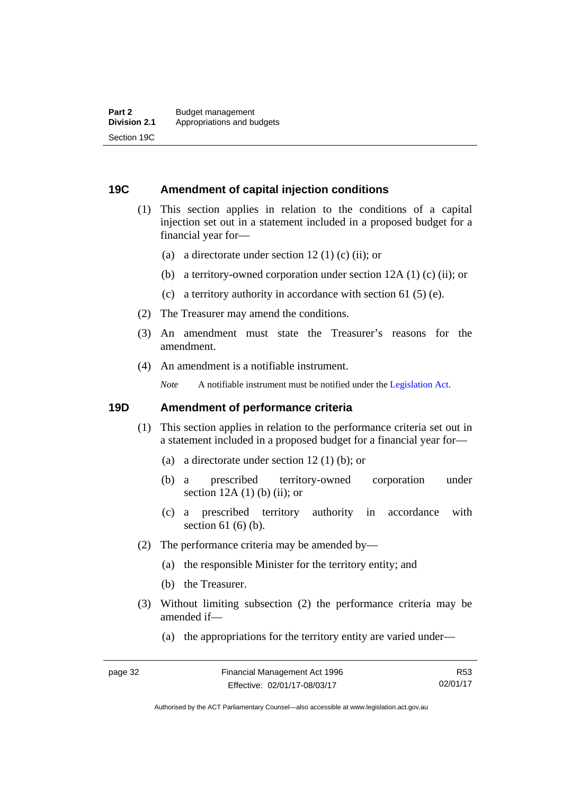### **19C Amendment of capital injection conditions**

- (1) This section applies in relation to the conditions of a capital injection set out in a statement included in a proposed budget for a financial year for—
	- (a) a directorate under section 12 (1) (c) (ii); or
	- (b) a territory-owned corporation under section 12A (1) (c) (ii); or
	- (c) a territory authority in accordance with section 61 (5) (e).
- (2) The Treasurer may amend the conditions.
- (3) An amendment must state the Treasurer's reasons for the amendment.
- (4) An amendment is a notifiable instrument.

*Note* A notifiable instrument must be notified under the [Legislation Act](http://www.legislation.act.gov.au/a/2001-14).

### **19D Amendment of performance criteria**

- (1) This section applies in relation to the performance criteria set out in a statement included in a proposed budget for a financial year for—
	- (a) a directorate under section 12 (1) (b); or
	- (b) a prescribed territory-owned corporation under section  $12A(1)$  (b) (ii); or
	- (c) a prescribed territory authority in accordance with section 61 (6) (b).
- (2) The performance criteria may be amended by—
	- (a) the responsible Minister for the territory entity; and
	- (b) the Treasurer.
- (3) Without limiting subsection (2) the performance criteria may be amended if—
	- (a) the appropriations for the territory entity are varied under—

R53 02/01/17

Authorised by the ACT Parliamentary Counsel—also accessible at www.legislation.act.gov.au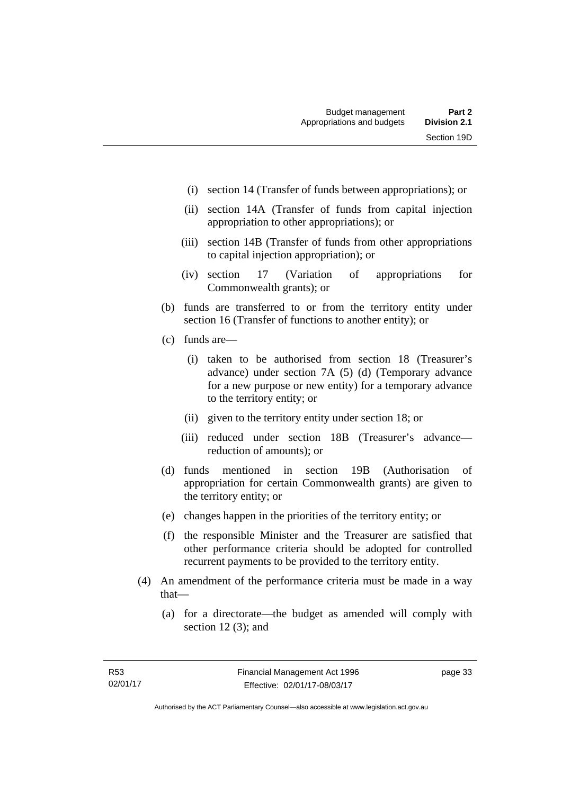- (i) section 14 (Transfer of funds between appropriations); or
- (ii) section 14A (Transfer of funds from capital injection appropriation to other appropriations); or
- (iii) section 14B (Transfer of funds from other appropriations to capital injection appropriation); or
- (iv) section 17 (Variation of appropriations for Commonwealth grants); or
- (b) funds are transferred to or from the territory entity under section 16 (Transfer of functions to another entity); or
- (c) funds are—
	- (i) taken to be authorised from section 18 (Treasurer's advance) under section 7A (5) (d) (Temporary advance for a new purpose or new entity) for a temporary advance to the territory entity; or
	- (ii) given to the territory entity under section 18; or
	- (iii) reduced under section 18B (Treasurer's advance reduction of amounts); or
- (d) funds mentioned in section 19B (Authorisation of appropriation for certain Commonwealth grants) are given to the territory entity; or
- (e) changes happen in the priorities of the territory entity; or
- (f) the responsible Minister and the Treasurer are satisfied that other performance criteria should be adopted for controlled recurrent payments to be provided to the territory entity.
- (4) An amendment of the performance criteria must be made in a way that—
	- (a) for a directorate—the budget as amended will comply with section 12 (3); and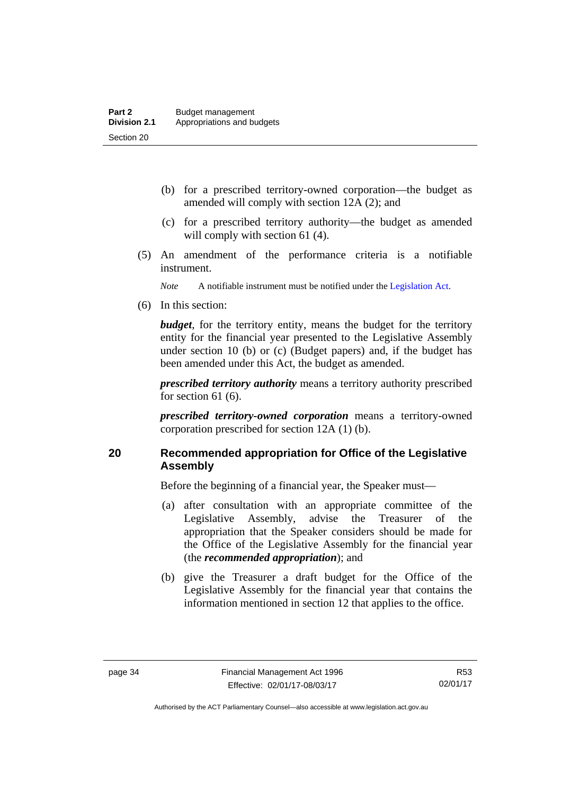- (b) for a prescribed territory-owned corporation—the budget as amended will comply with section 12A (2); and
- (c) for a prescribed territory authority—the budget as amended will comply with section 61 (4).
- (5) An amendment of the performance criteria is a notifiable instrument.

*Note* A notifiable instrument must be notified under the [Legislation Act](http://www.legislation.act.gov.au/a/2001-14).

(6) In this section:

*budget*, for the territory entity, means the budget for the territory entity for the financial year presented to the Legislative Assembly under section 10 (b) or (c) (Budget papers) and, if the budget has been amended under this Act, the budget as amended.

*prescribed territory authority* means a territory authority prescribed for section 61 (6).

*prescribed territory-owned corporation* means a territory-owned corporation prescribed for section 12A (1) (b).

## **20 Recommended appropriation for Office of the Legislative Assembly**

Before the beginning of a financial year, the Speaker must—

- (a) after consultation with an appropriate committee of the Legislative Assembly, advise the Treasurer of the appropriation that the Speaker considers should be made for the Office of the Legislative Assembly for the financial year (the *recommended appropriation*); and
- (b) give the Treasurer a draft budget for the Office of the Legislative Assembly for the financial year that contains the information mentioned in section 12 that applies to the office.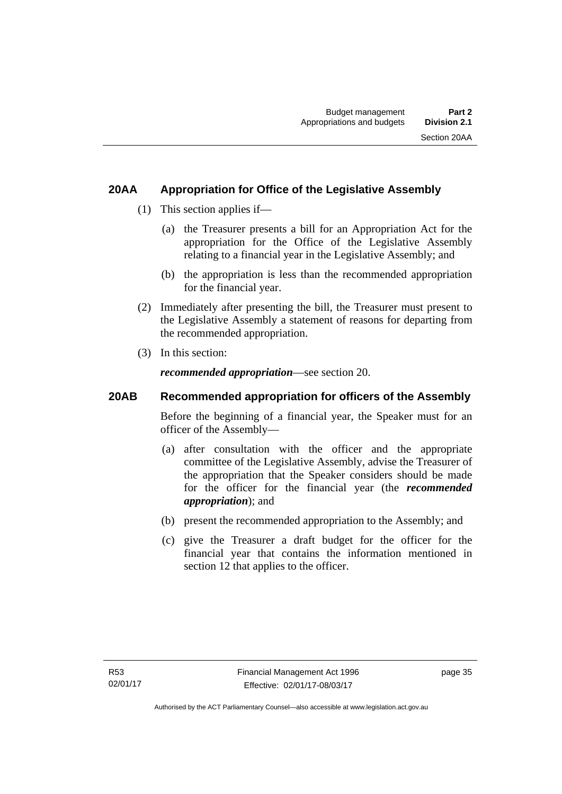## **20AA Appropriation for Office of the Legislative Assembly**

- (1) This section applies if—
	- (a) the Treasurer presents a bill for an Appropriation Act for the appropriation for the Office of the Legislative Assembly relating to a financial year in the Legislative Assembly; and
	- (b) the appropriation is less than the recommended appropriation for the financial year.
- (2) Immediately after presenting the bill, the Treasurer must present to the Legislative Assembly a statement of reasons for departing from the recommended appropriation.
- (3) In this section:

*recommended appropriation*—see section 20.

## **20AB Recommended appropriation for officers of the Assembly**

Before the beginning of a financial year, the Speaker must for an officer of the Assembly—

- (a) after consultation with the officer and the appropriate committee of the Legislative Assembly, advise the Treasurer of the appropriation that the Speaker considers should be made for the officer for the financial year (the *recommended appropriation*); and
- (b) present the recommended appropriation to the Assembly; and
- (c) give the Treasurer a draft budget for the officer for the financial year that contains the information mentioned in section 12 that applies to the officer.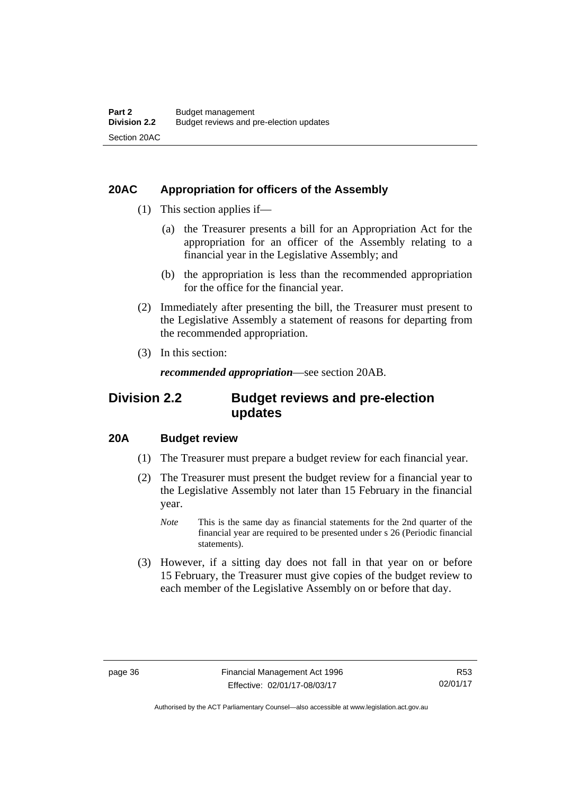## **20AC Appropriation for officers of the Assembly**

- (1) This section applies if—
	- (a) the Treasurer presents a bill for an Appropriation Act for the appropriation for an officer of the Assembly relating to a financial year in the Legislative Assembly; and
	- (b) the appropriation is less than the recommended appropriation for the office for the financial year.
- (2) Immediately after presenting the bill, the Treasurer must present to the Legislative Assembly a statement of reasons for departing from the recommended appropriation.
- (3) In this section:

*recommended appropriation*—see section 20AB.

## **Division 2.2 Budget reviews and pre-election updates**

## **20A Budget review**

- (1) The Treasurer must prepare a budget review for each financial year.
- (2) The Treasurer must present the budget review for a financial year to the Legislative Assembly not later than 15 February in the financial year.
	- *Note* This is the same day as financial statements for the 2nd quarter of the financial year are required to be presented under s 26 (Periodic financial statements).
- (3) However, if a sitting day does not fall in that year on or before 15 February, the Treasurer must give copies of the budget review to each member of the Legislative Assembly on or before that day.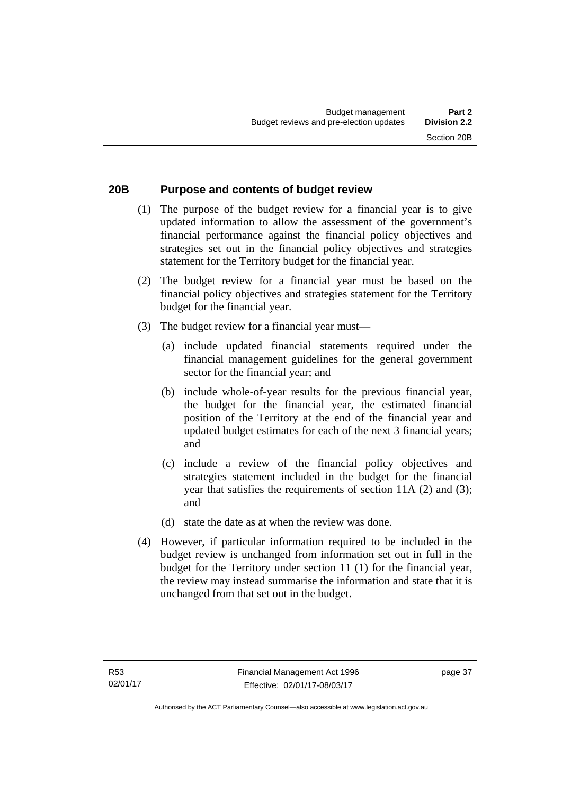# **20B Purpose and contents of budget review**

- (1) The purpose of the budget review for a financial year is to give updated information to allow the assessment of the government's financial performance against the financial policy objectives and strategies set out in the financial policy objectives and strategies statement for the Territory budget for the financial year.
- (2) The budget review for a financial year must be based on the financial policy objectives and strategies statement for the Territory budget for the financial year.
- (3) The budget review for a financial year must—
	- (a) include updated financial statements required under the financial management guidelines for the general government sector for the financial year; and
	- (b) include whole-of-year results for the previous financial year, the budget for the financial year, the estimated financial position of the Territory at the end of the financial year and updated budget estimates for each of the next 3 financial years; and
	- (c) include a review of the financial policy objectives and strategies statement included in the budget for the financial year that satisfies the requirements of section 11A (2) and (3); and
	- (d) state the date as at when the review was done.
- (4) However, if particular information required to be included in the budget review is unchanged from information set out in full in the budget for the Territory under section 11 (1) for the financial year, the review may instead summarise the information and state that it is unchanged from that set out in the budget.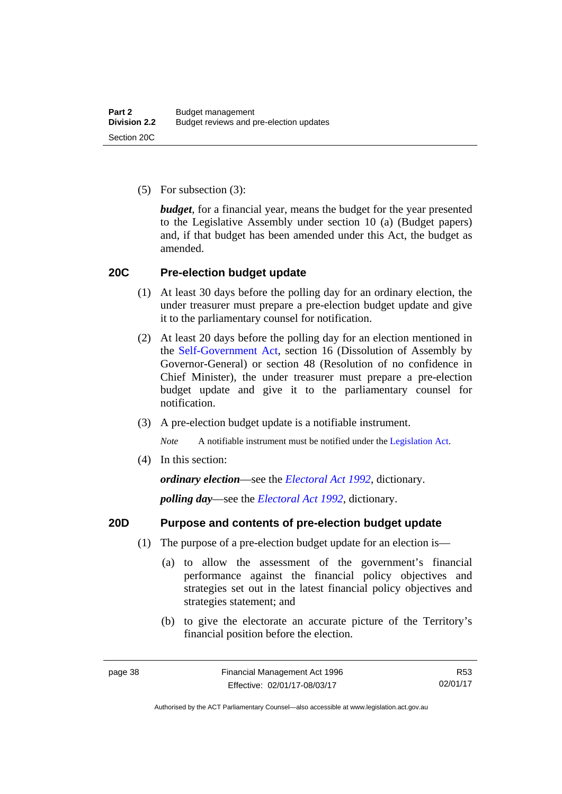(5) For subsection (3):

*budget*, for a financial year, means the budget for the year presented to the Legislative Assembly under section 10 (a) (Budget papers) and, if that budget has been amended under this Act, the budget as amended.

### **20C Pre-election budget update**

- (1) At least 30 days before the polling day for an ordinary election, the under treasurer must prepare a pre-election budget update and give it to the parliamentary counsel for notification.
- (2) At least 20 days before the polling day for an election mentioned in the [Self-Government Act,](http://www.comlaw.gov.au/Series/C2004A03699) section 16 (Dissolution of Assembly by Governor-General) or section 48 (Resolution of no confidence in Chief Minister), the under treasurer must prepare a pre-election budget update and give it to the parliamentary counsel for notification.
- (3) A pre-election budget update is a notifiable instrument.

*Note* A notifiable instrument must be notified under the [Legislation Act](http://www.legislation.act.gov.au/a/2001-14).

(4) In this section:

*ordinary election*—see the *[Electoral Act 1992](http://www.legislation.act.gov.au/a/1992-71)*, dictionary.

*polling day*—see the *[Electoral Act 1992](http://www.legislation.act.gov.au/a/1992-71)*, dictionary.

### **20D Purpose and contents of pre-election budget update**

- (1) The purpose of a pre-election budget update for an election is—
	- (a) to allow the assessment of the government's financial performance against the financial policy objectives and strategies set out in the latest financial policy objectives and strategies statement; and
	- (b) to give the electorate an accurate picture of the Territory's financial position before the election.

R53 02/01/17

Authorised by the ACT Parliamentary Counsel—also accessible at www.legislation.act.gov.au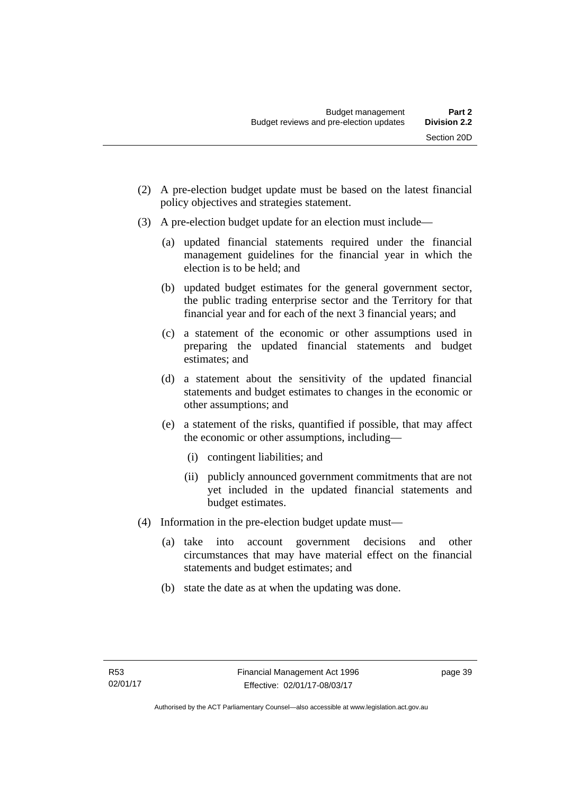- (2) A pre-election budget update must be based on the latest financial policy objectives and strategies statement.
- (3) A pre-election budget update for an election must include—
	- (a) updated financial statements required under the financial management guidelines for the financial year in which the election is to be held; and
	- (b) updated budget estimates for the general government sector, the public trading enterprise sector and the Territory for that financial year and for each of the next 3 financial years; and
	- (c) a statement of the economic or other assumptions used in preparing the updated financial statements and budget estimates; and
	- (d) a statement about the sensitivity of the updated financial statements and budget estimates to changes in the economic or other assumptions; and
	- (e) a statement of the risks, quantified if possible, that may affect the economic or other assumptions, including—
		- (i) contingent liabilities; and
		- (ii) publicly announced government commitments that are not yet included in the updated financial statements and budget estimates.
- (4) Information in the pre-election budget update must—
	- (a) take into account government decisions and other circumstances that may have material effect on the financial statements and budget estimates; and
	- (b) state the date as at when the updating was done.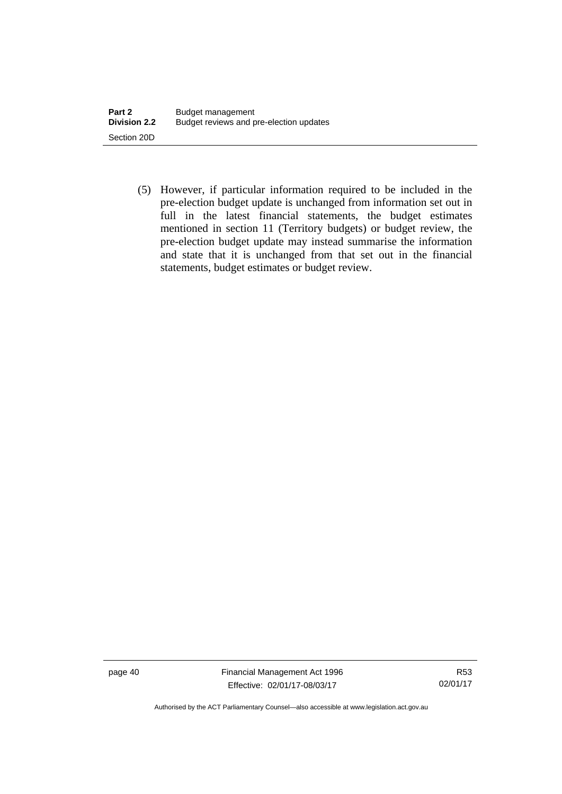(5) However, if particular information required to be included in the pre-election budget update is unchanged from information set out in full in the latest financial statements, the budget estimates mentioned in section 11 (Territory budgets) or budget review, the pre-election budget update may instead summarise the information and state that it is unchanged from that set out in the financial statements, budget estimates or budget review.

page 40 Financial Management Act 1996 Effective: 02/01/17-08/03/17

R53 02/01/17

Authorised by the ACT Parliamentary Counsel—also accessible at www.legislation.act.gov.au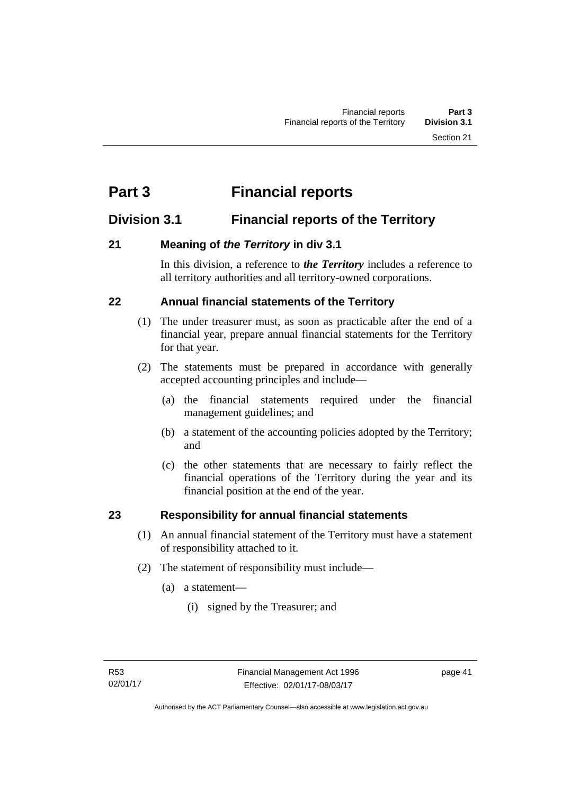# **Part 3 Financial reports**

## **Division 3.1 Financial reports of the Territory**

## **21 Meaning of** *the Territory* **in div 3.1**

In this division, a reference to *the Territory* includes a reference to all territory authorities and all territory-owned corporations.

## **22 Annual financial statements of the Territory**

- (1) The under treasurer must, as soon as practicable after the end of a financial year, prepare annual financial statements for the Territory for that year.
- (2) The statements must be prepared in accordance with generally accepted accounting principles and include—
	- (a) the financial statements required under the financial management guidelines; and
	- (b) a statement of the accounting policies adopted by the Territory; and
	- (c) the other statements that are necessary to fairly reflect the financial operations of the Territory during the year and its financial position at the end of the year.

## **23 Responsibility for annual financial statements**

- (1) An annual financial statement of the Territory must have a statement of responsibility attached to it.
- (2) The statement of responsibility must include—
	- (a) a statement—
		- (i) signed by the Treasurer; and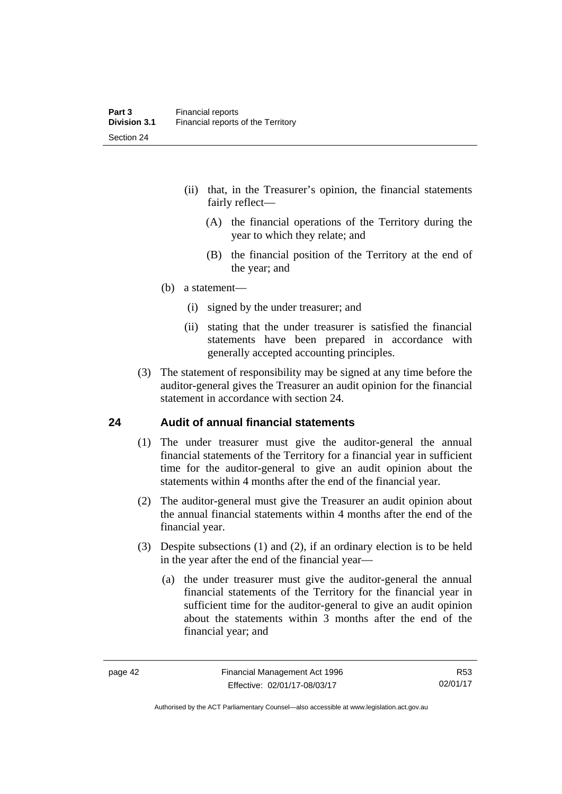- (ii) that, in the Treasurer's opinion, the financial statements fairly reflect—
	- (A) the financial operations of the Territory during the year to which they relate; and
	- (B) the financial position of the Territory at the end of the year; and
- (b) a statement—
	- (i) signed by the under treasurer; and
	- (ii) stating that the under treasurer is satisfied the financial statements have been prepared in accordance with generally accepted accounting principles.
- (3) The statement of responsibility may be signed at any time before the auditor-general gives the Treasurer an audit opinion for the financial statement in accordance with section 24.

### **24 Audit of annual financial statements**

- (1) The under treasurer must give the auditor-general the annual financial statements of the Territory for a financial year in sufficient time for the auditor-general to give an audit opinion about the statements within 4 months after the end of the financial year.
- (2) The auditor-general must give the Treasurer an audit opinion about the annual financial statements within 4 months after the end of the financial year.
- (3) Despite subsections (1) and (2), if an ordinary election is to be held in the year after the end of the financial year—
	- (a) the under treasurer must give the auditor-general the annual financial statements of the Territory for the financial year in sufficient time for the auditor-general to give an audit opinion about the statements within 3 months after the end of the financial year; and

R53 02/01/17

Authorised by the ACT Parliamentary Counsel—also accessible at www.legislation.act.gov.au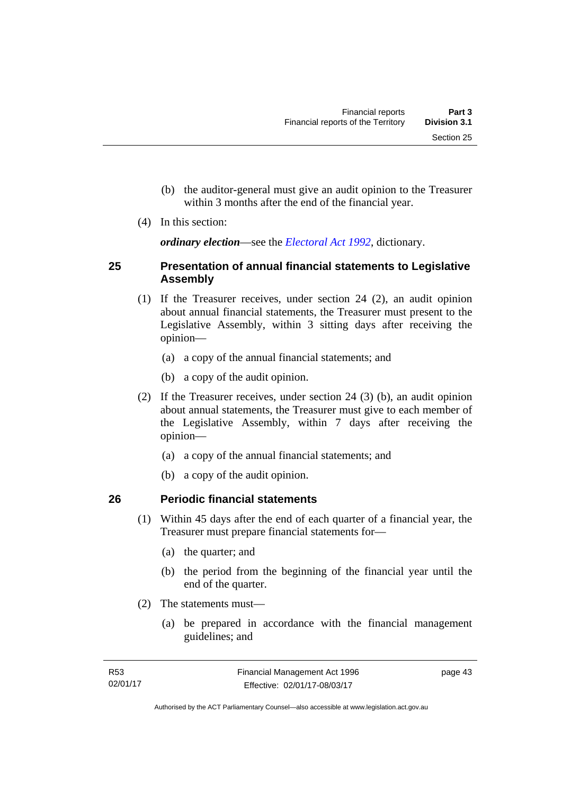- (b) the auditor-general must give an audit opinion to the Treasurer within 3 months after the end of the financial year.
- (4) In this section:

*ordinary election*—see the *[Electoral Act 1992](http://www.legislation.act.gov.au/a/1992-71)*, dictionary.

### **25 Presentation of annual financial statements to Legislative Assembly**

- (1) If the Treasurer receives, under section 24 (2), an audit opinion about annual financial statements, the Treasurer must present to the Legislative Assembly, within 3 sitting days after receiving the opinion—
	- (a) a copy of the annual financial statements; and
	- (b) a copy of the audit opinion.
- (2) If the Treasurer receives, under section 24 (3) (b), an audit opinion about annual statements, the Treasurer must give to each member of the Legislative Assembly, within 7 days after receiving the opinion—
	- (a) a copy of the annual financial statements; and
	- (b) a copy of the audit opinion.

## **26 Periodic financial statements**

- (1) Within 45 days after the end of each quarter of a financial year, the Treasurer must prepare financial statements for—
	- (a) the quarter; and
	- (b) the period from the beginning of the financial year until the end of the quarter.
- (2) The statements must—
	- (a) be prepared in accordance with the financial management guidelines; and

page 43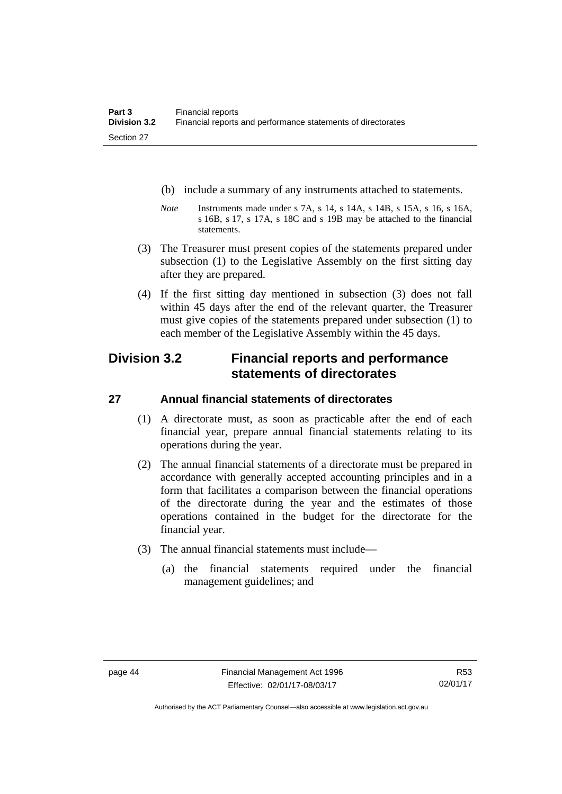- (b) include a summary of any instruments attached to statements.
- *Note* Instruments made under s 7A, s 14, s 14A, s 14B, s 15A, s 16, s 16A, s 16B, s 17, s 17A, s 18C and s 19B may be attached to the financial statements.
- (3) The Treasurer must present copies of the statements prepared under subsection (1) to the Legislative Assembly on the first sitting day after they are prepared.
- (4) If the first sitting day mentioned in subsection (3) does not fall within 45 days after the end of the relevant quarter, the Treasurer must give copies of the statements prepared under subsection (1) to each member of the Legislative Assembly within the 45 days.

## **Division 3.2 Financial reports and performance statements of directorates**

## **27 Annual financial statements of directorates**

- (1) A directorate must, as soon as practicable after the end of each financial year, prepare annual financial statements relating to its operations during the year.
- (2) The annual financial statements of a directorate must be prepared in accordance with generally accepted accounting principles and in a form that facilitates a comparison between the financial operations of the directorate during the year and the estimates of those operations contained in the budget for the directorate for the financial year.
- (3) The annual financial statements must include—
	- (a) the financial statements required under the financial management guidelines; and

Authorised by the ACT Parliamentary Counsel—also accessible at www.legislation.act.gov.au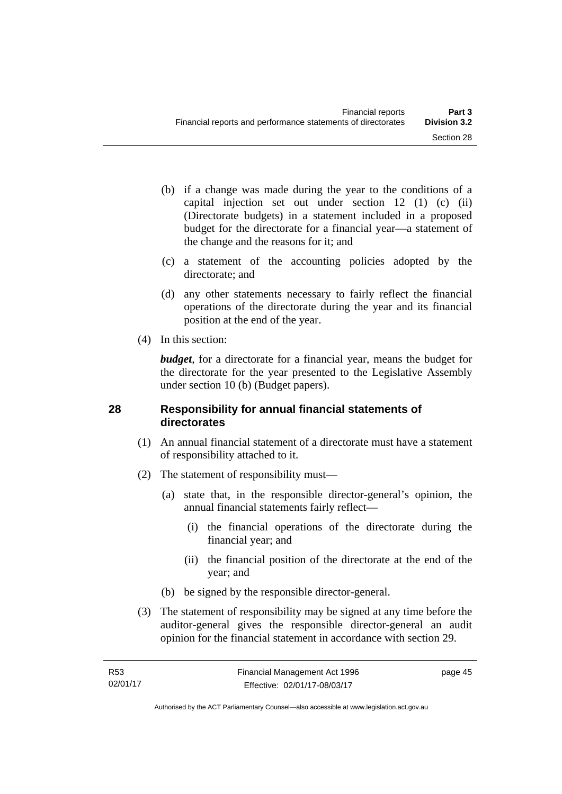- (b) if a change was made during the year to the conditions of a capital injection set out under section 12 (1) (c) (ii) (Directorate budgets) in a statement included in a proposed budget for the directorate for a financial year—a statement of the change and the reasons for it; and
- (c) a statement of the accounting policies adopted by the directorate; and
- (d) any other statements necessary to fairly reflect the financial operations of the directorate during the year and its financial position at the end of the year.
- (4) In this section:

*budget*, for a directorate for a financial year, means the budget for the directorate for the year presented to the Legislative Assembly under section 10 (b) (Budget papers).

### **28 Responsibility for annual financial statements of directorates**

- (1) An annual financial statement of a directorate must have a statement of responsibility attached to it.
- (2) The statement of responsibility must—
	- (a) state that, in the responsible director-general's opinion, the annual financial statements fairly reflect—
		- (i) the financial operations of the directorate during the financial year; and
		- (ii) the financial position of the directorate at the end of the year; and
	- (b) be signed by the responsible director-general.
- (3) The statement of responsibility may be signed at any time before the auditor-general gives the responsible director-general an audit opinion for the financial statement in accordance with section 29.

page 45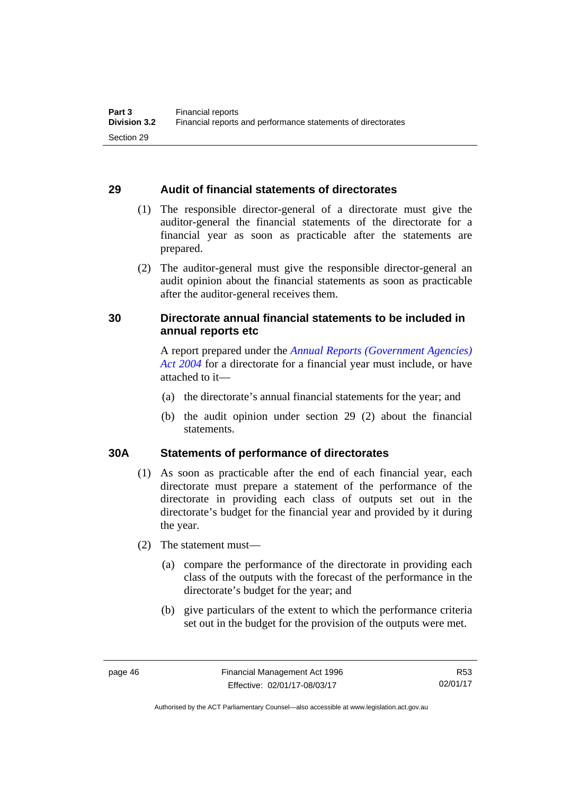### **29 Audit of financial statements of directorates**

- (1) The responsible director-general of a directorate must give the auditor-general the financial statements of the directorate for a financial year as soon as practicable after the statements are prepared.
- (2) The auditor-general must give the responsible director-general an audit opinion about the financial statements as soon as practicable after the auditor-general receives them.

## **30 Directorate annual financial statements to be included in annual reports etc**

A report prepared under the *[Annual Reports \(Government Agencies\)](http://www.legislation.act.gov.au/a/2004-8)  [Act 2004](http://www.legislation.act.gov.au/a/2004-8)* for a directorate for a financial year must include, or have attached to it—

- (a) the directorate's annual financial statements for the year; and
- (b) the audit opinion under section 29 (2) about the financial statements.

### **30A Statements of performance of directorates**

- (1) As soon as practicable after the end of each financial year, each directorate must prepare a statement of the performance of the directorate in providing each class of outputs set out in the directorate's budget for the financial year and provided by it during the year.
- (2) The statement must—
	- (a) compare the performance of the directorate in providing each class of the outputs with the forecast of the performance in the directorate's budget for the year; and
	- (b) give particulars of the extent to which the performance criteria set out in the budget for the provision of the outputs were met.

R53 02/01/17

Authorised by the ACT Parliamentary Counsel—also accessible at www.legislation.act.gov.au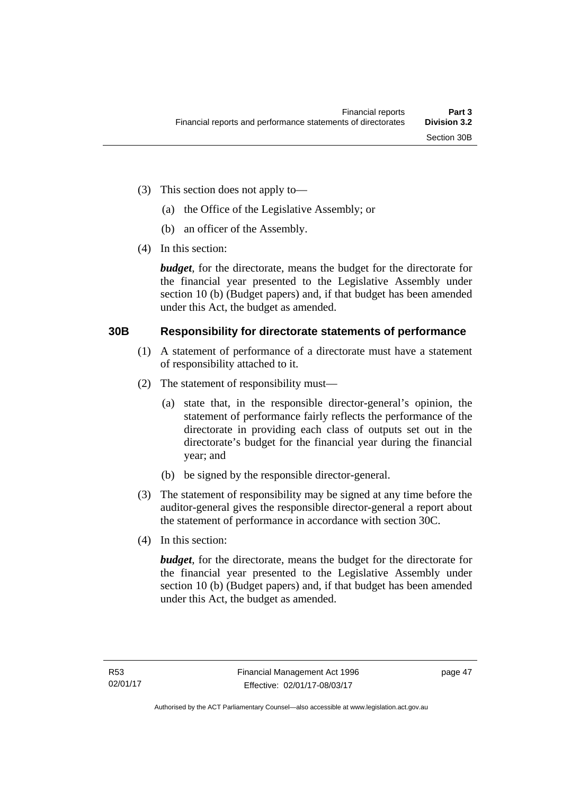- (3) This section does not apply to—
	- (a) the Office of the Legislative Assembly; or
	- (b) an officer of the Assembly.
- (4) In this section:

*budget*, for the directorate, means the budget for the directorate for the financial year presented to the Legislative Assembly under section 10 (b) (Budget papers) and, if that budget has been amended under this Act, the budget as amended.

### **30B Responsibility for directorate statements of performance**

- (1) A statement of performance of a directorate must have a statement of responsibility attached to it.
- (2) The statement of responsibility must—
	- (a) state that, in the responsible director-general's opinion, the statement of performance fairly reflects the performance of the directorate in providing each class of outputs set out in the directorate's budget for the financial year during the financial year; and
	- (b) be signed by the responsible director-general.
- (3) The statement of responsibility may be signed at any time before the auditor-general gives the responsible director-general a report about the statement of performance in accordance with section 30C.
- (4) In this section:

*budget*, for the directorate, means the budget for the directorate for the financial year presented to the Legislative Assembly under section 10 (b) (Budget papers) and, if that budget has been amended under this Act, the budget as amended.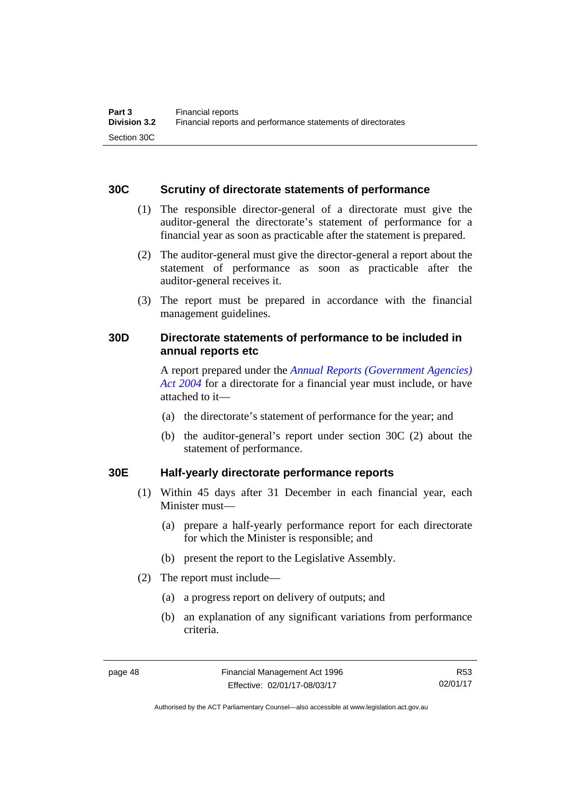### **30C Scrutiny of directorate statements of performance**

- (1) The responsible director-general of a directorate must give the auditor-general the directorate's statement of performance for a financial year as soon as practicable after the statement is prepared.
- (2) The auditor-general must give the director-general a report about the statement of performance as soon as practicable after the auditor-general receives it.
- (3) The report must be prepared in accordance with the financial management guidelines.

## **30D Directorate statements of performance to be included in annual reports etc**

A report prepared under the *[Annual Reports \(Government Agencies\)](http://www.legislation.act.gov.au/a/2004-8)  [Act 2004](http://www.legislation.act.gov.au/a/2004-8)* for a directorate for a financial year must include, or have attached to it—

- (a) the directorate's statement of performance for the year; and
- (b) the auditor-general's report under section 30C (2) about the statement of performance.

### **30E Half-yearly directorate performance reports**

- (1) Within 45 days after 31 December in each financial year, each Minister must—
	- (a) prepare a half-yearly performance report for each directorate for which the Minister is responsible; and
	- (b) present the report to the Legislative Assembly.
- (2) The report must include—
	- (a) a progress report on delivery of outputs; and
	- (b) an explanation of any significant variations from performance criteria.

R53 02/01/17

Authorised by the ACT Parliamentary Counsel—also accessible at www.legislation.act.gov.au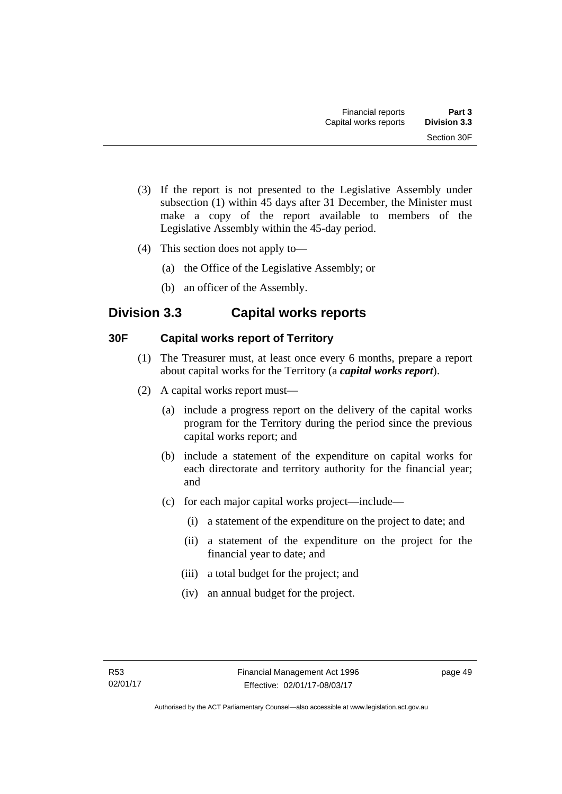- (3) If the report is not presented to the Legislative Assembly under subsection (1) within 45 days after 31 December, the Minister must make a copy of the report available to members of the Legislative Assembly within the 45-day period.
- (4) This section does not apply to—
	- (a) the Office of the Legislative Assembly; or
	- (b) an officer of the Assembly.

## **Division 3.3 Capital works reports**

### **30F Capital works report of Territory**

- (1) The Treasurer must, at least once every 6 months, prepare a report about capital works for the Territory (a *capital works report*).
- (2) A capital works report must—
	- (a) include a progress report on the delivery of the capital works program for the Territory during the period since the previous capital works report; and
	- (b) include a statement of the expenditure on capital works for each directorate and territory authority for the financial year; and
	- (c) for each major capital works project—include—
		- (i) a statement of the expenditure on the project to date; and
		- (ii) a statement of the expenditure on the project for the financial year to date; and
		- (iii) a total budget for the project; and
		- (iv) an annual budget for the project.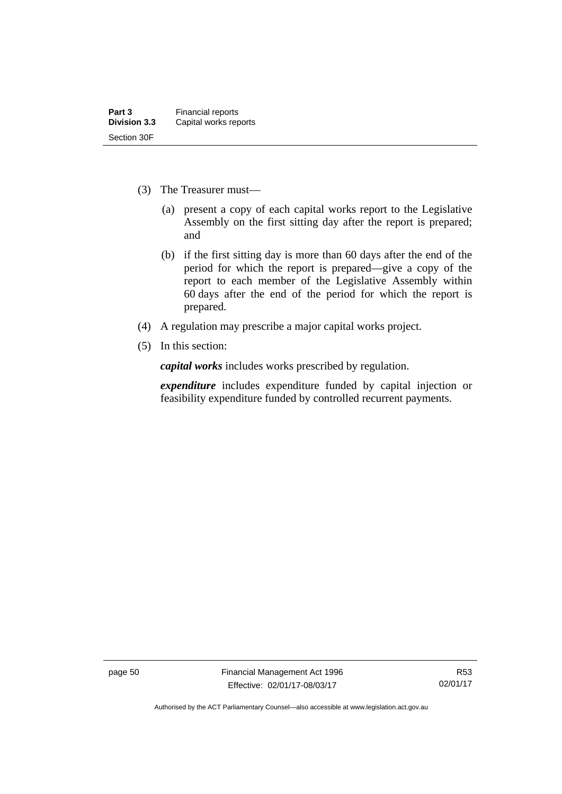- (3) The Treasurer must—
	- (a) present a copy of each capital works report to the Legislative Assembly on the first sitting day after the report is prepared; and
	- (b) if the first sitting day is more than 60 days after the end of the period for which the report is prepared—give a copy of the report to each member of the Legislative Assembly within 60 days after the end of the period for which the report is prepared.
- (4) A regulation may prescribe a major capital works project.
- (5) In this section:

*capital works* includes works prescribed by regulation.

*expenditure* includes expenditure funded by capital injection or feasibility expenditure funded by controlled recurrent payments.

page 50 Financial Management Act 1996 Effective: 02/01/17-08/03/17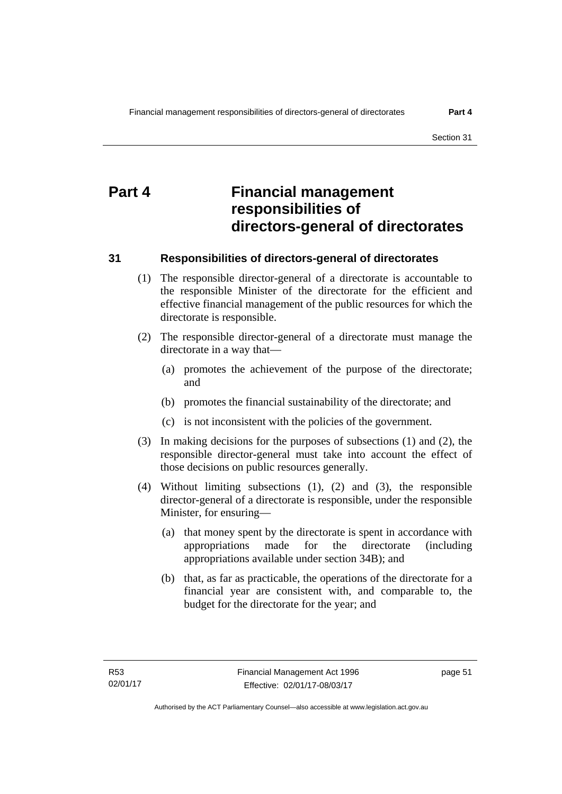# **Part 4 Financial management responsibilities of directors-general of directorates**

### **31 Responsibilities of directors-general of directorates**

- (1) The responsible director-general of a directorate is accountable to the responsible Minister of the directorate for the efficient and effective financial management of the public resources for which the directorate is responsible.
- (2) The responsible director-general of a directorate must manage the directorate in a way that—
	- (a) promotes the achievement of the purpose of the directorate; and
	- (b) promotes the financial sustainability of the directorate; and
	- (c) is not inconsistent with the policies of the government.
- (3) In making decisions for the purposes of subsections (1) and (2), the responsible director-general must take into account the effect of those decisions on public resources generally.
- (4) Without limiting subsections (1), (2) and (3), the responsible director-general of a directorate is responsible, under the responsible Minister, for ensuring—
	- (a) that money spent by the directorate is spent in accordance with appropriations made for the directorate (including appropriations available under section 34B); and
	- (b) that, as far as practicable, the operations of the directorate for a financial year are consistent with, and comparable to, the budget for the directorate for the year; and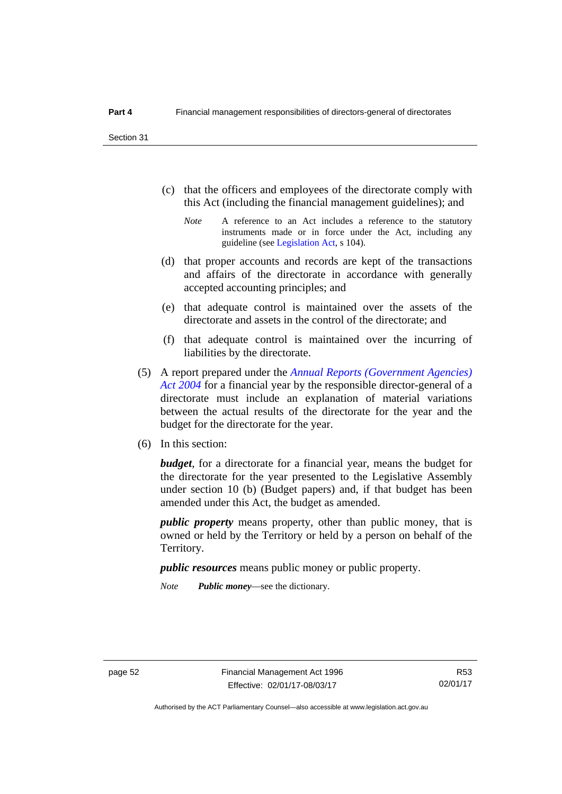- (c) that the officers and employees of the directorate comply with this Act (including the financial management guidelines); and
	- *Note* A reference to an Act includes a reference to the statutory instruments made or in force under the Act, including any guideline (see [Legislation Act](http://www.legislation.act.gov.au/a/2001-14), s 104).
- (d) that proper accounts and records are kept of the transactions and affairs of the directorate in accordance with generally accepted accounting principles; and
- (e) that adequate control is maintained over the assets of the directorate and assets in the control of the directorate; and
- (f) that adequate control is maintained over the incurring of liabilities by the directorate.
- (5) A report prepared under the *[Annual Reports \(Government Agencies\)](http://www.legislation.act.gov.au/a/2004-8)  [Act 2004](http://www.legislation.act.gov.au/a/2004-8)* for a financial year by the responsible director-general of a directorate must include an explanation of material variations between the actual results of the directorate for the year and the budget for the directorate for the year.
- (6) In this section:

*budget*, for a directorate for a financial year, means the budget for the directorate for the year presented to the Legislative Assembly under section 10 (b) (Budget papers) and, if that budget has been amended under this Act, the budget as amended.

*public property* means property, other than public money, that is owned or held by the Territory or held by a person on behalf of the Territory.

*public resources* means public money or public property.

*Note Public money*—see the dictionary.

R53 02/01/17

Authorised by the ACT Parliamentary Counsel—also accessible at www.legislation.act.gov.au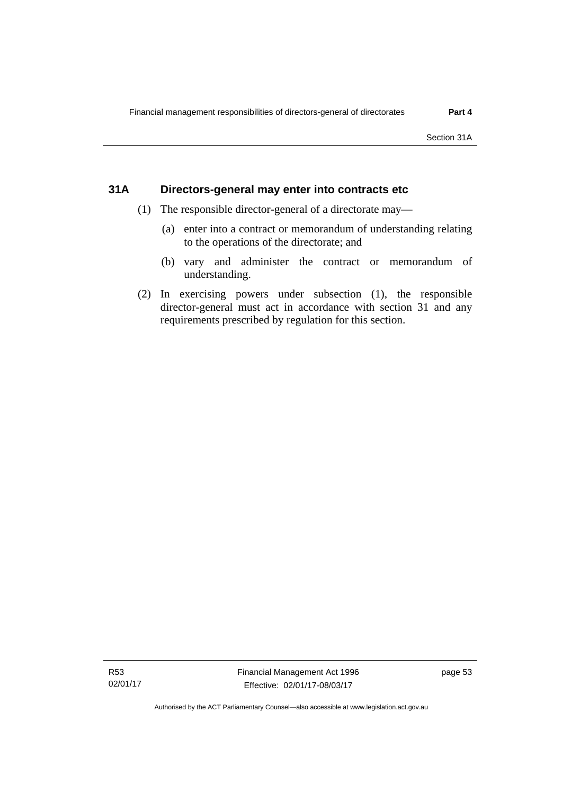### **31A Directors-general may enter into contracts etc**

- (1) The responsible director-general of a directorate may—
	- (a) enter into a contract or memorandum of understanding relating to the operations of the directorate; and
	- (b) vary and administer the contract or memorandum of understanding.
- (2) In exercising powers under subsection (1), the responsible director-general must act in accordance with section 31 and any requirements prescribed by regulation for this section.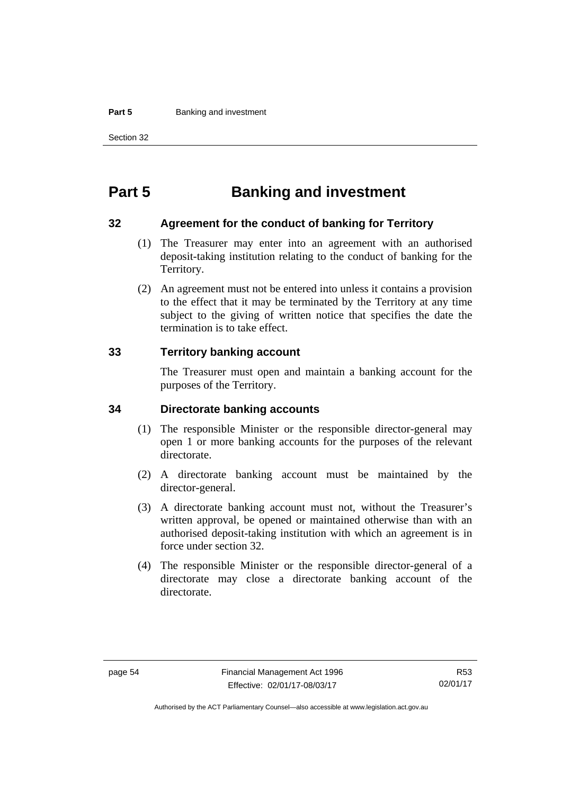#### **Part 5 Banking and investment**

Section 32

# **Part 5 Banking and investment**

### **32 Agreement for the conduct of banking for Territory**

- (1) The Treasurer may enter into an agreement with an authorised deposit-taking institution relating to the conduct of banking for the Territory.
- (2) An agreement must not be entered into unless it contains a provision to the effect that it may be terminated by the Territory at any time subject to the giving of written notice that specifies the date the termination is to take effect.

### **33 Territory banking account**

The Treasurer must open and maintain a banking account for the purposes of the Territory.

### **34 Directorate banking accounts**

- (1) The responsible Minister or the responsible director-general may open 1 or more banking accounts for the purposes of the relevant directorate.
- (2) A directorate banking account must be maintained by the director-general.
- (3) A directorate banking account must not, without the Treasurer's written approval, be opened or maintained otherwise than with an authorised deposit-taking institution with which an agreement is in force under section 32.
- (4) The responsible Minister or the responsible director-general of a directorate may close a directorate banking account of the directorate.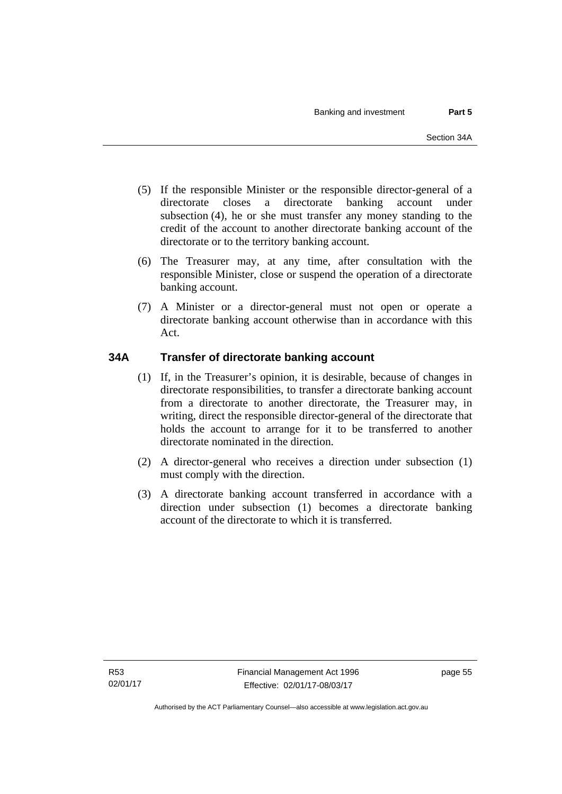- (5) If the responsible Minister or the responsible director-general of a directorate closes a directorate banking account under subsection (4), he or she must transfer any money standing to the credit of the account to another directorate banking account of the directorate or to the territory banking account.
- (6) The Treasurer may, at any time, after consultation with the responsible Minister, close or suspend the operation of a directorate banking account.
- (7) A Minister or a director-general must not open or operate a directorate banking account otherwise than in accordance with this Act.

## **34A Transfer of directorate banking account**

- (1) If, in the Treasurer's opinion, it is desirable, because of changes in directorate responsibilities, to transfer a directorate banking account from a directorate to another directorate, the Treasurer may, in writing, direct the responsible director-general of the directorate that holds the account to arrange for it to be transferred to another directorate nominated in the direction.
- (2) A director-general who receives a direction under subsection (1) must comply with the direction.
- (3) A directorate banking account transferred in accordance with a direction under subsection (1) becomes a directorate banking account of the directorate to which it is transferred.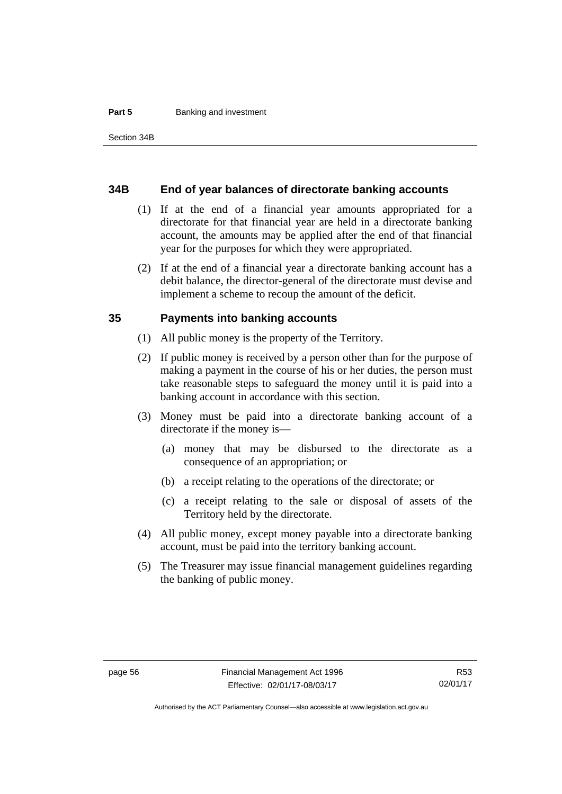#### **Part 5 Banking and investment**

### **34B End of year balances of directorate banking accounts**

- (1) If at the end of a financial year amounts appropriated for a directorate for that financial year are held in a directorate banking account, the amounts may be applied after the end of that financial year for the purposes for which they were appropriated.
- (2) If at the end of a financial year a directorate banking account has a debit balance, the director-general of the directorate must devise and implement a scheme to recoup the amount of the deficit.

### **35 Payments into banking accounts**

- (1) All public money is the property of the Territory.
- (2) If public money is received by a person other than for the purpose of making a payment in the course of his or her duties, the person must take reasonable steps to safeguard the money until it is paid into a banking account in accordance with this section.
- (3) Money must be paid into a directorate banking account of a directorate if the money is—
	- (a) money that may be disbursed to the directorate as a consequence of an appropriation; or
	- (b) a receipt relating to the operations of the directorate; or
	- (c) a receipt relating to the sale or disposal of assets of the Territory held by the directorate.
- (4) All public money, except money payable into a directorate banking account, must be paid into the territory banking account.
- (5) The Treasurer may issue financial management guidelines regarding the banking of public money.

Authorised by the ACT Parliamentary Counsel—also accessible at www.legislation.act.gov.au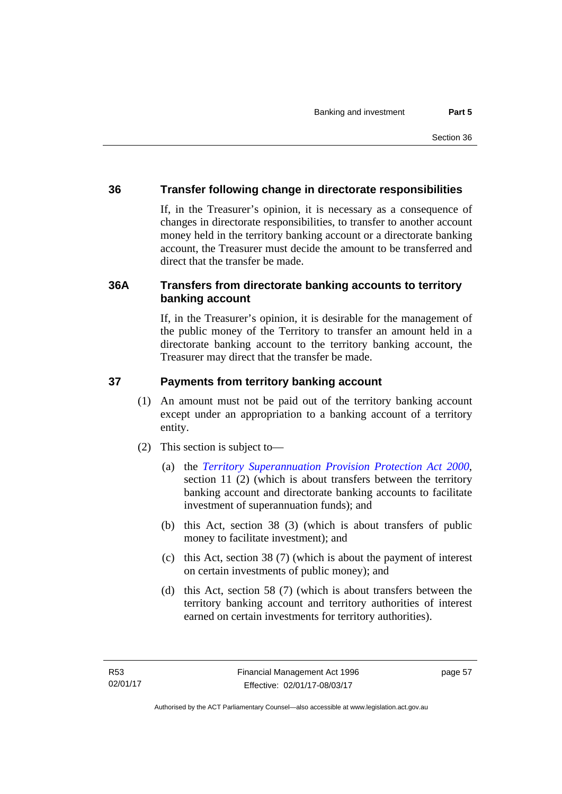## **36 Transfer following change in directorate responsibilities**

If, in the Treasurer's opinion, it is necessary as a consequence of changes in directorate responsibilities, to transfer to another account money held in the territory banking account or a directorate banking account, the Treasurer must decide the amount to be transferred and direct that the transfer be made.

## **36A Transfers from directorate banking accounts to territory banking account**

If, in the Treasurer's opinion, it is desirable for the management of the public money of the Territory to transfer an amount held in a directorate banking account to the territory banking account, the Treasurer may direct that the transfer be made.

### **37 Payments from territory banking account**

- (1) An amount must not be paid out of the territory banking account except under an appropriation to a banking account of a territory entity.
- (2) This section is subject to—
	- (a) the *[Territory Superannuation Provision Protection Act 2000](http://www.legislation.act.gov.au/a/2000-21)*, section 11 (2) (which is about transfers between the territory banking account and directorate banking accounts to facilitate investment of superannuation funds); and
	- (b) this Act, section 38 (3) (which is about transfers of public money to facilitate investment); and
	- (c) this Act, section 38 (7) (which is about the payment of interest on certain investments of public money); and
	- (d) this Act, section 58 (7) (which is about transfers between the territory banking account and territory authorities of interest earned on certain investments for territory authorities).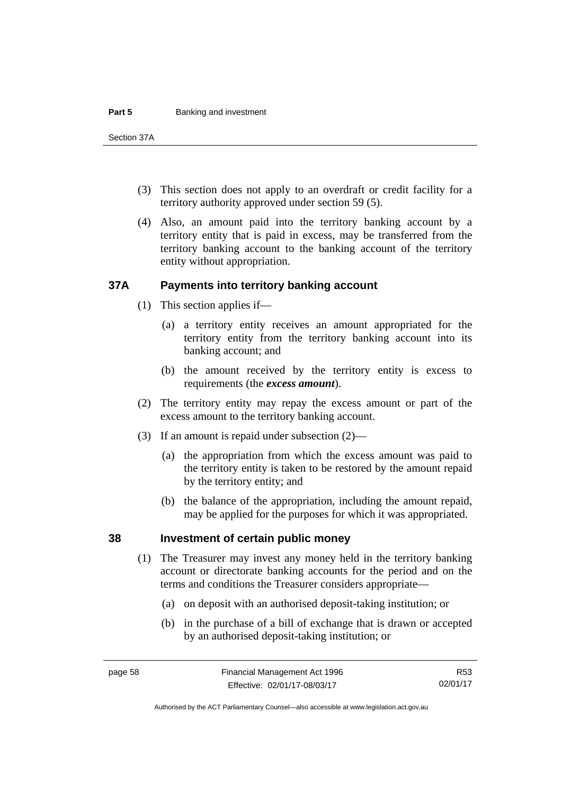#### **Part 5 Banking and investment**

Section 37A

- (3) This section does not apply to an overdraft or credit facility for a territory authority approved under section 59 (5).
- (4) Also, an amount paid into the territory banking account by a territory entity that is paid in excess, may be transferred from the territory banking account to the banking account of the territory entity without appropriation.

### **37A Payments into territory banking account**

- (1) This section applies if—
	- (a) a territory entity receives an amount appropriated for the territory entity from the territory banking account into its banking account; and
	- (b) the amount received by the territory entity is excess to requirements (the *excess amount*).
- (2) The territory entity may repay the excess amount or part of the excess amount to the territory banking account.
- (3) If an amount is repaid under subsection (2)—
	- (a) the appropriation from which the excess amount was paid to the territory entity is taken to be restored by the amount repaid by the territory entity; and
	- (b) the balance of the appropriation, including the amount repaid, may be applied for the purposes for which it was appropriated.

### **38 Investment of certain public money**

- (1) The Treasurer may invest any money held in the territory banking account or directorate banking accounts for the period and on the terms and conditions the Treasurer considers appropriate—
	- (a) on deposit with an authorised deposit-taking institution; or
	- (b) in the purchase of a bill of exchange that is drawn or accepted by an authorised deposit-taking institution; or

R53 02/01/17

Authorised by the ACT Parliamentary Counsel—also accessible at www.legislation.act.gov.au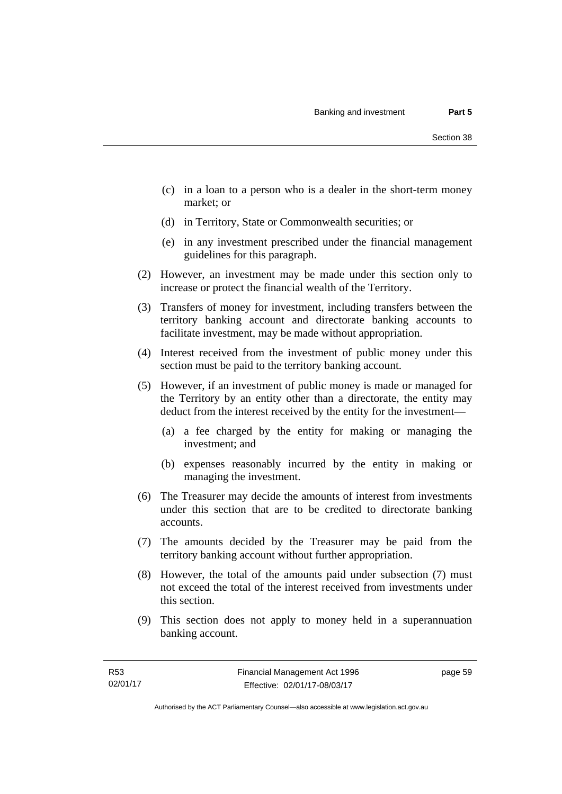- (c) in a loan to a person who is a dealer in the short-term money market; or
- (d) in Territory, State or Commonwealth securities; or
- (e) in any investment prescribed under the financial management guidelines for this paragraph.
- (2) However, an investment may be made under this section only to increase or protect the financial wealth of the Territory.
- (3) Transfers of money for investment, including transfers between the territory banking account and directorate banking accounts to facilitate investment, may be made without appropriation.
- (4) Interest received from the investment of public money under this section must be paid to the territory banking account.
- (5) However, if an investment of public money is made or managed for the Territory by an entity other than a directorate, the entity may deduct from the interest received by the entity for the investment—
	- (a) a fee charged by the entity for making or managing the investment; and
	- (b) expenses reasonably incurred by the entity in making or managing the investment.
- (6) The Treasurer may decide the amounts of interest from investments under this section that are to be credited to directorate banking accounts.
- (7) The amounts decided by the Treasurer may be paid from the territory banking account without further appropriation.
- (8) However, the total of the amounts paid under subsection (7) must not exceed the total of the interest received from investments under this section.
- (9) This section does not apply to money held in a superannuation banking account.

page 59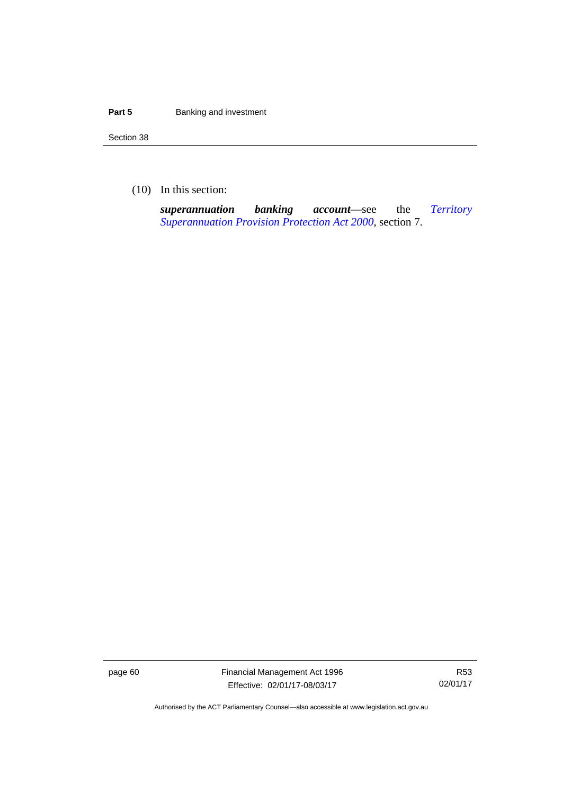#### **Part 5 Banking and investment**

Section 38

(10) In this section:

*superannuation banking account*—see the *[Territory](http://www.legislation.act.gov.au/a/2000-21)  [Superannuation Provision Protection Act 2000](http://www.legislation.act.gov.au/a/2000-21)*, section 7.

page 60 Financial Management Act 1996 Effective: 02/01/17-08/03/17

R53 02/01/17

Authorised by the ACT Parliamentary Counsel—also accessible at www.legislation.act.gov.au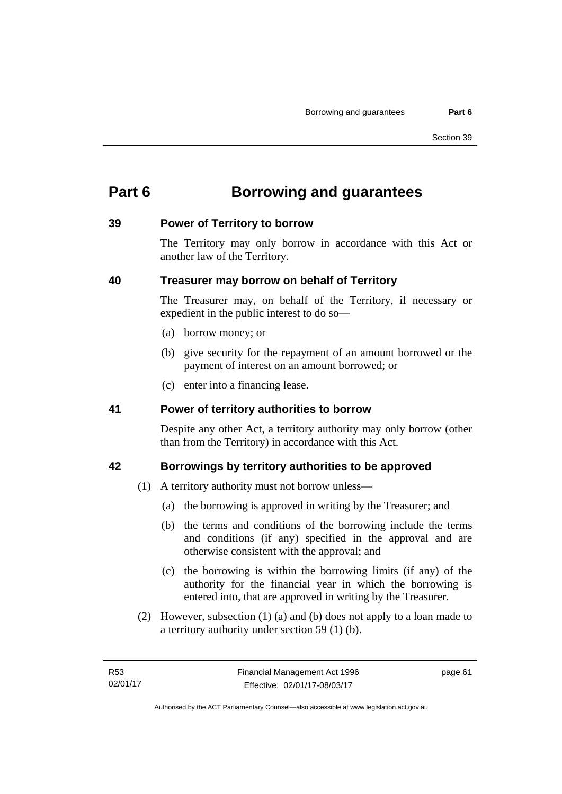# **Part 6 Borrowing and guarantees**

### **39 Power of Territory to borrow**

The Territory may only borrow in accordance with this Act or another law of the Territory.

## **40 Treasurer may borrow on behalf of Territory**

The Treasurer may, on behalf of the Territory, if necessary or expedient in the public interest to do so—

- (a) borrow money; or
- (b) give security for the repayment of an amount borrowed or the payment of interest on an amount borrowed; or
- (c) enter into a financing lease.

## **41 Power of territory authorities to borrow**

Despite any other Act, a territory authority may only borrow (other than from the Territory) in accordance with this Act.

## **42 Borrowings by territory authorities to be approved**

- (1) A territory authority must not borrow unless—
	- (a) the borrowing is approved in writing by the Treasurer; and
	- (b) the terms and conditions of the borrowing include the terms and conditions (if any) specified in the approval and are otherwise consistent with the approval; and
	- (c) the borrowing is within the borrowing limits (if any) of the authority for the financial year in which the borrowing is entered into, that are approved in writing by the Treasurer.
- (2) However, subsection (1) (a) and (b) does not apply to a loan made to a territory authority under section 59 (1) (b).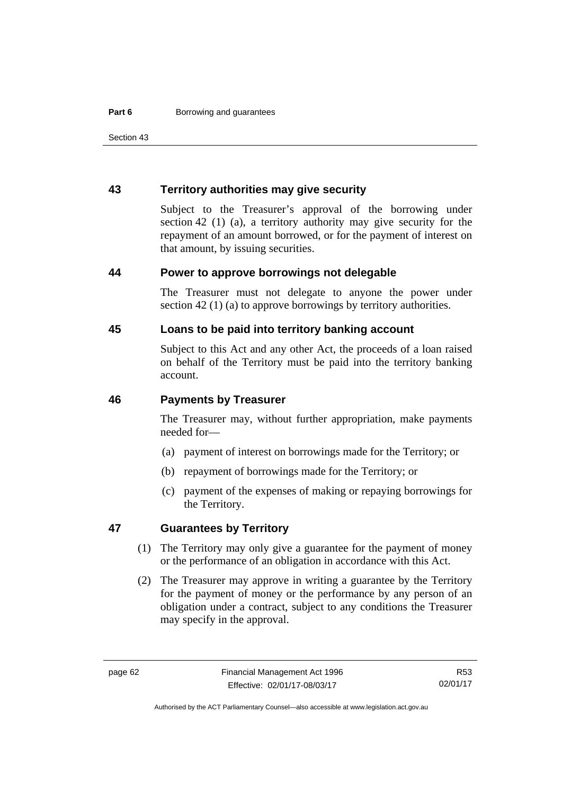Section 43

### **43 Territory authorities may give security**

Subject to the Treasurer's approval of the borrowing under section 42 (1) (a), a territory authority may give security for the repayment of an amount borrowed, or for the payment of interest on that amount, by issuing securities.

#### **44 Power to approve borrowings not delegable**

The Treasurer must not delegate to anyone the power under section 42 (1) (a) to approve borrowings by territory authorities.

### **45 Loans to be paid into territory banking account**

Subject to this Act and any other Act, the proceeds of a loan raised on behalf of the Territory must be paid into the territory banking account.

#### **46 Payments by Treasurer**

The Treasurer may, without further appropriation, make payments needed for—

- (a) payment of interest on borrowings made for the Territory; or
- (b) repayment of borrowings made for the Territory; or
- (c) payment of the expenses of making or repaying borrowings for the Territory.

### **47 Guarantees by Territory**

- (1) The Territory may only give a guarantee for the payment of money or the performance of an obligation in accordance with this Act.
- (2) The Treasurer may approve in writing a guarantee by the Territory for the payment of money or the performance by any person of an obligation under a contract, subject to any conditions the Treasurer may specify in the approval.

R53 02/01/17

Authorised by the ACT Parliamentary Counsel—also accessible at www.legislation.act.gov.au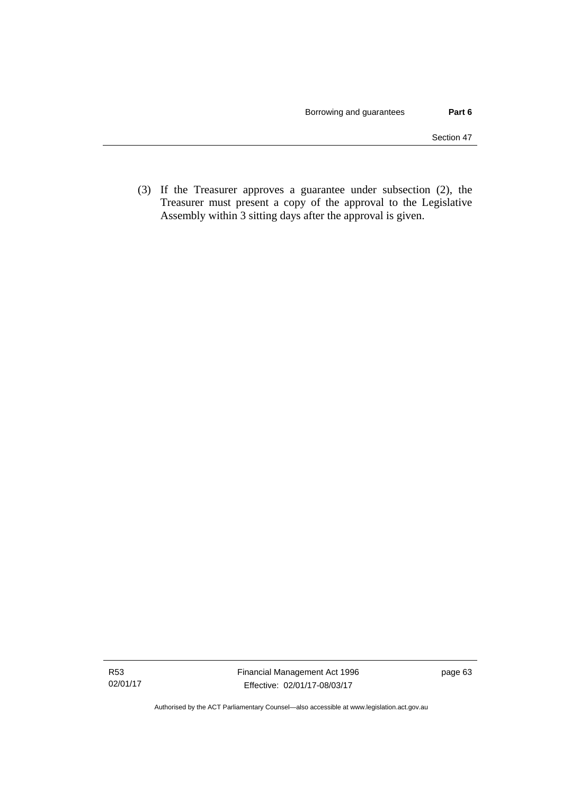(3) If the Treasurer approves a guarantee under subsection (2), the Treasurer must present a copy of the approval to the Legislative Assembly within 3 sitting days after the approval is given.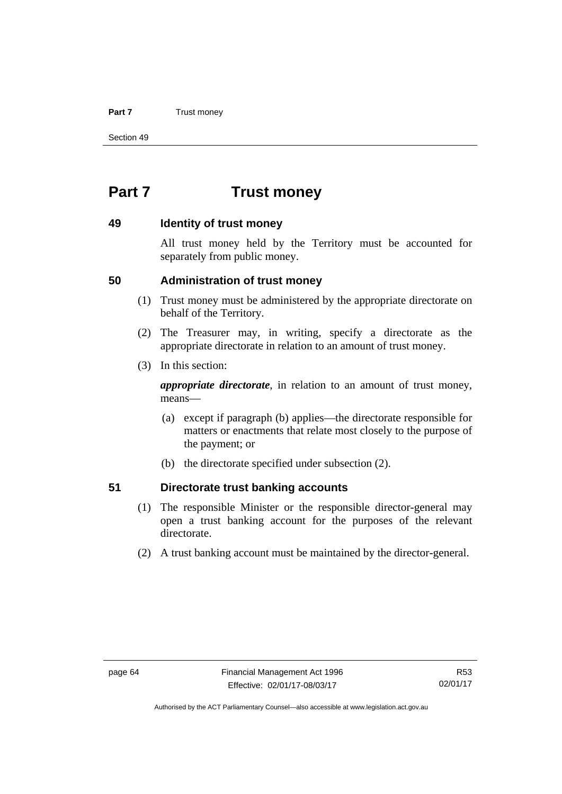#### **Part 7** Trust money

Section 49

# **Part 7 Trust money**

### **49 Identity of trust money**

All trust money held by the Territory must be accounted for separately from public money.

### **50 Administration of trust money**

- (1) Trust money must be administered by the appropriate directorate on behalf of the Territory.
- (2) The Treasurer may, in writing, specify a directorate as the appropriate directorate in relation to an amount of trust money.
- (3) In this section:

*appropriate directorate*, in relation to an amount of trust money, means—

- (a) except if paragraph (b) applies—the directorate responsible for matters or enactments that relate most closely to the purpose of the payment; or
- (b) the directorate specified under subsection (2).

### **51 Directorate trust banking accounts**

- (1) The responsible Minister or the responsible director-general may open a trust banking account for the purposes of the relevant directorate.
- (2) A trust banking account must be maintained by the director-general.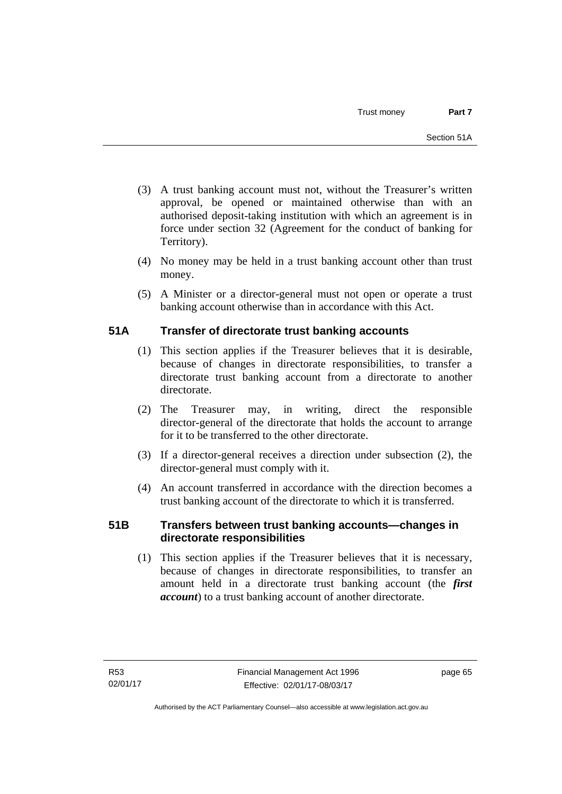- (3) A trust banking account must not, without the Treasurer's written approval, be opened or maintained otherwise than with an authorised deposit-taking institution with which an agreement is in force under section 32 (Agreement for the conduct of banking for Territory).
- (4) No money may be held in a trust banking account other than trust money.
- (5) A Minister or a director-general must not open or operate a trust banking account otherwise than in accordance with this Act.

# **51A Transfer of directorate trust banking accounts**

- (1) This section applies if the Treasurer believes that it is desirable, because of changes in directorate responsibilities, to transfer a directorate trust banking account from a directorate to another directorate.
- (2) The Treasurer may, in writing, direct the responsible director-general of the directorate that holds the account to arrange for it to be transferred to the other directorate.
- (3) If a director-general receives a direction under subsection (2), the director-general must comply with it.
- (4) An account transferred in accordance with the direction becomes a trust banking account of the directorate to which it is transferred.

# **51B Transfers between trust banking accounts—changes in directorate responsibilities**

 (1) This section applies if the Treasurer believes that it is necessary, because of changes in directorate responsibilities, to transfer an amount held in a directorate trust banking account (the *first account*) to a trust banking account of another directorate.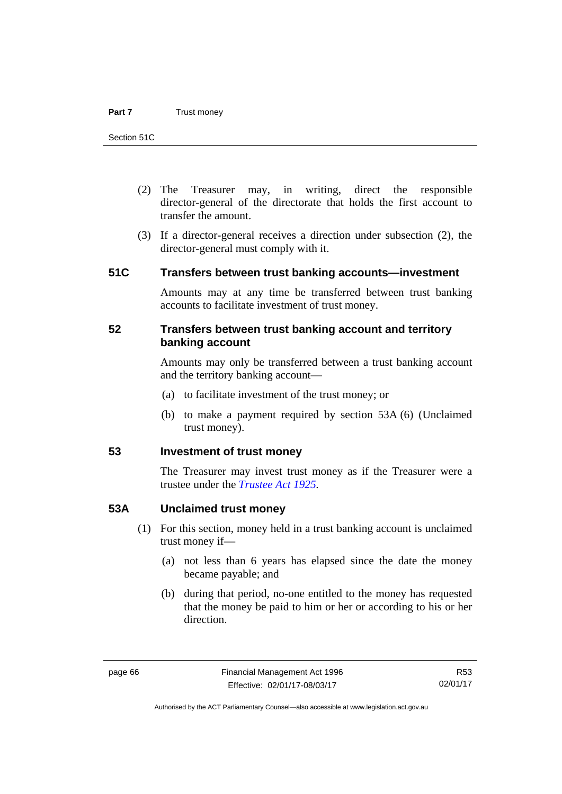- (2) The Treasurer may, in writing, direct the responsible director-general of the directorate that holds the first account to transfer the amount.
- (3) If a director-general receives a direction under subsection (2), the director-general must comply with it.

### **51C Transfers between trust banking accounts—investment**

Amounts may at any time be transferred between trust banking accounts to facilitate investment of trust money.

### **52 Transfers between trust banking account and territory banking account**

Amounts may only be transferred between a trust banking account and the territory banking account—

- (a) to facilitate investment of the trust money; or
- (b) to make a payment required by section 53A (6) (Unclaimed trust money).

### **53 Investment of trust money**

The Treasurer may invest trust money as if the Treasurer were a trustee under the *[Trustee Act 1925](http://www.legislation.act.gov.au/a/1925-14).*

### **53A Unclaimed trust money**

- (1) For this section, money held in a trust banking account is unclaimed trust money if—
	- (a) not less than 6 years has elapsed since the date the money became payable; and
	- (b) during that period, no-one entitled to the money has requested that the money be paid to him or her or according to his or her direction.

R53 02/01/17

Authorised by the ACT Parliamentary Counsel—also accessible at www.legislation.act.gov.au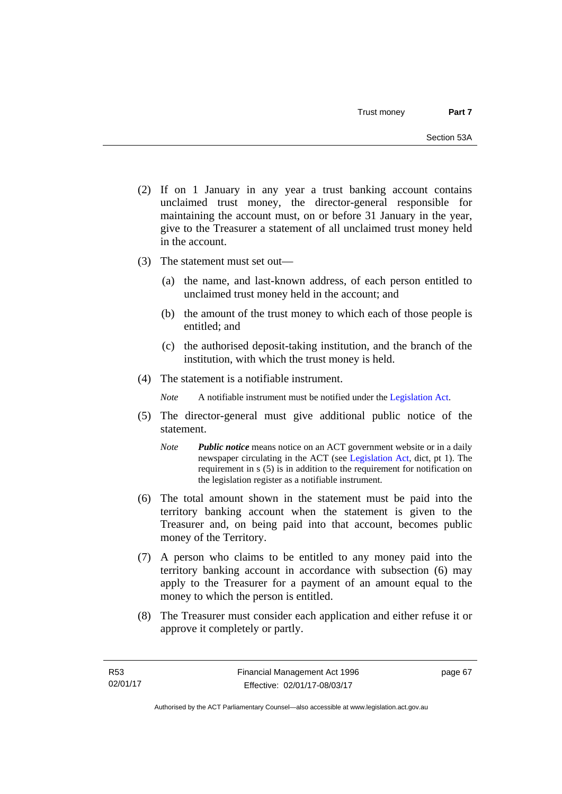- (2) If on 1 January in any year a trust banking account contains unclaimed trust money, the director-general responsible for maintaining the account must, on or before 31 January in the year, give to the Treasurer a statement of all unclaimed trust money held in the account.
- (3) The statement must set out—
	- (a) the name, and last-known address, of each person entitled to unclaimed trust money held in the account; and
	- (b) the amount of the trust money to which each of those people is entitled; and
	- (c) the authorised deposit-taking institution, and the branch of the institution, with which the trust money is held.
- (4) The statement is a notifiable instrument.

*Note* A notifiable instrument must be notified under the [Legislation Act](http://www.legislation.act.gov.au/a/2001-14).

- (5) The director-general must give additional public notice of the statement.
	- *Note Public notice* means notice on an ACT government website or in a daily newspaper circulating in the ACT (see [Legislation Act,](http://www.legislation.act.gov.au/a/2001-14) dict, pt 1). The requirement in s (5) is in addition to the requirement for notification on the legislation register as a notifiable instrument.
- (6) The total amount shown in the statement must be paid into the territory banking account when the statement is given to the Treasurer and, on being paid into that account, becomes public money of the Territory.
- (7) A person who claims to be entitled to any money paid into the territory banking account in accordance with subsection (6) may apply to the Treasurer for a payment of an amount equal to the money to which the person is entitled.
- (8) The Treasurer must consider each application and either refuse it or approve it completely or partly.

page 67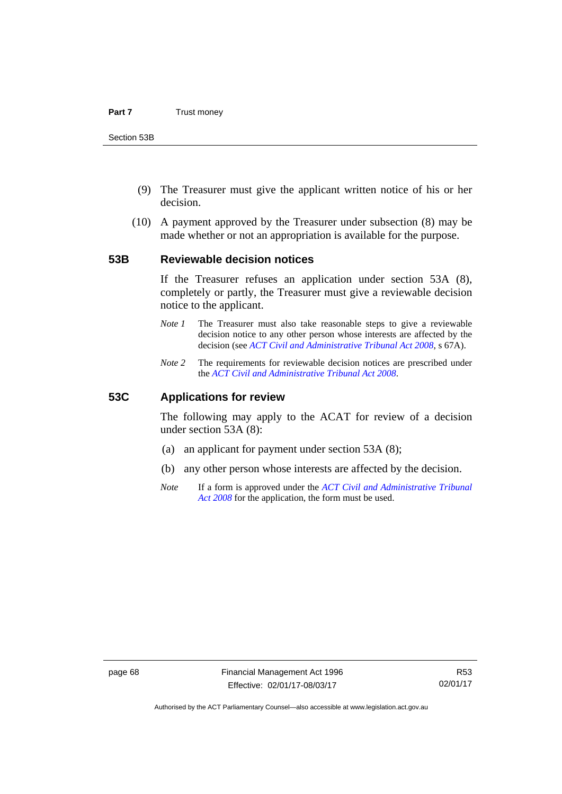- (9) The Treasurer must give the applicant written notice of his or her decision.
- (10) A payment approved by the Treasurer under subsection (8) may be made whether or not an appropriation is available for the purpose.

### **53B Reviewable decision notices**

If the Treasurer refuses an application under section 53A (8), completely or partly, the Treasurer must give a reviewable decision notice to the applicant.

- *Note 1* The Treasurer must also take reasonable steps to give a reviewable decision notice to any other person whose interests are affected by the decision (see *[ACT Civil and Administrative Tribunal Act 2008](http://www.legislation.act.gov.au/a/2008-35)*, s 67A).
- *Note 2* The requirements for reviewable decision notices are prescribed under the *[ACT Civil and Administrative Tribunal Act 2008](http://www.legislation.act.gov.au/a/2008-35)*.

### **53C Applications for review**

The following may apply to the ACAT for review of a decision under section 53A (8):

- (a) an applicant for payment under section 53A (8);
- (b) any other person whose interests are affected by the decision.
- *Note* If a form is approved under the *[ACT Civil and Administrative Tribunal](http://www.legislation.act.gov.au/a/2008-35)  [Act 2008](http://www.legislation.act.gov.au/a/2008-35)* for the application, the form must be used.

Authorised by the ACT Parliamentary Counsel—also accessible at www.legislation.act.gov.au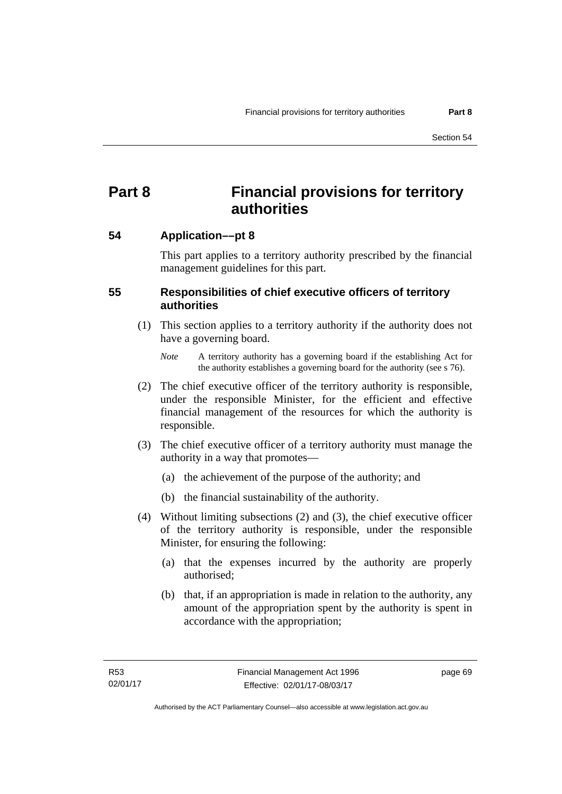# **Part 8 Financial provisions for territory authorities**

# **54 Application––pt 8**

This part applies to a territory authority prescribed by the financial management guidelines for this part.

# **55 Responsibilities of chief executive officers of territory authorities**

- (1) This section applies to a territory authority if the authority does not have a governing board.
	- *Note* A territory authority has a governing board if the establishing Act for the authority establishes a governing board for the authority (see s 76).
- (2) The chief executive officer of the territory authority is responsible, under the responsible Minister, for the efficient and effective financial management of the resources for which the authority is responsible.
- (3) The chief executive officer of a territory authority must manage the authority in a way that promotes—
	- (a) the achievement of the purpose of the authority; and
	- (b) the financial sustainability of the authority.
- (4) Without limiting subsections (2) and (3), the chief executive officer of the territory authority is responsible, under the responsible Minister, for ensuring the following:
	- (a) that the expenses incurred by the authority are properly authorised;
	- (b) that, if an appropriation is made in relation to the authority, any amount of the appropriation spent by the authority is spent in accordance with the appropriation;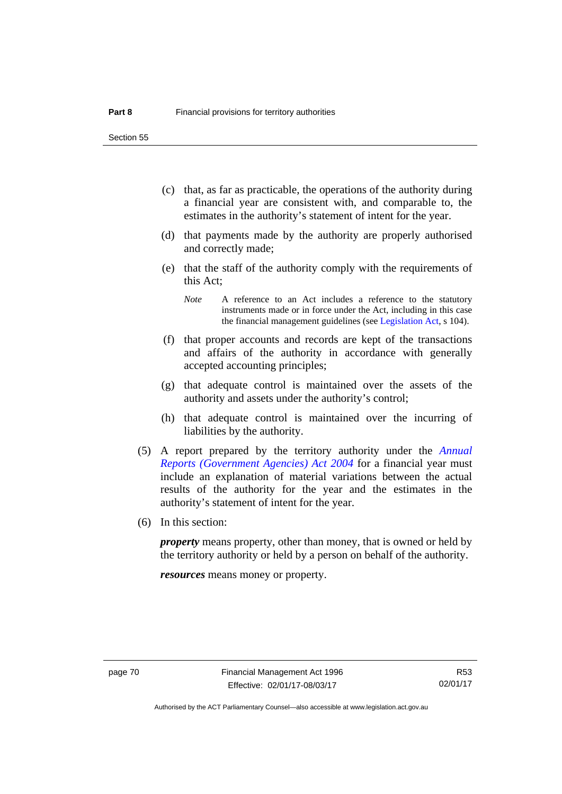Section 55

- (c) that, as far as practicable, the operations of the authority during a financial year are consistent with, and comparable to, the estimates in the authority's statement of intent for the year.
- (d) that payments made by the authority are properly authorised and correctly made;
- (e) that the staff of the authority comply with the requirements of this Act;
	- *Note* A reference to an Act includes a reference to the statutory instruments made or in force under the Act, including in this case the financial management guidelines (see [Legislation Act,](http://www.legislation.act.gov.au/a/2001-14) s 104).
- (f) that proper accounts and records are kept of the transactions and affairs of the authority in accordance with generally accepted accounting principles;
- (g) that adequate control is maintained over the assets of the authority and assets under the authority's control;
- (h) that adequate control is maintained over the incurring of liabilities by the authority.
- (5) A report prepared by the territory authority under the *[Annual](http://www.legislation.act.gov.au/a/2004-8)  [Reports \(Government Agencies\) Act 2004](http://www.legislation.act.gov.au/a/2004-8)* for a financial year must include an explanation of material variations between the actual results of the authority for the year and the estimates in the authority's statement of intent for the year.
- (6) In this section:

*property* means property, other than money, that is owned or held by the territory authority or held by a person on behalf of the authority.

*resources* means money or property.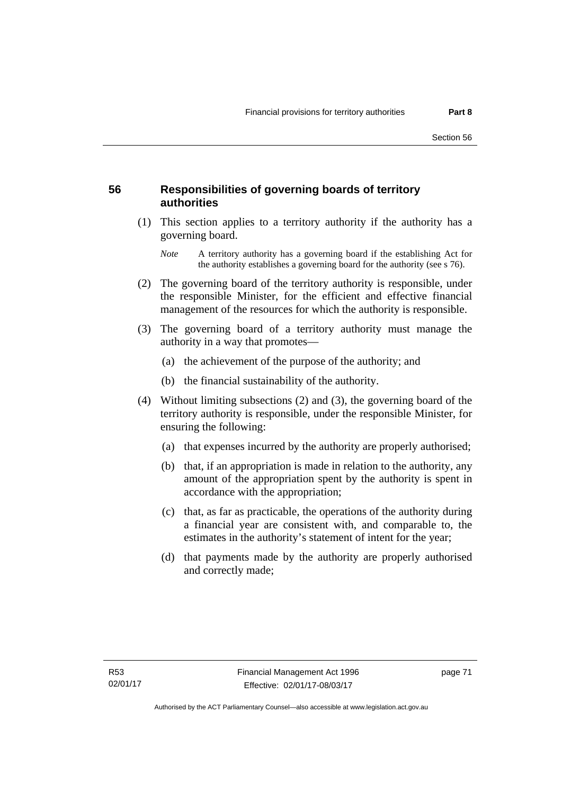## **56 Responsibilities of governing boards of territory authorities**

 (1) This section applies to a territory authority if the authority has a governing board.

- (2) The governing board of the territory authority is responsible, under the responsible Minister, for the efficient and effective financial management of the resources for which the authority is responsible.
- (3) The governing board of a territory authority must manage the authority in a way that promotes—
	- (a) the achievement of the purpose of the authority; and
	- (b) the financial sustainability of the authority.
- (4) Without limiting subsections (2) and (3), the governing board of the territory authority is responsible, under the responsible Minister, for ensuring the following:
	- (a) that expenses incurred by the authority are properly authorised;
	- (b) that, if an appropriation is made in relation to the authority, any amount of the appropriation spent by the authority is spent in accordance with the appropriation;
	- (c) that, as far as practicable, the operations of the authority during a financial year are consistent with, and comparable to, the estimates in the authority's statement of intent for the year;
	- (d) that payments made by the authority are properly authorised and correctly made;

*Note* A territory authority has a governing board if the establishing Act for the authority establishes a governing board for the authority (see s 76).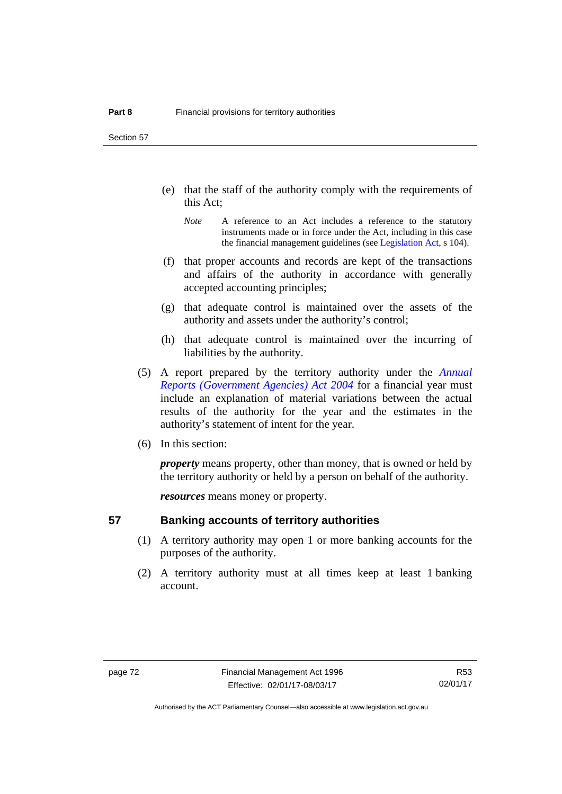Section 57

- (e) that the staff of the authority comply with the requirements of this Act;
	- *Note* A reference to an Act includes a reference to the statutory instruments made or in force under the Act, including in this case the financial management guidelines (see [Legislation Act,](http://www.legislation.act.gov.au/a/2001-14) s 104).
- (f) that proper accounts and records are kept of the transactions and affairs of the authority in accordance with generally accepted accounting principles;
- (g) that adequate control is maintained over the assets of the authority and assets under the authority's control;
- (h) that adequate control is maintained over the incurring of liabilities by the authority.
- (5) A report prepared by the territory authority under the *[Annual](http://www.legislation.act.gov.au/a/2004-8)  [Reports \(Government Agencies\) Act 2004](http://www.legislation.act.gov.au/a/2004-8)* for a financial year must include an explanation of material variations between the actual results of the authority for the year and the estimates in the authority's statement of intent for the year.
- (6) In this section:

*property* means property, other than money, that is owned or held by the territory authority or held by a person on behalf of the authority.

*resources* means money or property.

### **57 Banking accounts of territory authorities**

- (1) A territory authority may open 1 or more banking accounts for the purposes of the authority.
- (2) A territory authority must at all times keep at least 1 banking account.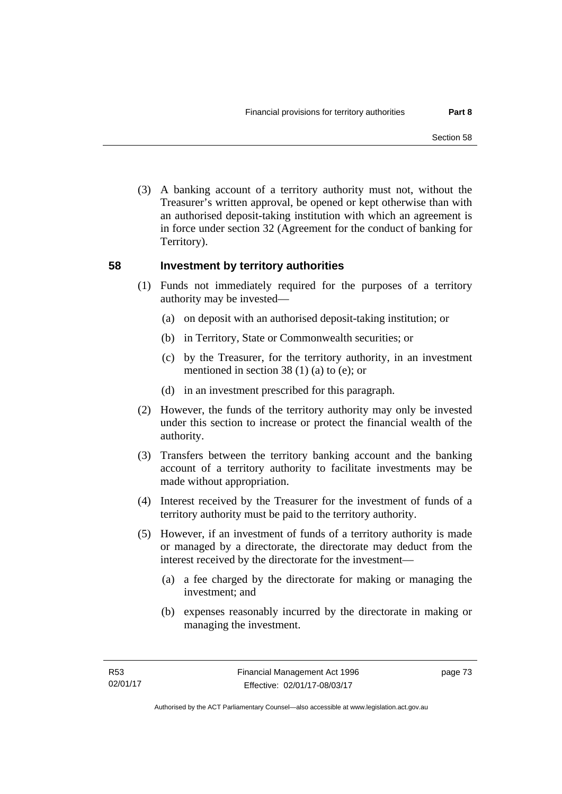(3) A banking account of a territory authority must not, without the Treasurer's written approval, be opened or kept otherwise than with an authorised deposit-taking institution with which an agreement is in force under section 32 (Agreement for the conduct of banking for Territory).

### **58 Investment by territory authorities**

- (1) Funds not immediately required for the purposes of a territory authority may be invested—
	- (a) on deposit with an authorised deposit-taking institution; or
	- (b) in Territory, State or Commonwealth securities; or
	- (c) by the Treasurer, for the territory authority, in an investment mentioned in section 38 (1) (a) to (e); or
	- (d) in an investment prescribed for this paragraph.
- (2) However, the funds of the territory authority may only be invested under this section to increase or protect the financial wealth of the authority.
- (3) Transfers between the territory banking account and the banking account of a territory authority to facilitate investments may be made without appropriation.
- (4) Interest received by the Treasurer for the investment of funds of a territory authority must be paid to the territory authority.
- (5) However, if an investment of funds of a territory authority is made or managed by a directorate, the directorate may deduct from the interest received by the directorate for the investment—
	- (a) a fee charged by the directorate for making or managing the investment; and
	- (b) expenses reasonably incurred by the directorate in making or managing the investment.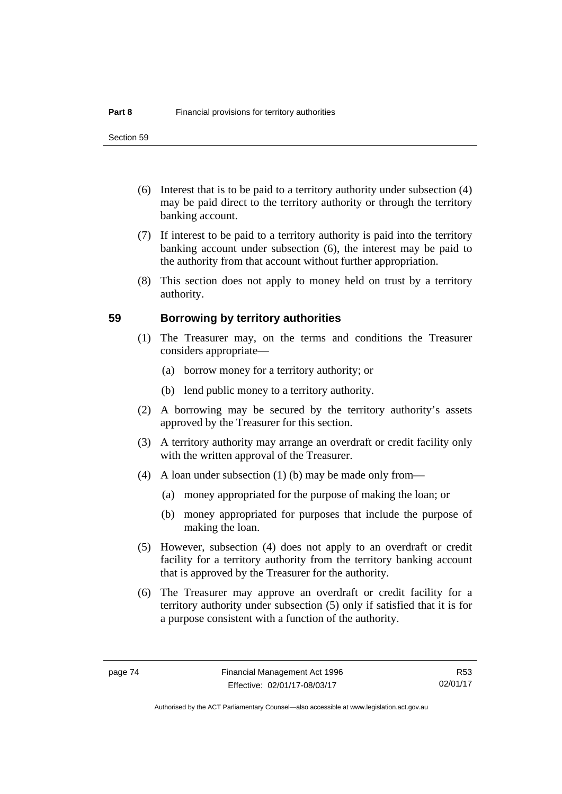- (6) Interest that is to be paid to a territory authority under subsection (4) may be paid direct to the territory authority or through the territory banking account.
- (7) If interest to be paid to a territory authority is paid into the territory banking account under subsection (6), the interest may be paid to the authority from that account without further appropriation.
- (8) This section does not apply to money held on trust by a territory authority.

### **59 Borrowing by territory authorities**

- (1) The Treasurer may, on the terms and conditions the Treasurer considers appropriate—
	- (a) borrow money for a territory authority; or
	- (b) lend public money to a territory authority.
- (2) A borrowing may be secured by the territory authority's assets approved by the Treasurer for this section.
- (3) A territory authority may arrange an overdraft or credit facility only with the written approval of the Treasurer.
- (4) A loan under subsection (1) (b) may be made only from—
	- (a) money appropriated for the purpose of making the loan; or
	- (b) money appropriated for purposes that include the purpose of making the loan.
- (5) However, subsection (4) does not apply to an overdraft or credit facility for a territory authority from the territory banking account that is approved by the Treasurer for the authority.
- (6) The Treasurer may approve an overdraft or credit facility for a territory authority under subsection (5) only if satisfied that it is for a purpose consistent with a function of the authority.

R53 02/01/17

Authorised by the ACT Parliamentary Counsel—also accessible at www.legislation.act.gov.au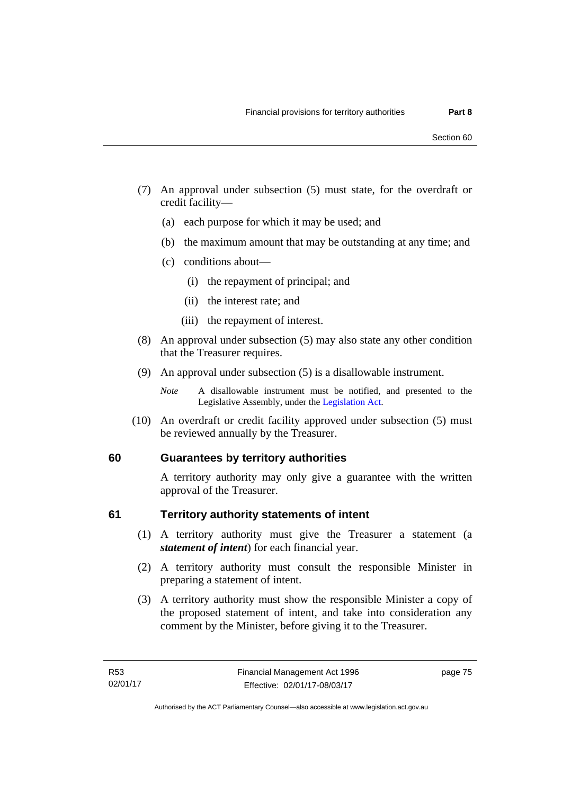- (7) An approval under subsection (5) must state, for the overdraft or credit facility—
	- (a) each purpose for which it may be used; and
	- (b) the maximum amount that may be outstanding at any time; and
	- (c) conditions about—
		- (i) the repayment of principal; and
		- (ii) the interest rate; and
		- (iii) the repayment of interest.
- (8) An approval under subsection (5) may also state any other condition that the Treasurer requires.
- (9) An approval under subsection (5) is a disallowable instrument.

 (10) An overdraft or credit facility approved under subsection (5) must be reviewed annually by the Treasurer.

# **60 Guarantees by territory authorities**

A territory authority may only give a guarantee with the written approval of the Treasurer.

### **61 Territory authority statements of intent**

- (1) A territory authority must give the Treasurer a statement (a *statement of intent*) for each financial year.
- (2) A territory authority must consult the responsible Minister in preparing a statement of intent.
- (3) A territory authority must show the responsible Minister a copy of the proposed statement of intent, and take into consideration any comment by the Minister, before giving it to the Treasurer.

*Note* A disallowable instrument must be notified, and presented to the Legislative Assembly, under the [Legislation Act.](http://www.legislation.act.gov.au/a/2001-14)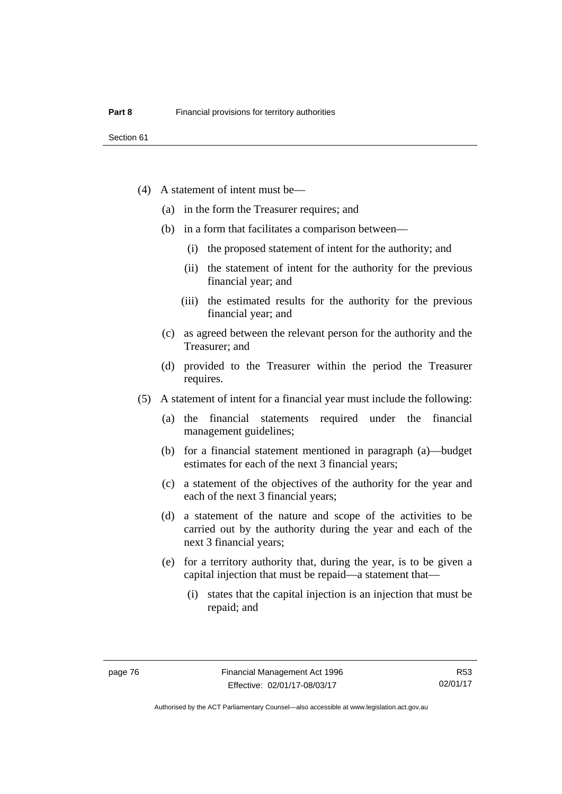- (4) A statement of intent must be—
	- (a) in the form the Treasurer requires; and
	- (b) in a form that facilitates a comparison between—
		- (i) the proposed statement of intent for the authority; and
		- (ii) the statement of intent for the authority for the previous financial year; and
		- (iii) the estimated results for the authority for the previous financial year; and
	- (c) as agreed between the relevant person for the authority and the Treasurer; and
	- (d) provided to the Treasurer within the period the Treasurer requires.
- (5) A statement of intent for a financial year must include the following:
	- (a) the financial statements required under the financial management guidelines;
	- (b) for a financial statement mentioned in paragraph (a)—budget estimates for each of the next 3 financial years;
	- (c) a statement of the objectives of the authority for the year and each of the next 3 financial years;
	- (d) a statement of the nature and scope of the activities to be carried out by the authority during the year and each of the next 3 financial years;
	- (e) for a territory authority that, during the year, is to be given a capital injection that must be repaid—a statement that—
		- (i) states that the capital injection is an injection that must be repaid; and

R53 02/01/17

Authorised by the ACT Parliamentary Counsel—also accessible at www.legislation.act.gov.au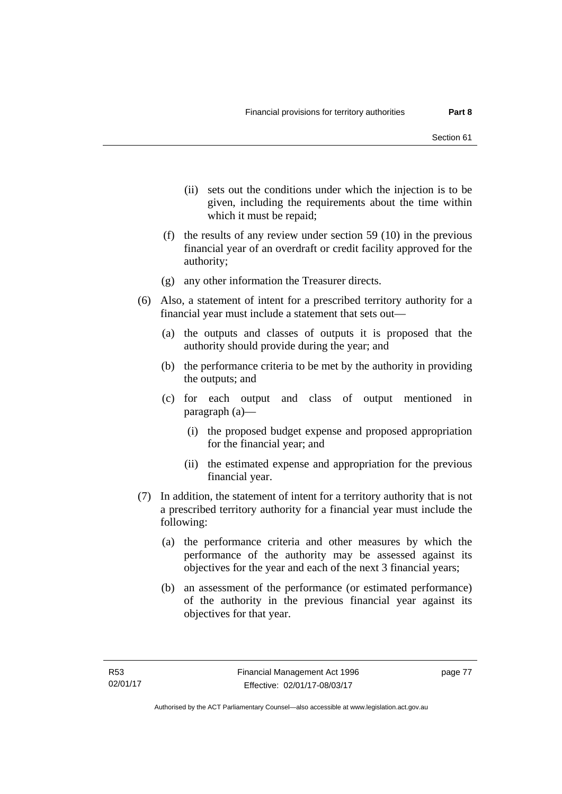- (ii) sets out the conditions under which the injection is to be given, including the requirements about the time within which it must be repaid;
- (f) the results of any review under section 59 (10) in the previous financial year of an overdraft or credit facility approved for the authority;
- (g) any other information the Treasurer directs.
- (6) Also, a statement of intent for a prescribed territory authority for a financial year must include a statement that sets out—
	- (a) the outputs and classes of outputs it is proposed that the authority should provide during the year; and
	- (b) the performance criteria to be met by the authority in providing the outputs; and
	- (c) for each output and class of output mentioned in paragraph (a)—
		- (i) the proposed budget expense and proposed appropriation for the financial year; and
		- (ii) the estimated expense and appropriation for the previous financial year.
- (7) In addition, the statement of intent for a territory authority that is not a prescribed territory authority for a financial year must include the following:
	- (a) the performance criteria and other measures by which the performance of the authority may be assessed against its objectives for the year and each of the next 3 financial years;
	- (b) an assessment of the performance (or estimated performance) of the authority in the previous financial year against its objectives for that year.

page 77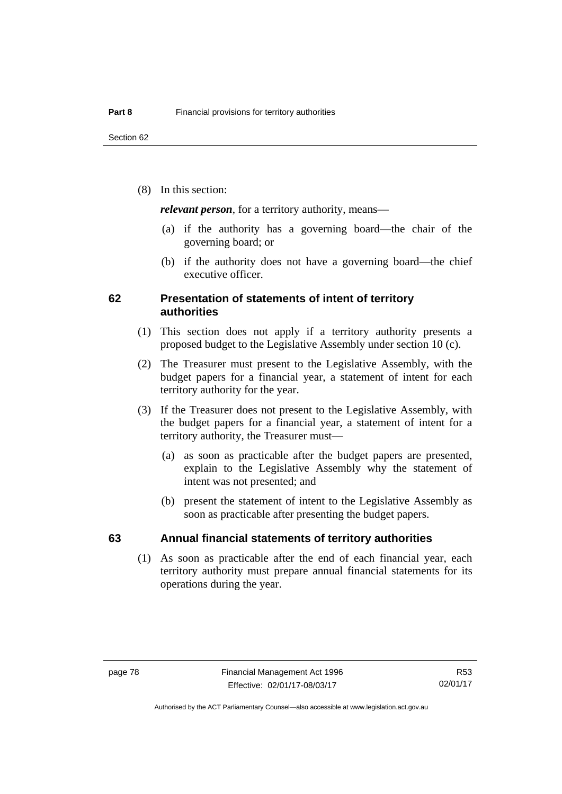(8) In this section:

*relevant person*, for a territory authority, means—

- (a) if the authority has a governing board—the chair of the governing board; or
- (b) if the authority does not have a governing board—the chief executive officer.

### **62 Presentation of statements of intent of territory authorities**

- (1) This section does not apply if a territory authority presents a proposed budget to the Legislative Assembly under section 10 (c).
- (2) The Treasurer must present to the Legislative Assembly, with the budget papers for a financial year, a statement of intent for each territory authority for the year.
- (3) If the Treasurer does not present to the Legislative Assembly, with the budget papers for a financial year, a statement of intent for a territory authority, the Treasurer must—
	- (a) as soon as practicable after the budget papers are presented, explain to the Legislative Assembly why the statement of intent was not presented; and
	- (b) present the statement of intent to the Legislative Assembly as soon as practicable after presenting the budget papers.

### **63 Annual financial statements of territory authorities**

 (1) As soon as practicable after the end of each financial year, each territory authority must prepare annual financial statements for its operations during the year.

R53 02/01/17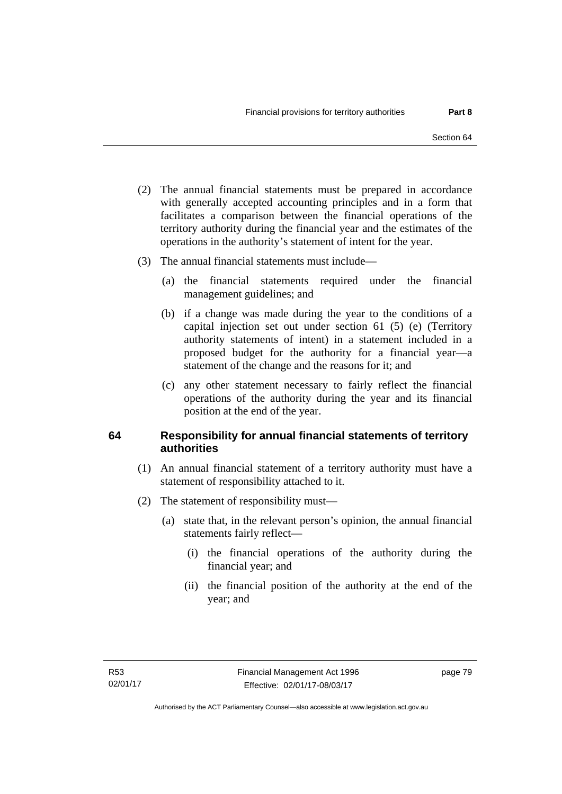- (2) The annual financial statements must be prepared in accordance with generally accepted accounting principles and in a form that facilitates a comparison between the financial operations of the territory authority during the financial year and the estimates of the operations in the authority's statement of intent for the year.
- (3) The annual financial statements must include—
	- (a) the financial statements required under the financial management guidelines; and
	- (b) if a change was made during the year to the conditions of a capital injection set out under section 61 (5) (e) (Territory authority statements of intent) in a statement included in a proposed budget for the authority for a financial year—a statement of the change and the reasons for it; and
	- (c) any other statement necessary to fairly reflect the financial operations of the authority during the year and its financial position at the end of the year.

# **64 Responsibility for annual financial statements of territory authorities**

- (1) An annual financial statement of a territory authority must have a statement of responsibility attached to it.
- (2) The statement of responsibility must—
	- (a) state that, in the relevant person's opinion, the annual financial statements fairly reflect—
		- (i) the financial operations of the authority during the financial year; and
		- (ii) the financial position of the authority at the end of the year; and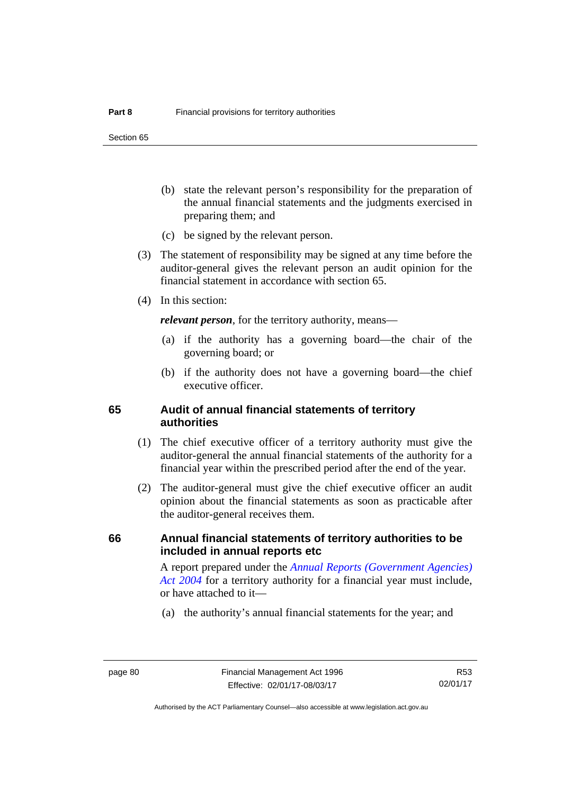Section 65

- (b) state the relevant person's responsibility for the preparation of the annual financial statements and the judgments exercised in preparing them; and
- (c) be signed by the relevant person.
- (3) The statement of responsibility may be signed at any time before the auditor-general gives the relevant person an audit opinion for the financial statement in accordance with section 65.
- (4) In this section:

*relevant person*, for the territory authority, means—

- (a) if the authority has a governing board—the chair of the governing board; or
- (b) if the authority does not have a governing board—the chief executive officer.

### **65 Audit of annual financial statements of territory authorities**

- (1) The chief executive officer of a territory authority must give the auditor-general the annual financial statements of the authority for a financial year within the prescribed period after the end of the year.
- (2) The auditor-general must give the chief executive officer an audit opinion about the financial statements as soon as practicable after the auditor-general receives them.

### **66 Annual financial statements of territory authorities to be included in annual reports etc**

A report prepared under the *[Annual Reports \(Government Agencies\)](http://www.legislation.act.gov.au/a/2004-8)  [Act 2004](http://www.legislation.act.gov.au/a/2004-8)* for a territory authority for a financial year must include, or have attached to it—

(a) the authority's annual financial statements for the year; and

R53 02/01/17

Authorised by the ACT Parliamentary Counsel—also accessible at www.legislation.act.gov.au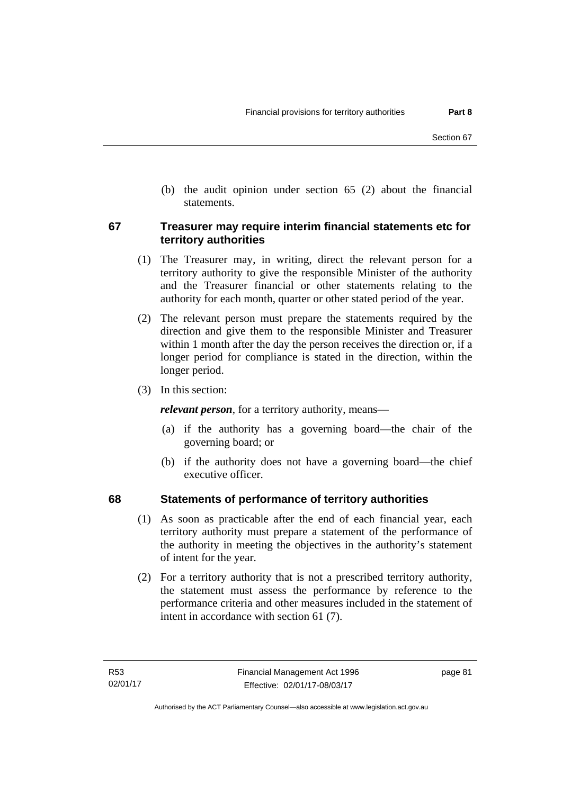(b) the audit opinion under section 65 (2) about the financial statements.

### **67 Treasurer may require interim financial statements etc for territory authorities**

- (1) The Treasurer may, in writing, direct the relevant person for a territory authority to give the responsible Minister of the authority and the Treasurer financial or other statements relating to the authority for each month, quarter or other stated period of the year.
- (2) The relevant person must prepare the statements required by the direction and give them to the responsible Minister and Treasurer within 1 month after the day the person receives the direction or, if a longer period for compliance is stated in the direction, within the longer period.
- (3) In this section:

*relevant person*, for a territory authority, means—

- (a) if the authority has a governing board—the chair of the governing board; or
- (b) if the authority does not have a governing board—the chief executive officer.

# **68 Statements of performance of territory authorities**

- (1) As soon as practicable after the end of each financial year, each territory authority must prepare a statement of the performance of the authority in meeting the objectives in the authority's statement of intent for the year.
- (2) For a territory authority that is not a prescribed territory authority, the statement must assess the performance by reference to the performance criteria and other measures included in the statement of intent in accordance with section 61 (7).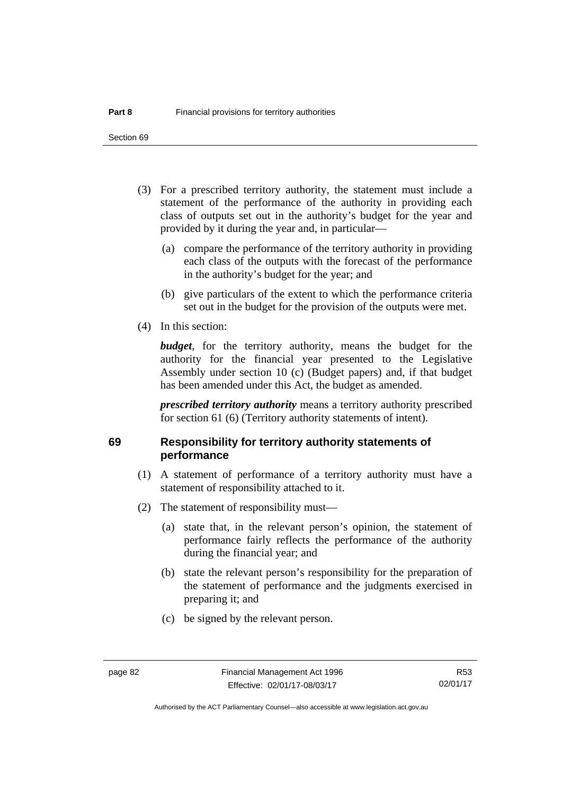- (3) For a prescribed territory authority, the statement must include a statement of the performance of the authority in providing each class of outputs set out in the authority's budget for the year and provided by it during the year and, in particular—
	- (a) compare the performance of the territory authority in providing each class of the outputs with the forecast of the performance in the authority's budget for the year; and
	- (b) give particulars of the extent to which the performance criteria set out in the budget for the provision of the outputs were met.
- (4) In this section:

*budget*, for the territory authority, means the budget for the authority for the financial year presented to the Legislative Assembly under section 10 (c) (Budget papers) and, if that budget has been amended under this Act, the budget as amended.

*prescribed territory authority* means a territory authority prescribed for section 61 (6) (Territory authority statements of intent).

# **69 Responsibility for territory authority statements of performance**

- (1) A statement of performance of a territory authority must have a statement of responsibility attached to it.
- (2) The statement of responsibility must—
	- (a) state that, in the relevant person's opinion, the statement of performance fairly reflects the performance of the authority during the financial year; and
	- (b) state the relevant person's responsibility for the preparation of the statement of performance and the judgments exercised in preparing it; and
	- (c) be signed by the relevant person.

Authorised by the ACT Parliamentary Counsel—also accessible at www.legislation.act.gov.au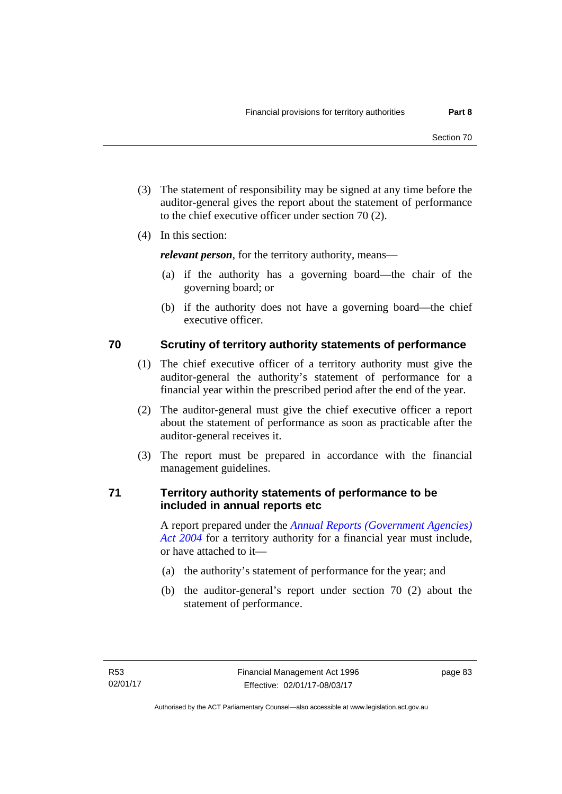- (3) The statement of responsibility may be signed at any time before the auditor-general gives the report about the statement of performance to the chief executive officer under section 70 (2).
- (4) In this section:

*relevant person*, for the territory authority, means—

- (a) if the authority has a governing board—the chair of the governing board; or
- (b) if the authority does not have a governing board—the chief executive officer.

# **70 Scrutiny of territory authority statements of performance**

- (1) The chief executive officer of a territory authority must give the auditor-general the authority's statement of performance for a financial year within the prescribed period after the end of the year.
- (2) The auditor-general must give the chief executive officer a report about the statement of performance as soon as practicable after the auditor-general receives it.
- (3) The report must be prepared in accordance with the financial management guidelines.

# **71 Territory authority statements of performance to be included in annual reports etc**

A report prepared under the *[Annual Reports \(Government Agencies\)](http://www.legislation.act.gov.au/a/2004-8)  [Act 2004](http://www.legislation.act.gov.au/a/2004-8)* for a territory authority for a financial year must include, or have attached to it—

- (a) the authority's statement of performance for the year; and
- (b) the auditor-general's report under section 70 (2) about the statement of performance.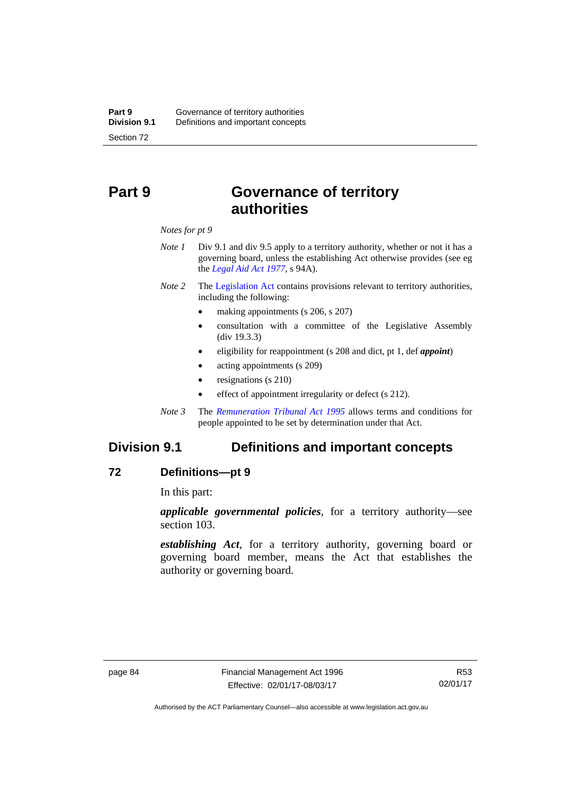# **Part 9 Governance of territory authorities**

*Notes for pt 9* 

- *Note 1* Div 9.1 and div 9.5 apply to a territory authority, whether or not it has a governing board, unless the establishing Act otherwise provides (see eg the *[Legal Aid Act 1977](http://www.legislation.act.gov.au/a/1977-31)*, s 94A).
- *Note 2* The [Legislation Act](http://www.legislation.act.gov.au/a/2001-14) contains provisions relevant to territory authorities, including the following:
	- making appointments (s 206, s 207)
	- consultation with a committee of the Legislative Assembly (div 19.3.3)
	- eligibility for reappointment (s 208 and dict, pt 1, def *appoint*)
	- acting appointments (s 209)
	- resignations (s 210)
	- effect of appointment irregularity or defect (s 212).
- *Note 3* The *[Remuneration Tribunal Act 1995](http://www.legislation.act.gov.au/a/1995-55)* allows terms and conditions for people appointed to be set by determination under that Act.

# **Division 9.1 Definitions and important concepts**

### **72 Definitions—pt 9**

In this part:

*applicable governmental policies*, for a territory authority—see section 103.

*establishing Act*, for a territory authority, governing board or governing board member, means the Act that establishes the authority or governing board.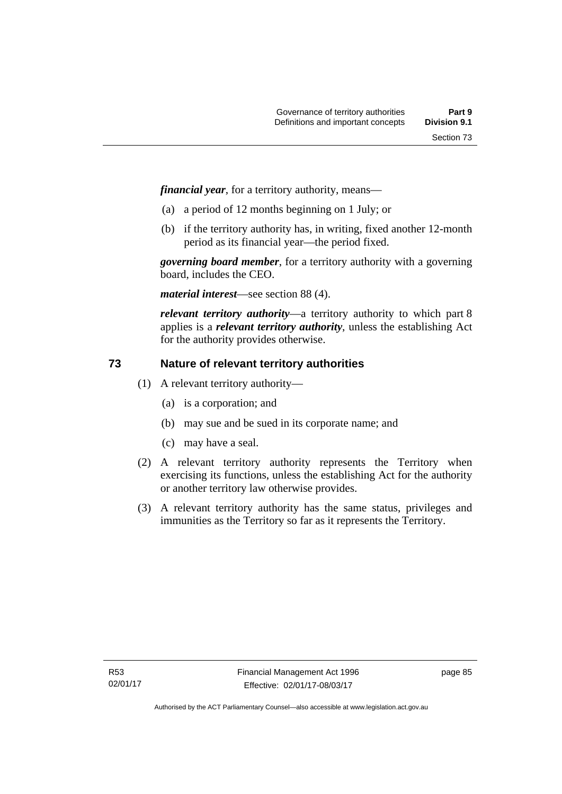*financial year*, for a territory authority, means—

- (a) a period of 12 months beginning on 1 July; or
- (b) if the territory authority has, in writing, fixed another 12-month period as its financial year—the period fixed.

*governing board member*, for a territory authority with a governing board, includes the CEO.

*material interest*—see section 88 (4).

*relevant territory authority*—a territory authority to which part 8 applies is a *relevant territory authority*, unless the establishing Act for the authority provides otherwise.

# **73 Nature of relevant territory authorities**

- (1) A relevant territory authority—
	- (a) is a corporation; and
	- (b) may sue and be sued in its corporate name; and
	- (c) may have a seal.
- (2) A relevant territory authority represents the Territory when exercising its functions, unless the establishing Act for the authority or another territory law otherwise provides.
- (3) A relevant territory authority has the same status, privileges and immunities as the Territory so far as it represents the Territory.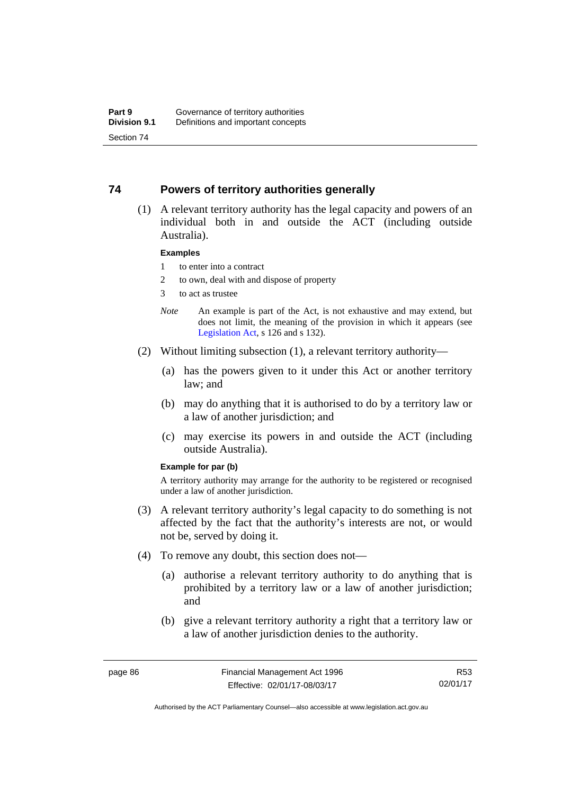### **74 Powers of territory authorities generally**

 (1) A relevant territory authority has the legal capacity and powers of an individual both in and outside the ACT (including outside Australia).

#### **Examples**

- 1 to enter into a contract
- 2 to own, deal with and dispose of property
- 3 to act as trustee
- *Note* An example is part of the Act, is not exhaustive and may extend, but does not limit, the meaning of the provision in which it appears (see [Legislation Act,](http://www.legislation.act.gov.au/a/2001-14) s 126 and s 132).
- (2) Without limiting subsection (1), a relevant territory authority—
	- (a) has the powers given to it under this Act or another territory law; and
	- (b) may do anything that it is authorised to do by a territory law or a law of another jurisdiction; and
	- (c) may exercise its powers in and outside the ACT (including outside Australia).

#### **Example for par (b)**

A territory authority may arrange for the authority to be registered or recognised under a law of another jurisdiction.

- (3) A relevant territory authority's legal capacity to do something is not affected by the fact that the authority's interests are not, or would not be, served by doing it.
- (4) To remove any doubt, this section does not—
	- (a) authorise a relevant territory authority to do anything that is prohibited by a territory law or a law of another jurisdiction; and
	- (b) give a relevant territory authority a right that a territory law or a law of another jurisdiction denies to the authority.

R53 02/01/17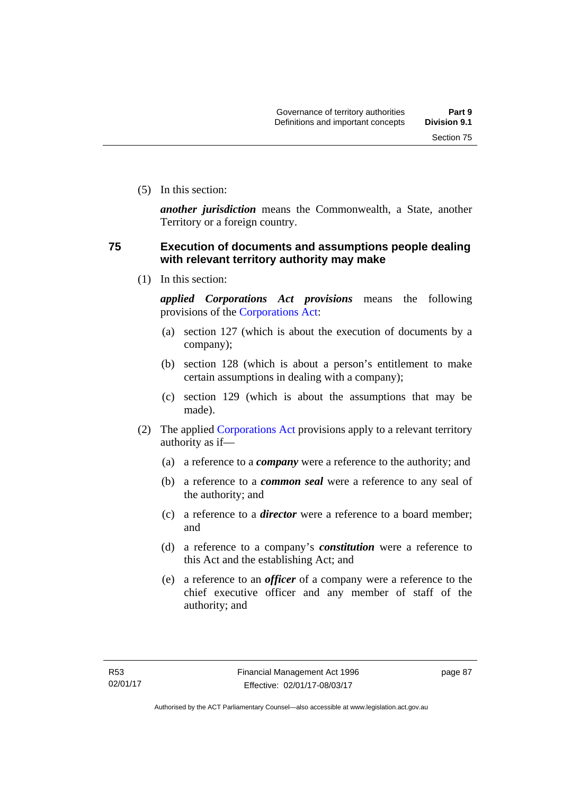(5) In this section:

*another jurisdiction* means the Commonwealth, a State, another Territory or a foreign country.

## **75 Execution of documents and assumptions people dealing with relevant territory authority may make**

(1) In this section:

*applied Corporations Act provisions* means the following provisions of the [Corporations Act:](http://www.comlaw.gov.au/Series/C2004A00818)

- (a) section 127 (which is about the execution of documents by a company);
- (b) section 128 (which is about a person's entitlement to make certain assumptions in dealing with a company);
- (c) section 129 (which is about the assumptions that may be made).
- (2) The applied [Corporations Act](http://www.comlaw.gov.au/Series/C2004A00818) provisions apply to a relevant territory authority as if—
	- (a) a reference to a *company* were a reference to the authority; and
	- (b) a reference to a *common seal* were a reference to any seal of the authority; and
	- (c) a reference to a *director* were a reference to a board member; and
	- (d) a reference to a company's *constitution* were a reference to this Act and the establishing Act; and
	- (e) a reference to an *officer* of a company were a reference to the chief executive officer and any member of staff of the authority; and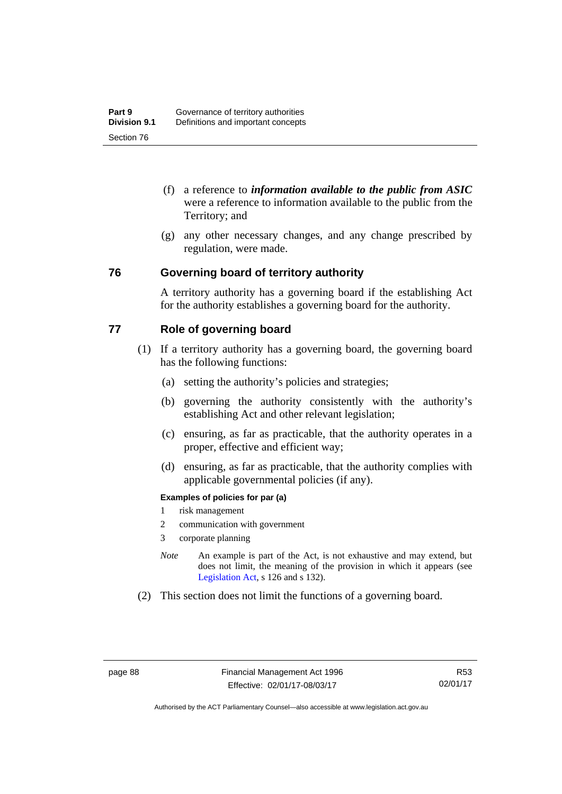- (f) a reference to *information available to the public from ASIC*  were a reference to information available to the public from the Territory; and
- (g) any other necessary changes, and any change prescribed by regulation, were made.

### **76 Governing board of territory authority**

A territory authority has a governing board if the establishing Act for the authority establishes a governing board for the authority.

### **77 Role of governing board**

- (1) If a territory authority has a governing board, the governing board has the following functions:
	- (a) setting the authority's policies and strategies;
	- (b) governing the authority consistently with the authority's establishing Act and other relevant legislation;
	- (c) ensuring, as far as practicable, that the authority operates in a proper, effective and efficient way;
	- (d) ensuring, as far as practicable, that the authority complies with applicable governmental policies (if any).

### **Examples of policies for par (a)**

- 1 risk management
- 2 communication with government
- 3 corporate planning
- *Note* An example is part of the Act, is not exhaustive and may extend, but does not limit, the meaning of the provision in which it appears (see [Legislation Act,](http://www.legislation.act.gov.au/a/2001-14) s 126 and s 132).
- (2) This section does not limit the functions of a governing board.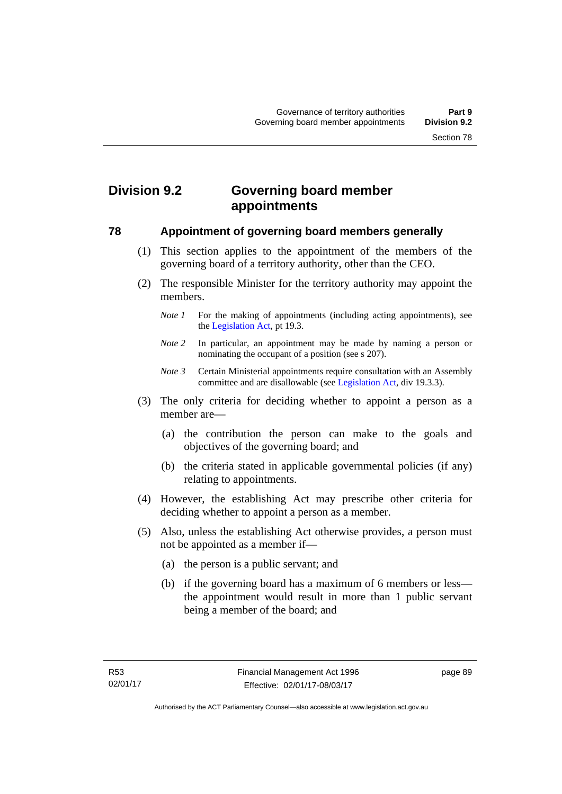# **Division 9.2 Governing board member appointments**

### **78 Appointment of governing board members generally**

- (1) This section applies to the appointment of the members of the governing board of a territory authority, other than the CEO.
- (2) The responsible Minister for the territory authority may appoint the members.
	- *Note 1* For the making of appointments (including acting appointments), see the [Legislation Act,](http://www.legislation.act.gov.au/a/2001-14) pt 19.3.
	- *Note 2* In particular, an appointment may be made by naming a person or nominating the occupant of a position (see s 207).
	- *Note 3* Certain Ministerial appointments require consultation with an Assembly committee and are disallowable (see [Legislation Act,](http://www.legislation.act.gov.au/a/2001-14) div 19.3.3).
- (3) The only criteria for deciding whether to appoint a person as a member are—
	- (a) the contribution the person can make to the goals and objectives of the governing board; and
	- (b) the criteria stated in applicable governmental policies (if any) relating to appointments.
- (4) However, the establishing Act may prescribe other criteria for deciding whether to appoint a person as a member.
- (5) Also, unless the establishing Act otherwise provides, a person must not be appointed as a member if—
	- (a) the person is a public servant; and
	- (b) if the governing board has a maximum of 6 members or less the appointment would result in more than 1 public servant being a member of the board; and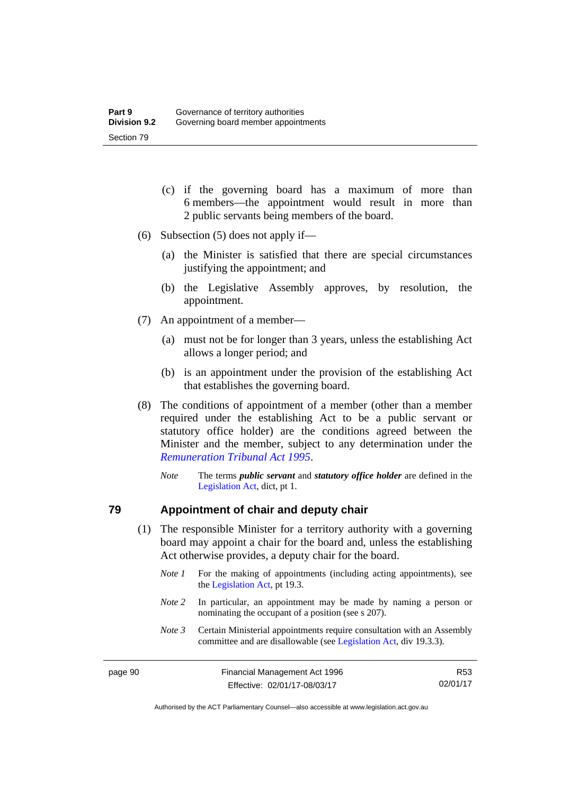- (c) if the governing board has a maximum of more than 6 members—the appointment would result in more than 2 public servants being members of the board.
- (6) Subsection (5) does not apply if—
	- (a) the Minister is satisfied that there are special circumstances justifying the appointment; and
	- (b) the Legislative Assembly approves, by resolution, the appointment.
- (7) An appointment of a member—
	- (a) must not be for longer than 3 years, unless the establishing Act allows a longer period; and
	- (b) is an appointment under the provision of the establishing Act that establishes the governing board.
- (8) The conditions of appointment of a member (other than a member required under the establishing Act to be a public servant or statutory office holder) are the conditions agreed between the Minister and the member, subject to any determination under the *[Remuneration Tribunal Act 1995](http://www.legislation.act.gov.au/a/1995-55)*.
	- *Note* The terms *public servant* and *statutory office holder* are defined in the [Legislation Act,](http://www.legislation.act.gov.au/a/2001-14) dict, pt 1.

### **79 Appointment of chair and deputy chair**

- (1) The responsible Minister for a territory authority with a governing board may appoint a chair for the board and, unless the establishing Act otherwise provides, a deputy chair for the board.
	- *Note 1* For the making of appointments (including acting appointments), see the [Legislation Act,](http://www.legislation.act.gov.au/a/2001-14) pt 19.3.
	- *Note 2* In particular, an appointment may be made by naming a person or nominating the occupant of a position (see s 207).
	- *Note 3* Certain Ministerial appointments require consultation with an Assembly committee and are disallowable (see [Legislation Act,](http://www.legislation.act.gov.au/a/2001-14) div 19.3.3).

R53 02/01/17

Authorised by the ACT Parliamentary Counsel—also accessible at www.legislation.act.gov.au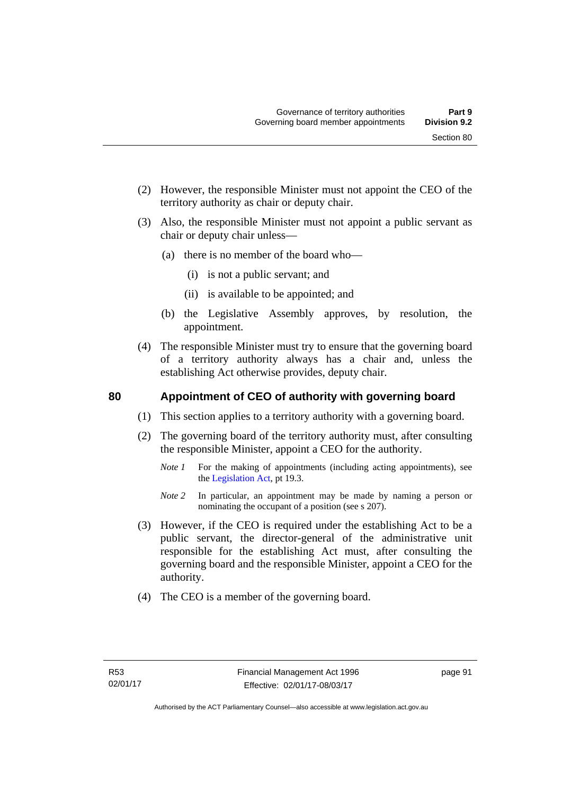- (2) However, the responsible Minister must not appoint the CEO of the territory authority as chair or deputy chair.
- (3) Also, the responsible Minister must not appoint a public servant as chair or deputy chair unless—
	- (a) there is no member of the board who—
		- (i) is not a public servant; and
		- (ii) is available to be appointed; and
	- (b) the Legislative Assembly approves, by resolution, the appointment.
- (4) The responsible Minister must try to ensure that the governing board of a territory authority always has a chair and, unless the establishing Act otherwise provides, deputy chair.

### **80 Appointment of CEO of authority with governing board**

- (1) This section applies to a territory authority with a governing board.
- (2) The governing board of the territory authority must, after consulting the responsible Minister, appoint a CEO for the authority.
	- *Note 1* For the making of appointments (including acting appointments), see the [Legislation Act,](http://www.legislation.act.gov.au/a/2001-14) pt 19.3.
	- *Note* 2 In particular, an appointment may be made by naming a person or nominating the occupant of a position (see s 207).
- (3) However, if the CEO is required under the establishing Act to be a public servant, the director-general of the administrative unit responsible for the establishing Act must, after consulting the governing board and the responsible Minister, appoint a CEO for the authority.
- (4) The CEO is a member of the governing board.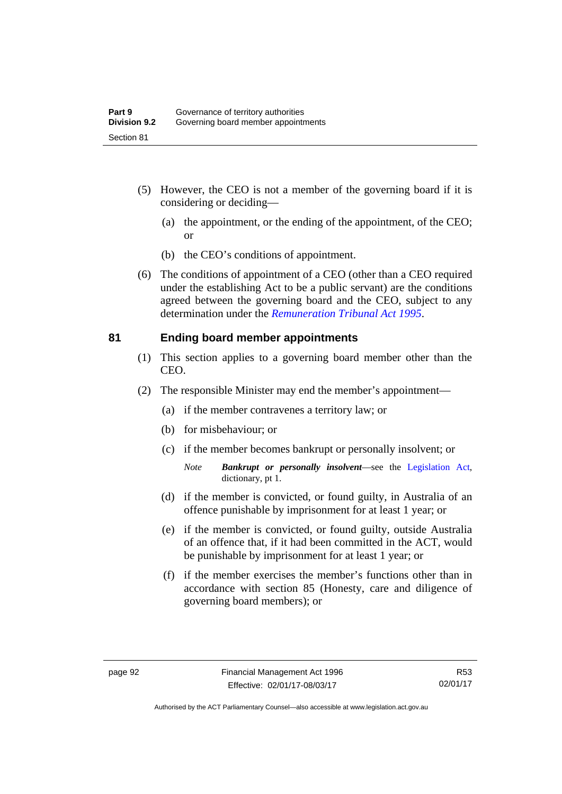- (5) However, the CEO is not a member of the governing board if it is considering or deciding—
	- (a) the appointment, or the ending of the appointment, of the CEO; or
	- (b) the CEO's conditions of appointment.
- (6) The conditions of appointment of a CEO (other than a CEO required under the establishing Act to be a public servant) are the conditions agreed between the governing board and the CEO, subject to any determination under the *[Remuneration Tribunal Act 1995](http://www.legislation.act.gov.au/a/1995-55)*.

### **81 Ending board member appointments**

- (1) This section applies to a governing board member other than the CEO.
- (2) The responsible Minister may end the member's appointment—
	- (a) if the member contravenes a territory law; or
	- (b) for misbehaviour; or
	- (c) if the member becomes bankrupt or personally insolvent; or
		- *Note Bankrupt or personally insolvent*—see the [Legislation Act,](http://www.legislation.act.gov.au/a/2001-14) dictionary, pt 1.
	- (d) if the member is convicted, or found guilty, in Australia of an offence punishable by imprisonment for at least 1 year; or
	- (e) if the member is convicted, or found guilty, outside Australia of an offence that, if it had been committed in the ACT, would be punishable by imprisonment for at least 1 year; or
	- (f) if the member exercises the member's functions other than in accordance with section 85 (Honesty, care and diligence of governing board members); or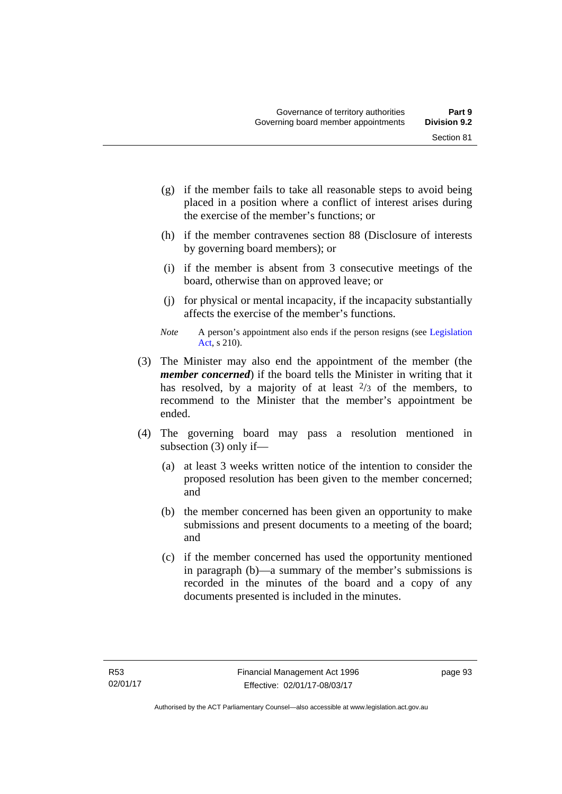- (g) if the member fails to take all reasonable steps to avoid being placed in a position where a conflict of interest arises during the exercise of the member's functions; or
- (h) if the member contravenes section 88 (Disclosure of interests by governing board members); or
- (i) if the member is absent from 3 consecutive meetings of the board, otherwise than on approved leave; or
- (j) for physical or mental incapacity, if the incapacity substantially affects the exercise of the member's functions.
- *Note* A person's appointment also ends if the person resigns (see Legislation [Act](http://www.legislation.act.gov.au/a/2001-14), s 210).
- (3) The Minister may also end the appointment of the member (the *member concerned*) if the board tells the Minister in writing that it has resolved, by a majority of at least  $\frac{2}{3}$  of the members, to recommend to the Minister that the member's appointment be ended.
- (4) The governing board may pass a resolution mentioned in subsection (3) only if—
	- (a) at least 3 weeks written notice of the intention to consider the proposed resolution has been given to the member concerned; and
	- (b) the member concerned has been given an opportunity to make submissions and present documents to a meeting of the board; and
	- (c) if the member concerned has used the opportunity mentioned in paragraph (b)—a summary of the member's submissions is recorded in the minutes of the board and a copy of any documents presented is included in the minutes.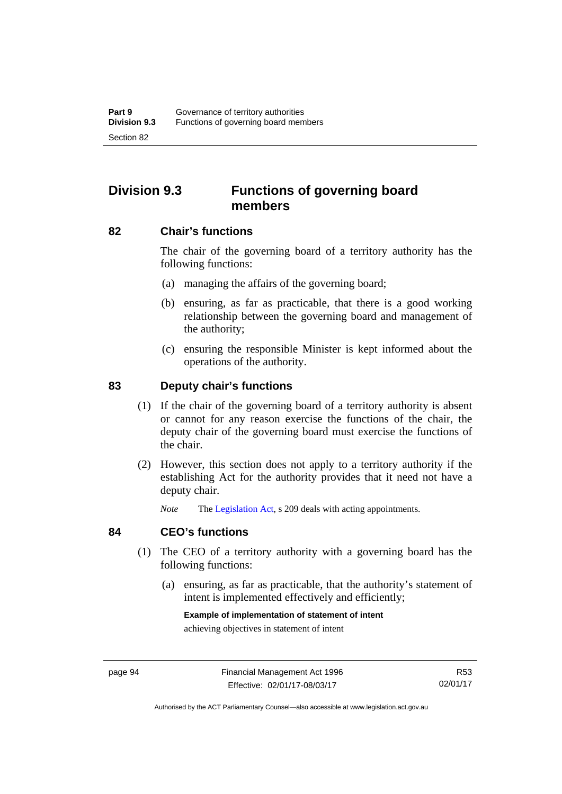# **Division 9.3 Functions of governing board members**

### **82 Chair's functions**

The chair of the governing board of a territory authority has the following functions:

- (a) managing the affairs of the governing board;
- (b) ensuring, as far as practicable, that there is a good working relationship between the governing board and management of the authority;
- (c) ensuring the responsible Minister is kept informed about the operations of the authority.

### **83 Deputy chair's functions**

- (1) If the chair of the governing board of a territory authority is absent or cannot for any reason exercise the functions of the chair, the deputy chair of the governing board must exercise the functions of the chair.
- (2) However, this section does not apply to a territory authority if the establishing Act for the authority provides that it need not have a deputy chair.

*Note* The [Legislation Act,](http://www.legislation.act.gov.au/a/2001-14) s 209 deals with acting appointments.

### **84 CEO's functions**

- (1) The CEO of a territory authority with a governing board has the following functions:
	- (a) ensuring, as far as practicable, that the authority's statement of intent is implemented effectively and efficiently;

#### **Example of implementation of statement of intent**

achieving objectives in statement of intent

R53 02/01/17

Authorised by the ACT Parliamentary Counsel—also accessible at www.legislation.act.gov.au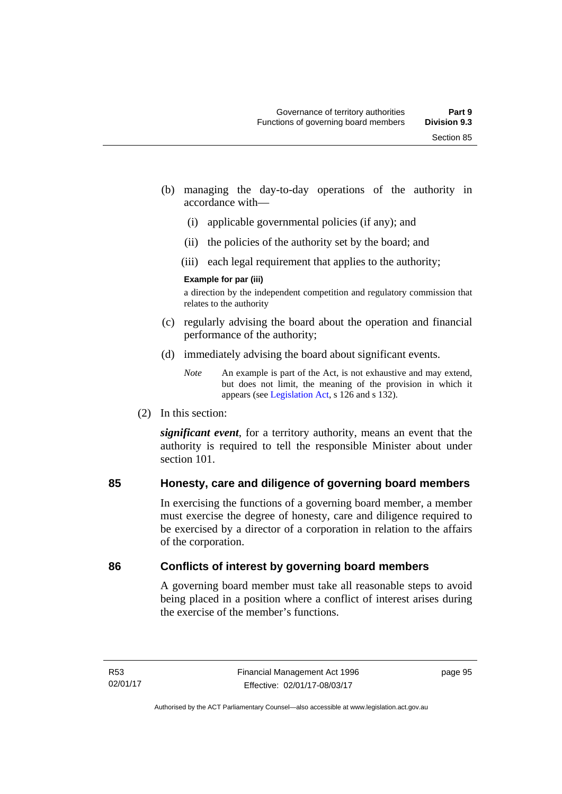- (b) managing the day-to-day operations of the authority in accordance with—
	- (i) applicable governmental policies (if any); and
	- (ii) the policies of the authority set by the board; and
	- (iii) each legal requirement that applies to the authority;

### **Example for par (iii)**

a direction by the independent competition and regulatory commission that relates to the authority

- (c) regularly advising the board about the operation and financial performance of the authority;
- (d) immediately advising the board about significant events.

(2) In this section:

*significant event*, for a territory authority, means an event that the authority is required to tell the responsible Minister about under section 101

# **85 Honesty, care and diligence of governing board members**

In exercising the functions of a governing board member, a member must exercise the degree of honesty, care and diligence required to be exercised by a director of a corporation in relation to the affairs of the corporation.

# **86 Conflicts of interest by governing board members**

A governing board member must take all reasonable steps to avoid being placed in a position where a conflict of interest arises during the exercise of the member's functions.

*Note* An example is part of the Act, is not exhaustive and may extend, but does not limit, the meaning of the provision in which it appears (see [Legislation Act,](http://www.legislation.act.gov.au/a/2001-14) s 126 and s 132).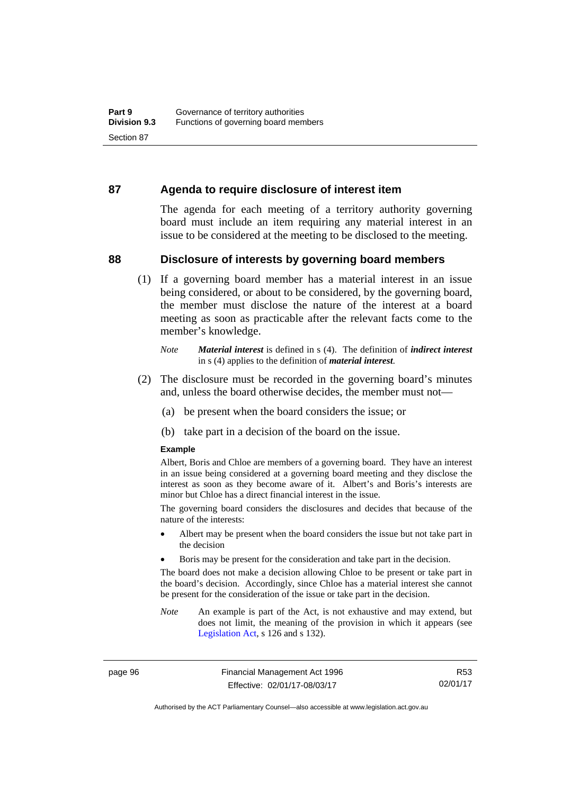### **87 Agenda to require disclosure of interest item**

The agenda for each meeting of a territory authority governing board must include an item requiring any material interest in an issue to be considered at the meeting to be disclosed to the meeting.

### **88 Disclosure of interests by governing board members**

(1) If a governing board member has a material interest in an issue being considered, or about to be considered, by the governing board, the member must disclose the nature of the interest at a board meeting as soon as practicable after the relevant facts come to the member's knowledge.

- (2) The disclosure must be recorded in the governing board's minutes and, unless the board otherwise decides, the member must not—
	- (a) be present when the board considers the issue; or
	- (b) take part in a decision of the board on the issue.

### **Example**

Albert, Boris and Chloe are members of a governing board. They have an interest in an issue being considered at a governing board meeting and they disclose the interest as soon as they become aware of it. Albert's and Boris's interests are minor but Chloe has a direct financial interest in the issue.

The governing board considers the disclosures and decides that because of the nature of the interests:

- Albert may be present when the board considers the issue but not take part in the decision
- Boris may be present for the consideration and take part in the decision.

The board does not make a decision allowing Chloe to be present or take part in the board's decision. Accordingly, since Chloe has a material interest she cannot be present for the consideration of the issue or take part in the decision.

*Note* An example is part of the Act, is not exhaustive and may extend, but does not limit, the meaning of the provision in which it appears (see [Legislation Act,](http://www.legislation.act.gov.au/a/2001-14) s 126 and s 132).

page 96 Financial Management Act 1996 Effective: 02/01/17-08/03/17

R53 02/01/17

Authorised by the ACT Parliamentary Counsel—also accessible at www.legislation.act.gov.au

*Note Material interest* is defined in s (4). The definition of *indirect interest* in s (4) applies to the definition of *material interest*.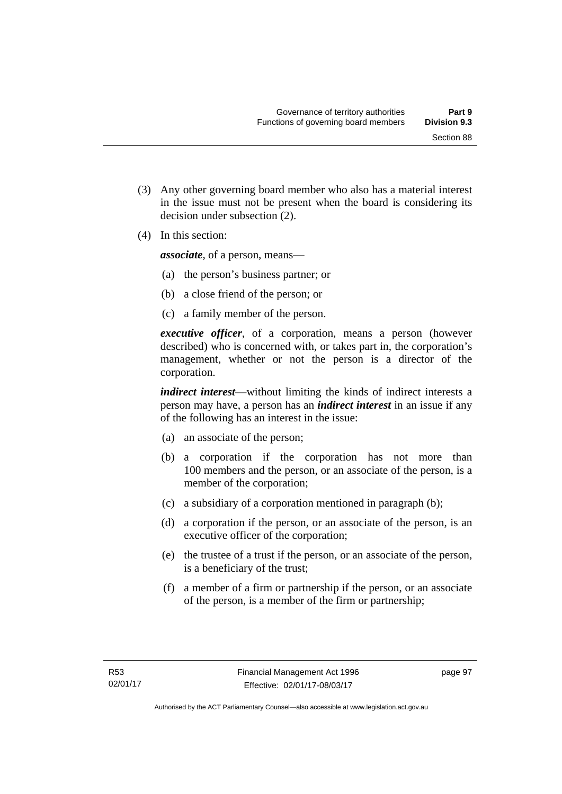(3) Any other governing board member who also has a material interest in the issue must not be present when the board is considering its

(4) In this section:

*associate*, of a person, means—

decision under subsection (2).

- (a) the person's business partner; or
- (b) a close friend of the person; or
- (c) a family member of the person.

*executive officer*, of a corporation, means a person (however described) who is concerned with, or takes part in, the corporation's management, whether or not the person is a director of the corporation.

*indirect interest*—without limiting the kinds of indirect interests a person may have, a person has an *indirect interest* in an issue if any of the following has an interest in the issue:

- (a) an associate of the person;
- (b) a corporation if the corporation has not more than 100 members and the person, or an associate of the person, is a member of the corporation;
- (c) a subsidiary of a corporation mentioned in paragraph (b);
- (d) a corporation if the person, or an associate of the person, is an executive officer of the corporation;
- (e) the trustee of a trust if the person, or an associate of the person, is a beneficiary of the trust;
- (f) a member of a firm or partnership if the person, or an associate of the person, is a member of the firm or partnership;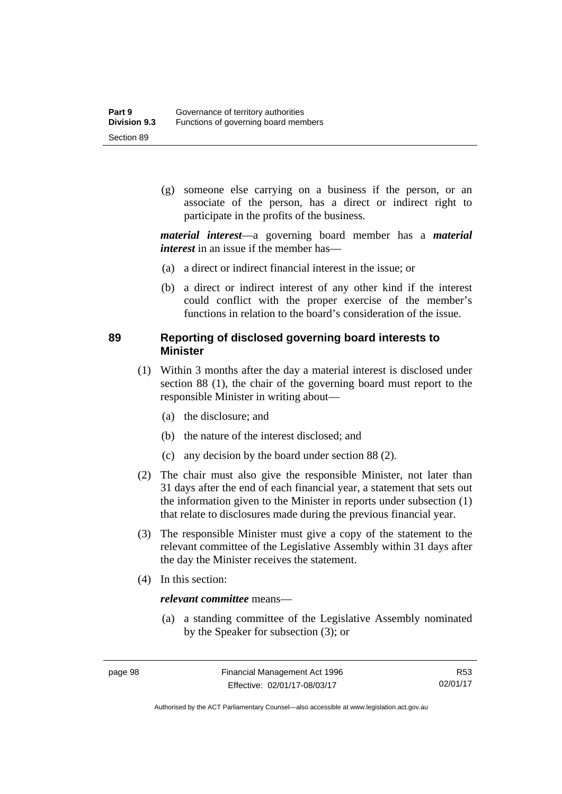(g) someone else carrying on a business if the person, or an associate of the person, has a direct or indirect right to participate in the profits of the business.

*material interest*—a governing board member has a *material interest* in an issue if the member has—

- (a) a direct or indirect financial interest in the issue; or
- (b) a direct or indirect interest of any other kind if the interest could conflict with the proper exercise of the member's functions in relation to the board's consideration of the issue.

## **89 Reporting of disclosed governing board interests to Minister**

- (1) Within 3 months after the day a material interest is disclosed under section 88 (1), the chair of the governing board must report to the responsible Minister in writing about—
	- (a) the disclosure; and
	- (b) the nature of the interest disclosed; and
	- (c) any decision by the board under section 88 (2).
- (2) The chair must also give the responsible Minister, not later than 31 days after the end of each financial year, a statement that sets out the information given to the Minister in reports under subsection (1) that relate to disclosures made during the previous financial year.
- (3) The responsible Minister must give a copy of the statement to the relevant committee of the Legislative Assembly within 31 days after the day the Minister receives the statement.
- (4) In this section:

### *relevant committee* means—

 (a) a standing committee of the Legislative Assembly nominated by the Speaker for subsection (3); or

R53 02/01/17

Authorised by the ACT Parliamentary Counsel—also accessible at www.legislation.act.gov.au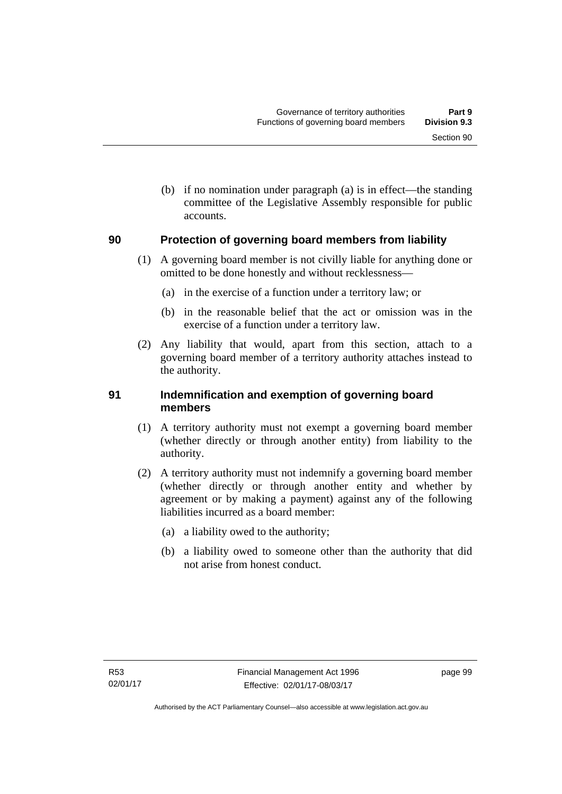(b) if no nomination under paragraph (a) is in effect—the standing committee of the Legislative Assembly responsible for public accounts.

#### **90 Protection of governing board members from liability**

- (1) A governing board member is not civilly liable for anything done or omitted to be done honestly and without recklessness—
	- (a) in the exercise of a function under a territory law; or
	- (b) in the reasonable belief that the act or omission was in the exercise of a function under a territory law.
- (2) Any liability that would, apart from this section, attach to a governing board member of a territory authority attaches instead to the authority.

#### **91 Indemnification and exemption of governing board members**

- (1) A territory authority must not exempt a governing board member (whether directly or through another entity) from liability to the authority.
- (2) A territory authority must not indemnify a governing board member (whether directly or through another entity and whether by agreement or by making a payment) against any of the following liabilities incurred as a board member:
	- (a) a liability owed to the authority;
	- (b) a liability owed to someone other than the authority that did not arise from honest conduct.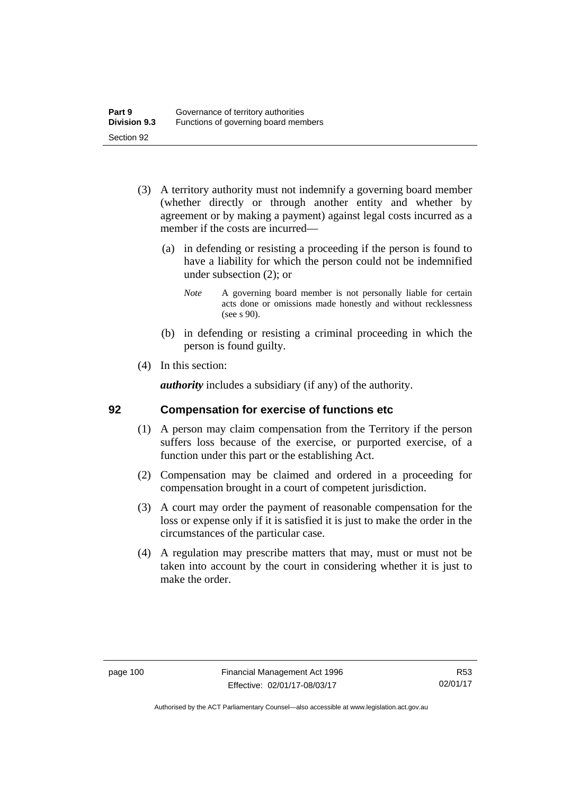- (3) A territory authority must not indemnify a governing board member (whether directly or through another entity and whether by agreement or by making a payment) against legal costs incurred as a member if the costs are incurred—
	- (a) in defending or resisting a proceeding if the person is found to have a liability for which the person could not be indemnified under subsection (2); or
		- *Note* A governing board member is not personally liable for certain acts done or omissions made honestly and without recklessness (see s 90).
	- (b) in defending or resisting a criminal proceeding in which the person is found guilty.
- (4) In this section:

*authority* includes a subsidiary (if any) of the authority.

#### **92 Compensation for exercise of functions etc**

- (1) A person may claim compensation from the Territory if the person suffers loss because of the exercise, or purported exercise, of a function under this part or the establishing Act.
- (2) Compensation may be claimed and ordered in a proceeding for compensation brought in a court of competent jurisdiction.
- (3) A court may order the payment of reasonable compensation for the loss or expense only if it is satisfied it is just to make the order in the circumstances of the particular case.
- (4) A regulation may prescribe matters that may, must or must not be taken into account by the court in considering whether it is just to make the order.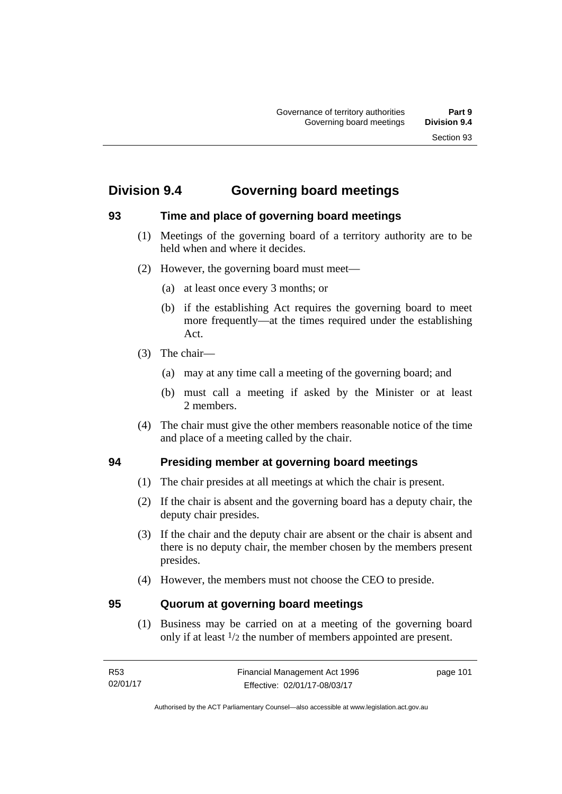# **Division 9.4 Governing board meetings**

### **93 Time and place of governing board meetings**

- (1) Meetings of the governing board of a territory authority are to be held when and where it decides.
- (2) However, the governing board must meet—
	- (a) at least once every 3 months; or
	- (b) if the establishing Act requires the governing board to meet more frequently—at the times required under the establishing Act.
- (3) The chair—
	- (a) may at any time call a meeting of the governing board; and
	- (b) must call a meeting if asked by the Minister or at least 2 members.
- (4) The chair must give the other members reasonable notice of the time and place of a meeting called by the chair.

#### **94 Presiding member at governing board meetings**

- (1) The chair presides at all meetings at which the chair is present.
- (2) If the chair is absent and the governing board has a deputy chair, the deputy chair presides.
- (3) If the chair and the deputy chair are absent or the chair is absent and there is no deputy chair, the member chosen by the members present presides.
- (4) However, the members must not choose the CEO to preside.

#### **95 Quorum at governing board meetings**

(1) Business may be carried on at a meeting of the governing board only if at least 1/2 the number of members appointed are present.

| R <sub>53</sub> | Financial Management Act 1996 | page 101 |
|-----------------|-------------------------------|----------|
| 02/01/17        | Effective: 02/01/17-08/03/17  |          |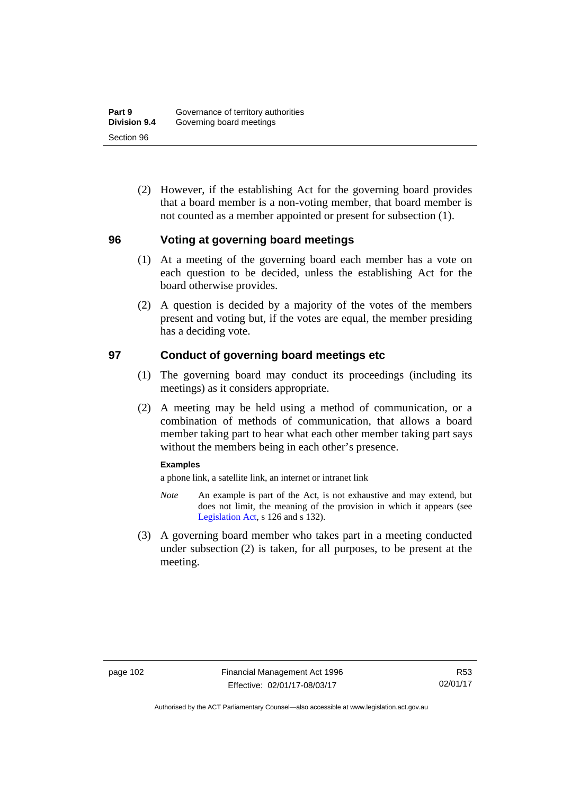(2) However, if the establishing Act for the governing board provides that a board member is a non-voting member, that board member is not counted as a member appointed or present for subsection (1).

#### **96 Voting at governing board meetings**

- (1) At a meeting of the governing board each member has a vote on each question to be decided, unless the establishing Act for the board otherwise provides.
- (2) A question is decided by a majority of the votes of the members present and voting but, if the votes are equal, the member presiding has a deciding vote.

#### **97 Conduct of governing board meetings etc**

- (1) The governing board may conduct its proceedings (including its meetings) as it considers appropriate.
- (2) A meeting may be held using a method of communication, or a combination of methods of communication, that allows a board member taking part to hear what each other member taking part says without the members being in each other's presence.

#### **Examples**

a phone link, a satellite link, an internet or intranet link

- *Note* An example is part of the Act, is not exhaustive and may extend, but does not limit, the meaning of the provision in which it appears (see [Legislation Act,](http://www.legislation.act.gov.au/a/2001-14) s 126 and s 132).
- (3) A governing board member who takes part in a meeting conducted under subsection (2) is taken, for all purposes, to be present at the meeting.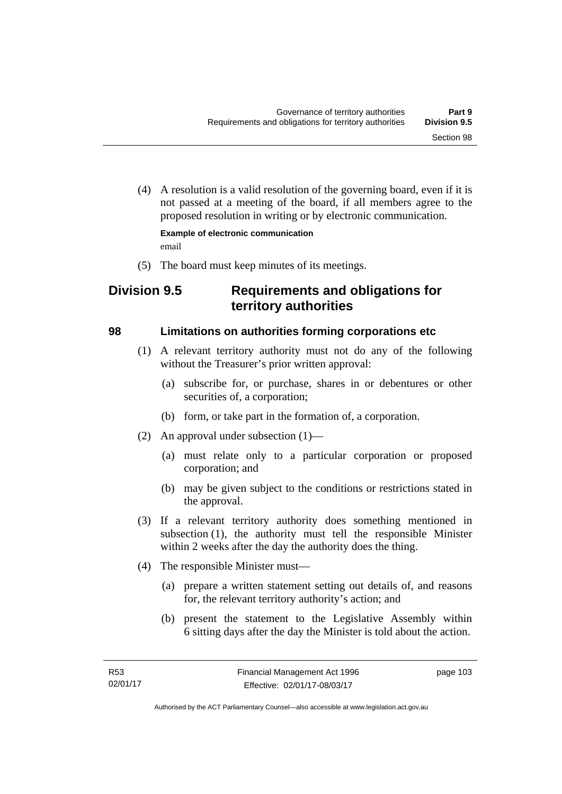(4) A resolution is a valid resolution of the governing board, even if it is not passed at a meeting of the board, if all members agree to the proposed resolution in writing or by electronic communication.

**Example of electronic communication**  email

(5) The board must keep minutes of its meetings.

# **Division 9.5 Requirements and obligations for territory authorities**

#### **98 Limitations on authorities forming corporations etc**

- (1) A relevant territory authority must not do any of the following without the Treasurer's prior written approval:
	- (a) subscribe for, or purchase, shares in or debentures or other securities of, a corporation;
	- (b) form, or take part in the formation of, a corporation.
- (2) An approval under subsection (1)—
	- (a) must relate only to a particular corporation or proposed corporation; and
	- (b) may be given subject to the conditions or restrictions stated in the approval.
- (3) If a relevant territory authority does something mentioned in subsection (1), the authority must tell the responsible Minister within 2 weeks after the day the authority does the thing.
- (4) The responsible Minister must—
	- (a) prepare a written statement setting out details of, and reasons for, the relevant territory authority's action; and
	- (b) present the statement to the Legislative Assembly within 6 sitting days after the day the Minister is told about the action.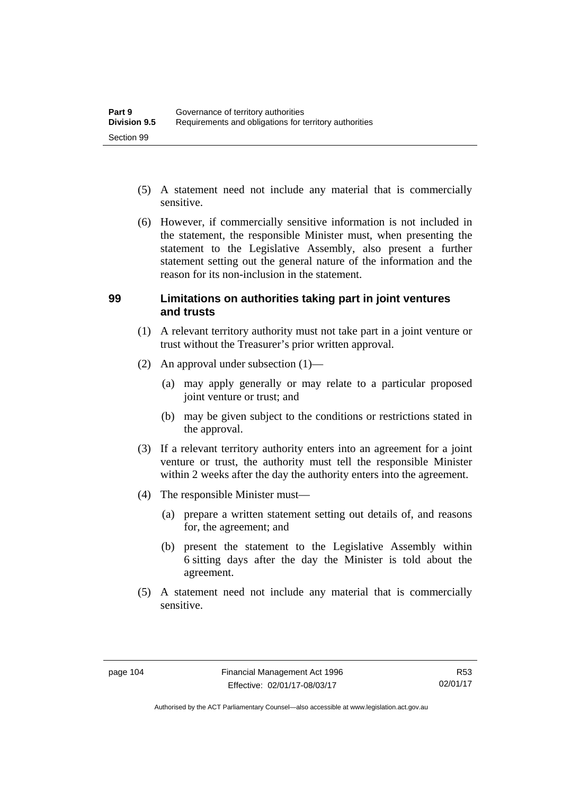- (5) A statement need not include any material that is commercially sensitive.
- (6) However, if commercially sensitive information is not included in the statement, the responsible Minister must, when presenting the statement to the Legislative Assembly, also present a further statement setting out the general nature of the information and the reason for its non-inclusion in the statement.

#### **99 Limitations on authorities taking part in joint ventures and trusts**

- (1) A relevant territory authority must not take part in a joint venture or trust without the Treasurer's prior written approval.
- (2) An approval under subsection (1)—
	- (a) may apply generally or may relate to a particular proposed joint venture or trust; and
	- (b) may be given subject to the conditions or restrictions stated in the approval.
- (3) If a relevant territory authority enters into an agreement for a joint venture or trust, the authority must tell the responsible Minister within 2 weeks after the day the authority enters into the agreement.
- (4) The responsible Minister must—
	- (a) prepare a written statement setting out details of, and reasons for, the agreement; and
	- (b) present the statement to the Legislative Assembly within 6 sitting days after the day the Minister is told about the agreement.
- (5) A statement need not include any material that is commercially sensitive.

Authorised by the ACT Parliamentary Counsel—also accessible at www.legislation.act.gov.au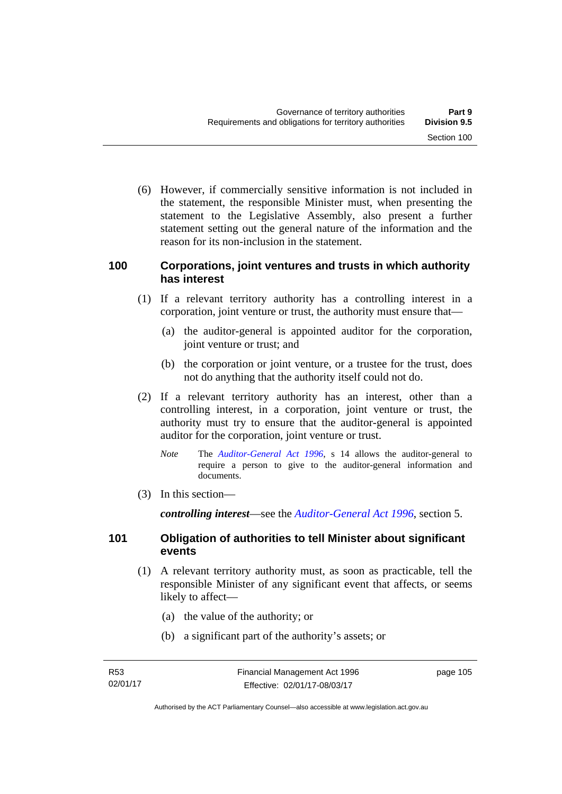(6) However, if commercially sensitive information is not included in the statement, the responsible Minister must, when presenting the statement to the Legislative Assembly, also present a further statement setting out the general nature of the information and the reason for its non-inclusion in the statement.

#### **100 Corporations, joint ventures and trusts in which authority has interest**

- (1) If a relevant territory authority has a controlling interest in a corporation, joint venture or trust, the authority must ensure that—
	- (a) the auditor-general is appointed auditor for the corporation, joint venture or trust; and
	- (b) the corporation or joint venture, or a trustee for the trust, does not do anything that the authority itself could not do.
- (2) If a relevant territory authority has an interest, other than a controlling interest, in a corporation, joint venture or trust, the authority must try to ensure that the auditor-general is appointed auditor for the corporation, joint venture or trust.
	- *Note* The *[Auditor-General Act 1996](http://www.legislation.act.gov.au/a/1996-23)*, s 14 allows the auditor-general to require a person to give to the auditor-general information and documents.
- (3) In this section—

*controlling interest*—see the *[Auditor-General Act 1996](http://www.legislation.act.gov.au/a/1996-23)*, section 5.

#### **101 Obligation of authorities to tell Minister about significant events**

- (1) A relevant territory authority must, as soon as practicable, tell the responsible Minister of any significant event that affects, or seems likely to affect—
	- (a) the value of the authority; or
	- (b) a significant part of the authority's assets; or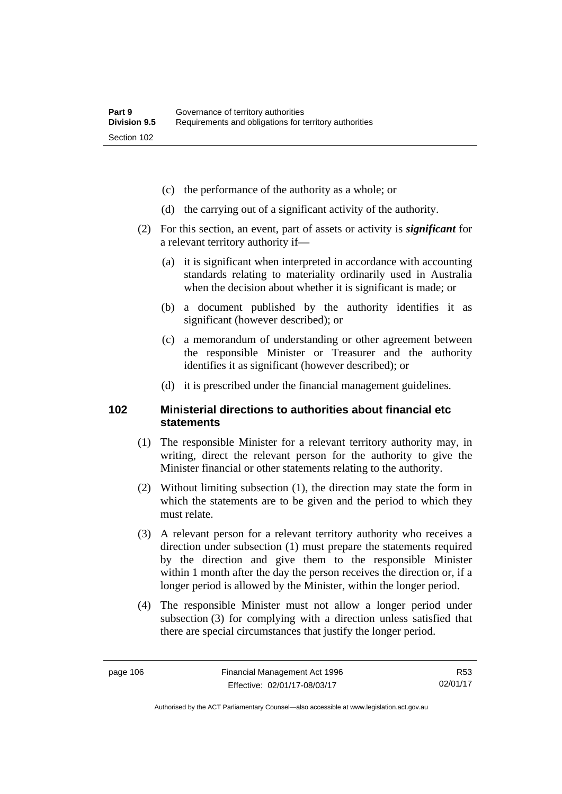- (c) the performance of the authority as a whole; or
- (d) the carrying out of a significant activity of the authority.
- (2) For this section, an event, part of assets or activity is *significant* for a relevant territory authority if—
	- (a) it is significant when interpreted in accordance with accounting standards relating to materiality ordinarily used in Australia when the decision about whether it is significant is made; or
	- (b) a document published by the authority identifies it as significant (however described); or
	- (c) a memorandum of understanding or other agreement between the responsible Minister or Treasurer and the authority identifies it as significant (however described); or
	- (d) it is prescribed under the financial management guidelines.

#### **102 Ministerial directions to authorities about financial etc statements**

- (1) The responsible Minister for a relevant territory authority may, in writing, direct the relevant person for the authority to give the Minister financial or other statements relating to the authority.
- (2) Without limiting subsection (1), the direction may state the form in which the statements are to be given and the period to which they must relate.
- (3) A relevant person for a relevant territory authority who receives a direction under subsection (1) must prepare the statements required by the direction and give them to the responsible Minister within 1 month after the day the person receives the direction or, if a longer period is allowed by the Minister, within the longer period.
- (4) The responsible Minister must not allow a longer period under subsection (3) for complying with a direction unless satisfied that there are special circumstances that justify the longer period.

R53 02/01/17

Authorised by the ACT Parliamentary Counsel—also accessible at www.legislation.act.gov.au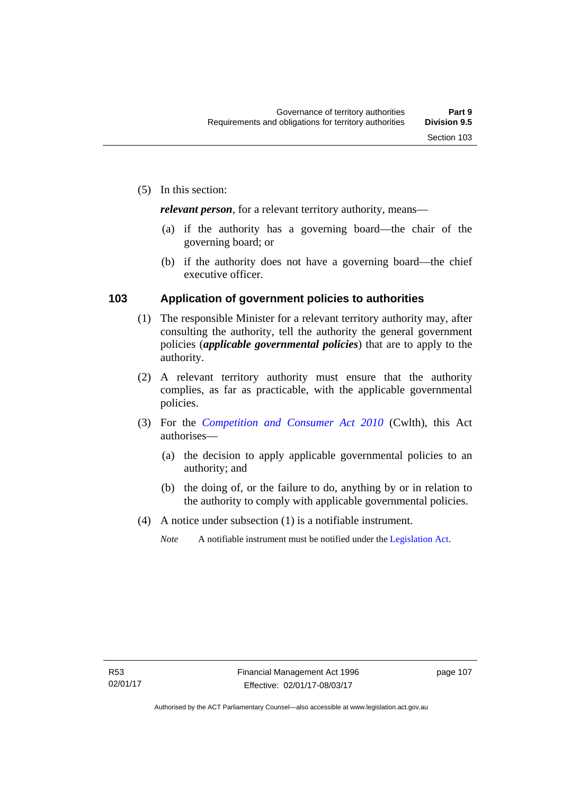*relevant person*, for a relevant territory authority, means—

- (a) if the authority has a governing board—the chair of the governing board; or
- (b) if the authority does not have a governing board—the chief executive officer.

#### **103 Application of government policies to authorities**

- (1) The responsible Minister for a relevant territory authority may, after consulting the authority, tell the authority the general government policies (*applicable governmental policies*) that are to apply to the authority.
- (2) A relevant territory authority must ensure that the authority complies, as far as practicable, with the applicable governmental policies.
- (3) For the *[Competition and Consumer Act 2010](http://www.comlaw.gov.au/Series/C2004A00109)* (Cwlth), this Act authorises—
	- (a) the decision to apply applicable governmental policies to an authority; and
	- (b) the doing of, or the failure to do, anything by or in relation to the authority to comply with applicable governmental policies.
- (4) A notice under subsection (1) is a notifiable instrument.
	- *Note* A notifiable instrument must be notified under the [Legislation Act](http://www.legislation.act.gov.au/a/2001-14).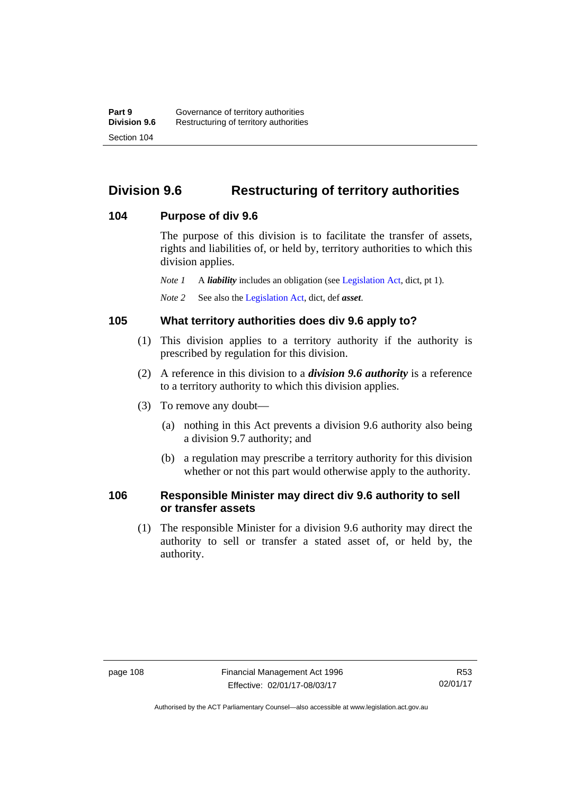# **Division 9.6 Restructuring of territory authorities**

#### **104 Purpose of div 9.6**

The purpose of this division is to facilitate the transfer of assets, rights and liabilities of, or held by, territory authorities to which this division applies.

*Note 1* A *liability* includes an obligation (see [Legislation Act,](http://www.legislation.act.gov.au/a/2001-14) dict, pt 1).

*Note 2* See also the [Legislation Act](http://www.legislation.act.gov.au/a/2001-14), dict, def *asset*.

#### **105 What territory authorities does div 9.6 apply to?**

- (1) This division applies to a territory authority if the authority is prescribed by regulation for this division.
- (2) A reference in this division to a *division 9.6 authority* is a reference to a territory authority to which this division applies.
- (3) To remove any doubt—
	- (a) nothing in this Act prevents a division 9.6 authority also being a division 9.7 authority; and
	- (b) a regulation may prescribe a territory authority for this division whether or not this part would otherwise apply to the authority.

#### **106 Responsible Minister may direct div 9.6 authority to sell or transfer assets**

 (1) The responsible Minister for a division 9.6 authority may direct the authority to sell or transfer a stated asset of, or held by, the authority.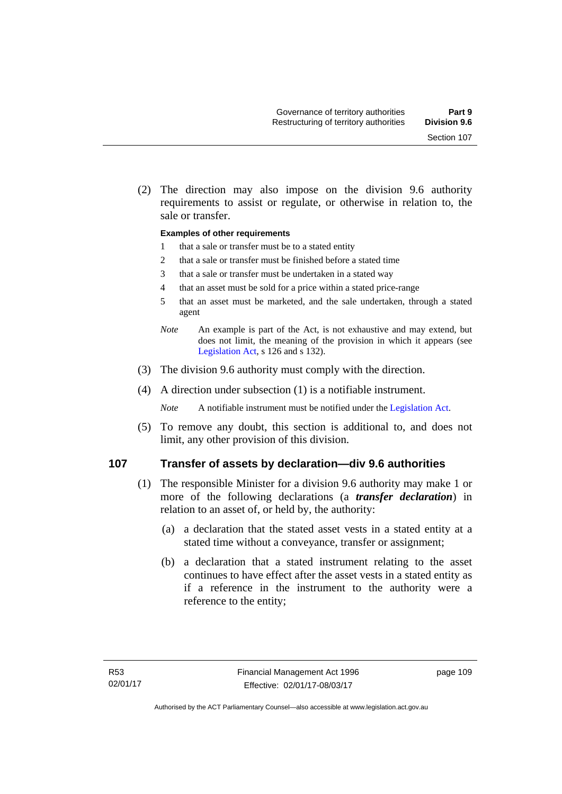(2) The direction may also impose on the division 9.6 authority requirements to assist or regulate, or otherwise in relation to, the sale or transfer.

#### **Examples of other requirements**

- 1 that a sale or transfer must be to a stated entity
- 2 that a sale or transfer must be finished before a stated time
- 3 that a sale or transfer must be undertaken in a stated way
- 4 that an asset must be sold for a price within a stated price-range
- 5 that an asset must be marketed, and the sale undertaken, through a stated agent
- *Note* An example is part of the Act, is not exhaustive and may extend, but does not limit, the meaning of the provision in which it appears (see [Legislation Act,](http://www.legislation.act.gov.au/a/2001-14) s 126 and s 132).
- (3) The division 9.6 authority must comply with the direction.
- (4) A direction under subsection (1) is a notifiable instrument.

*Note* A notifiable instrument must be notified under the [Legislation Act](http://www.legislation.act.gov.au/a/2001-14).

 (5) To remove any doubt, this section is additional to, and does not limit, any other provision of this division.

#### **107 Transfer of assets by declaration—div 9.6 authorities**

- (1) The responsible Minister for a division 9.6 authority may make 1 or more of the following declarations (a *transfer declaration*) in relation to an asset of, or held by, the authority:
	- (a) a declaration that the stated asset vests in a stated entity at a stated time without a conveyance, transfer or assignment;
	- (b) a declaration that a stated instrument relating to the asset continues to have effect after the asset vests in a stated entity as if a reference in the instrument to the authority were a reference to the entity;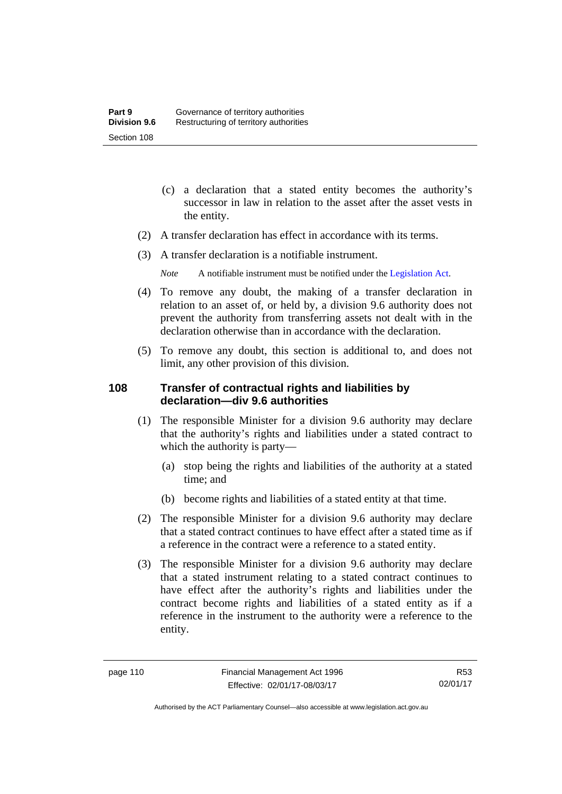- (c) a declaration that a stated entity becomes the authority's successor in law in relation to the asset after the asset vests in the entity.
- (2) A transfer declaration has effect in accordance with its terms.
- (3) A transfer declaration is a notifiable instrument.
	- *Note* A notifiable instrument must be notified under the [Legislation Act](http://www.legislation.act.gov.au/a/2001-14).
- (4) To remove any doubt, the making of a transfer declaration in relation to an asset of, or held by, a division 9.6 authority does not prevent the authority from transferring assets not dealt with in the declaration otherwise than in accordance with the declaration.
- (5) To remove any doubt, this section is additional to, and does not limit, any other provision of this division.

#### **108 Transfer of contractual rights and liabilities by declaration—div 9.6 authorities**

- (1) The responsible Minister for a division 9.6 authority may declare that the authority's rights and liabilities under a stated contract to which the authority is party—
	- (a) stop being the rights and liabilities of the authority at a stated time; and
	- (b) become rights and liabilities of a stated entity at that time.
- (2) The responsible Minister for a division 9.6 authority may declare that a stated contract continues to have effect after a stated time as if a reference in the contract were a reference to a stated entity.
- (3) The responsible Minister for a division 9.6 authority may declare that a stated instrument relating to a stated contract continues to have effect after the authority's rights and liabilities under the contract become rights and liabilities of a stated entity as if a reference in the instrument to the authority were a reference to the entity.

R53 02/01/17

Authorised by the ACT Parliamentary Counsel—also accessible at www.legislation.act.gov.au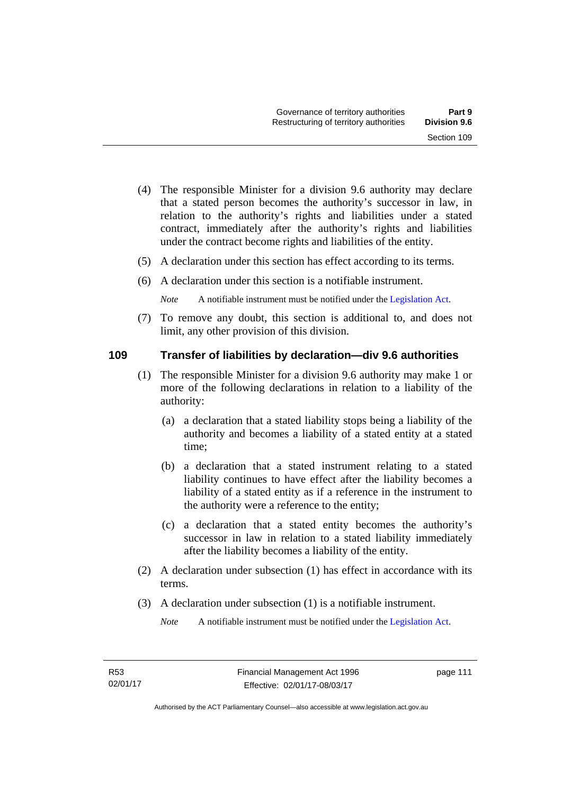- (4) The responsible Minister for a division 9.6 authority may declare that a stated person becomes the authority's successor in law, in relation to the authority's rights and liabilities under a stated contract, immediately after the authority's rights and liabilities under the contract become rights and liabilities of the entity.
- (5) A declaration under this section has effect according to its terms.
- (6) A declaration under this section is a notifiable instrument.

*Note* A notifiable instrument must be notified under the [Legislation Act](http://www.legislation.act.gov.au/a/2001-14).

 (7) To remove any doubt, this section is additional to, and does not limit, any other provision of this division.

#### **109 Transfer of liabilities by declaration—div 9.6 authorities**

- (1) The responsible Minister for a division 9.6 authority may make 1 or more of the following declarations in relation to a liability of the authority:
	- (a) a declaration that a stated liability stops being a liability of the authority and becomes a liability of a stated entity at a stated time;
	- (b) a declaration that a stated instrument relating to a stated liability continues to have effect after the liability becomes a liability of a stated entity as if a reference in the instrument to the authority were a reference to the entity;
	- (c) a declaration that a stated entity becomes the authority's successor in law in relation to a stated liability immediately after the liability becomes a liability of the entity.
- (2) A declaration under subsection (1) has effect in accordance with its terms.
- (3) A declaration under subsection (1) is a notifiable instrument.

*Note* A notifiable instrument must be notified under the [Legislation Act](http://www.legislation.act.gov.au/a/2001-14).

page 111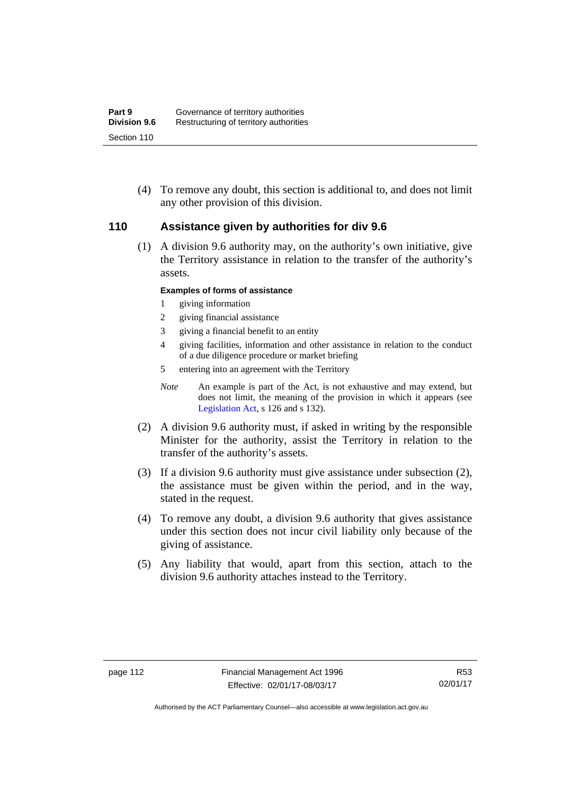(4) To remove any doubt, this section is additional to, and does not limit any other provision of this division.

#### **110 Assistance given by authorities for div 9.6**

(1) A division 9.6 authority may, on the authority's own initiative, give the Territory assistance in relation to the transfer of the authority's assets.

#### **Examples of forms of assistance**

- 1 giving information
- 2 giving financial assistance
- 3 giving a financial benefit to an entity
- 4 giving facilities, information and other assistance in relation to the conduct of a due diligence procedure or market briefing
- 5 entering into an agreement with the Territory
- *Note* An example is part of the Act, is not exhaustive and may extend, but does not limit, the meaning of the provision in which it appears (see [Legislation Act,](http://www.legislation.act.gov.au/a/2001-14) s 126 and s 132).
- (2) A division 9.6 authority must, if asked in writing by the responsible Minister for the authority, assist the Territory in relation to the transfer of the authority's assets.
- (3) If a division 9.6 authority must give assistance under subsection (2), the assistance must be given within the period, and in the way, stated in the request.
- (4) To remove any doubt, a division 9.6 authority that gives assistance under this section does not incur civil liability only because of the giving of assistance.
- (5) Any liability that would, apart from this section, attach to the division 9.6 authority attaches instead to the Territory.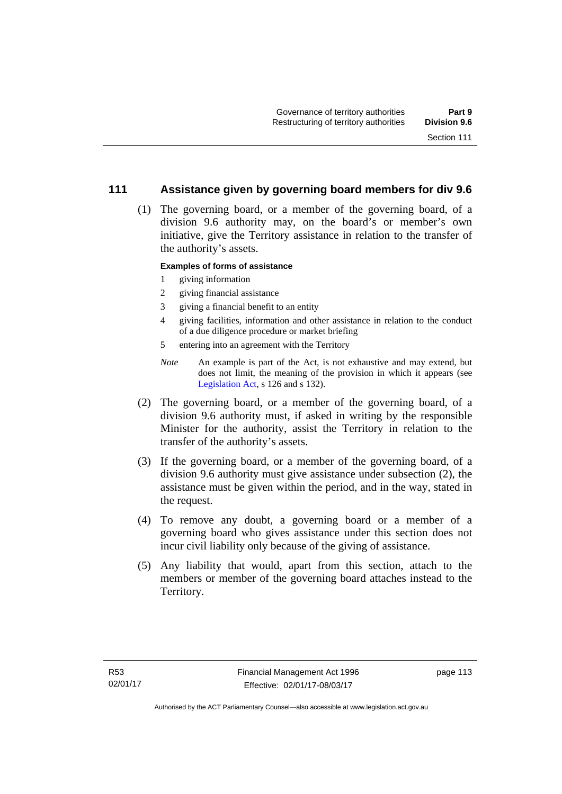#### **111 Assistance given by governing board members for div 9.6**

 (1) The governing board, or a member of the governing board, of a division 9.6 authority may, on the board's or member's own initiative, give the Territory assistance in relation to the transfer of the authority's assets.

#### **Examples of forms of assistance**

- 1 giving information
- 2 giving financial assistance
- 3 giving a financial benefit to an entity
- 4 giving facilities, information and other assistance in relation to the conduct of a due diligence procedure or market briefing
- 5 entering into an agreement with the Territory
- *Note* An example is part of the Act, is not exhaustive and may extend, but does not limit, the meaning of the provision in which it appears (see [Legislation Act,](http://www.legislation.act.gov.au/a/2001-14) s 126 and s 132).
- (2) The governing board, or a member of the governing board, of a division 9.6 authority must, if asked in writing by the responsible Minister for the authority, assist the Territory in relation to the transfer of the authority's assets.
- (3) If the governing board, or a member of the governing board, of a division 9.6 authority must give assistance under subsection (2), the assistance must be given within the period, and in the way, stated in the request.
- (4) To remove any doubt, a governing board or a member of a governing board who gives assistance under this section does not incur civil liability only because of the giving of assistance.
- (5) Any liability that would, apart from this section, attach to the members or member of the governing board attaches instead to the Territory.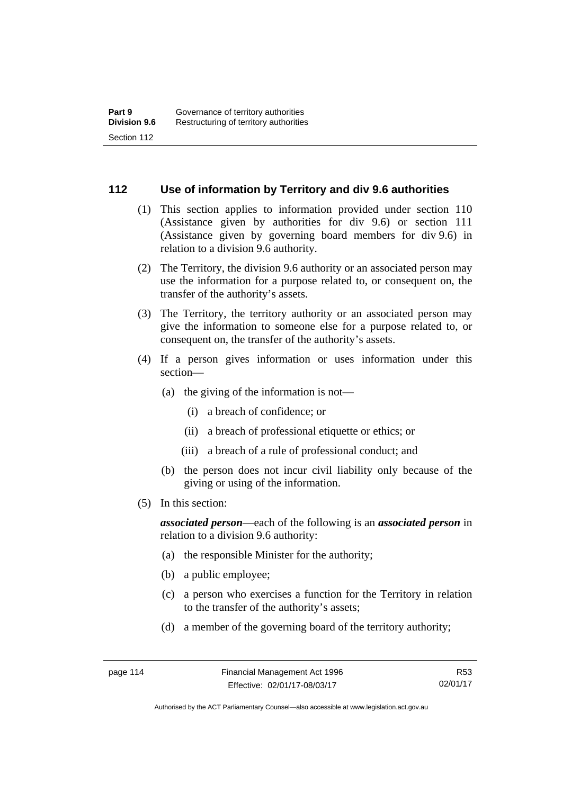#### **112 Use of information by Territory and div 9.6 authorities**

- (1) This section applies to information provided under section 110 (Assistance given by authorities for div 9.6) or section 111 (Assistance given by governing board members for div 9.6) in relation to a division 9.6 authority.
- (2) The Territory, the division 9.6 authority or an associated person may use the information for a purpose related to, or consequent on, the transfer of the authority's assets.
- (3) The Territory, the territory authority or an associated person may give the information to someone else for a purpose related to, or consequent on, the transfer of the authority's assets.
- (4) If a person gives information or uses information under this section—
	- (a) the giving of the information is not—
		- (i) a breach of confidence; or
		- (ii) a breach of professional etiquette or ethics; or
		- (iii) a breach of a rule of professional conduct; and
	- (b) the person does not incur civil liability only because of the giving or using of the information.
- (5) In this section:

*associated person*—each of the following is an *associated person* in relation to a division 9.6 authority:

- (a) the responsible Minister for the authority;
- (b) a public employee;
- (c) a person who exercises a function for the Territory in relation to the transfer of the authority's assets;
- (d) a member of the governing board of the territory authority;

R53 02/01/17

Authorised by the ACT Parliamentary Counsel—also accessible at www.legislation.act.gov.au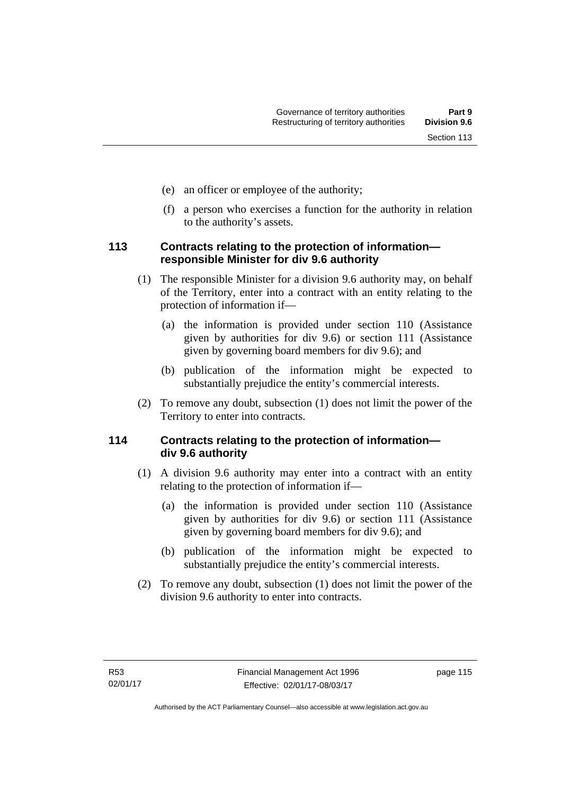- (e) an officer or employee of the authority;
- (f) a person who exercises a function for the authority in relation to the authority's assets.

#### **113 Contracts relating to the protection of information responsible Minister for div 9.6 authority**

- (1) The responsible Minister for a division 9.6 authority may, on behalf of the Territory, enter into a contract with an entity relating to the protection of information if—
	- (a) the information is provided under section 110 (Assistance given by authorities for div 9.6) or section 111 (Assistance given by governing board members for div 9.6); and
	- (b) publication of the information might be expected to substantially prejudice the entity's commercial interests.
- (2) To remove any doubt, subsection (1) does not limit the power of the Territory to enter into contracts.

### **114 Contracts relating to the protection of information div 9.6 authority**

- (1) A division 9.6 authority may enter into a contract with an entity relating to the protection of information if—
	- (a) the information is provided under section 110 (Assistance given by authorities for div 9.6) or section 111 (Assistance given by governing board members for div 9.6); and
	- (b) publication of the information might be expected to substantially prejudice the entity's commercial interests.
- (2) To remove any doubt, subsection (1) does not limit the power of the division 9.6 authority to enter into contracts.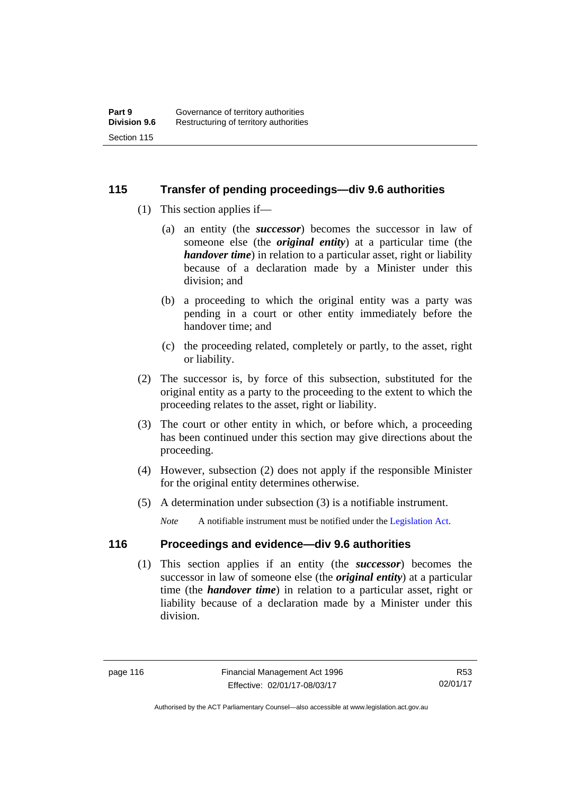#### **115 Transfer of pending proceedings—div 9.6 authorities**

- (1) This section applies if—
	- (a) an entity (the *successor*) becomes the successor in law of someone else (the *original entity*) at a particular time (the *handover time*) in relation to a particular asset, right or liability because of a declaration made by a Minister under this division; and
	- (b) a proceeding to which the original entity was a party was pending in a court or other entity immediately before the handover time; and
	- (c) the proceeding related, completely or partly, to the asset, right or liability.
- (2) The successor is, by force of this subsection, substituted for the original entity as a party to the proceeding to the extent to which the proceeding relates to the asset, right or liability.
- (3) The court or other entity in which, or before which, a proceeding has been continued under this section may give directions about the proceeding.
- (4) However, subsection (2) does not apply if the responsible Minister for the original entity determines otherwise.
- (5) A determination under subsection (3) is a notifiable instrument.

*Note* A notifiable instrument must be notified under the [Legislation Act](http://www.legislation.act.gov.au/a/2001-14).

### **116 Proceedings and evidence—div 9.6 authorities**

 (1) This section applies if an entity (the *successor*) becomes the successor in law of someone else (the *original entity*) at a particular time (the *handover time*) in relation to a particular asset, right or liability because of a declaration made by a Minister under this division.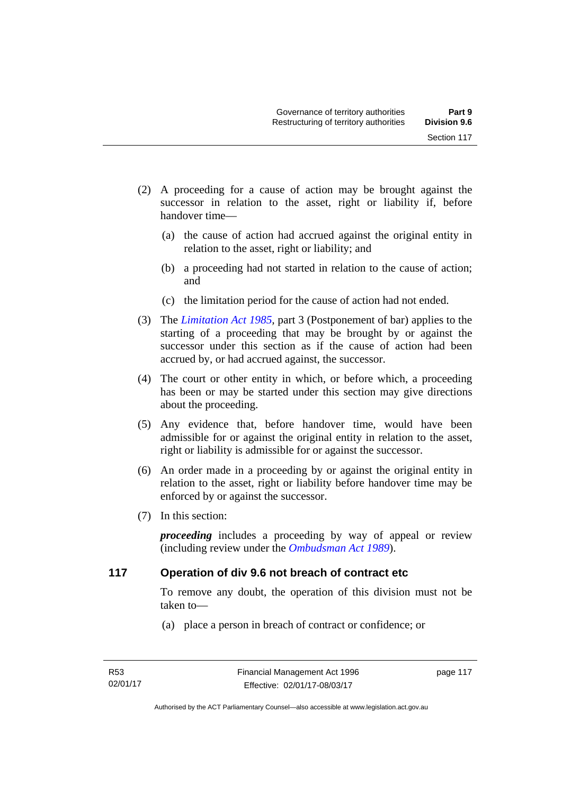- (2) A proceeding for a cause of action may be brought against the successor in relation to the asset, right or liability if, before handover time—
	- (a) the cause of action had accrued against the original entity in relation to the asset, right or liability; and
	- (b) a proceeding had not started in relation to the cause of action; and
	- (c) the limitation period for the cause of action had not ended.
- (3) The *[Limitation Act 1985](http://www.legislation.act.gov.au/a/1985-66),* part 3 (Postponement of bar) applies to the starting of a proceeding that may be brought by or against the successor under this section as if the cause of action had been accrued by, or had accrued against, the successor.
- (4) The court or other entity in which, or before which, a proceeding has been or may be started under this section may give directions about the proceeding.
- (5) Any evidence that, before handover time, would have been admissible for or against the original entity in relation to the asset, right or liability is admissible for or against the successor.
- (6) An order made in a proceeding by or against the original entity in relation to the asset, right or liability before handover time may be enforced by or against the successor.
- (7) In this section:

*proceeding* includes a proceeding by way of appeal or review (including review under the *[Ombudsman Act 1989](http://www.legislation.act.gov.au/a/alt_a1989-45co)*).

#### **117 Operation of div 9.6 not breach of contract etc**

To remove any doubt, the operation of this division must not be taken to—

(a) place a person in breach of contract or confidence; or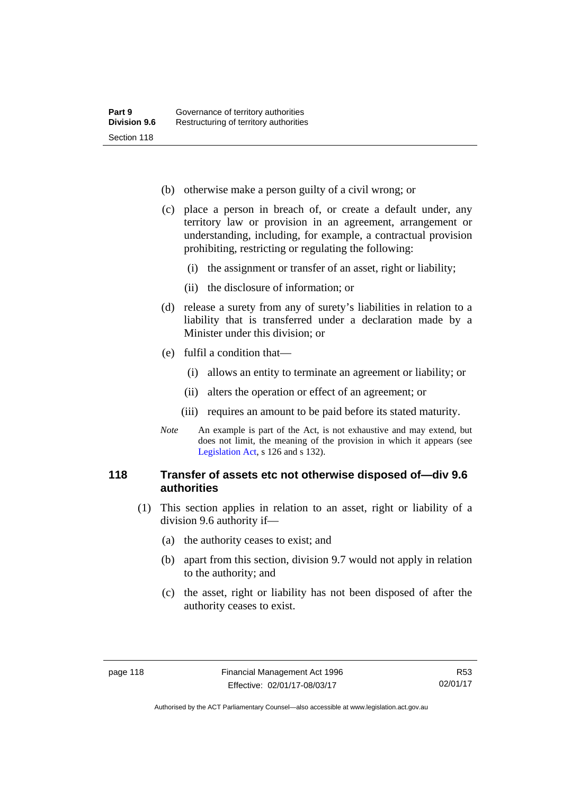- (b) otherwise make a person guilty of a civil wrong; or
- (c) place a person in breach of, or create a default under, any territory law or provision in an agreement, arrangement or understanding, including, for example, a contractual provision prohibiting, restricting or regulating the following:
	- (i) the assignment or transfer of an asset, right or liability;
	- (ii) the disclosure of information; or
- (d) release a surety from any of surety's liabilities in relation to a liability that is transferred under a declaration made by a Minister under this division; or
- (e) fulfil a condition that—
	- (i) allows an entity to terminate an agreement or liability; or
	- (ii) alters the operation or effect of an agreement; or
	- (iii) requires an amount to be paid before its stated maturity.
- *Note* An example is part of the Act, is not exhaustive and may extend, but does not limit, the meaning of the provision in which it appears (see [Legislation Act,](http://www.legislation.act.gov.au/a/2001-14) s 126 and s 132).

#### **118 Transfer of assets etc not otherwise disposed of—div 9.6 authorities**

- (1) This section applies in relation to an asset, right or liability of a division 9.6 authority if—
	- (a) the authority ceases to exist; and
	- (b) apart from this section, division 9.7 would not apply in relation to the authority; and
	- (c) the asset, right or liability has not been disposed of after the authority ceases to exist.

Authorised by the ACT Parliamentary Counsel—also accessible at www.legislation.act.gov.au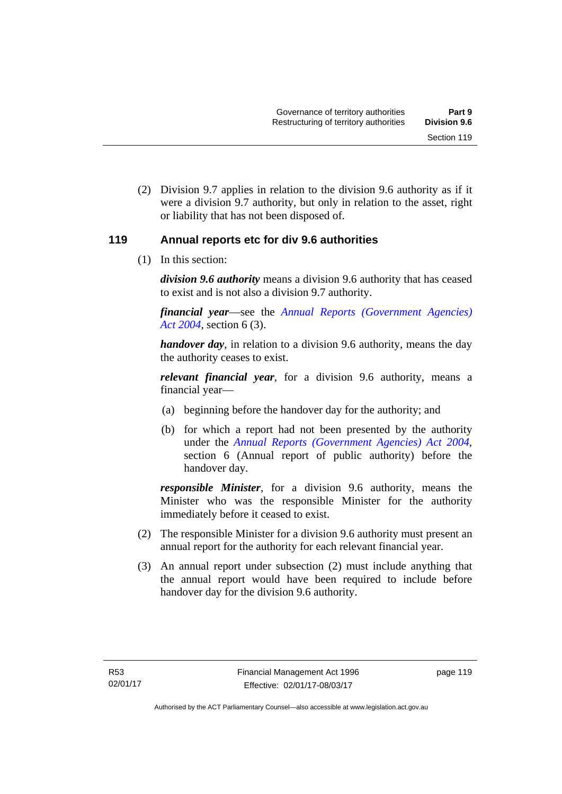(2) Division 9.7 applies in relation to the division 9.6 authority as if it were a division 9.7 authority, but only in relation to the asset, right or liability that has not been disposed of.

#### **119 Annual reports etc for div 9.6 authorities**

(1) In this section:

*division 9.6 authority* means a division 9.6 authority that has ceased to exist and is not also a division 9.7 authority.

*financial year*––see the *[Annual Reports \(Government Agencies\)](http://www.legislation.act.gov.au/a/2004-8)  [Act 2004](http://www.legislation.act.gov.au/a/2004-8)*, section 6 (3).

*handover day*, in relation to a division 9.6 authority, means the day the authority ceases to exist.

*relevant financial year*, for a division 9.6 authority, means a financial year—

- (a) beginning before the handover day for the authority; and
- (b) for which a report had not been presented by the authority under the *[Annual Reports \(Government Agencies\) Act 2004](http://www.legislation.act.gov.au/a/2004-8)*, section 6 (Annual report of public authority) before the handover day.

*responsible Minister*, for a division 9.6 authority, means the Minister who was the responsible Minister for the authority immediately before it ceased to exist.

- (2) The responsible Minister for a division 9.6 authority must present an annual report for the authority for each relevant financial year.
- (3) An annual report under subsection (2) must include anything that the annual report would have been required to include before handover day for the division 9.6 authority.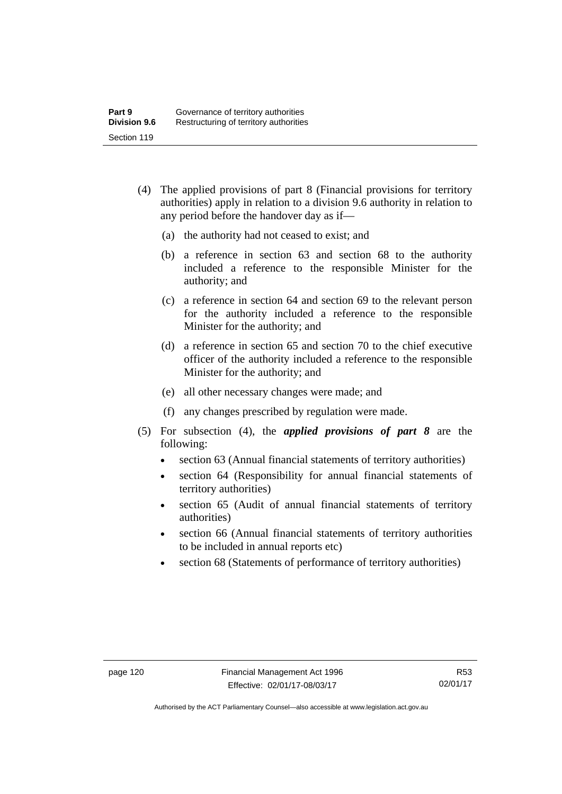- (4) The applied provisions of part 8 (Financial provisions for territory authorities) apply in relation to a division 9.6 authority in relation to any period before the handover day as if—
	- (a) the authority had not ceased to exist; and
	- (b) a reference in section 63 and section 68 to the authority included a reference to the responsible Minister for the authority; and
	- (c) a reference in section 64 and section 69 to the relevant person for the authority included a reference to the responsible Minister for the authority; and
	- (d) a reference in section 65 and section 70 to the chief executive officer of the authority included a reference to the responsible Minister for the authority; and
	- (e) all other necessary changes were made; and
	- (f) any changes prescribed by regulation were made.
- (5) For subsection (4), the *applied provisions of part 8* are the following:
	- section 63 (Annual financial statements of territory authorities)
	- section 64 (Responsibility for annual financial statements of territory authorities)
	- section 65 (Audit of annual financial statements of territory authorities)
	- section 66 (Annual financial statements of territory authorities to be included in annual reports etc)
	- section 68 (Statements of performance of territory authorities)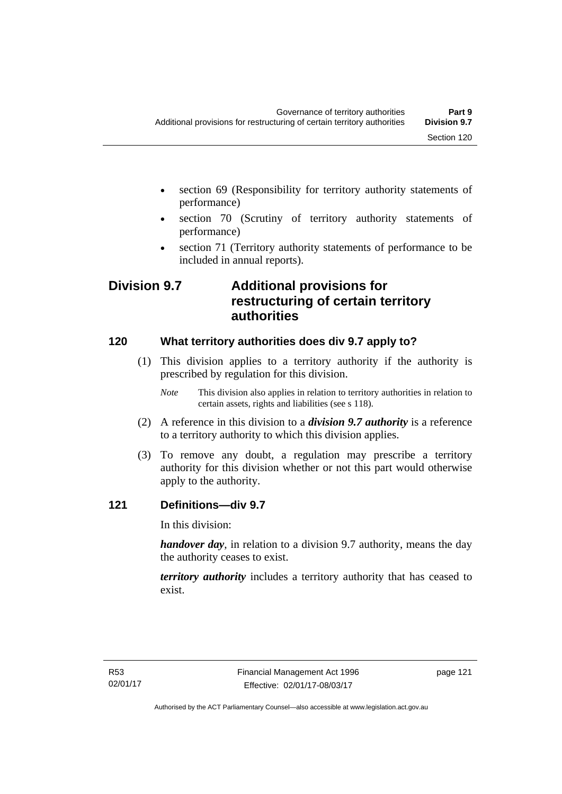- section 69 (Responsibility for territory authority statements of performance)
- section 70 (Scrutiny of territory authority statements of performance)
- section 71 (Territory authority statements of performance to be included in annual reports).

# **Division 9.7 Additional provisions for restructuring of certain territory authorities**

### **120 What territory authorities does div 9.7 apply to?**

- (1) This division applies to a territory authority if the authority is prescribed by regulation for this division.
	- *Note* This division also applies in relation to territory authorities in relation to certain assets, rights and liabilities (see s 118).
- (2) A reference in this division to a *division 9.7 authority* is a reference to a territory authority to which this division applies.
- (3) To remove any doubt, a regulation may prescribe a territory authority for this division whether or not this part would otherwise apply to the authority.

### **121 Definitions—div 9.7**

In this division:

*handover day*, in relation to a division 9.7 authority, means the day the authority ceases to exist.

*territory authority* includes a territory authority that has ceased to exist.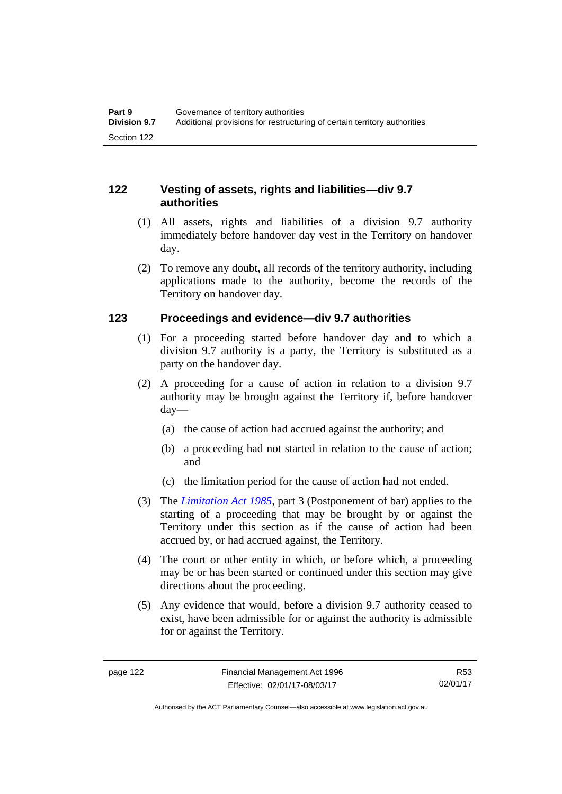#### **122 Vesting of assets, rights and liabilities—div 9.7 authorities**

- (1) All assets, rights and liabilities of a division 9.7 authority immediately before handover day vest in the Territory on handover day.
- (2) To remove any doubt, all records of the territory authority, including applications made to the authority, become the records of the Territory on handover day.

#### **123 Proceedings and evidence—div 9.7 authorities**

- (1) For a proceeding started before handover day and to which a division 9.7 authority is a party, the Territory is substituted as a party on the handover day.
- (2) A proceeding for a cause of action in relation to a division 9.7 authority may be brought against the Territory if, before handover day—
	- (a) the cause of action had accrued against the authority; and
	- (b) a proceeding had not started in relation to the cause of action; and
	- (c) the limitation period for the cause of action had not ended.
- (3) The *[Limitation Act 1985](http://www.legislation.act.gov.au/a/1985-66),* part 3 (Postponement of bar) applies to the starting of a proceeding that may be brought by or against the Territory under this section as if the cause of action had been accrued by, or had accrued against, the Territory.
- (4) The court or other entity in which, or before which, a proceeding may be or has been started or continued under this section may give directions about the proceeding.
- (5) Any evidence that would, before a division 9.7 authority ceased to exist, have been admissible for or against the authority is admissible for or against the Territory.

R53 02/01/17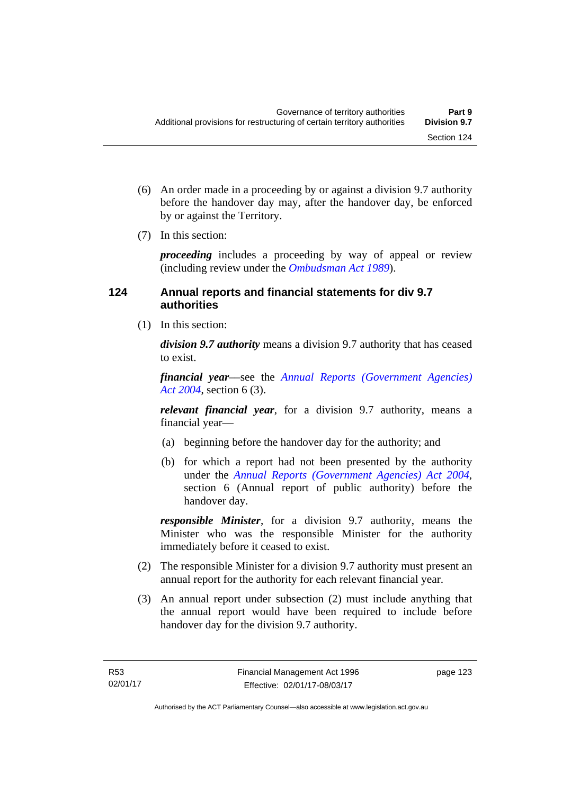- (6) An order made in a proceeding by or against a division 9.7 authority before the handover day may, after the handover day, be enforced by or against the Territory.
- (7) In this section:

*proceeding* includes a proceeding by way of appeal or review (including review under the *[Ombudsman Act 1989](http://www.legislation.act.gov.au/a/alt_a1989-45co)*).

#### **124 Annual reports and financial statements for div 9.7 authorities**

(1) In this section:

*division 9.7 authority* means a division 9.7 authority that has ceased to exist.

*financial year*––see the *[Annual Reports \(Government Agencies\)](http://www.legislation.act.gov.au/a/2004-8)  [Act 2004](http://www.legislation.act.gov.au/a/2004-8)*, section 6 (3).

*relevant financial year*, for a division 9.7 authority, means a financial year—

- (a) beginning before the handover day for the authority; and
- (b) for which a report had not been presented by the authority under the *[Annual Reports \(Government Agencies\) Act 2004](http://www.legislation.act.gov.au/a/2004-8)*, section 6 (Annual report of public authority) before the handover day.

*responsible Minister*, for a division 9.7 authority, means the Minister who was the responsible Minister for the authority immediately before it ceased to exist.

- (2) The responsible Minister for a division 9.7 authority must present an annual report for the authority for each relevant financial year.
- (3) An annual report under subsection (2) must include anything that the annual report would have been required to include before handover day for the division 9.7 authority.

page 123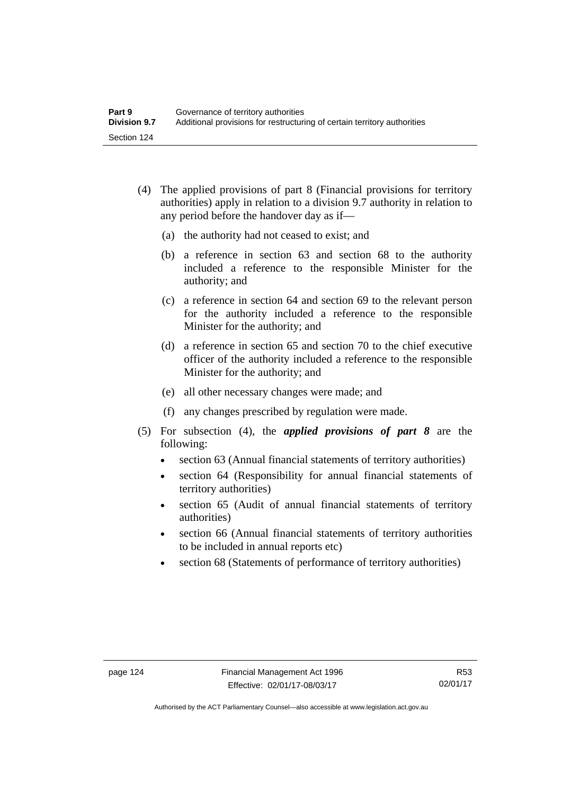- (4) The applied provisions of part 8 (Financial provisions for territory authorities) apply in relation to a division 9.7 authority in relation to any period before the handover day as if—
	- (a) the authority had not ceased to exist; and
	- (b) a reference in section 63 and section 68 to the authority included a reference to the responsible Minister for the authority; and
	- (c) a reference in section 64 and section 69 to the relevant person for the authority included a reference to the responsible Minister for the authority; and
	- (d) a reference in section 65 and section 70 to the chief executive officer of the authority included a reference to the responsible Minister for the authority; and
	- (e) all other necessary changes were made; and
	- (f) any changes prescribed by regulation were made.
- (5) For subsection (4), the *applied provisions of part 8* are the following:
	- section 63 (Annual financial statements of territory authorities)
	- section 64 (Responsibility for annual financial statements of territory authorities)
	- section 65 (Audit of annual financial statements of territory authorities)
	- section 66 (Annual financial statements of territory authorities to be included in annual reports etc)
	- section 68 (Statements of performance of territory authorities)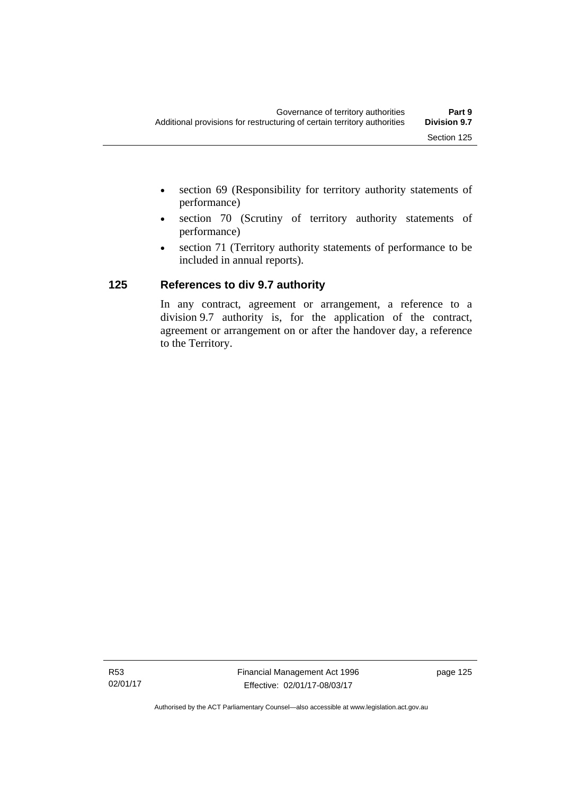- section 69 (Responsibility for territory authority statements of performance)
- section 70 (Scrutiny of territory authority statements of performance)
- section 71 (Territory authority statements of performance to be included in annual reports).

### **125 References to div 9.7 authority**

In any contract, agreement or arrangement, a reference to a division 9.7 authority is, for the application of the contract, agreement or arrangement on or after the handover day, a reference to the Territory.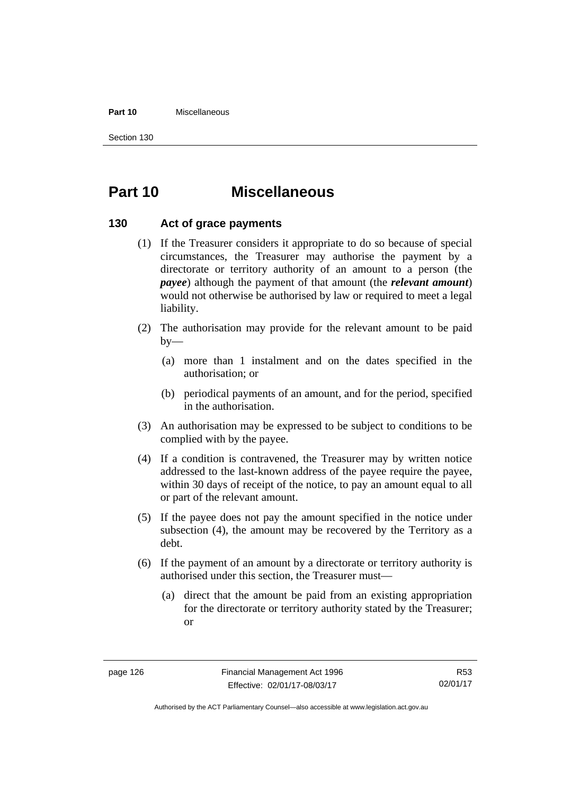#### **Part 10** Miscellaneous

Section 130

# **Part 10 Miscellaneous**

#### **130 Act of grace payments**

- (1) If the Treasurer considers it appropriate to do so because of special circumstances, the Treasurer may authorise the payment by a directorate or territory authority of an amount to a person (the *payee*) although the payment of that amount (the *relevant amount*) would not otherwise be authorised by law or required to meet a legal liability.
- (2) The authorisation may provide for the relevant amount to be paid  $by-$ 
	- (a) more than 1 instalment and on the dates specified in the authorisation; or
	- (b) periodical payments of an amount, and for the period, specified in the authorisation.
- (3) An authorisation may be expressed to be subject to conditions to be complied with by the payee.
- (4) If a condition is contravened, the Treasurer may by written notice addressed to the last-known address of the payee require the payee, within 30 days of receipt of the notice, to pay an amount equal to all or part of the relevant amount.
- (5) If the payee does not pay the amount specified in the notice under subsection (4), the amount may be recovered by the Territory as a debt.
- (6) If the payment of an amount by a directorate or territory authority is authorised under this section, the Treasurer must—
	- (a) direct that the amount be paid from an existing appropriation for the directorate or territory authority stated by the Treasurer; or

R53 02/01/17

Authorised by the ACT Parliamentary Counsel—also accessible at www.legislation.act.gov.au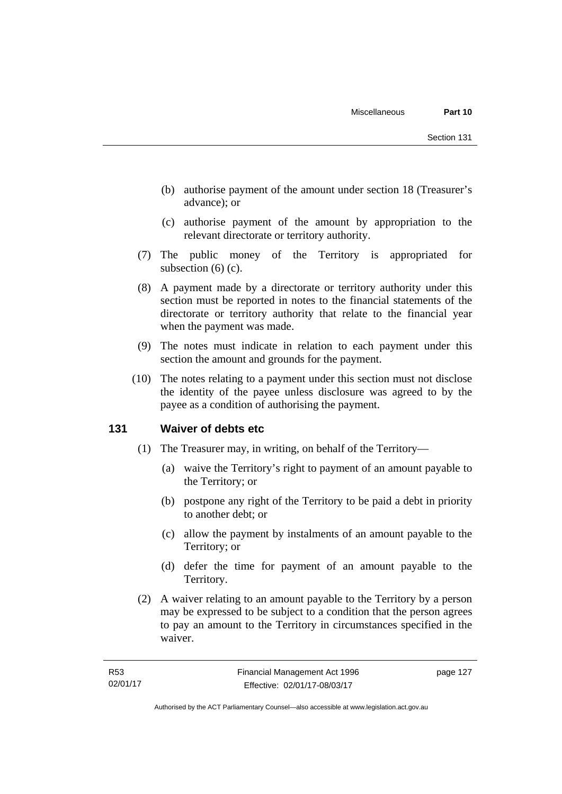- (b) authorise payment of the amount under section 18 (Treasurer's advance); or
- (c) authorise payment of the amount by appropriation to the relevant directorate or territory authority.
- (7) The public money of the Territory is appropriated for subsection (6) (c).
- (8) A payment made by a directorate or territory authority under this section must be reported in notes to the financial statements of the directorate or territory authority that relate to the financial year when the payment was made.
- (9) The notes must indicate in relation to each payment under this section the amount and grounds for the payment.
- (10) The notes relating to a payment under this section must not disclose the identity of the payee unless disclosure was agreed to by the payee as a condition of authorising the payment.

#### **131 Waiver of debts etc**

- (1) The Treasurer may, in writing, on behalf of the Territory—
	- (a) waive the Territory's right to payment of an amount payable to the Territory; or
	- (b) postpone any right of the Territory to be paid a debt in priority to another debt; or
	- (c) allow the payment by instalments of an amount payable to the Territory; or
	- (d) defer the time for payment of an amount payable to the Territory.
- (2) A waiver relating to an amount payable to the Territory by a person may be expressed to be subject to a condition that the person agrees to pay an amount to the Territory in circumstances specified in the waiver.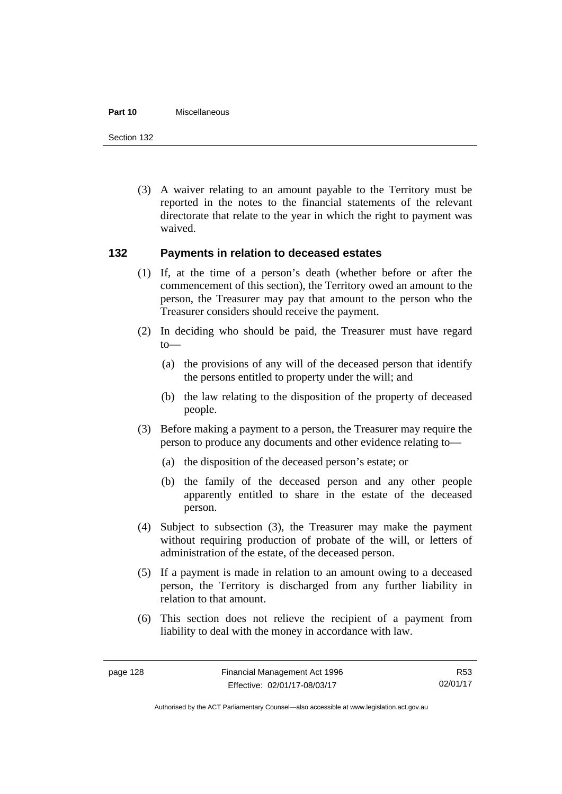#### **Part 10** Miscellaneous

Section 132

 (3) A waiver relating to an amount payable to the Territory must be reported in the notes to the financial statements of the relevant directorate that relate to the year in which the right to payment was waived.

#### **132 Payments in relation to deceased estates**

- (1) If, at the time of a person's death (whether before or after the commencement of this section), the Territory owed an amount to the person, the Treasurer may pay that amount to the person who the Treasurer considers should receive the payment.
- (2) In deciding who should be paid, the Treasurer must have regard to—
	- (a) the provisions of any will of the deceased person that identify the persons entitled to property under the will; and
	- (b) the law relating to the disposition of the property of deceased people.
- (3) Before making a payment to a person, the Treasurer may require the person to produce any documents and other evidence relating to—
	- (a) the disposition of the deceased person's estate; or
	- (b) the family of the deceased person and any other people apparently entitled to share in the estate of the deceased person.
- (4) Subject to subsection (3), the Treasurer may make the payment without requiring production of probate of the will, or letters of administration of the estate, of the deceased person.
- (5) If a payment is made in relation to an amount owing to a deceased person, the Territory is discharged from any further liability in relation to that amount.
- (6) This section does not relieve the recipient of a payment from liability to deal with the money in accordance with law.

R53 02/01/17

Authorised by the ACT Parliamentary Counsel—also accessible at www.legislation.act.gov.au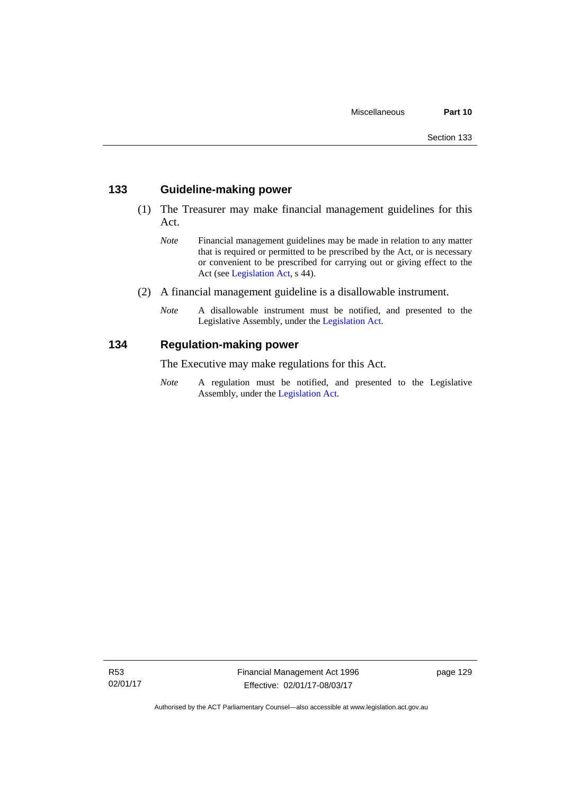#### **133 Guideline-making power**

- (1) The Treasurer may make financial management guidelines for this Act.
	- *Note* Financial management guidelines may be made in relation to any matter that is required or permitted to be prescribed by the Act, or is necessary or convenient to be prescribed for carrying out or giving effect to the Act (see [Legislation Act,](http://www.legislation.act.gov.au/a/2001-14) s 44).
- (2) A financial management guideline is a disallowable instrument.
	- *Note* A disallowable instrument must be notified, and presented to the Legislative Assembly, under the [Legislation Act.](http://www.legislation.act.gov.au/a/2001-14)

#### **134 Regulation-making power**

The Executive may make regulations for this Act.

*Note* A regulation must be notified, and presented to the Legislative Assembly, under the [Legislation Act](http://www.legislation.act.gov.au/a/2001-14).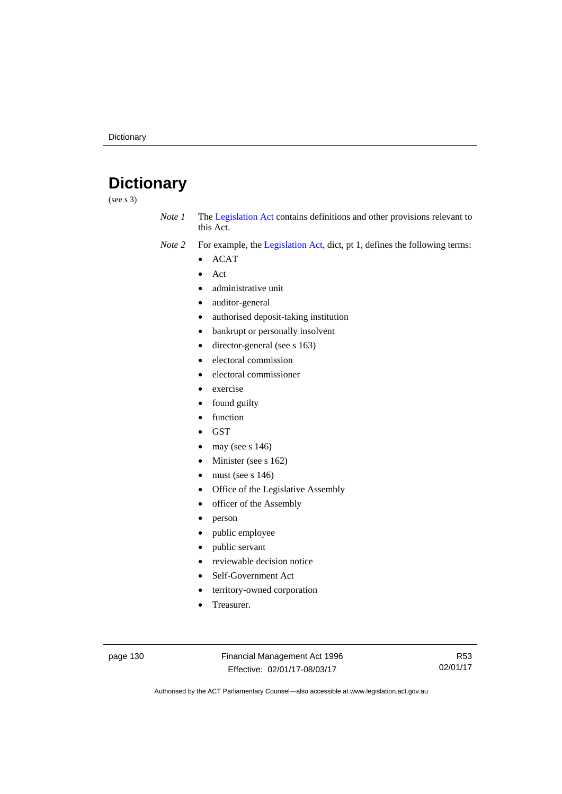# **Dictionary**

(see s 3)

- *Note 1* The [Legislation Act](http://www.legislation.act.gov.au/a/2001-14) contains definitions and other provisions relevant to this Act.
- *Note 2* For example, the [Legislation Act,](http://www.legislation.act.gov.au/a/2001-14) dict, pt 1, defines the following terms:
	- ACAT
	- Act
	- administrative unit
	- auditor-general
	- authorised deposit-taking institution
	- bankrupt or personally insolvent
	- director-general (see s 163)
	- electoral commission
	- electoral commissioner
	- exercise
	- found guilty
	- function
	- **GST**
	- may (see s 146)
	- Minister (see s 162)
	- must (see s 146)
	- Office of the Legislative Assembly
	- officer of the Assembly
	- person
	- public employee
	- public servant
	- reviewable decision notice
	- Self-Government Act
	- territory-owned corporation
	- Treasurer.

page 130 Financial Management Act 1996 Effective: 02/01/17-08/03/17

R53 02/01/17

Authorised by the ACT Parliamentary Counsel—also accessible at www.legislation.act.gov.au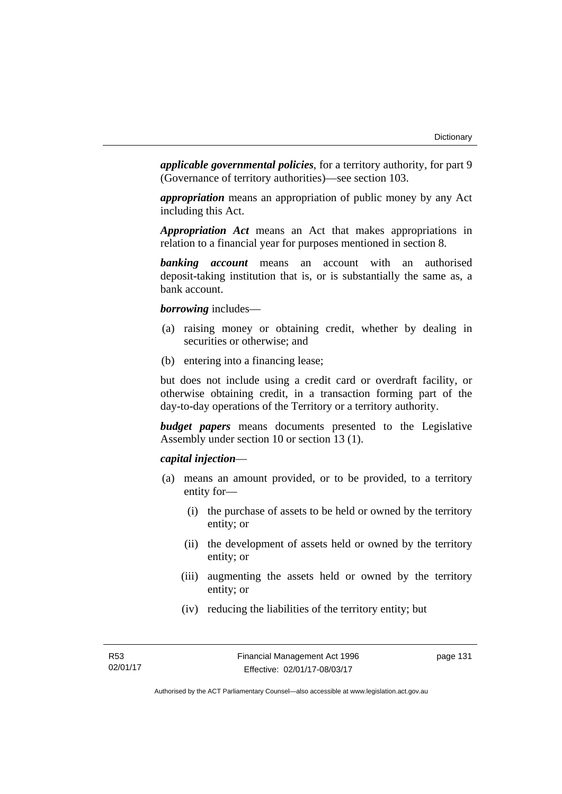*applicable governmental policies*, for a territory authority, for part 9 (Governance of territory authorities)—see section 103.

*appropriation* means an appropriation of public money by any Act including this Act.

*Appropriation Act* means an Act that makes appropriations in relation to a financial year for purposes mentioned in section 8.

*banking account* means an account with an authorised deposit-taking institution that is, or is substantially the same as, a bank account.

*borrowing* includes—

- (a) raising money or obtaining credit, whether by dealing in securities or otherwise; and
- (b) entering into a financing lease;

but does not include using a credit card or overdraft facility, or otherwise obtaining credit, in a transaction forming part of the day-to-day operations of the Territory or a territory authority.

*budget papers* means documents presented to the Legislative Assembly under section 10 or section 13 (1).

#### *capital injection*—

- (a) means an amount provided, or to be provided, to a territory entity for—
	- (i) the purchase of assets to be held or owned by the territory entity; or
	- (ii) the development of assets held or owned by the territory entity; or
	- (iii) augmenting the assets held or owned by the territory entity; or
	- (iv) reducing the liabilities of the territory entity; but

page 131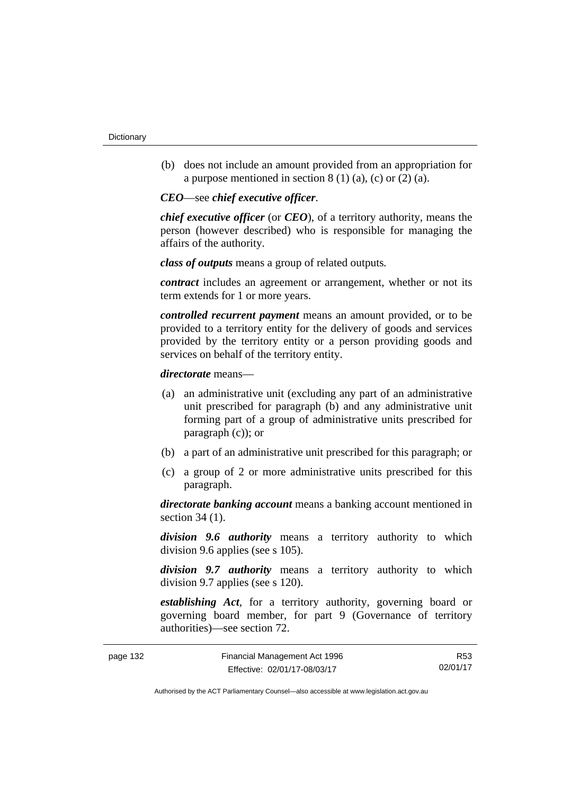(b) does not include an amount provided from an appropriation for a purpose mentioned in section  $8(1)(a)$ , (c) or  $(2)(a)$ .

*CEO*—see *chief executive officer*.

*chief executive officer* (or *CEO*), of a territory authority, means the person (however described) who is responsible for managing the affairs of the authority.

*class of outputs* means a group of related outputs*.*

*contract* includes an agreement or arrangement, whether or not its term extends for 1 or more years.

*controlled recurrent payment* means an amount provided, or to be provided to a territory entity for the delivery of goods and services provided by the territory entity or a person providing goods and services on behalf of the territory entity.

*directorate* means––

- (a) an administrative unit (excluding any part of an administrative unit prescribed for paragraph (b) and any administrative unit forming part of a group of administrative units prescribed for paragraph (c)); or
- (b) a part of an administrative unit prescribed for this paragraph; or
- (c) a group of 2 or more administrative units prescribed for this paragraph.

*directorate banking account* means a banking account mentioned in section 34 (1).

*division 9.6 authority* means a territory authority to which division 9.6 applies (see s 105).

*division 9.7 authority* means a territory authority to which division 9.7 applies (see s 120).

*establishing Act*, for a territory authority, governing board or governing board member, for part 9 (Governance of territory authorities)—see section 72.

| page 132 | Financial Management Act 1996 | R53      |
|----------|-------------------------------|----------|
|          | Effective: 02/01/17-08/03/17  | 02/01/17 |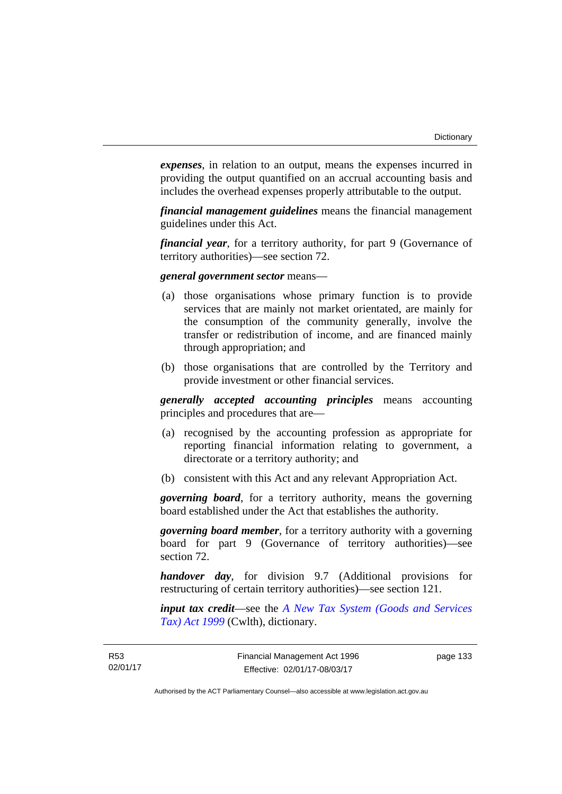*expenses*, in relation to an output, means the expenses incurred in providing the output quantified on an accrual accounting basis and includes the overhead expenses properly attributable to the output.

*financial management guidelines* means the financial management guidelines under this Act.

*financial year*, for a territory authority, for part 9 (Governance of territory authorities)—see section 72.

#### *general government sector* means—

- (a) those organisations whose primary function is to provide services that are mainly not market orientated, are mainly for the consumption of the community generally, involve the transfer or redistribution of income, and are financed mainly through appropriation; and
- (b) those organisations that are controlled by the Territory and provide investment or other financial services.

*generally accepted accounting principles* means accounting principles and procedures that are—

- (a) recognised by the accounting profession as appropriate for reporting financial information relating to government, a directorate or a territory authority; and
- (b) consistent with this Act and any relevant Appropriation Act.

*governing board*, for a territory authority, means the governing board established under the Act that establishes the authority.

*governing board member*, for a territory authority with a governing board for part 9 (Governance of territory authorities)—see section 72.

*handover day*, for division 9.7 (Additional provisions for restructuring of certain territory authorities)—see section 121.

*input tax credit*—see the *[A New Tax System \(Goods and Services](http://www.comlaw.gov.au/Series/C2004A00446)  [Tax\) Act 1999](http://www.comlaw.gov.au/Series/C2004A00446)* (Cwlth), dictionary.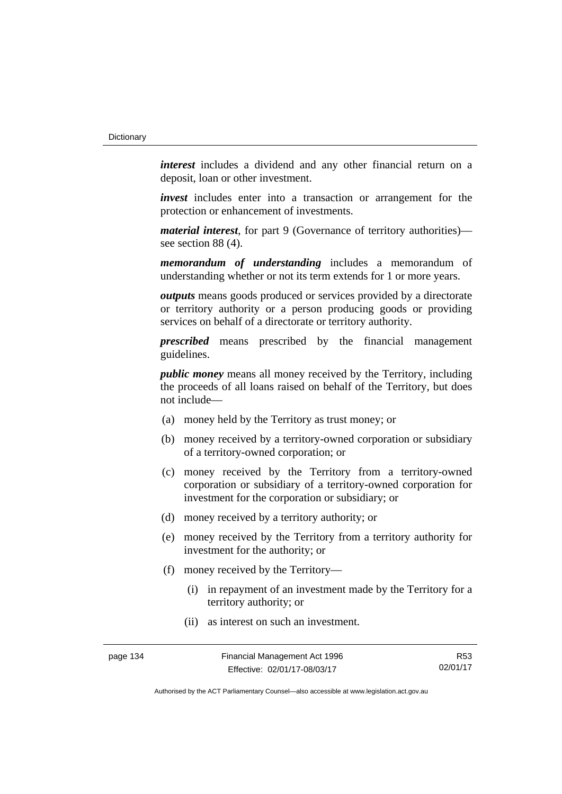*interest* includes a dividend and any other financial return on a deposit, loan or other investment.

*invest* includes enter into a transaction or arrangement for the protection or enhancement of investments.

*material interest*, for part 9 (Governance of territory authorities) see section 88 (4).

*memorandum of understanding* includes a memorandum of understanding whether or not its term extends for 1 or more years.

*outputs* means goods produced or services provided by a directorate or territory authority or a person producing goods or providing services on behalf of a directorate or territory authority.

*prescribed* means prescribed by the financial management guidelines.

*public money* means all money received by the Territory, including the proceeds of all loans raised on behalf of the Territory, but does not include—

- (a) money held by the Territory as trust money; or
- (b) money received by a territory-owned corporation or subsidiary of a territory-owned corporation; or
- (c) money received by the Territory from a territory-owned corporation or subsidiary of a territory-owned corporation for investment for the corporation or subsidiary; or
- (d) money received by a territory authority; or
- (e) money received by the Territory from a territory authority for investment for the authority; or
- (f) money received by the Territory—
	- (i) in repayment of an investment made by the Territory for a territory authority; or
	- (ii) as interest on such an investment.

R53 02/01/17

Authorised by the ACT Parliamentary Counsel—also accessible at www.legislation.act.gov.au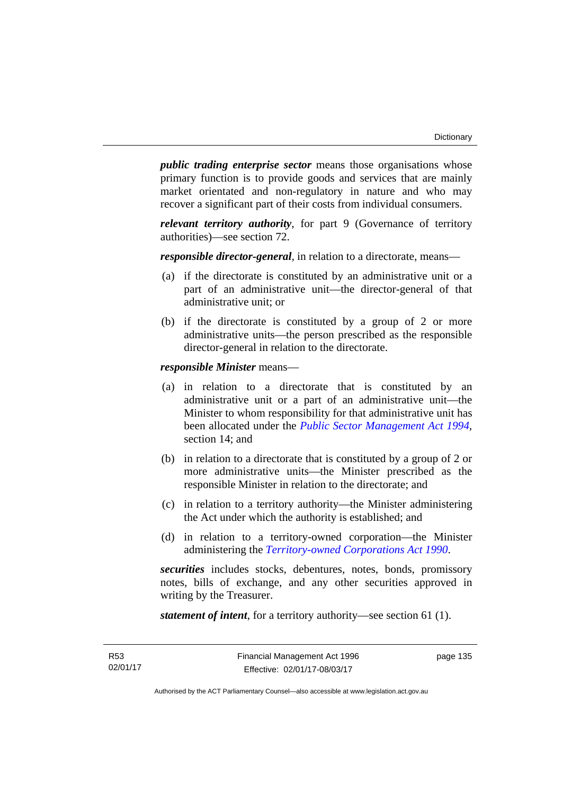*public trading enterprise sector* means those organisations whose primary function is to provide goods and services that are mainly market orientated and non-regulatory in nature and who may recover a significant part of their costs from individual consumers.

*relevant territory authority*, for part 9 (Governance of territory authorities)—see section 72.

*responsible director-general*, in relation to a directorate, means—

- (a) if the directorate is constituted by an administrative unit or a part of an administrative unit—the director-general of that administrative unit; or
- (b) if the directorate is constituted by a group of 2 or more administrative units—the person prescribed as the responsible director-general in relation to the directorate.

*responsible Minister* means—

- (a) in relation to a directorate that is constituted by an administrative unit or a part of an administrative unit—the Minister to whom responsibility for that administrative unit has been allocated under the *[Public Sector Management Act 1994](http://www.legislation.act.gov.au/a/1994-37)*, section 14; and
- (b) in relation to a directorate that is constituted by a group of 2 or more administrative units—the Minister prescribed as the responsible Minister in relation to the directorate; and
- (c) in relation to a territory authority—the Minister administering the Act under which the authority is established; and
- (d) in relation to a territory-owned corporation—the Minister administering the *[Territory-owned Corporations Act 1990](http://www.legislation.act.gov.au/a/1990-53)*.

*securities* includes stocks, debentures, notes, bonds, promissory notes, bills of exchange, and any other securities approved in writing by the Treasurer.

*statement of intent*, for a territory authority—see section 61 (1).

page 135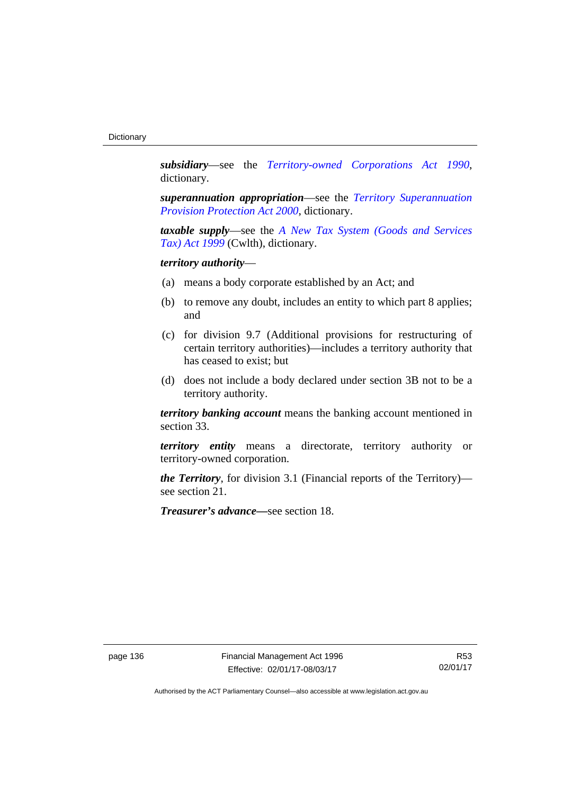*subsidiary*—see the *[Territory-owned Corporations Act 1990](http://www.legislation.act.gov.au/a/1990-53)*, dictionary.

*superannuation appropriation*—see the *[Territory Superannuation](http://www.legislation.act.gov.au/a/2000-21)  [Provision Protection Act 2000](http://www.legislation.act.gov.au/a/2000-21)*, dictionary.

*taxable supply*—see the *[A New Tax System \(Goods and Services](http://www.comlaw.gov.au/Series/C2004A00446)  [Tax\) Act 1999](http://www.comlaw.gov.au/Series/C2004A00446)* (Cwlth), dictionary.

# *territory authority*—

- (a) means a body corporate established by an Act; and
- (b) to remove any doubt, includes an entity to which part 8 applies; and
- (c) for division 9.7 (Additional provisions for restructuring of certain territory authorities)—includes a territory authority that has ceased to exist; but
- (d) does not include a body declared under section 3B not to be a territory authority.

*territory banking account* means the banking account mentioned in section 33.

*territory entity* means a directorate, territory authority or territory-owned corporation.

*the Territory*, for division 3.1 (Financial reports of the Territory) see section 21.

*Treasurer's advance—*see section 18.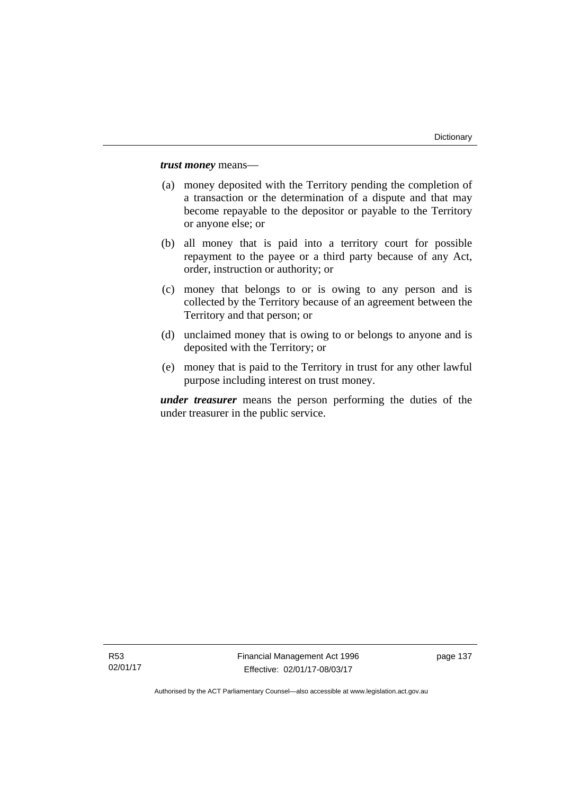*trust money* means—

- (a) money deposited with the Territory pending the completion of a transaction or the determination of a dispute and that may become repayable to the depositor or payable to the Territory or anyone else; or
- (b) all money that is paid into a territory court for possible repayment to the payee or a third party because of any Act, order, instruction or authority; or
- (c) money that belongs to or is owing to any person and is collected by the Territory because of an agreement between the Territory and that person; or
- (d) unclaimed money that is owing to or belongs to anyone and is deposited with the Territory; or
- (e) money that is paid to the Territory in trust for any other lawful purpose including interest on trust money.

*under treasurer* means the person performing the duties of the under treasurer in the public service.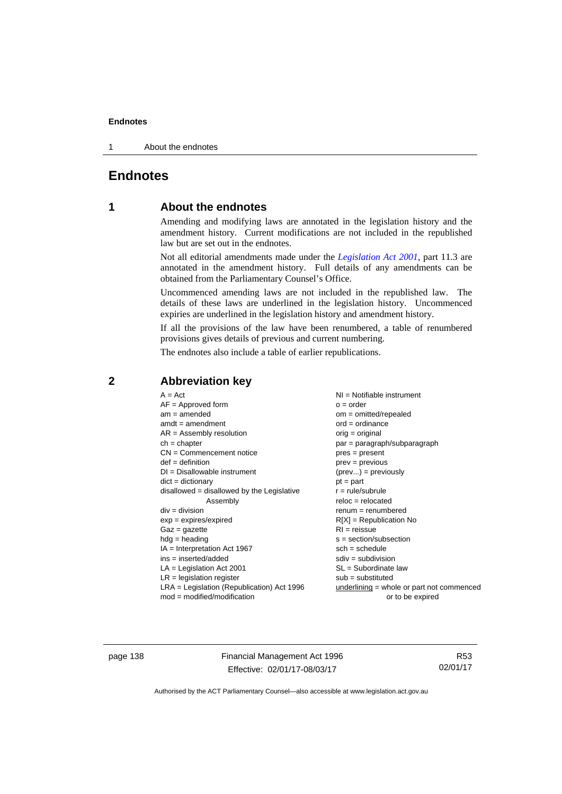1 About the endnotes

# **Endnotes**

# **1 About the endnotes**

Amending and modifying laws are annotated in the legislation history and the amendment history. Current modifications are not included in the republished law but are set out in the endnotes.

Not all editorial amendments made under the *[Legislation Act 2001](http://www.legislation.act.gov.au/a/2001-14)*, part 11.3 are annotated in the amendment history. Full details of any amendments can be obtained from the Parliamentary Counsel's Office.

Uncommenced amending laws are not included in the republished law. The details of these laws are underlined in the legislation history. Uncommenced expiries are underlined in the legislation history and amendment history.

If all the provisions of the law have been renumbered, a table of renumbered provisions gives details of previous and current numbering.

The endnotes also include a table of earlier republications.

|                                                   | $A = Act$<br>$AF =$ Approved form<br>$am = amended$<br>$amdt = amendment$<br>$AR = Assembly resolution$<br>$ch = chapter$<br>$CN =$ Commencement notice<br>$def = definition$<br>$DI = Disallowable instrument$<br>$dict = dictionary$<br>$disallowed = disallowed by the Legislative$<br>Assembly<br>$div = division$<br>$exp = expires/expired$<br>$Gaz = gazette$<br>$hdg = heading$<br>$IA = Interpretation Act 1967$<br>$ins = inserted/added$<br>$LA =$ Legislation Act 2001<br>$LR =$ legislation register | NI = Notifiable instrument<br>$o = order$<br>$om = omitted/repealed$<br>$ord = ordinance$<br>$orig = original$<br>par = paragraph/subparagraph<br>$pres = present$<br>$prev = previous$<br>$(\text{prev}) = \text{previously}$<br>$pt = part$<br>$r = rule/subrule$<br>$reloc = relocated$<br>$remum = renumbered$<br>$R[X]$ = Republication No<br>$RI = reissue$<br>$s = section/subsection$<br>$sch = schedule$<br>$sdiv = subdivision$<br>$SL = Subordinate$ law<br>$sub =$ substituted |
|---------------------------------------------------|-------------------------------------------------------------------------------------------------------------------------------------------------------------------------------------------------------------------------------------------------------------------------------------------------------------------------------------------------------------------------------------------------------------------------------------------------------------------------------------------------------------------|--------------------------------------------------------------------------------------------------------------------------------------------------------------------------------------------------------------------------------------------------------------------------------------------------------------------------------------------------------------------------------------------------------------------------------------------------------------------------------------------|
| $mod = modified/modification$<br>or to be expired | $LRA =$ Legislation (Republication) Act 1996                                                                                                                                                                                                                                                                                                                                                                                                                                                                      | $underlining = whole or part not commenced$                                                                                                                                                                                                                                                                                                                                                                                                                                                |

# **2 Abbreviation key**

page 138 Financial Management Act 1996 Effective: 02/01/17-08/03/17

R53 02/01/17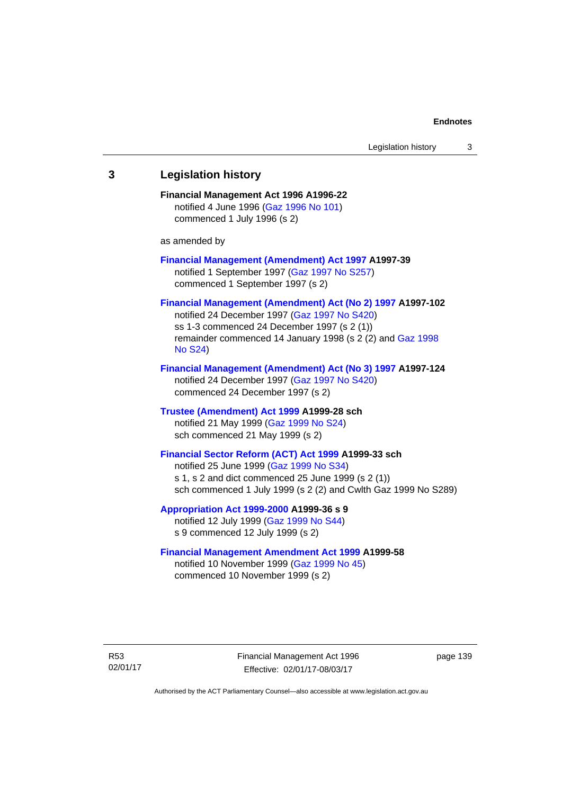# **3 Legislation history Financial Management Act 1996 A1996-22**  notified 4 June 1996 [\(Gaz 1996 No 101\)](http://www.legislation.act.gov.au/gaz/1996-101/default.asp) commenced 1 July 1996 (s 2) as amended by **[Financial Management \(Amendment\) Act 1997](http://www.legislation.act.gov.au/a/1997-39) A1997-39**  notified 1 September 1997 [\(Gaz 1997 No S257\)](http://www.legislation.act.gov.au/gaz/1997-S257/default.asp) commenced 1 September 1997 (s 2) **[Financial Management \(Amendment\) Act \(No 2\) 1997](http://www.legislation.act.gov.au/a/1997-102) A1997-102**  notified 24 December 1997 [\(Gaz 1997 No S420](http://www.legislation.act.gov.au/gaz/1997-S420/default.asp)) ss 1-3 commenced 24 December 1997 (s 2 (1)) remainder commenced 14 January 1998 (s 2 (2) and [Gaz 1998](http://www.legislation.act.gov.au/gaz/1998-S24/default.asp)  [No S24](http://www.legislation.act.gov.au/gaz/1998-S24/default.asp)) **[Financial Management \(Amendment\) Act \(No 3\) 1997](http://www.legislation.act.gov.au/a/1997-124) A1997-124**  notified 24 December 1997 [\(Gaz 1997 No S420](http://www.legislation.act.gov.au/gaz/1997-S420/default.asp)) commenced 24 December 1997 (s 2) **[Trustee \(Amendment\) Act 1999](http://www.legislation.act.gov.au/a/1999-28) A1999-28 sch**  notified 21 May 1999 ([Gaz 1999 No S24](http://www.legislation.act.gov.au/gaz/1999-S24/default.asp)) sch commenced 21 May 1999 (s 2) **[Financial Sector Reform \(ACT\) Act 1999](http://www.legislation.act.gov.au/a/1999-33) A1999-33 sch**  notified 25 June 1999 ([Gaz 1999 No S34](http://www.legislation.act.gov.au/gaz/1999-S34/default.asp)) s 1, s 2 and dict commenced 25 June 1999 (s 2 (1)) sch commenced 1 July 1999 (s 2 (2) and Cwlth Gaz 1999 No S289) **[Appropriation Act 1999-2000](http://www.legislation.act.gov.au/a/1999-36/default.asp) A1999-36 s 9**  notified 12 July 1999 ([Gaz 1999 No S44](http://www.legislation.act.gov.au/gaz/1999-S44/default.asp)) s 9 commenced 12 July 1999 (s 2) **[Financial Management Amendment Act 1999](http://www.legislation.act.gov.au/a/1999-58) A1999-58**  notified 10 November 1999 [\(Gaz 1999 No 45](http://www.legislation.act.gov.au/gaz/1999-45/default.asp))

commenced 10 November 1999 (s 2)

R53 02/01/17 Financial Management Act 1996 Effective: 02/01/17-08/03/17

page 139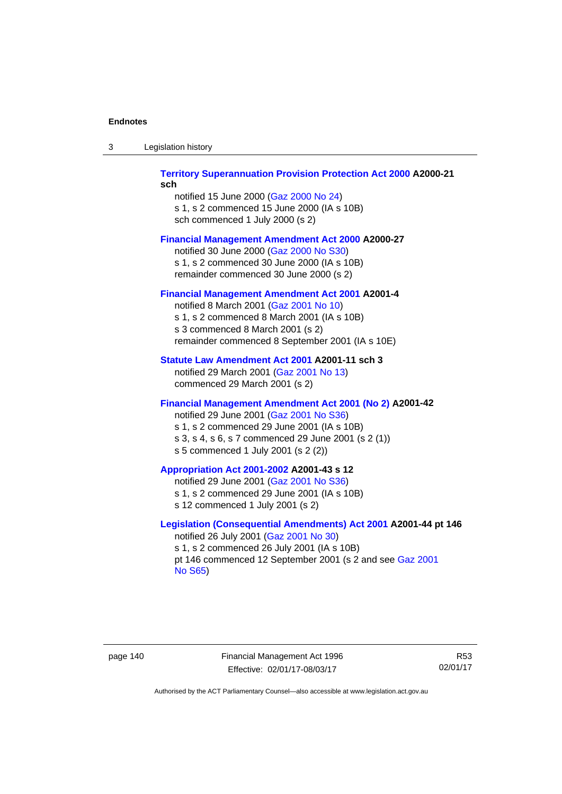| -3 | Legislation history |  |
|----|---------------------|--|
|    |                     |  |

## **[Territory Superannuation Provision Protection Act 2000](http://www.legislation.act.gov.au/a/2000-21) A2000-21 sch**

notified 15 June 2000 ([Gaz 2000 No 24\)](http://www.legislation.act.gov.au/gaz/2000-24/default.asp) s 1, s 2 commenced 15 June 2000 (IA s 10B) sch commenced 1 July 2000 (s 2)

## **[Financial Management Amendment Act 2000](http://www.legislation.act.gov.au/a/2000-27) A2000-27**

notified 30 June 2000 ([Gaz 2000 No S30](http://www.legislation.act.gov.au/gaz/2000-S30/default.asp)) s 1, s 2 commenced 30 June 2000 (IA s 10B) remainder commenced 30 June 2000 (s 2)

## **[Financial Management Amendment Act 2001](http://www.legislation.act.gov.au/a/2001-4) A2001-4**

notified 8 March 2001 [\(Gaz 2001 No 10](http://www.legislation.act.gov.au/gaz/2001-10/default.asp)) s 1, s 2 commenced 8 March 2001 (IA s 10B) s 3 commenced 8 March 2001 (s 2) remainder commenced 8 September 2001 (IA s 10E)

## **[Statute Law Amendment Act 2001](http://www.legislation.act.gov.au/a/2001-11) A2001-11 sch 3**

notified 29 March 2001 ([Gaz 2001 No 13\)](http://www.legislation.act.gov.au/gaz/2001-13/default.asp) commenced 29 March 2001 (s 2)

## **[Financial Management Amendment Act 2001 \(No 2\)](http://www.legislation.act.gov.au/a/2001-42) A2001-42**

notified 29 June 2001 ([Gaz 2001 No S36](http://www.legislation.act.gov.au/gaz/2001-S36/default.asp)) s 1, s 2 commenced 29 June 2001 (IA s 10B) s 3, s 4, s 6, s 7 commenced 29 June 2001 (s 2 (1)) s 5 commenced 1 July 2001 (s 2 (2))

## **[Appropriation Act 2001-2002](http://www.legislation.act.gov.au/a/2001-43/default.asp) A2001-43 s 12**

notified 29 June 2001 ([Gaz 2001 No S36](http://www.legislation.act.gov.au/gaz/2001-S36/default.asp)) s 1, s 2 commenced 29 June 2001 (IA s 10B) s 12 commenced 1 July 2001 (s 2)

## **[Legislation \(Consequential Amendments\) Act 2001](http://www.legislation.act.gov.au/a/2001-44) A2001-44 pt 146**  notified 26 July 2001 ([Gaz 2001 No 30\)](http://www.legislation.act.gov.au/gaz/2001-30/default.asp)

s 1, s 2 commenced 26 July 2001 (IA s 10B) pt 146 commenced 12 September 2001 (s 2 and see [Gaz 2001](http://www.legislation.act.gov.au/gaz/2001-S65/default.asp)  [No S65](http://www.legislation.act.gov.au/gaz/2001-S65/default.asp))

page 140 Financial Management Act 1996 Effective: 02/01/17-08/03/17

R53 02/01/17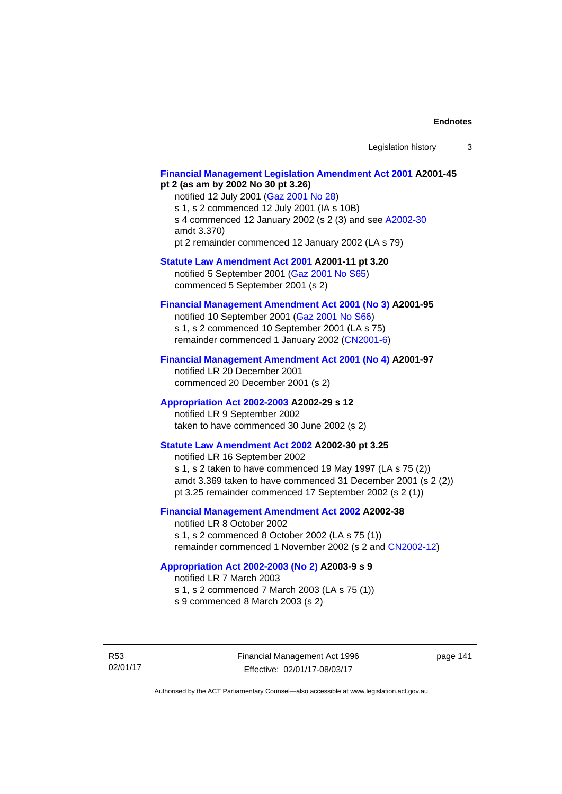## **[Financial Management Legislation Amendment Act 2001](http://www.legislation.act.gov.au/a/2001-45) A2001-45 pt 2 (as am by 2002 No 30 pt 3.26)**

notified 12 July 2001 ([Gaz 2001 No 28\)](http://www.legislation.act.gov.au/gaz/2001-28/default.asp) s 1, s 2 commenced 12 July 2001 (IA s 10B) s 4 commenced 12 January 2002 (s 2 (3) and see [A2002-30](http://www.legislation.act.gov.au/a/2002-30/default.asp) amdt 3.370) pt 2 remainder commenced 12 January 2002 (LA s 79)

**[Statute Law Amendment Act 2001](http://www.legislation.act.gov.au/a/2001-11) A2001-11 pt 3.20** 

notified 5 September 2001 [\(Gaz 2001 No S65\)](http://www.legislation.act.gov.au/gaz/2001-S65/default.asp) commenced 5 September 2001 (s 2)

# **[Financial Management Amendment Act 2001 \(No 3\)](http://www.legislation.act.gov.au/a/2001-95) A2001-95**

notified 10 September 2001 [\(Gaz 2001 No S66\)](http://www.legislation.act.gov.au/gaz/2001-S66/default.asp) s 1, s 2 commenced 10 September 2001 (LA s 75) remainder commenced 1 January 2002 [\(CN2001-6\)](http://www.legislation.act.gov.au/cn/2001-6/default.asp)

## **[Financial Management Amendment Act 2001 \(No 4\)](http://www.legislation.act.gov.au/a/2001-97) A2001-97**

notified LR 20 December 2001 commenced 20 December 2001 (s 2)

## **[Appropriation Act 2002-2003](http://www.legislation.act.gov.au/a/2002-29/default.asp) A2002-29 s 12**

notified LR 9 September 2002 taken to have commenced 30 June 2002 (s 2)

# **[Statute Law Amendment Act 2002](http://www.legislation.act.gov.au/a/2002-30) A2002-30 pt 3.25**

notified LR 16 September 2002 s 1, s 2 taken to have commenced 19 May 1997 (LA s 75 (2)) amdt 3.369 taken to have commenced 31 December 2001 (s 2 (2)) pt 3.25 remainder commenced 17 September 2002 (s 2 (1))

# **[Financial Management Amendment Act 2002](http://www.legislation.act.gov.au/a/2002-38) A2002-38**

notified LR 8 October 2002 s 1, s 2 commenced 8 October 2002 (LA s 75 (1)) remainder commenced 1 November 2002 (s 2 and [CN2002-12](http://www.legislation.act.gov.au/cn/2002-12/default.asp))

## **[Appropriation Act 2002-2003 \(No 2\)](http://www.legislation.act.gov.au/a/2003-9/default.asp) A2003-9 s 9**

notified LR 7 March 2003

s 1, s 2 commenced 7 March 2003 (LA s 75 (1))

s 9 commenced 8 March 2003 (s 2)

R53 02/01/17 page 141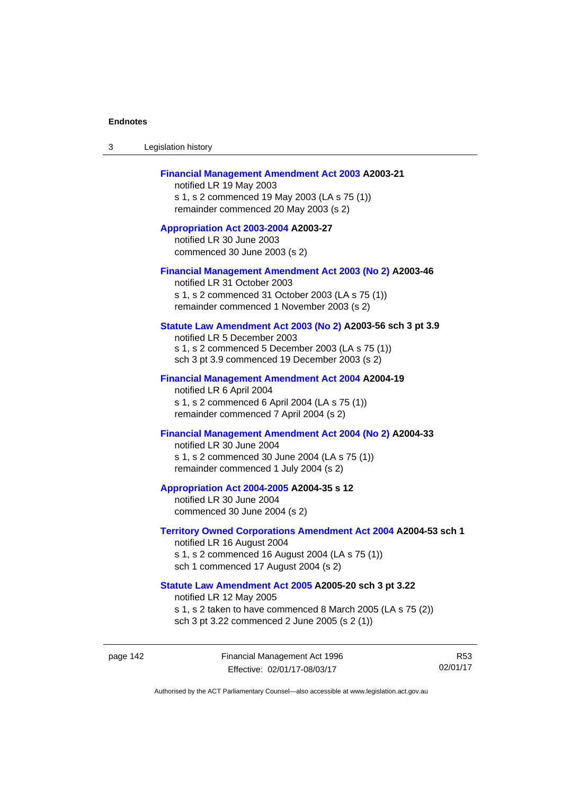| 3 | Legislation history |  |
|---|---------------------|--|
|---|---------------------|--|

## **[Financial Management Amendment Act 2003](http://www.legislation.act.gov.au/a/2003-21) A2003-21**

notified LR 19 May 2003 s 1, s 2 commenced 19 May 2003 (LA s 75 (1)) remainder commenced 20 May 2003 (s 2)

**[Appropriation Act 2003-2004](http://www.legislation.act.gov.au/a/2003-27/default.asp) A2003-27**  notified LR 30 June 2003 commenced 30 June 2003 (s 2)

#### **[Financial Management Amendment Act 2003 \(No 2\)](http://www.legislation.act.gov.au/a/2003-46) A2003-46**

notified LR 31 October 2003 s 1, s 2 commenced 31 October 2003 (LA s 75 (1)) remainder commenced 1 November 2003 (s 2)

## **[Statute Law Amendment Act 2003 \(No 2\)](http://www.legislation.act.gov.au/a/2003-56) A2003-56 sch 3 pt 3.9**

notified LR 5 December 2003 s 1, s 2 commenced 5 December 2003 (LA s 75 (1)) sch 3 pt 3.9 commenced 19 December 2003 (s 2)

#### **[Financial Management Amendment Act 2004](http://www.legislation.act.gov.au/a/2004-19) A2004-19**

notified LR 6 April 2004 s 1, s 2 commenced 6 April 2004 (LA s 75 (1)) remainder commenced 7 April 2004 (s 2)

# **[Financial Management Amendment Act 2004 \(No 2\)](http://www.legislation.act.gov.au/a/2004-33) A2004-33**

notified LR 30 June 2004 s 1, s 2 commenced 30 June 2004 (LA s 75 (1)) remainder commenced 1 July 2004 (s 2)

#### **[Appropriation Act 2004-2005](http://www.legislation.act.gov.au/a/2004-35/default.asp) A2004-35 s 12**

notified LR 30 June 2004 commenced 30 June 2004 (s 2)

#### **[Territory Owned Corporations Amendment Act 2004](http://www.legislation.act.gov.au/a/2004-53) A2004-53 sch 1**  notified LR 16 August 2004

s 1, s 2 commenced 16 August 2004 (LA s 75 (1)) sch 1 commenced 17 August 2004 (s 2)

## **[Statute Law Amendment Act 2005](http://www.legislation.act.gov.au/a/2005-20) A2005-20 sch 3 pt 3.22**

notified LR 12 May 2005

- s 1, s 2 taken to have commenced 8 March 2005 (LA s 75 (2))
- sch 3 pt 3.22 commenced 2 June 2005 (s 2 (1))

page 142 Financial Management Act 1996 Effective: 02/01/17-08/03/17

R53 02/01/17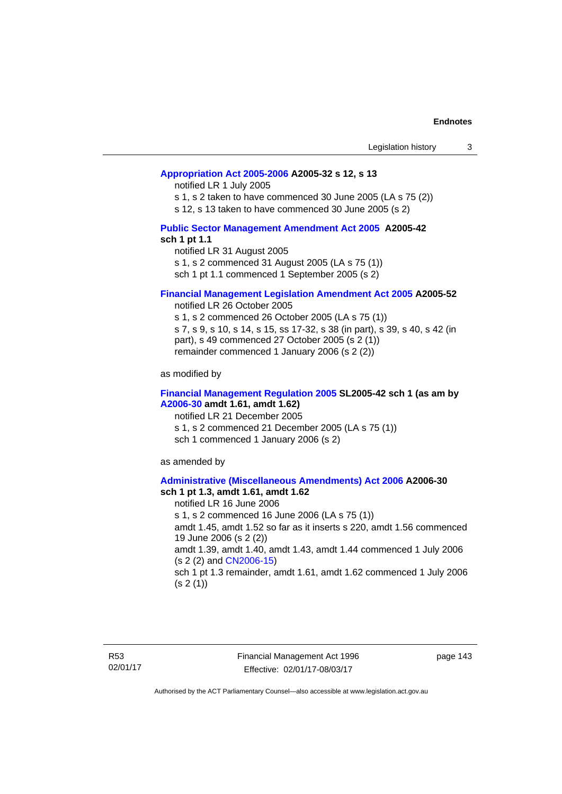## **[Appropriation Act 2005-2006](http://www.legislation.act.gov.au/a/2005-32/default.asp) A2005-32 s 12, s 13**

notified LR 1 July 2005

s 1, s 2 taken to have commenced 30 June 2005 (LA s 75 (2))

s 12, s 13 taken to have commenced 30 June 2005 (s 2)

## **[Public Sector Management Amendment Act 2005](http://www.legislation.act.gov.au/a/2005-42/default.asp) A2005-42 sch 1 pt 1.1**

notified LR 31 August 2005 s 1, s 2 commenced 31 August 2005 (LA s 75 (1)) sch 1 pt 1.1 commenced 1 September 2005 (s 2)

## **[Financial Management Legislation Amendment Act 2005](http://www.legislation.act.gov.au/a/2005-52) A2005-52**

notified LR 26 October 2005

s 1, s 2 commenced 26 October 2005 (LA s 75 (1)) s 7, s 9, s 10, s 14, s 15, ss 17-32, s 38 (in part), s 39, s 40, s 42 (in part), s 49 commenced 27 October 2005 (s 2 (1)) remainder commenced 1 January 2006 (s 2 (2))

as modified by

## **[Financial Management Regulation 2005](http://www.legislation.act.gov.au/sl/2005-42) SL2005-42 sch 1 (as am by [A2006-30](http://www.legislation.act.gov.au/a/2006-30) amdt 1.61, amdt 1.62)**

notified LR 21 December 2005 s 1, s 2 commenced 21 December 2005 (LA s 75 (1)) sch 1 commenced 1 January 2006 (s 2)

as amended by

#### **[Administrative \(Miscellaneous Amendments\) Act 2006](http://www.legislation.act.gov.au/a/2006-30) A2006-30 sch 1 pt 1.3, amdt 1.61, amdt 1.62**

notified LR 16 June 2006 s 1, s 2 commenced 16 June 2006 (LA s 75 (1)) amdt 1.45, amdt 1.52 so far as it inserts s 220, amdt 1.56 commenced 19 June 2006 (s 2 (2)) amdt 1.39, amdt 1.40, amdt 1.43, amdt 1.44 commenced 1 July 2006 (s 2 (2) and [CN2006-15](http://www.legislation.act.gov.au/cn/2006-15/default.asp)) sch 1 pt 1.3 remainder, amdt 1.61, amdt 1.62 commenced 1 July 2006  $(s 2(1))$ 

R53 02/01/17 Financial Management Act 1996 Effective: 02/01/17-08/03/17

page 143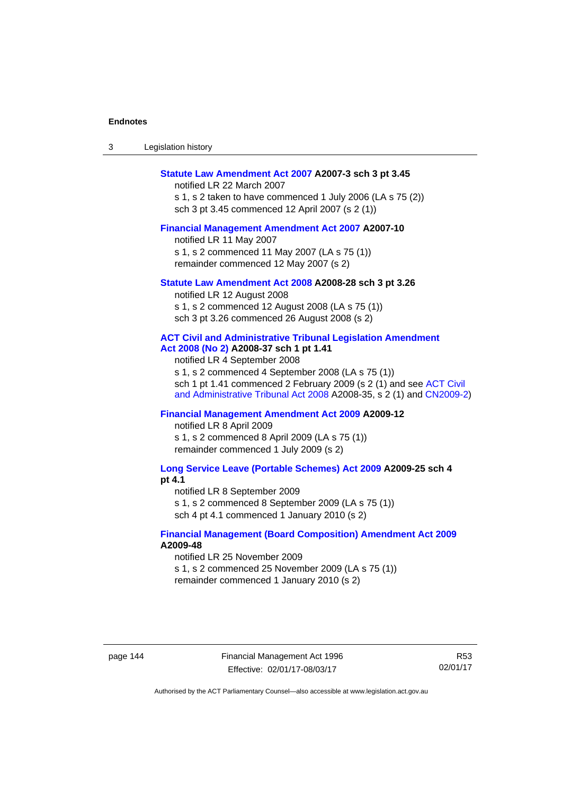| -3 | Legislation history |  |
|----|---------------------|--|
|----|---------------------|--|

#### **[Statute Law Amendment Act 2007](http://www.legislation.act.gov.au/a/2007-3) A2007-3 sch 3 pt 3.45**

notified LR 22 March 2007 s 1, s 2 taken to have commenced 1 July 2006 (LA s 75 (2)) sch 3 pt 3.45 commenced 12 April 2007 (s 2 (1))

#### **[Financial Management Amendment Act 2007](http://www.legislation.act.gov.au/a/2007-10) A2007-10**

notified LR 11 May 2007 s 1, s 2 commenced 11 May 2007 (LA s 75 (1)) remainder commenced 12 May 2007 (s 2)

#### **[Statute Law Amendment Act 2008](http://www.legislation.act.gov.au/a/2008-28) A2008-28 sch 3 pt 3.26**

notified LR 12 August 2008 s 1, s 2 commenced 12 August 2008 (LA s 75 (1)) sch 3 pt 3.26 commenced 26 August 2008 (s 2)

## **[ACT Civil and Administrative Tribunal Legislation Amendment](http://www.legislation.act.gov.au/a/2008-37)**

**[Act 2008 \(No 2\)](http://www.legislation.act.gov.au/a/2008-37) A2008-37 sch 1 pt 1.41** 

notified LR 4 September 2008

s 1, s 2 commenced 4 September 2008 (LA s 75 (1)) sch 1 pt 1.41 commenced 2 February 2009 (s 2 (1) and see [ACT Civil](http://www.legislation.act.gov.au/a/2008-35)  [and Administrative Tribunal Act 2008](http://www.legislation.act.gov.au/a/2008-35) A2008-35, s 2 (1) and [CN2009-2](http://www.legislation.act.gov.au/cn/2009-2/default.asp))

## **[Financial Management Amendment Act 2009](http://www.legislation.act.gov.au/a/2009-12) A2009-12**

notified LR 8 April 2009

s 1, s 2 commenced 8 April 2009 (LA s 75 (1)) remainder commenced 1 July 2009 (s 2)

**[Long Service Leave \(Portable Schemes\) Act 2009](http://www.legislation.act.gov.au/a/2009-25) A2009-25 sch 4 pt 4.1** 

notified LR 8 September 2009

s 1, s 2 commenced 8 September 2009 (LA s 75 (1))

sch 4 pt 4.1 commenced 1 January 2010 (s 2)

## **[Financial Management \(Board Composition\) Amendment Act 2009](http://www.legislation.act.gov.au/a/2009-48) A2009-48**

notified LR 25 November 2009

s 1, s 2 commenced 25 November 2009 (LA s 75 (1))

remainder commenced 1 January 2010 (s 2)

page 144 Financial Management Act 1996 Effective: 02/01/17-08/03/17

R53 02/01/17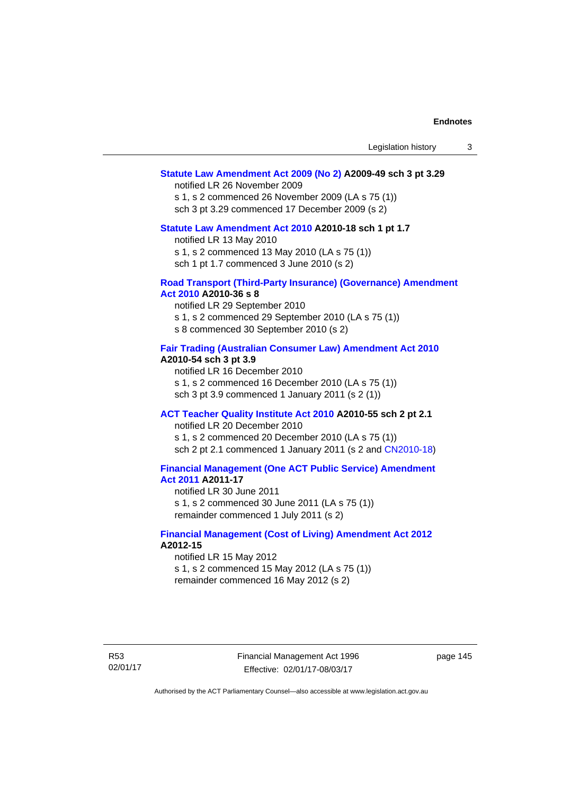#### **[Statute Law Amendment Act 2009 \(No 2\)](http://www.legislation.act.gov.au/a/2009-49) A2009-49 sch 3 pt 3.29**

notified LR 26 November 2009

s 1, s 2 commenced 26 November 2009 (LA s 75 (1)) sch 3 pt 3.29 commenced 17 December 2009 (s 2)

#### **[Statute Law Amendment Act 2010](http://www.legislation.act.gov.au/a/2010-18) A2010-18 sch 1 pt 1.7**

notified LR 13 May 2010 s 1, s 2 commenced 13 May 2010 (LA s 75 (1))

sch 1 pt 1.7 commenced 3 June 2010 (s 2)

## **[Road Transport \(Third-Party Insurance\) \(Governance\) Amendment](http://www.legislation.act.gov.au/a/2010-36)  [Act 2010](http://www.legislation.act.gov.au/a/2010-36) A2010-36 s 8**

notified LR 29 September 2010 s 1, s 2 commenced 29 September 2010 (LA s 75 (1)) s 8 commenced 30 September 2010 (s 2)

## **[Fair Trading \(Australian Consumer Law\) Amendment Act 2010](http://www.legislation.act.gov.au/a/2010-54) A2010-54 sch 3 pt 3.9**

notified LR 16 December 2010 s 1, s 2 commenced 16 December 2010 (LA s 75 (1)) sch 3 pt 3.9 commenced 1 January 2011 (s 2 (1))

# **[ACT Teacher Quality Institute Act 2010](http://www.legislation.act.gov.au/a/2010-55) A2010-55 sch 2 pt 2.1**

notified LR 20 December 2010

s 1, s 2 commenced 20 December 2010 (LA s 75 (1)) sch 2 pt 2.1 commenced 1 January 2011 (s 2 and [CN2010-18\)](http://www.legislation.act.gov.au/cn/2010-18/default.asp)

## **[Financial Management \(One ACT Public Service\) Amendment](http://www.legislation.act.gov.au/a/2011-17)  [Act 2011](http://www.legislation.act.gov.au/a/2011-17) A2011-17**

notified LR 30 June 2011 s 1, s 2 commenced 30 June 2011 (LA s 75 (1)) remainder commenced 1 July 2011 (s 2)

## **[Financial Management \(Cost of Living\) Amendment Act 2012](http://www.legislation.act.gov.au/a/2012-15) A2012-15**

notified LR 15 May 2012 s 1, s 2 commenced 15 May 2012 (LA s 75 (1)) remainder commenced 16 May 2012 (s 2)

R53 02/01/17 Financial Management Act 1996 Effective: 02/01/17-08/03/17

page 145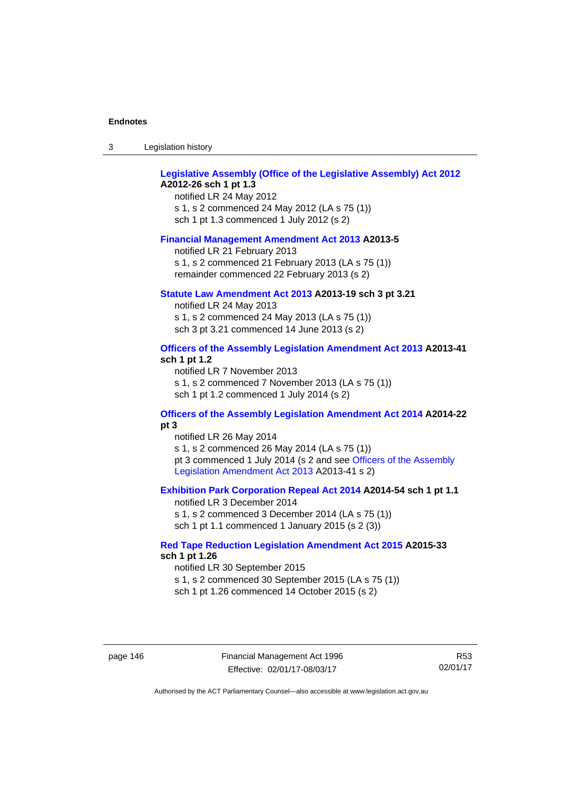| -3 | Legislation history |  |
|----|---------------------|--|
|----|---------------------|--|

# **[Legislative Assembly \(Office of the Legislative Assembly\) Act 2012](http://www.legislation.act.gov.au/a/2012-26) A2012-26 sch 1 pt 1.3**

notified LR 24 May 2012 s 1, s 2 commenced 24 May 2012 (LA s 75 (1)) sch 1 pt 1.3 commenced 1 July 2012 (s 2)

#### **[Financial Management Amendment Act 2013](http://www.legislation.act.gov.au/a/2013-5/default.asp) A2013-5**

notified LR 21 February 2013 s 1, s 2 commenced 21 February 2013 (LA s 75 (1)) remainder commenced 22 February 2013 (s 2)

#### **[Statute Law Amendment Act 2013](http://www.legislation.act.gov.au/a/2013-19) A2013-19 sch 3 pt 3.21**

notified LR 24 May 2013 s 1, s 2 commenced 24 May 2013 (LA s 75 (1)) sch 3 pt 3.21 commenced 14 June 2013 (s 2)

## **[Officers of the Assembly Legislation Amendment Act 2013](http://www.legislation.act.gov.au/a/2013-41/default.asp) A2013-41 sch 1 pt 1.2**

notified LR 7 November 2013 s 1, s 2 commenced 7 November 2013 (LA s 75 (1)) sch 1 pt 1.2 commenced 1 July 2014 (s 2)

# **[Officers of the Assembly Legislation Amendment Act 2014](http://www.legislation.act.gov.au/a/2014-22/default.asp) A2014-22 pt 3**

notified LR 26 May 2014 s 1, s 2 commenced 26 May 2014 (LA s 75 (1)) pt 3 commenced 1 July 2014 (s 2 and see [Officers of the Assembly](http://www.legislation.act.gov.au/a/2013-41/default.asp)  [Legislation Amendment Act 2013](http://www.legislation.act.gov.au/a/2013-41/default.asp) A2013-41 s 2)

# **[Exhibition Park Corporation Repeal Act 2014](http://www.legislation.act.gov.au/a/2014-54/default.asp) A2014-54 sch 1 pt 1.1**

notified LR 3 December 2014 s 1, s 2 commenced 3 December 2014 (LA s 75 (1)) sch 1 pt 1.1 commenced 1 January 2015 (s 2 (3))

## **[Red Tape Reduction Legislation Amendment Act 2015](http://www.legislation.act.gov.au/a/2015-33/default.asp) A2015-33 sch 1 pt 1.26**

notified LR 30 September 2015 s 1, s 2 commenced 30 September 2015 (LA s 75 (1)) sch 1 pt 1.26 commenced 14 October 2015 (s 2)

page 146 Financial Management Act 1996 Effective: 02/01/17-08/03/17

R53 02/01/17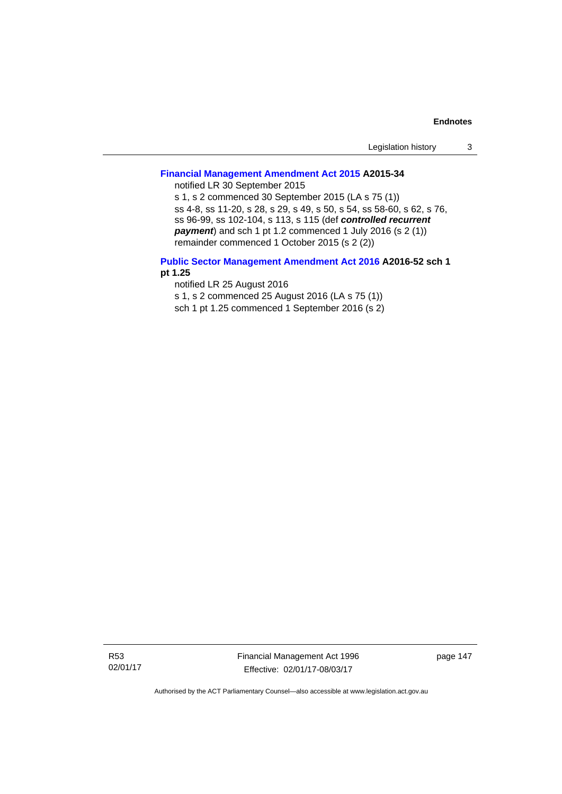| Legislation history |  |
|---------------------|--|
|---------------------|--|

# **[Financial Management Amendment Act 2015](http://www.legislation.act.gov.au/a/2015-34/default.asp) A2015-34**

notified LR 30 September 2015

s 1, s 2 commenced 30 September 2015 (LA s 75 (1)) ss 4-8, ss 11-20, s 28, s 29, s 49, s 50, s 54, ss 58-60, s 62, s 76, ss 96-99, ss 102-104, s 113, s 115 (def *controlled recurrent payment*) and sch 1 pt 1.2 commenced 1 July 2016 (s 2 (1)) remainder commenced 1 October 2015 (s 2 (2))

## **[Public Sector Management Amendment Act 2016](http://www.legislation.act.gov.au/a/2016-52/default.asp) A2016-52 sch 1 pt 1.25**

notified LR 25 August 2016

s 1, s 2 commenced 25 August 2016 (LA s 75 (1))

sch 1 pt 1.25 commenced 1 September 2016 (s 2)

R53 02/01/17 Financial Management Act 1996 Effective: 02/01/17-08/03/17

page 147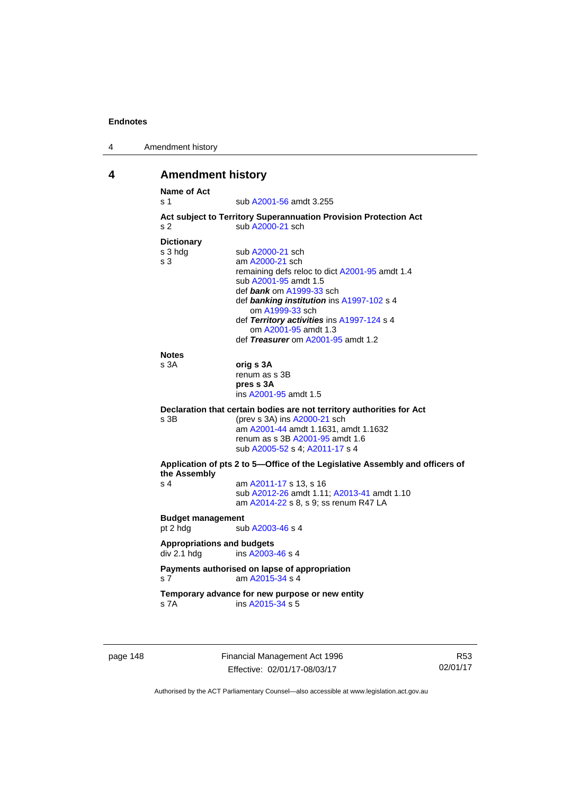| 4 | Amendment history |
|---|-------------------|
|---|-------------------|

# **4 Amendment history**

| s 1                                              | sub A2001-56 amdt 3.255                                                              |
|--------------------------------------------------|--------------------------------------------------------------------------------------|
| s <sub>2</sub>                                   | Act subject to Territory Superannuation Provision Protection Act<br>sub A2000-21 sch |
|                                                  |                                                                                      |
| <b>Dictionary</b>                                |                                                                                      |
| s 3 hdg<br>s <sub>3</sub>                        | sub A2000-21 sch<br>am A2000-21 sch                                                  |
|                                                  | remaining defs reloc to dict A2001-95 amdt 1.4                                       |
|                                                  | sub A2001-95 amdt 1.5                                                                |
|                                                  | def bank om A1999-33 sch                                                             |
|                                                  | def banking institution ins A1997-102 s 4                                            |
|                                                  | om A1999-33 sch                                                                      |
|                                                  | def Territory activities ins A1997-124 s 4                                           |
|                                                  | om A2001-95 amdt 1.3                                                                 |
|                                                  | def Treasurer om A2001-95 amdt 1.2                                                   |
| <b>Notes</b>                                     |                                                                                      |
| s 3A                                             | orig s 3A                                                                            |
|                                                  | renum as s 3B                                                                        |
|                                                  | pres s 3A                                                                            |
|                                                  | ins A2001-95 amdt 1.5                                                                |
|                                                  | Declaration that certain bodies are not territory authorities for Act                |
|                                                  |                                                                                      |
|                                                  | (prev s 3A) ins A2000-21 sch                                                         |
|                                                  | am A2001-44 amdt 1.1631, amdt 1.1632                                                 |
|                                                  | renum as s 3B A2001-95 amdt 1.6                                                      |
|                                                  | sub A2005-52 s 4; A2011-17 s 4                                                       |
|                                                  | Application of pts 2 to 5-Office of the Legislative Assembly and officers of         |
| s 3B<br>the Assembly<br>s <sub>4</sub>           |                                                                                      |
|                                                  | am A2011-17 s 13, s 16<br>sub A2012-26 amdt 1.11; A2013-41 amdt 1.10                 |
|                                                  | am A2014-22 s 8, s 9; ss renum R47 LA                                                |
|                                                  |                                                                                      |
| <b>Budget management</b><br>pt 2 hdg             | sub A2003-46 s 4                                                                     |
|                                                  |                                                                                      |
| <b>Appropriations and budgets</b><br>div 2.1 hdg | ins A2003-46 s 4                                                                     |
|                                                  | Payments authorised on lapse of appropriation<br>am A2015-34 s 4                     |
| s <sub>7</sub>                                   | Temporary advance for new purpose or new entity                                      |

page 148 Financial Management Act 1996 Effective: 02/01/17-08/03/17

R53 02/01/17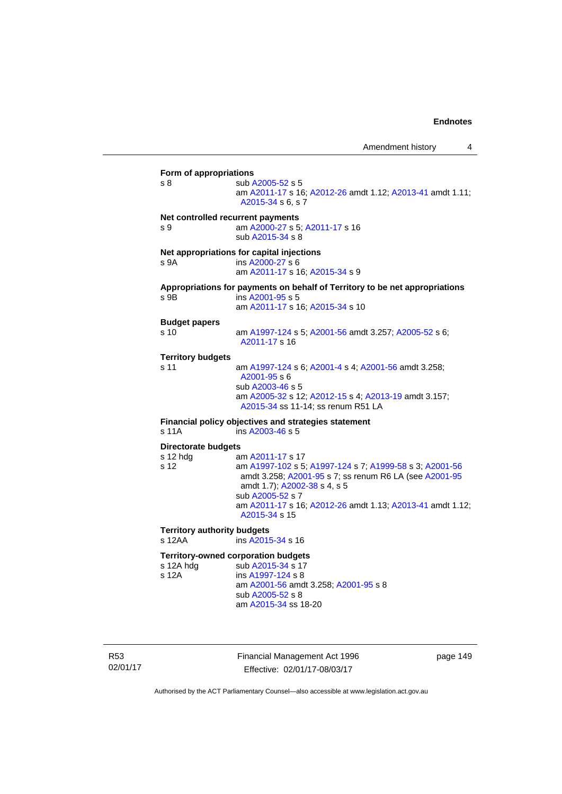**Form of appropriations**  s 8 sub [A2005-52](http://www.legislation.act.gov.au/a/2005-52) s 5 am [A2011-17](http://www.legislation.act.gov.au/a/2011-17) s 16; [A2012-26](http://www.legislation.act.gov.au/a/2012-26) amdt 1.12; [A2013-41](http://www.legislation.act.gov.au/a/2013-41/default.asp) amdt 1.11; [A2015-34](http://www.legislation.act.gov.au/a/2015-34/default.asp) s 6, s 7 **Net controlled recurrent payments** s 9 am [A2000-27](http://www.legislation.act.gov.au/a/2000-27) s 5; [A2011-17](http://www.legislation.act.gov.au/a/2011-17) s 16 sub [A2015-34](http://www.legislation.act.gov.au/a/2015-34/default.asp) s 8 **Net appropriations for capital injections** s 9A ins [A2000-27](http://www.legislation.act.gov.au/a/2000-27) s 6 am [A2011-17](http://www.legislation.act.gov.au/a/2011-17) s 16; [A2015-34](http://www.legislation.act.gov.au/a/2015-34/default.asp) s 9 **Appropriations for payments on behalf of Territory to be net appropriations**  s 9B ins [A2001-95](http://www.legislation.act.gov.au/a/2001-95) s 5 am [A2011-17](http://www.legislation.act.gov.au/a/2011-17) s 16; [A2015-34](http://www.legislation.act.gov.au/a/2015-34/default.asp) s 10 **Budget papers**  s 10 am [A1997-124](http://www.legislation.act.gov.au/a/1997-124) s 5; [A2001-56](http://www.legislation.act.gov.au/a/2001-56) amdt 3.257; [A2005-52](http://www.legislation.act.gov.au/a/2005-52) s 6; [A2011-17](http://www.legislation.act.gov.au/a/2011-17) s 16 **Territory budgets**  s 11 am [A1997-124](http://www.legislation.act.gov.au/a/1997-124) s 6; [A2001-4](http://www.legislation.act.gov.au/a/2001-4) s 4; [A2001-56](http://www.legislation.act.gov.au/a/2001-56) amdt 3.258; [A2001-95](http://www.legislation.act.gov.au/a/2001-95) s 6 sub [A2003-46](http://www.legislation.act.gov.au/a/2003-46) s 5 am [A2005-32](http://www.legislation.act.gov.au/a/2005-32) s 12; [A2012-15](http://www.legislation.act.gov.au/a/2012-15) s 4; [A2013-19](http://www.legislation.act.gov.au/a/2013-19) amdt 3.157; [A2015-34](http://www.legislation.act.gov.au/a/2015-34/default.asp) ss 11-14; ss renum R51 LA **Financial policy objectives and strategies statement**  s 11A ins [A2003-46](http://www.legislation.act.gov.au/a/2003-46) s 5 **Directorate budgets** s 12 hdg am [A2011-17](http://www.legislation.act.gov.au/a/2011-17) s 17 s 12 am [A1997-102](http://www.legislation.act.gov.au/a/1997-102) s 5; [A1997-124](http://www.legislation.act.gov.au/a/1997-124) s 7; [A1999-58](http://www.legislation.act.gov.au/a/1999-58) s 3; [A2001-56](http://www.legislation.act.gov.au/a/2001-56) amdt 3.258; [A2001-95](http://www.legislation.act.gov.au/a/2001-95) s 7; ss renum R6 LA (see [A2001-95](http://www.legislation.act.gov.au/a/2001-95) amdt 1.7); [A2002-38](http://www.legislation.act.gov.au/a/2002-38) s 4, s 5 sub [A2005-52](http://www.legislation.act.gov.au/a/2005-52) s 7 am [A2011-17](http://www.legislation.act.gov.au/a/2011-17) s 16; [A2012-26](http://www.legislation.act.gov.au/a/2012-26) amdt 1.13; [A2013-41](http://www.legislation.act.gov.au/a/2013-41/default.asp) amdt 1.12; [A2015-34](http://www.legislation.act.gov.au/a/2015-34/default.asp) s 15 **Territory authority budgets**  s 12AA **ins [A2015-34](http://www.legislation.act.gov.au/a/2015-34/default.asp) s** 16 **Territory-owned corporation budgets**  s 12A hdg sub [A2015-34](http://www.legislation.act.gov.au/a/2015-34/default.asp) s 17<br>s 12A ins A1997-124 s 8  $ins A1997-124 S8$  $ins A1997-124 S8$  $ins A1997-124 S8$  am [A2001-56](http://www.legislation.act.gov.au/a/2001-56) amdt 3.258; [A2001-95](http://www.legislation.act.gov.au/a/2001-95) s 8 sub [A2005-52](http://www.legislation.act.gov.au/a/2005-52) s 8 am [A2015-34](http://www.legislation.act.gov.au/a/2015-34/default.asp) ss 18-20

R53 02/01/17 Financial Management Act 1996 Effective: 02/01/17-08/03/17

page 149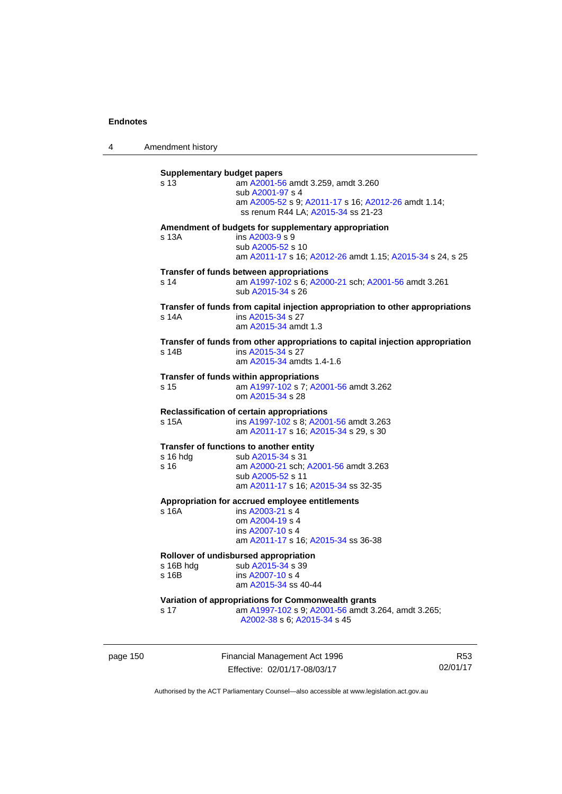4 Amendment history

| s 13             | <b>Supplementary budget papers</b><br>am A2001-56 amdt 3.259, amdt 3.260<br>sub A2001-97 s 4 |
|------------------|----------------------------------------------------------------------------------------------|
|                  | am A2005-52 s 9; A2011-17 s 16; A2012-26 amdt 1.14;<br>ss renum R44 LA; A2015-34 ss 21-23    |
|                  | Amendment of budgets for supplementary appropriation                                         |
| s 13A            | ins A2003-9 s 9<br>sub A2005-52 s 10                                                         |
|                  | am A2011-17 s 16; A2012-26 amdt 1.15; A2015-34 s 24, s 25                                    |
|                  | Transfer of funds between appropriations                                                     |
| s 14             | am A1997-102 s 6; A2000-21 sch; A2001-56 amdt 3.261<br>sub A2015-34 s 26                     |
|                  | Transfer of funds from capital injection appropriation to other appropriations               |
| s 14A            | ins A2015-34 s 27<br>am A2015-34 amdt 1.3                                                    |
|                  | Transfer of funds from other appropriations to capital injection appropriation               |
| s 14B            | ins A2015-34 s 27<br>am A2015-34 amdts 1.4-1.6                                               |
|                  | Transfer of funds within appropriations                                                      |
| s 15             | am A1997-102 s 7; A2001-56 amdt 3.262<br>om A2015-34 s 28                                    |
|                  | Reclassification of certain appropriations                                                   |
| s 15A            | ins A1997-102 s 8; A2001-56 amdt 3.263<br>am A2011-17 s 16; A2015-34 s 29, s 30              |
|                  | Transfer of functions to another entity                                                      |
| s 16 hda<br>s 16 | sub A2015-34 s 31<br>am A2000-21 sch; A2001-56 amdt 3.263                                    |
|                  | sub A2005-52 s 11                                                                            |
|                  | am A2011-17 s 16; A2015-34 ss 32-35                                                          |
|                  | Appropriation for accrued employee entitlements                                              |
| s 16A            | ins A2003-21 s 4<br>om A2004-19 s 4                                                          |
|                  | ins A2007-10 s 4                                                                             |
|                  | am A2011-17 s 16; A2015-34 ss 36-38                                                          |
|                  | Rollover of undisbursed appropriation                                                        |
| s 16B hdg        | sub A2015-34 s 39                                                                            |
| s 16B            | ins A2007-10 s 4<br>am A2015-34 ss 40-44                                                     |
|                  | Variation of appropriations for Commonwealth grants                                          |
| s 17             | am A1997-102 s 9; A2001-56 amdt 3.264, amdt 3.265;<br>A2002-38 s 6; A2015-34 s 45            |

page 150 Financial Management Act 1996 Effective: 02/01/17-08/03/17

R53 02/01/17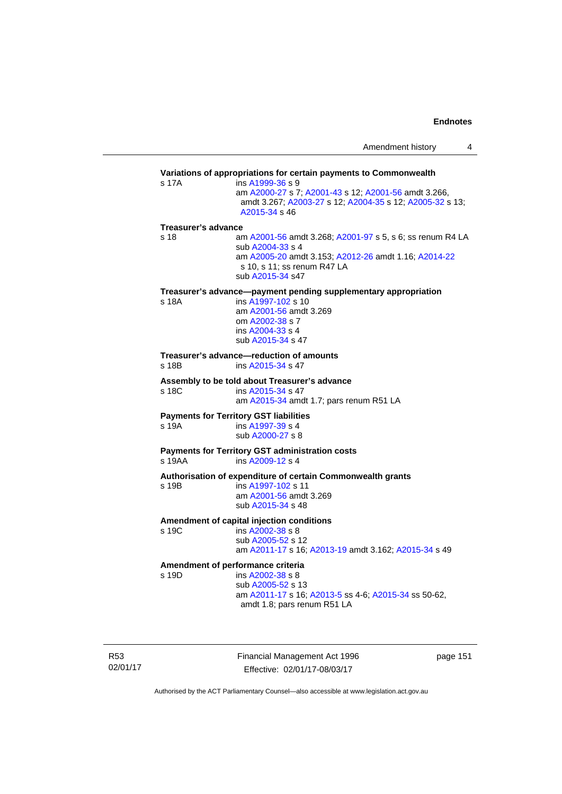|                     |                                                                                                                                                                                          | Amendment history | 4 |
|---------------------|------------------------------------------------------------------------------------------------------------------------------------------------------------------------------------------|-------------------|---|
|                     | Variations of appropriations for certain payments to Commonwealth                                                                                                                        |                   |   |
| s 17A               | ins A1999-36 s 9<br>am A2000-27 s 7; A2001-43 s 12; A2001-56 amdt 3.266,<br>amdt 3.267; A2003-27 s 12; A2004-35 s 12; A2005-32 s 13;<br>A2015-34 s 46                                    |                   |   |
| Treasurer's advance |                                                                                                                                                                                          |                   |   |
| s 18                | am A2001-56 amdt 3.268; A2001-97 s 5, s 6; ss renum R4 LA<br>sub A2004-33 s 4<br>am A2005-20 amdt 3.153; A2012-26 amdt 1.16; A2014-22<br>s 10, s 11; ss renum R47 LA<br>sub A2015-34 s47 |                   |   |
|                     | Treasurer's advance--payment pending supplementary appropriation                                                                                                                         |                   |   |
| s 18A               | ins A1997-102 s 10<br>am A2001-56 amdt 3.269<br>om A2002-38 s 7<br>ins A2004-33 s 4<br>sub A2015-34 s 47                                                                                 |                   |   |
| s 18B               | Treasurer's advance—reduction of amounts<br>ins A2015-34 s 47                                                                                                                            |                   |   |
| s 18C               | Assembly to be told about Treasurer's advance<br>ins A2015-34 s 47<br>am A2015-34 amdt 1.7; pars renum R51 LA                                                                            |                   |   |
| s 19A               | <b>Payments for Territory GST liabilities</b><br>ins A1997-39 s 4<br>sub A2000-27 s 8                                                                                                    |                   |   |
| s 19AA              | <b>Payments for Territory GST administration costs</b><br>ins A2009-12 s 4                                                                                                               |                   |   |
| s 19B               | Authorisation of expenditure of certain Commonwealth grants<br>ins A1997-102 s 11<br>am A2001-56 amdt 3.269<br>sub A2015-34 s 48                                                         |                   |   |
| s 19C               | Amendment of capital injection conditions<br>ins A2002-38 s 8<br>sub A2005-52 s 12<br>am A2011-17 s 16; A2013-19 amdt 3.162; A2015-34 s 49                                               |                   |   |
| s 19D               | Amendment of performance criteria<br>ins A2002-38 s 8<br>sub A2005-52 s 13<br>am A2011-17 s 16; A2013-5 ss 4-6; A2015-34 ss 50-62,<br>amdt 1.8; pars renum R51 LA                        |                   |   |
|                     |                                                                                                                                                                                          |                   |   |

R53 02/01/17 Financial Management Act 1996 Effective: 02/01/17-08/03/17

page 151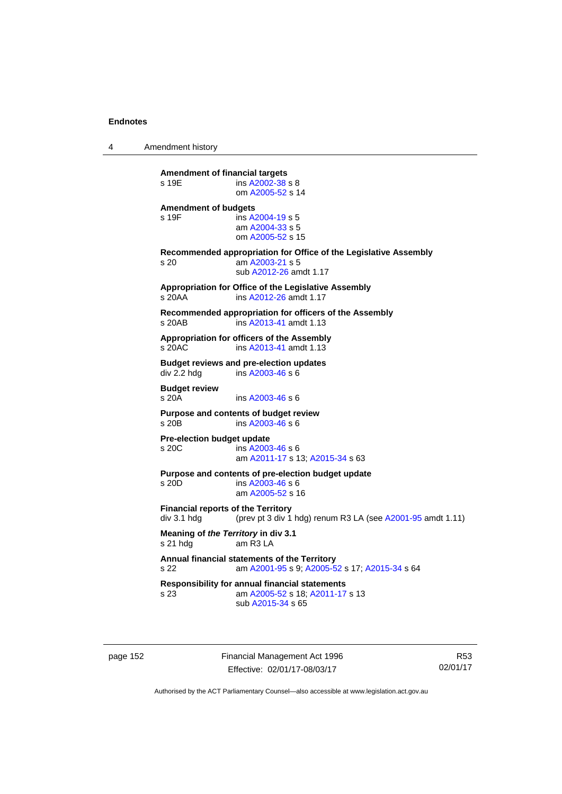4 Amendment history

| <b>Amendment of financial targets</b><br>s 19E           | ins A2002-38 s 8<br>om A2005-52 s 14                                                                          |
|----------------------------------------------------------|---------------------------------------------------------------------------------------------------------------|
| <b>Amendment of budgets</b><br>s 19F                     | ins A2004-19 s 5<br>am A2004-33 s 5<br>om A2005-52 s 15                                                       |
| s <sub>20</sub>                                          | Recommended appropriation for Office of the Legislative Assembly<br>am A2003-21 s 5<br>sub A2012-26 amdt 1.17 |
| s 20AA                                                   | Appropriation for Office of the Legislative Assembly<br>ins A2012-26 amdt 1.17                                |
| s 20AB                                                   | Recommended appropriation for officers of the Assembly<br>ins A2013-41 amdt 1.13                              |
| s 20AC                                                   | Appropriation for officers of the Assembly<br>ins A2013-41 amdt 1.13                                          |
| div 2.2 hdg                                              | <b>Budget reviews and pre-election updates</b><br>ins A2003-46 s 6                                            |
| <b>Budget review</b><br>s 20A                            | ins A2003-46 s 6                                                                                              |
| s 20B                                                    | Purpose and contents of budget review<br>ins A2003-46 s 6                                                     |
| Pre-election budget update<br>s 20C                      | ins A2003-46 s 6<br>am A2011-17 s 13; A2015-34 s 63                                                           |
| $s$ 20D                                                  | Purpose and contents of pre-election budget update<br>ins A2003-46 s 6<br>am A2005-52 s 16                    |
| <b>Financial reports of the Territory</b><br>div 3.1 hdg | (prev pt 3 div 1 hdg) renum R3 LA (see A2001-95 amdt 1.11)                                                    |
| Meaning of the Territory in div 3.1<br>s 21 hdg          | am R3 LA                                                                                                      |
| s 22                                                     | Annual financial statements of the Territory<br>am A2001-95 s 9; A2005-52 s 17; A2015-34 s 64                 |
| s 23                                                     | <b>Responsibility for annual financial statements</b><br>am A2005-52 s 18; A2011-17 s 13<br>sub A2015-34 s 65 |
|                                                          |                                                                                                               |

page 152 Financial Management Act 1996 Effective: 02/01/17-08/03/17

R53 02/01/17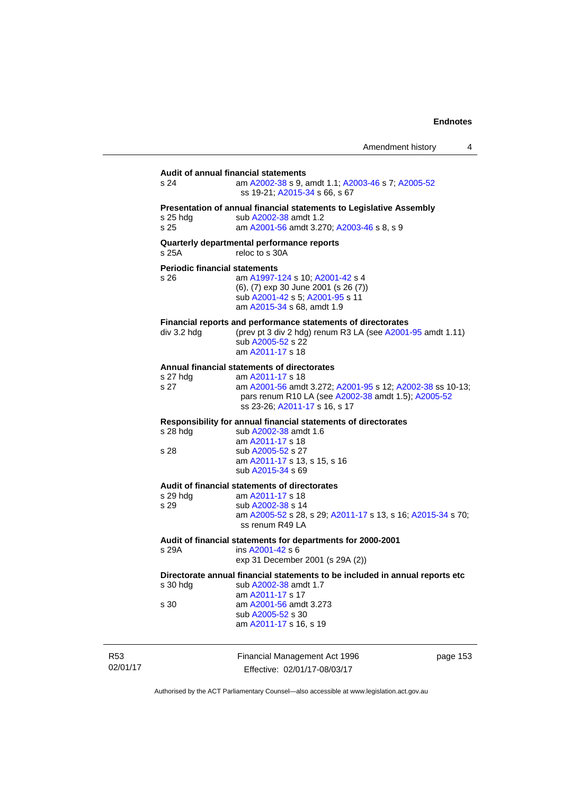| Amendment history |  |
|-------------------|--|
|-------------------|--|

|                             | s 24                                         | Audit of annual financial statements<br>am A2002-38 s 9, amdt 1.1; A2003-46 s 7; A2005-52<br>ss 19-21; A2015-34 s 66, s 67                                                                                           |          |
|-----------------------------|----------------------------------------------|----------------------------------------------------------------------------------------------------------------------------------------------------------------------------------------------------------------------|----------|
|                             | s 25 hdg<br>s 25                             | Presentation of annual financial statements to Legislative Assembly<br>sub A2002-38 amdt 1.2<br>am A2001-56 amdt 3.270; A2003-46 s 8, s 9                                                                            |          |
|                             | s 25A                                        | Quarterly departmental performance reports<br>reloc to s 30A                                                                                                                                                         |          |
|                             | <b>Periodic financial statements</b><br>s 26 | am A1997-124 s 10; A2001-42 s 4<br>(6), (7) exp 30 June 2001 (s 26 (7))<br>sub A2001-42 s 5; A2001-95 s 11<br>am A2015-34 s 68, amdt 1.9                                                                             |          |
|                             | div 3.2 hdg                                  | Financial reports and performance statements of directorates<br>(prev pt 3 div 2 hdg) renum R3 LA (see A2001-95 amdt 1.11)<br>sub A2005-52 s 22<br>am A2011-17 s 18                                                  |          |
|                             | s 27 hdg<br>s 27                             | Annual financial statements of directorates<br>am A2011-17 s 18<br>am A2001-56 amdt 3.272; A2001-95 s 12; A2002-38 ss 10-13;<br>pars renum R10 LA (see A2002-38 amdt 1.5); A2005-52<br>ss 23-26; A2011-17 s 16, s 17 |          |
|                             | $s$ 28 hdg<br>s 28                           | Responsibility for annual financial statements of directorates<br>sub A2002-38 amdt 1.6<br>am A2011-17 s 18<br>sub A2005-52 s 27<br>am A2011-17 s 13, s 15, s 16<br>sub A2015-34 s 69                                |          |
|                             | s 29 hdg<br>s 29                             | Audit of financial statements of directorates<br>am A2011-17 s 18<br>sub A2002-38 s 14<br>am A2005-52 s 28, s 29; A2011-17 s 13, s 16; A2015-34 s 70;<br>ss renum R49 LA                                             |          |
|                             | s 29A                                        | Audit of financial statements for departments for 2000-2001<br>ins A2001-42 s 6<br>exp 31 December 2001 (s 29A (2))                                                                                                  |          |
|                             | s 30 hdg                                     | Directorate annual financial statements to be included in annual reports etc<br>sub A2002-38 amdt 1.7<br>am A2011-17 s 17                                                                                            |          |
|                             | s 30                                         | am A2001-56 amdt 3.273<br>sub A2005-52 s 30<br>am A2011-17 s 16, s 19                                                                                                                                                |          |
| R <sub>53</sub><br>02/01/17 |                                              | Financial Management Act 1996<br>Effective: 02/01/17-08/03/17                                                                                                                                                        | page 153 |

Effective: 02/01/17-08/03/17

 $53<sub>5</sub>$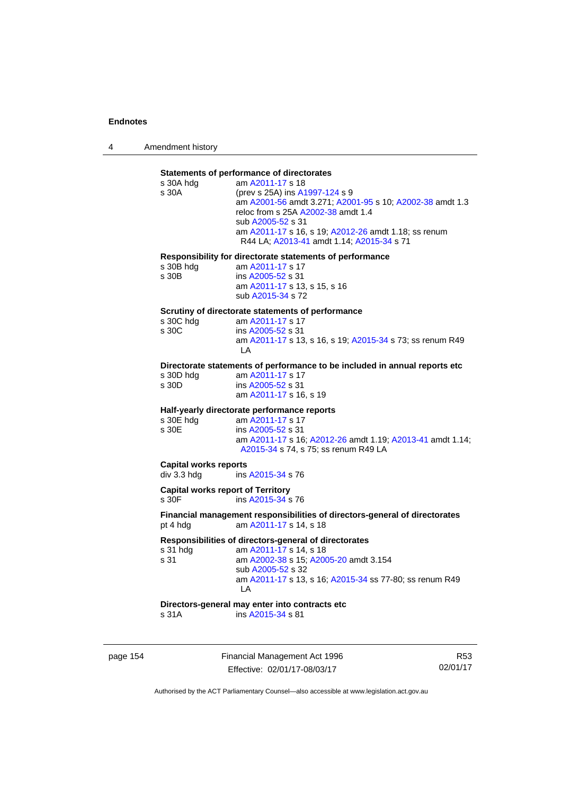4 Amendment history

# **Statements of performance of directorates**

| Statements of performance of directorates |                                                                            |  |  |  |
|-------------------------------------------|----------------------------------------------------------------------------|--|--|--|
| s 30A hdg                                 | am A2011-17 s 18                                                           |  |  |  |
| s 30A                                     | (prev s 25A) ins A1997-124 s 9                                             |  |  |  |
|                                           | am A2001-56 amdt 3.271; A2001-95 s 10; A2002-38 amdt 1.3                   |  |  |  |
|                                           | reloc from s 25A A2002-38 amdt 1.4                                         |  |  |  |
|                                           |                                                                            |  |  |  |
|                                           | sub A2005-52 s 31                                                          |  |  |  |
|                                           | am A2011-17 s 16, s 19; A2012-26 amdt 1.18; ss renum                       |  |  |  |
|                                           | R44 LA; A2013-41 amdt 1.14; A2015-34 s 71                                  |  |  |  |
|                                           |                                                                            |  |  |  |
|                                           | Responsibility for directorate statements of performance                   |  |  |  |
| s 30B hdg                                 | am A2011-17 s 17                                                           |  |  |  |
| s 30B                                     | ins A2005-52 s 31                                                          |  |  |  |
|                                           | am A2011-17 s 13, s 15, s 16                                               |  |  |  |
|                                           |                                                                            |  |  |  |
|                                           | sub A2015-34 s 72                                                          |  |  |  |
|                                           | Scrutiny of directorate statements of performance                          |  |  |  |
|                                           |                                                                            |  |  |  |
| s 30C hdg                                 | am A2011-17 s 17                                                           |  |  |  |
| s 30C                                     | ins A2005-52 s 31                                                          |  |  |  |
|                                           | am A2011-17 s 13, s 16, s 19; A2015-34 s 73; ss renum R49                  |  |  |  |
|                                           | LA.                                                                        |  |  |  |
|                                           |                                                                            |  |  |  |
|                                           | Directorate statements of performance to be included in annual reports etc |  |  |  |
| s 30D hdg                                 | am A2011-17 s 17                                                           |  |  |  |
| s 30D                                     | ins A2005-52 s 31                                                          |  |  |  |
|                                           | am A2011-17 s 16, s 19                                                     |  |  |  |
|                                           |                                                                            |  |  |  |
|                                           |                                                                            |  |  |  |
|                                           |                                                                            |  |  |  |
|                                           | Half-yearly directorate performance reports                                |  |  |  |
| s 30E hdg                                 | am A2011-17 s 17                                                           |  |  |  |
| s 30E                                     | ins A2005-52 s 31                                                          |  |  |  |
|                                           | am A2011-17 s 16; A2012-26 amdt 1.19; A2013-41 amdt 1.14;                  |  |  |  |
|                                           | A2015-34 s 74, s 75; ss renum R49 LA                                       |  |  |  |
|                                           |                                                                            |  |  |  |
| <b>Capital works reports</b>              |                                                                            |  |  |  |
| div 3.3 hdg                               | ins A2015-34 s 76                                                          |  |  |  |
|                                           |                                                                            |  |  |  |
| <b>Capital works report of Territory</b>  |                                                                            |  |  |  |
| s 30F                                     | ins A2015-34 s 76                                                          |  |  |  |
|                                           |                                                                            |  |  |  |
|                                           | Financial management responsibilities of directors-general of directorates |  |  |  |
| pt 4 hdg                                  | am A2011-17 s 14, s 18                                                     |  |  |  |
|                                           |                                                                            |  |  |  |
|                                           | Responsibilities of directors-general of directorates                      |  |  |  |
| s 31 hdg                                  | am A2011-17 s 14, s 18                                                     |  |  |  |
| s 31                                      | am A2002-38 s 15; A2005-20 amdt 3.154                                      |  |  |  |
|                                           | sub A2005-52 s 32                                                          |  |  |  |
|                                           |                                                                            |  |  |  |
|                                           | am A2011-17 s 13, s 16; A2015-34 ss 77-80; ss renum R49                    |  |  |  |
|                                           | LA                                                                         |  |  |  |
|                                           | Directors-general may enter into contracts etc                             |  |  |  |

page 154 Financial Management Act 1996 Effective: 02/01/17-08/03/17

R53 02/01/17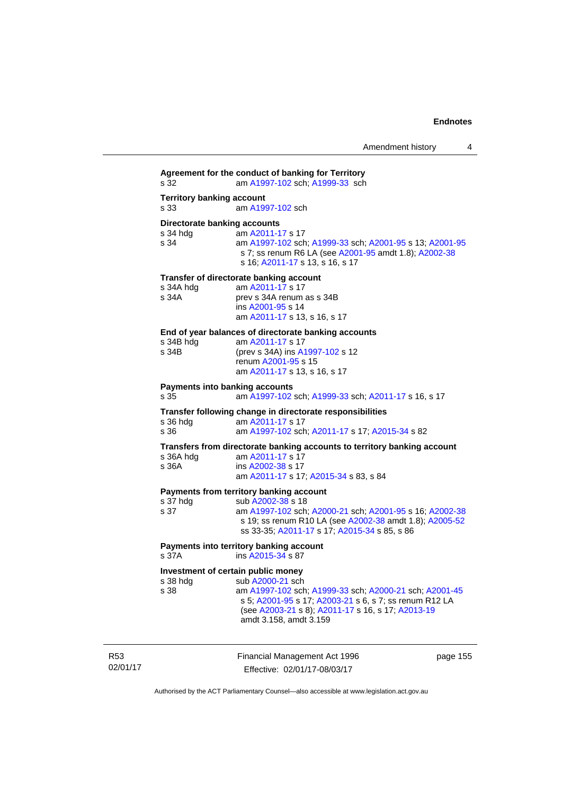**Agreement for the conduct of banking for Territory** s 32 am [A1997-102](http://www.legislation.act.gov.au/a/1997-102) sch; [A1999-33](http://www.legislation.act.gov.au/a/1999-33) sch **Territory banking account** s 33 am [A1997-102](http://www.legislation.act.gov.au/a/1997-102) sch **Directorate banking accounts**  s 34 hdg am [A2011-17](http://www.legislation.act.gov.au/a/2011-17) s 17 s 34 am [A1997-102](http://www.legislation.act.gov.au/a/1997-102) sch; [A1999-33](http://www.legislation.act.gov.au/a/1999-33) sch; [A2001-95](http://www.legislation.act.gov.au/a/2001-95) s 13; [A2001-95](http://www.legislation.act.gov.au/a/2001-95) s 7; ss renum R6 LA (see [A2001-95](http://www.legislation.act.gov.au/a/2001-95) amdt 1.8); [A2002-38](http://www.legislation.act.gov.au/a/2002-38) s 16; [A2011-17](http://www.legislation.act.gov.au/a/2011-17) s 13, s 16, s 17 **Transfer of directorate banking account**  s 34A hdg am [A2011-17](http://www.legislation.act.gov.au/a/2011-17) s 17<br>s 34A **brev** s 34A renum prev s 34A renum as s 34B ins [A2001-95](http://www.legislation.act.gov.au/a/2001-95) s 14 am [A2011-17](http://www.legislation.act.gov.au/a/2011-17) s 13, s 16, s 17 **End of year balances of directorate banking accounts** s 34B hdg am [A2011-17](http://www.legislation.act.gov.au/a/2011-17) s 17 s 34B (prev s 34A) ins [A1997-102](http://www.legislation.act.gov.au/a/1997-102) s 12 renum [A2001-95](http://www.legislation.act.gov.au/a/2001-95) s 15 am [A2011-17](http://www.legislation.act.gov.au/a/2011-17) s 13, s 16, s 17 **Payments into banking accounts** s 35 am [A1997-102](http://www.legislation.act.gov.au/a/1997-102) sch; [A1999-33](http://www.legislation.act.gov.au/a/1999-33) sch; [A2011-17](http://www.legislation.act.gov.au/a/2011-17) s 16, s 17 **Transfer following change in directorate responsibilities** am [A2011-17](http://www.legislation.act.gov.au/a/2011-17) s 17 s 36 am [A1997-102](http://www.legislation.act.gov.au/a/1997-102) sch; [A2011-17](http://www.legislation.act.gov.au/a/2011-17) s 17; [A2015-34](http://www.legislation.act.gov.au/a/2015-34/default.asp) s 82 **Transfers from directorate banking accounts to territory banking account**  s 36A hdg am [A2011-17](http://www.legislation.act.gov.au/a/2011-17) s 17 s 36A ins [A2002-38](http://www.legislation.act.gov.au/a/2002-38) s 17 am [A2011-17](http://www.legislation.act.gov.au/a/2011-17) s 17; [A2015-34](http://www.legislation.act.gov.au/a/2015-34/default.asp) s 83, s 84 **Payments from territory banking account**<br>s 37 hdg sub A2002-38 s 18 s 37 hdg sub [A2002-38](http://www.legislation.act.gov.au/a/2002-38) s 18<br>s 37 am A1997-102 sch s 37 am [A1997-102](http://www.legislation.act.gov.au/a/1997-102) sch; [A2000-21](http://www.legislation.act.gov.au/a/2000-21) sch; [A2001-95](http://www.legislation.act.gov.au/a/2001-95) s 16; [A2002-38](http://www.legislation.act.gov.au/a/2002-38) s 19; ss renum R10 LA (see [A2002-38](http://www.legislation.act.gov.au/a/2002-38) amdt 1.8); [A2005-52](http://www.legislation.act.gov.au/a/2005-52) ss 33-35; [A2011-17](http://www.legislation.act.gov.au/a/2011-17) s 17; [A2015-34](http://www.legislation.act.gov.au/a/2015-34/default.asp) s 85, s 86 **Payments into territory banking account**  s 37A ins [A2015-34](http://www.legislation.act.gov.au/a/2015-34/default.asp) s 87 **Investment of certain public money**  s 38 hdg sub [A2000-21](http://www.legislation.act.gov.au/a/2000-21) sch s 38 am [A1997-102](http://www.legislation.act.gov.au/a/1997-102) sch; [A1999-33](http://www.legislation.act.gov.au/a/1999-33) sch; [A2000-21](http://www.legislation.act.gov.au/a/2000-21) sch; [A2001-45](http://www.legislation.act.gov.au/a/2001-45) s 5; [A2001-95](http://www.legislation.act.gov.au/a/2001-95) s 17; [A2003-21](http://www.legislation.act.gov.au/a/2003-21) s 6, s 7; ss renum R12 LA (see [A2003-21](http://www.legislation.act.gov.au/a/2003-21) s 8); [A2011-17](http://www.legislation.act.gov.au/a/2011-17) s 16, s 17; [A2013-19](http://www.legislation.act.gov.au/a/2013-19) amdt 3.158, amdt 3.159

R53 02/01/17 Financial Management Act 1996 Effective: 02/01/17-08/03/17

page 155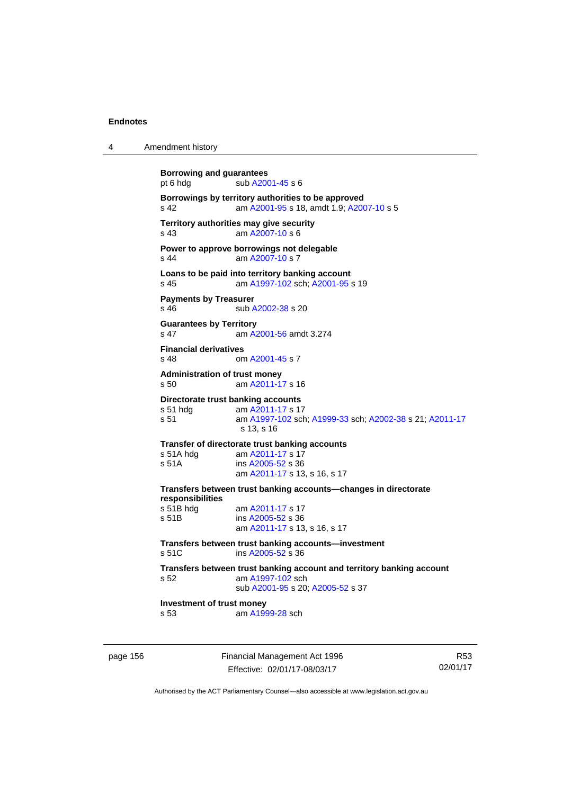| 4 | Amendment history |
|---|-------------------|
|---|-------------------|

| <b>Borrowing and guarantees</b><br>pt 6 hdg       | sub A2001-45 s 6                                                                                                                  |
|---------------------------------------------------|-----------------------------------------------------------------------------------------------------------------------------------|
| s <sub>42</sub>                                   | Borrowings by territory authorities to be approved<br>am A2001-95 s 18, amdt 1.9; A2007-10 s 5                                    |
| s 43                                              | Territory authorities may give security<br>am A2007-10 s 6                                                                        |
| $s$ 44                                            | Power to approve borrowings not delegable<br>am A2007-10 s 7                                                                      |
| s 45                                              | Loans to be paid into territory banking account<br>am A1997-102 sch; A2001-95 s 19                                                |
| <b>Payments by Treasurer</b><br>$s$ 46            | sub A2002-38 s 20                                                                                                                 |
| <b>Guarantees by Territory</b><br>s <sub>47</sub> | am A2001-56 amdt 3.274                                                                                                            |
| <b>Financial derivatives</b><br>s <sub>48</sub>   | om A2001-45 s 7                                                                                                                   |
| <b>Administration of trust money</b><br>s 50      | am A2011-17 s 16                                                                                                                  |
| s 51 hda<br>s 51                                  | Directorate trust banking accounts<br>am A2011-17 s 17<br>am A1997-102 sch; A1999-33 sch; A2002-38 s 21; A2011-17<br>$s$ 13, s 16 |
| s 51A hdg<br>s 51A                                | Transfer of directorate trust banking accounts<br>am A2011-17 s 17<br>ins A2005-52 s 36<br>am A2011-17 s 13, s 16, s 17           |
| responsibilities                                  | Transfers between trust banking accounts-changes in directorate                                                                   |
| s 51B hdg<br>s 51B                                | am A2011-17 s 17<br>ins A2005-52 s 36<br>am A2011-17 s 13, s 16, s 17                                                             |
| s 51C                                             | Transfers between trust banking accounts—investment<br>ins $A2005-52$ s 36                                                        |
| s <sub>52</sub>                                   | Transfers between trust banking account and territory banking account<br>am A1997-102 sch<br>sub A2001-95 s 20; A2005-52 s 37     |
| Investment of trust money<br>s <sub>53</sub>      | am A1999-28 sch                                                                                                                   |
|                                                   |                                                                                                                                   |

page 156 Financial Management Act 1996 Effective: 02/01/17-08/03/17

R53 02/01/17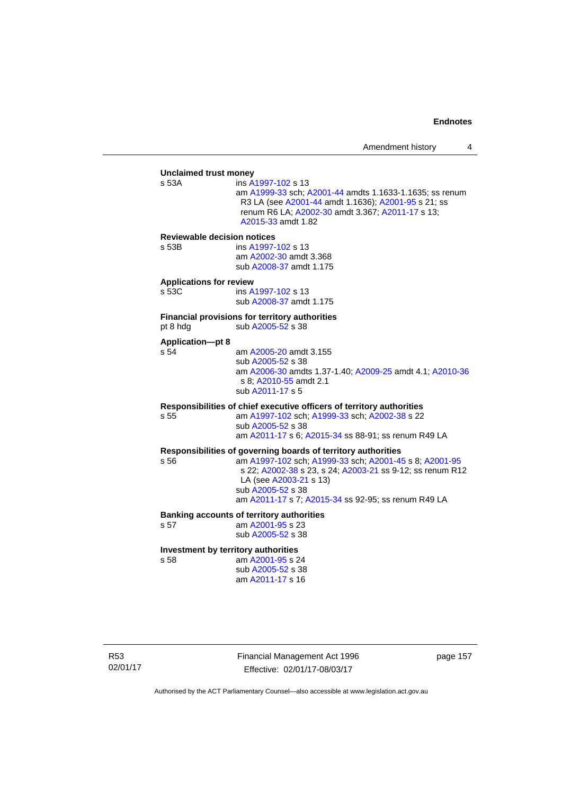# **Unclaimed trust money**  ins [A1997-102](http://www.legislation.act.gov.au/a/1997-102) s 13 am [A1999-33](http://www.legislation.act.gov.au/a/1999-33) sch; [A2001-44](http://www.legislation.act.gov.au/a/2001-44) amdts 1.1633-1.1635; ss renum R3 LA (see [A2001-44](http://www.legislation.act.gov.au/a/2001-44) amdt 1.1636); [A2001-95](http://www.legislation.act.gov.au/a/2001-95) s 21; ss renum R6 LA; [A2002-30](http://www.legislation.act.gov.au/a/2002-30) amdt 3.367; [A2011-17](http://www.legislation.act.gov.au/a/2011-17) s 13; [A2015-33](http://www.legislation.act.gov.au/a/2015-33/default.asp) amdt 1.82 **Reviewable decision notices**  s 53B ins [A1997-102](http://www.legislation.act.gov.au/a/1997-102) s 13 am [A2002-30](http://www.legislation.act.gov.au/a/2002-30) amdt 3.368 sub [A2008-37](http://www.legislation.act.gov.au/a/2008-37) amdt 1.175 **Applications for review**  s 53C ins [A1997-102](http://www.legislation.act.gov.au/a/1997-102) s 13 sub [A2008-37](http://www.legislation.act.gov.au/a/2008-37) amdt 1.175 **Financial provisions for territory authorities**  pt 8 hdg  $sub A2005-52$  s 38 **Application—pt 8**  s 54 am [A2005-20](http://www.legislation.act.gov.au/a/2005-20) amdt 3.155 sub [A2005-52](http://www.legislation.act.gov.au/a/2005-52) s 38 am [A2006-30](http://www.legislation.act.gov.au/a/2006-30) amdts 1.37-1.40; [A2009-25](http://www.legislation.act.gov.au/a/2009-25) amdt 4.1; [A2010-36](http://www.legislation.act.gov.au/a/2010-36) s 8; [A2010-55](http://www.legislation.act.gov.au/a/2010-55) amdt 2.1 sub [A2011-17](http://www.legislation.act.gov.au/a/2011-17) s 5 **Responsibilities of chief executive officers of territory authorities**  s 55 am [A1997-102](http://www.legislation.act.gov.au/a/1997-102) sch; [A1999-33](http://www.legislation.act.gov.au/a/1999-33) sch; [A2002-38](http://www.legislation.act.gov.au/a/2002-38) s 22 sub [A2005-52](http://www.legislation.act.gov.au/a/2005-52) s 38 am [A2011-17](http://www.legislation.act.gov.au/a/2011-17) s 6; [A2015-34](http://www.legislation.act.gov.au/a/2015-34/default.asp) ss 88-91; ss renum R49 LA **Responsibilities of governing boards of territory authorities**  am [A1997-102](http://www.legislation.act.gov.au/a/1997-102) sch; [A1999-33](http://www.legislation.act.gov.au/a/1999-33) sch; [A2001-45](http://www.legislation.act.gov.au/a/2001-45) s 8; [A2001-95](http://www.legislation.act.gov.au/a/2001-95) s 22; [A2002-38](http://www.legislation.act.gov.au/a/2002-38) s 23, s 24; [A2003-21](http://www.legislation.act.gov.au/a/2003-21) ss 9-12; ss renum R12 LA (see [A2003-21](http://www.legislation.act.gov.au/a/2003-21) s 13) sub [A2005-52](http://www.legislation.act.gov.au/a/2005-52) s 38 am [A2011-17](http://www.legislation.act.gov.au/a/2011-17) s 7; [A2015-34](http://www.legislation.act.gov.au/a/2015-34/default.asp) ss 92-95; ss renum R49 LA **Banking accounts of territory authorities**  s 57 am [A2001-95](http://www.legislation.act.gov.au/a/2001-95) s 23 sub [A2005-52](http://www.legislation.act.gov.au/a/2005-52) s 38 **Investment by territory authorities**  s 58 am [A2001-95](http://www.legislation.act.gov.au/a/2001-95) s 24 sub [A2005-52](http://www.legislation.act.gov.au/a/2005-52) s 38

R53 02/01/17 Financial Management Act 1996 Effective: 02/01/17-08/03/17

page 157

Authorised by the ACT Parliamentary Counsel—also accessible at www.legislation.act.gov.au

am [A2011-17](http://www.legislation.act.gov.au/a/2011-17) s 16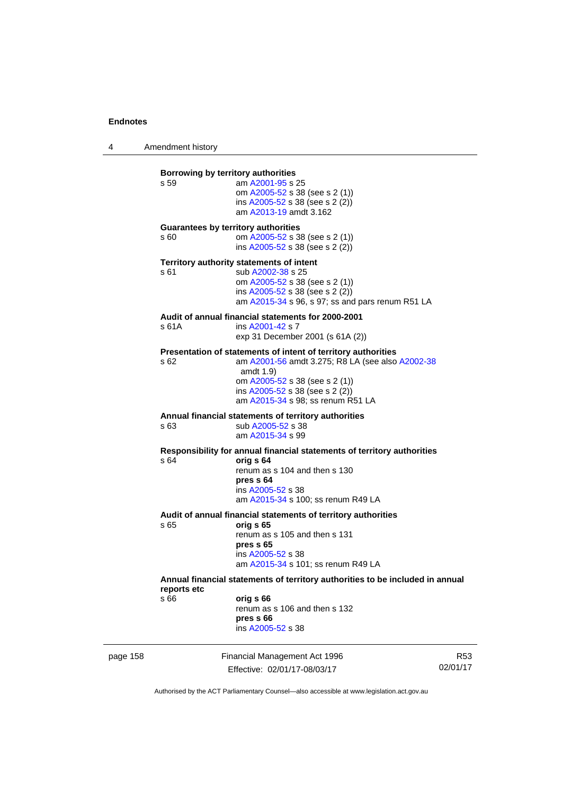4 Amendment history

| 58 |                     | Financial Management Act 1996                                                                                                                                                                                                             | R |
|----|---------------------|-------------------------------------------------------------------------------------------------------------------------------------------------------------------------------------------------------------------------------------------|---|
|    | reports etc<br>s 66 | orig s 66<br>renum as s 106 and then s 132<br>pres s 66<br>ins A2005-52 s 38                                                                                                                                                              |   |
|    |                     | Annual financial statements of territory authorities to be included in annual                                                                                                                                                             |   |
|    |                     | renum as s 105 and then s 131<br>pres s 65<br>ins A2005-52 s 38<br>am A2015-34 s 101; ss renum R49 LA                                                                                                                                     |   |
|    | s 65                | Audit of annual financial statements of territory authorities<br>orig s 65                                                                                                                                                                |   |
|    | s 64                | Responsibility for annual financial statements of territory authorities<br>orig s 64<br>renum as s 104 and then s 130<br>pres s 64<br>ins A2005-52 s 38<br>am A2015-34 s 100; ss renum R49 LA                                             |   |
|    | s 63                | Annual financial statements of territory authorities<br>sub A2005-52 s 38<br>am A2015-34 s 99                                                                                                                                             |   |
|    | \$62                | Presentation of statements of intent of territory authorities<br>am A2001-56 amdt 3.275; R8 LA (see also A2002-38<br>amdt $1.9$<br>om A2005-52 s 38 (see s 2 (1))<br>ins A2005-52 s 38 (see s 2 (2))<br>am A2015-34 s 98; ss renum R51 LA |   |
|    | s 61A               | Audit of annual financial statements for 2000-2001<br>ins A2001-42 s 7<br>exp 31 December 2001 (s 61A (2))                                                                                                                                |   |
|    | s 61                | Territory authority statements of intent<br>sub A2002-38 s 25<br>om A2005-52 s 38 (see s 2 (1))<br>ins A2005-52 s 38 (see s 2 (2))<br>am A2015-34 s 96, s 97; ss and pars renum R51 LA                                                    |   |
|    | s 60                | <b>Guarantees by territory authorities</b><br>om A2005-52 s 38 (see s 2 (1))<br>ins A2005-52 s 38 (see s 2 (2))                                                                                                                           |   |
|    | s 59                | Borrowing by territory authorities<br>am A2001-95 s 25<br>om A2005-52 s 38 (see s 2 (1))<br>ins A2005-52 s 38 (see s 2 (2))<br>am A2013-19 amdt 3.162                                                                                     |   |
|    |                     |                                                                                                                                                                                                                                           |   |

page 1 Effective: 02/01/17-08/03/17 R53 02/01/17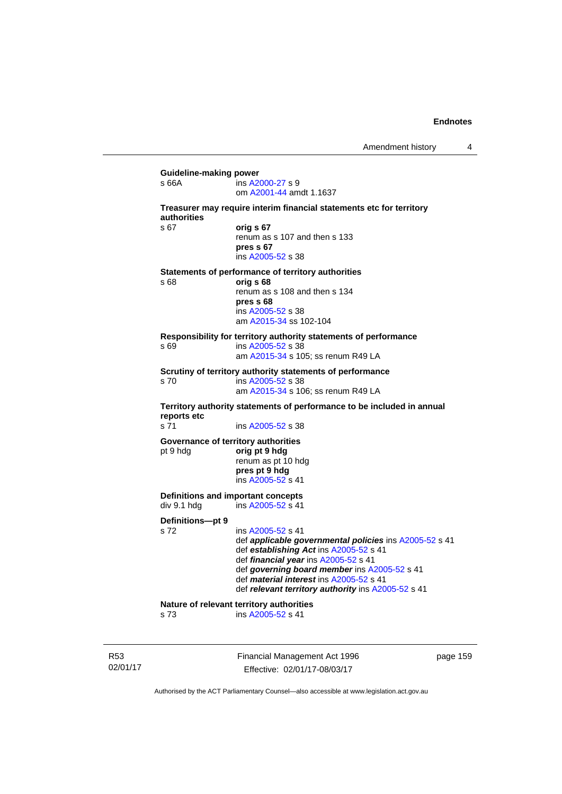| s 66A                    | ins A2000-27 s 9<br>om A2001-44 amdt 1.1637                                                                                                                                                                                                                                                                           |
|--------------------------|-----------------------------------------------------------------------------------------------------------------------------------------------------------------------------------------------------------------------------------------------------------------------------------------------------------------------|
| authorities              | Treasurer may require interim financial statements etc for territory                                                                                                                                                                                                                                                  |
| \$67                     | orig s 67<br>renum as s 107 and then s 133<br>pres s 67<br>ins A2005-52 s 38                                                                                                                                                                                                                                          |
| s 68                     | Statements of performance of territory authorities<br>orig s 68<br>renum as s 108 and then s 134<br>pres s 68<br>ins A2005-52 s 38<br>am A2015-34 ss 102-104                                                                                                                                                          |
| s 69                     | Responsibility for territory authority statements of performance<br>ins A2005-52 s 38<br>am A2015-34 s 105; ss renum R49 LA                                                                                                                                                                                           |
| s 70                     | Scrutiny of territory authority statements of performance<br>ins A2005-52 s 38<br>am A2015-34 s 106; ss renum R49 LA                                                                                                                                                                                                  |
| reports etc              | Territory authority statements of performance to be included in annual                                                                                                                                                                                                                                                |
| s 71                     | ins A2005-52 s 38                                                                                                                                                                                                                                                                                                     |
| pt 9 hdg                 | Governance of territory authorities<br>orig pt 9 hdg<br>renum as pt 10 hdg<br>pres pt 9 hdg<br>ins A2005-52 s 41                                                                                                                                                                                                      |
| div 9.1 hdg              | Definitions and important concepts<br>ins A2005-52 s 41                                                                                                                                                                                                                                                               |
| Definitions-pt 9<br>s 72 | ins A2005-52 s 41<br>def applicable governmental policies ins A2005-52 s 41<br>def establishing Act ins A2005-52 s 41<br>def financial year ins A2005-52 s 41<br>def governing board member ins A2005-52 s 41<br>def <i>material interest</i> ins A2005-52 s 41<br>def relevant territory authority ins A2005-52 s 41 |
|                          | Nature of relevant territory authorities                                                                                                                                                                                                                                                                              |

R53 02/01/17 Financial Management Act 1996 Effective: 02/01/17-08/03/17

page 159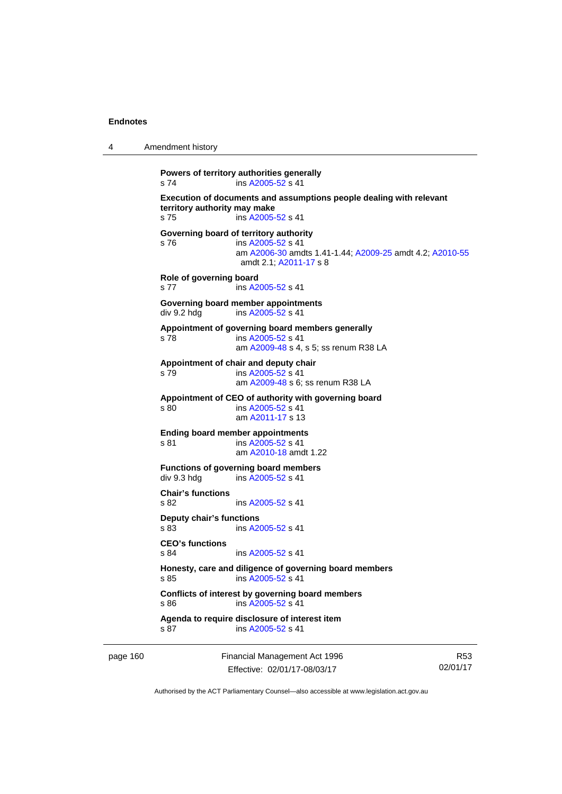| 4 | Amendment history |
|---|-------------------|
|---|-------------------|

```
Powers of territory authorities generally 
s 74 ins A2005-52 s 41 
Execution of documents and assumptions people dealing with relevant 
territory authority may make 
s 75 ins A2005-52 s 41 
Governing board of territory authority 
s 76 ins A2005-52 s 41 
                 am A2006-30 amdts 1.41-1.44; A2009-25 amdt 4.2; A2010-55
                amdt 2.1; A2011-17 s 8 
Role of governing board 
s 77 ins A2005-52 s 41 
Governing board member appointments 
A2005-52 s 41
Appointment of governing board members generally 
s 78 ins A2005-52 s 41 
                 am A2009-48 s 4, s 5; ss renum R38 LA 
Appointment of chair and deputy chair 
s 79 ins A2005-52 s 41 
                 am A2009-48 s 6; ss renum R38 LA
Appointment of CEO of authority with governing board 
s 80 ins A2005-52 s 41 
                 am A2011-17 s 13 
Ending board member appointments 
s 81 ins A2005-52 s 41 
                 am A2010-18 amdt 1.22
Functions of governing board members 
div 9.3 hdg ins A2005-52 s 41 
Chair's functions 
s 82 ins A2005-52 s 41 
Deputy chair's functions 
s 83 ins A2005-52 s 41 
CEO's functions 
                A2005-52 s 41
Honesty, care and diligence of governing board members 
A2005-52 s 41
Conflicts of interest by governing board members 
s 86 ins A2005-52 s 41 
Agenda to require disclosure of interest item 
A2005-52 s 41
```
page 160 Financial Management Act 1996 Effective: 02/01/17-08/03/17

R53 02/01/17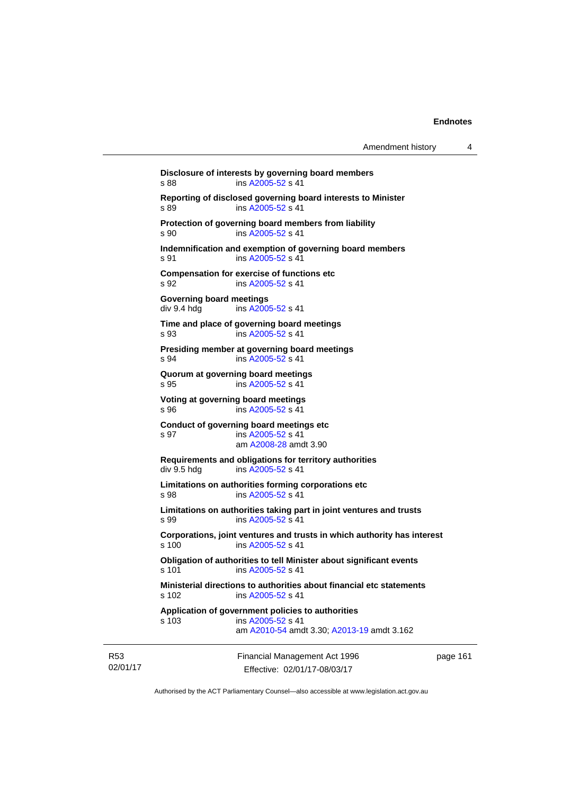Financial Management Act 1996 **Disclosure of interests by governing board members**  s 88 ins [A2005-52](http://www.legislation.act.gov.au/a/2005-52) s 41 **Reporting of disclosed governing board interests to Minister**  s 89 ins [A2005-52](http://www.legislation.act.gov.au/a/2005-52) s 41 **Protection of governing board members from liability**  s 90 ins [A2005-52](http://www.legislation.act.gov.au/a/2005-52) s 41 **Indemnification and exemption of governing board members**  s 91 ins [A2005-52](http://www.legislation.act.gov.au/a/2005-52) s 41 **Compensation for exercise of functions etc**  s 92 **ins [A2005-52](http://www.legislation.act.gov.au/a/2005-52) s 41 Governing board meetings**  div 9.4 hdg ins [A2005-52](http://www.legislation.act.gov.au/a/2005-52) s 41 **Time and place of governing board meetings**  s 93 ins [A2005-52](http://www.legislation.act.gov.au/a/2005-52) s 41 **Presiding member at governing board meetings**  s 94 ins [A2005-52](http://www.legislation.act.gov.au/a/2005-52) s 41 **Quorum at governing board meetings**  s 95 ins [A2005-52](http://www.legislation.act.gov.au/a/2005-52) s 41 **Voting at governing board meetings**  s 96 ins [A2005-52](http://www.legislation.act.gov.au/a/2005-52) s 41 **Conduct of governing board meetings etc**  s 97 ins [A2005-52](http://www.legislation.act.gov.au/a/2005-52) s 41 am [A2008-28](http://www.legislation.act.gov.au/a/2008-28) amdt 3.90 **Requirements and obligations for territory authorities**<br>div 9.5 hdg ins A2005-52 s 41 ins  $A2005 - 52$  s 41 **Limitations on authorities forming corporations etc**  s 98 ins [A2005-52](http://www.legislation.act.gov.au/a/2005-52) s 41 **Limitations on authorities taking part in joint ventures and trusts**  s 99 ins [A2005-52](http://www.legislation.act.gov.au/a/2005-52) s 41 **Corporations, joint ventures and trusts in which authority has interest**  ins [A2005-52](http://www.legislation.act.gov.au/a/2005-52) s 41 **Obligation of authorities to tell Minister about significant events**  s 101 ins [A2005-52](http://www.legislation.act.gov.au/a/2005-52) s 41 **Ministerial directions to authorities about financial etc statements**  s 102 ins [A2005-52](http://www.legislation.act.gov.au/a/2005-52) s 41 **Application of government policies to authorities**  s 103 ins [A2005-52](http://www.legislation.act.gov.au/a/2005-52) s 41 am [A2010-54](http://www.legislation.act.gov.au/a/2010-54) amdt 3.30; [A2013-19](http://www.legislation.act.gov.au/a/2013-19) amdt 3.162

R53 02/01/17

Effective: 02/01/17-08/03/17

page 161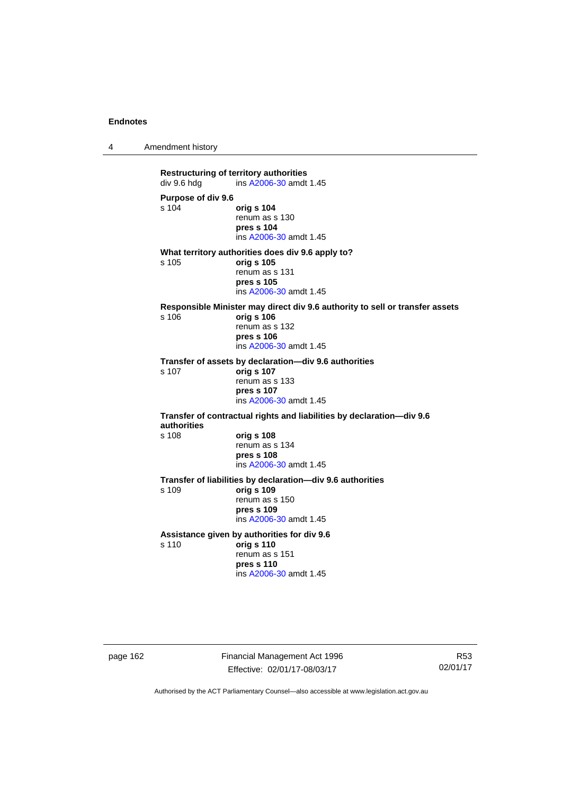4 Amendment history

**Restructuring of territory authorities**<br>div 9.6 hdg ins A2006-30 amdt ins [A2006-30](http://www.legislation.act.gov.au/a/2006-30) amdt 1.45 **Purpose of div 9.6**  s 104 **orig s 104** renum as s 130 **pres s 104**  ins [A2006-30](http://www.legislation.act.gov.au/a/2006-30) amdt 1.45 **What territory authorities does div 9.6 apply to?**  s 105 **orig s 105** renum as s 131 **pres s 105**  ins [A2006-30](http://www.legislation.act.gov.au/a/2006-30) amdt 1.45 **Responsible Minister may direct div 9.6 authority to sell or transfer assets**  s 106 **orig s 106** renum as s 132 **pres s 106**  ins [A2006-30](http://www.legislation.act.gov.au/a/2006-30) amdt 1.45 **Transfer of assets by declaration—div 9.6 authorities**  s 107 **orig s 107** renum as s 133 **pres s 107**  ins [A2006-30](http://www.legislation.act.gov.au/a/2006-30) amdt 1.45 **Transfer of contractual rights and liabilities by declaration—div 9.6 authorities**  s 108 **orig s 108** renum as s 134 **pres s 108**  ins [A2006-30](http://www.legislation.act.gov.au/a/2006-30) amdt 1.45 **Transfer of liabilities by declaration—div 9.6 authorities**  s 109 **orig s 109** renum as s 150 **pres s 109**  ins [A2006-30](http://www.legislation.act.gov.au/a/2006-30) amdt 1.45 **Assistance given by authorities for div 9.6**  s 110 **orig s 110** renum as s 151 **pres s 110**  ins [A2006-30](http://www.legislation.act.gov.au/a/2006-30) amdt 1.45

page 162 Financial Management Act 1996 Effective: 02/01/17-08/03/17

R53 02/01/17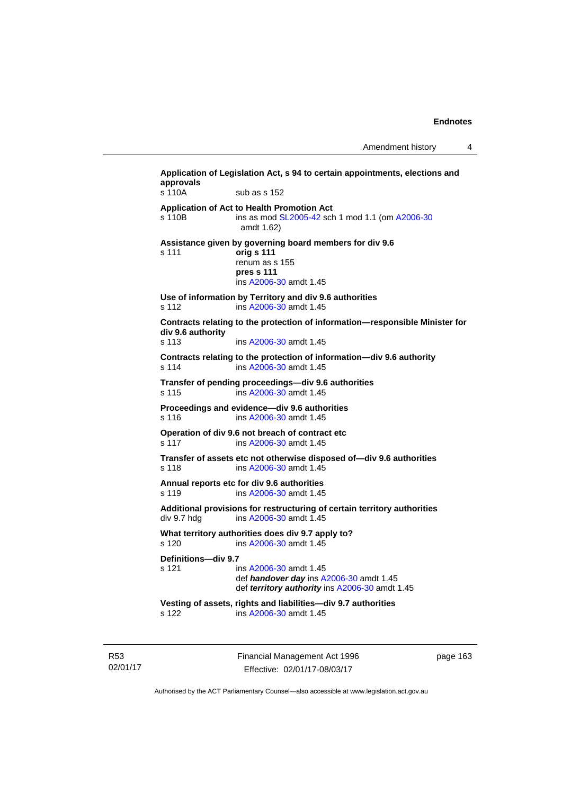Amendment history 4

| s 110A                       | sub as s 152                                                                                                                    |
|------------------------------|---------------------------------------------------------------------------------------------------------------------------------|
| s 110B                       | Application of Act to Health Promotion Act<br>ins as mod SL2005-42 sch 1 mod 1.1 (om A2006-30<br>amdt 1.62)                     |
| s 111                        | Assistance given by governing board members for div 9.6<br>orig s 111<br>renum as s 155<br>pres s 111<br>ins A2006-30 amdt 1.45 |
| s 112                        | Use of information by Territory and div 9.6 authorities<br>ins A2006-30 amdt 1.45                                               |
| div 9.6 authority<br>s 113   | Contracts relating to the protection of information-responsible Minister for<br>ins A2006-30 amdt 1.45                          |
| s 114                        | Contracts relating to the protection of information-div 9.6 authority<br>ins A2006-30 amdt 1.45                                 |
| s 115                        | Transfer of pending proceedings-div 9.6 authorities<br>ins A2006-30 amdt 1.45                                                   |
| s 116                        | Proceedings and evidence-div 9.6 authorities<br>ins A2006-30 amdt 1.45                                                          |
| s 117                        | Operation of div 9.6 not breach of contract etc<br>ins A2006-30 amdt 1.45                                                       |
| s 118                        | Transfer of assets etc not otherwise disposed of-div 9.6 authorities<br>ins A2006-30 amdt 1.45                                  |
| s 119                        | Annual reports etc for div 9.6 authorities<br>ins A2006-30 amdt 1.45                                                            |
| div 9.7 hdg                  | Additional provisions for restructuring of certain territory authorities<br>ins A2006-30 amdt 1.45                              |
| s 120                        | What territory authorities does div 9.7 apply to?<br>ins A2006-30 amdt 1.45                                                     |
| Definitions-div 9.7<br>s 121 | ins A2006-30 amdt 1.45<br>def handover day ins A2006-30 amdt 1.45<br>def territory authority ins A2006-30 amdt 1.45             |
| s 122                        | Vesting of assets, rights and liabilities-div 9.7 authorities<br>ins A2006-30 amdt 1.45                                         |

R53 02/01/17 Financial Management Act 1996 Effective: 02/01/17-08/03/17

page 163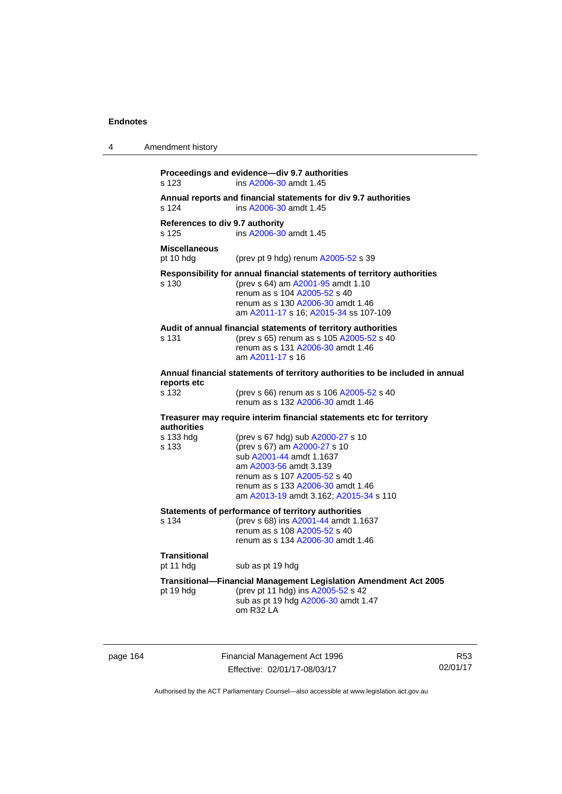| 4 | Amendment history                        |                                                                                                                                                                                                                                                                                                                |
|---|------------------------------------------|----------------------------------------------------------------------------------------------------------------------------------------------------------------------------------------------------------------------------------------------------------------------------------------------------------------|
|   | s 123                                    | Proceedings and evidence-div 9.7 authorities<br>ins A2006-30 amdt 1.45                                                                                                                                                                                                                                         |
|   | s 124                                    | Annual reports and financial statements for div 9.7 authorities<br>ins A2006-30 amdt 1.45                                                                                                                                                                                                                      |
|   | References to div 9.7 authority<br>s 125 | ins A2006-30 amdt 1.45                                                                                                                                                                                                                                                                                         |
|   | <b>Miscellaneous</b><br>pt 10 hdg        | (prev pt 9 hdg) renum A2005-52 s 39                                                                                                                                                                                                                                                                            |
|   | s 130                                    | Responsibility for annual financial statements of territory authorities<br>(prev s 64) am A2001-95 amdt 1.10<br>renum as s 104 A2005-52 s 40<br>renum as s 130 A2006-30 amdt 1.46<br>am A2011-17 s 16; A2015-34 ss 107-109                                                                                     |
|   | s 131                                    | Audit of annual financial statements of territory authorities<br>(prev s 65) renum as s 105 A2005-52 s 40<br>renum as s 131 A2006-30 amdt 1.46<br>am A2011-17 s 16                                                                                                                                             |
|   | reports etc                              | Annual financial statements of territory authorities to be included in annual                                                                                                                                                                                                                                  |
|   | s 132                                    | (prev s 66) renum as s 106 A2005-52 s 40<br>renum as s 132 A2006-30 amdt 1.46                                                                                                                                                                                                                                  |
|   | authorities<br>s 133 hdg<br>s 133        | Treasurer may require interim financial statements etc for territory<br>(prev s 67 hdg) sub A2000-27 s 10<br>(prev s 67) am A2000-27 s 10<br>sub A2001-44 amdt 1.1637<br>am A2003-56 amdt 3.139<br>renum as s 107 A2005-52 s 40<br>renum as s 133 A2006-30 amdt 1.46<br>am A2013-19 amdt 3.162; A2015-34 s 110 |
|   | s 134                                    | Statements of performance of territory authorities<br>(prev s 68) ins A2001-44 amdt 1.1637<br>renum as s 108 A2005-52 s 40<br>renum as s 134 A2006-30 amdt 1.46                                                                                                                                                |
|   | <b>Transitional</b><br>pt 11 hdg         | sub as pt 19 hdg                                                                                                                                                                                                                                                                                               |
|   | pt 19 hdg                                | <b>Transitional-Financial Management Legislation Amendment Act 2005</b><br>(prev pt 11 hdg) ins A2005-52 s 42<br>sub as pt 19 hdg A2006-30 amdt 1.47<br>om R32 LA                                                                                                                                              |

page 164 Financial Management Act 1996 Effective: 02/01/17-08/03/17

R53 02/01/17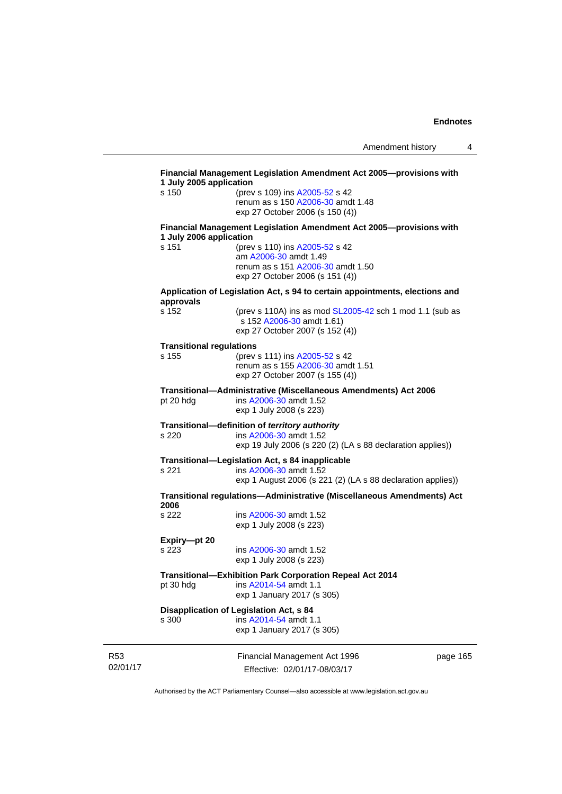| s 150                           | 1 July 2005 application<br>(prev s 109) ins A2005-52 s 42                            |  |
|---------------------------------|--------------------------------------------------------------------------------------|--|
|                                 | renum as s 150 A2006-30 amdt 1.48                                                    |  |
|                                 | exp 27 October 2006 (s 150 (4))                                                      |  |
| 1 July 2006 application         | Financial Management Legislation Amendment Act 2005--- provisions with               |  |
| s 151                           | (prev s 110) ins A2005-52 s 42                                                       |  |
|                                 | am A2006-30 amdt 1.49<br>renum as s 151 A2006-30 amdt 1.50                           |  |
|                                 | exp 27 October 2006 (s 151 (4))                                                      |  |
| approvals                       | Application of Legislation Act, s 94 to certain appointments, elections and          |  |
| s 152                           | (prev s 110A) ins as mod SL2005-42 sch 1 mod 1.1 (sub as                             |  |
|                                 | s 152 A2006-30 amdt 1.61)                                                            |  |
|                                 | exp 27 October 2007 (s 152 (4))                                                      |  |
| <b>Transitional regulations</b> |                                                                                      |  |
| s 155                           | (prev s 111) ins A2005-52 s 42                                                       |  |
|                                 | renum as s 155 A2006-30 amdt 1.51                                                    |  |
|                                 | exp 27 October 2007 (s 155 (4))                                                      |  |
|                                 | Transitional-Administrative (Miscellaneous Amendments) Act 2006                      |  |
| pt 20 hdg                       | ins A2006-30 amdt 1.52<br>exp 1 July 2008 (s 223)                                    |  |
|                                 |                                                                                      |  |
|                                 | Transitional-definition of territory authority                                       |  |
| s 220                           | ins A2006-30 amdt 1.52<br>exp 19 July 2006 (s 220 (2) (LA s 88 declaration applies)) |  |
|                                 |                                                                                      |  |
| s 221                           | Transitional-Legislation Act, s 84 inapplicable<br>ins A2006-30 amdt 1.52            |  |
|                                 | exp 1 August 2006 (s 221 (2) (LA s 88 declaration applies))                          |  |
|                                 |                                                                                      |  |
| 2006                            | Transitional regulations—Administrative (Miscellaneous Amendments) Act               |  |
| s 222                           | ins A2006-30 amdt 1.52                                                               |  |
|                                 | exp 1 July 2008 (s 223)                                                              |  |
| Expiry-pt 20                    |                                                                                      |  |
| s 223                           | ins A2006-30 amdt 1.52                                                               |  |
|                                 | exp 1 July 2008 (s 223)                                                              |  |
|                                 | <b>Transitional-Exhibition Park Corporation Repeal Act 2014</b>                      |  |
| pt 30 hdg                       | ins A2014-54 amdt 1.1                                                                |  |
|                                 | exp 1 January 2017 (s 305)                                                           |  |
|                                 | Disapplication of Legislation Act, s 84                                              |  |
|                                 | ins A2014-54 amdt 1.1                                                                |  |
| s 300                           | exp 1 January 2017 (s 305)                                                           |  |

R53 02/01/17

Effective: 02/01/17-08/03/17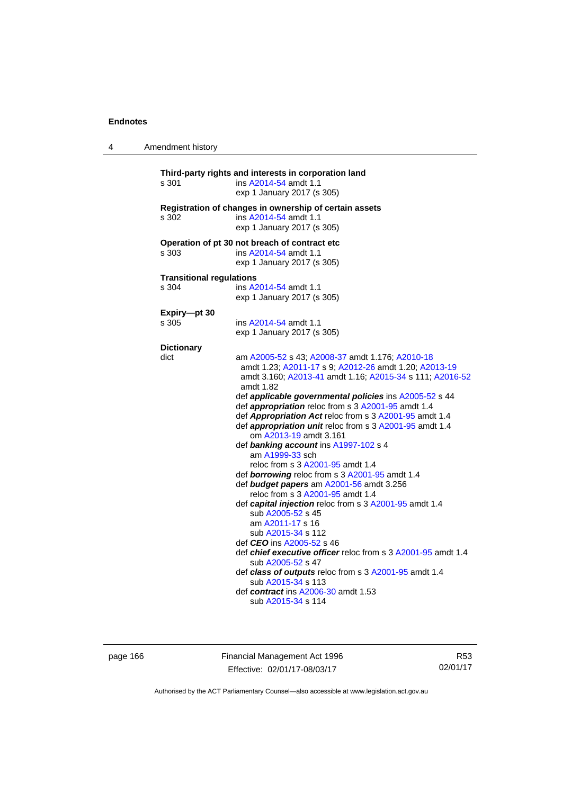| 4 | Amendment history               |                                                                                                                                                                                                                                                                                                                                                                                                                        |
|---|---------------------------------|------------------------------------------------------------------------------------------------------------------------------------------------------------------------------------------------------------------------------------------------------------------------------------------------------------------------------------------------------------------------------------------------------------------------|
|   | s 301                           | Third-party rights and interests in corporation land<br>ins A2014-54 amdt 1.1<br>exp 1 January 2017 (s 305)                                                                                                                                                                                                                                                                                                            |
|   | s 302                           | Registration of changes in ownership of certain assets<br>ins A2014-54 amdt 1.1<br>exp 1 January 2017 (s 305)                                                                                                                                                                                                                                                                                                          |
|   | s 303                           | Operation of pt 30 not breach of contract etc<br>ins A2014-54 amdt 1.1<br>exp 1 January 2017 (s 305)                                                                                                                                                                                                                                                                                                                   |
|   | <b>Transitional regulations</b> |                                                                                                                                                                                                                                                                                                                                                                                                                        |
|   | s 304                           | ins A2014-54 amdt 1.1<br>exp 1 January 2017 (s 305)                                                                                                                                                                                                                                                                                                                                                                    |
|   | Expiry-pt 30<br>s 305           | ins A2014-54 amdt 1.1<br>exp 1 January 2017 (s 305)                                                                                                                                                                                                                                                                                                                                                                    |
|   |                                 |                                                                                                                                                                                                                                                                                                                                                                                                                        |
|   | <b>Dictionary</b><br>dict       |                                                                                                                                                                                                                                                                                                                                                                                                                        |
|   |                                 | am A2005-52 s 43; A2008-37 amdt 1.176; A2010-18<br>amdt 1.23; A2011-17 s 9; A2012-26 amdt 1.20; A2013-19<br>amdt 3.160; A2013-41 amdt 1.16; A2015-34 s 111; A2016-52<br>amdt 1.82<br>def applicable governmental policies ins A2005-52 s 44<br>def appropriation reloc from s 3 A2001-95 amdt 1.4<br>def Appropriation Act reloc from s 3 A2001-95 amdt 1.4<br>def appropriation unit reloc from s 3 A2001-95 amdt 1.4 |
|   |                                 | om A2013-19 amdt 3.161<br>def banking account ins A1997-102 s 4                                                                                                                                                                                                                                                                                                                                                        |
|   |                                 | am A1999-33 sch<br>reloc from s 3 A2001-95 amdt 1.4                                                                                                                                                                                                                                                                                                                                                                    |
|   |                                 | def borrowing reloc from s 3 A2001-95 amdt 1.4                                                                                                                                                                                                                                                                                                                                                                         |
|   |                                 | def budget papers am A2001-56 amdt 3.256<br>reloc from s 3 A2001-95 amdt 1.4                                                                                                                                                                                                                                                                                                                                           |
|   |                                 | def capital injection reloc from s 3 A2001-95 amdt 1.4<br>sub A2005-52 s 45<br>am A2011-17 s 16<br>sub A2015-34 s 112                                                                                                                                                                                                                                                                                                  |
|   |                                 | def <i>CEO</i> ins A2005-52 s 46<br>def <i>chief executive officer</i> reloc from s 3 A2001-95 amdt 1.4                                                                                                                                                                                                                                                                                                                |
|   |                                 | sub A2005-52 s 47<br>def class of outputs reloc from s 3 A2001-95 amdt 1.4                                                                                                                                                                                                                                                                                                                                             |
|   |                                 | sub A2015-34 s 113<br>def contract ins A2006-30 amdt 1.53<br>sub A2015-34 s 114                                                                                                                                                                                                                                                                                                                                        |
|   |                                 |                                                                                                                                                                                                                                                                                                                                                                                                                        |

page 166 **Financial Management Act 1996** Effective: 02/01/17-08/03/17

R53 02/01/17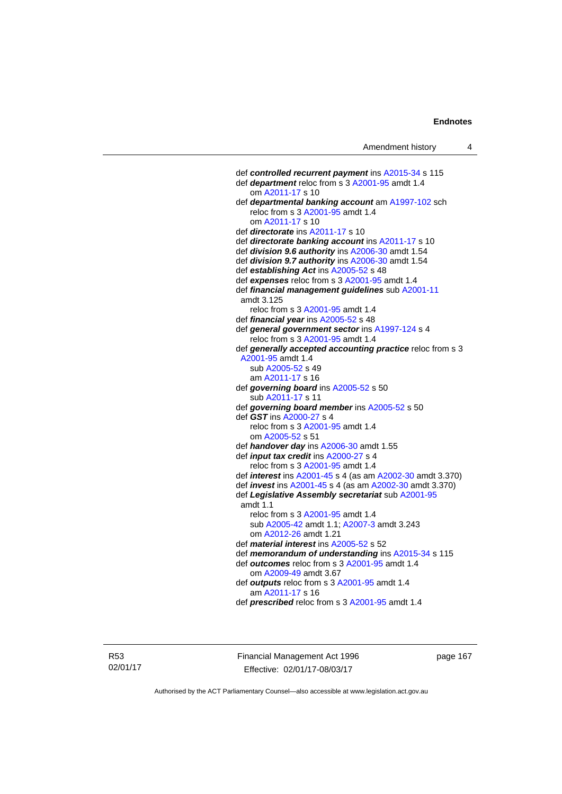def *controlled recurrent payment* ins [A2015-34](http://www.legislation.act.gov.au/a/2015-34/default.asp) s 115 def *department* reloc from s 3 [A2001-95](http://www.legislation.act.gov.au/a/2001-95) amdt 1.4 om [A2011-17](http://www.legislation.act.gov.au/a/2011-17) s 10 def *departmental banking account* am [A1997-102](http://www.legislation.act.gov.au/a/1997-102) sch reloc from s 3 [A2001-95](http://www.legislation.act.gov.au/a/2001-95) amdt 1.4 om [A2011-17](http://www.legislation.act.gov.au/a/2011-17) s 10 def *directorate* ins [A2011-17](http://www.legislation.act.gov.au/a/2011-17) s 10 def *directorate banking account* ins [A2011-17](http://www.legislation.act.gov.au/a/2011-17) s 10 def *division 9.6 authority* ins [A2006-30](http://www.legislation.act.gov.au/a/2006-30) amdt 1.54 def *division 9.7 authority* ins [A2006-30](http://www.legislation.act.gov.au/a/2006-30) amdt 1.54 def *establishing Act* ins [A2005-52](http://www.legislation.act.gov.au/a/2005-52) s 48 def *expenses* reloc from s 3 [A2001-95](http://www.legislation.act.gov.au/a/2001-95) amdt 1.4 def *financial management guidelines* sub [A2001-11](http://www.legislation.act.gov.au/a/2001-11) amdt 3.125 reloc from s 3 [A2001-95](http://www.legislation.act.gov.au/a/2001-95) amdt 1.4 def *financial year* ins [A2005-52](http://www.legislation.act.gov.au/a/2005-52) s 48 def *general government sector* ins [A1997-124](http://www.legislation.act.gov.au/a/1997-124) s 4 reloc from s 3 [A2001-95](http://www.legislation.act.gov.au/a/2001-95) amdt 1.4 def *generally accepted accounting practice* reloc from s 3 [A2001-95](http://www.legislation.act.gov.au/a/2001-95) amdt 1.4 sub [A2005-52](http://www.legislation.act.gov.au/a/2005-52) s 49 am [A2011-17](http://www.legislation.act.gov.au/a/2011-17) s 16 def *governing board* ins [A2005-52](http://www.legislation.act.gov.au/a/2005-52) s 50 sub [A2011-17](http://www.legislation.act.gov.au/a/2011-17) s 11 def *governing board member* ins [A2005-52](http://www.legislation.act.gov.au/a/2005-52) s 50 def *GST* ins [A2000-27](http://www.legislation.act.gov.au/a/2000-27) s 4 reloc from s 3 [A2001-95](http://www.legislation.act.gov.au/a/2001-95) amdt 1.4 om [A2005-52](http://www.legislation.act.gov.au/a/2005-52) s 51 def *handover day* ins [A2006-30](http://www.legislation.act.gov.au/a/2006-30) amdt 1.55 def *input tax credit* ins [A2000-27](http://www.legislation.act.gov.au/a/2000-27) s 4 reloc from s 3 [A2001-95](http://www.legislation.act.gov.au/a/2001-95) amdt 1.4 def *interest* ins [A2001-45](http://www.legislation.act.gov.au/a/2001-45) s 4 (as am [A2002-30](http://www.legislation.act.gov.au/a/2002-30) amdt 3.370) def *invest* ins [A2001-45](http://www.legislation.act.gov.au/a/2001-45) s 4 (as am [A2002-30](http://www.legislation.act.gov.au/a/2002-30) amdt 3.370) def *Legislative Assembly secretariat* sub [A2001-95](http://www.legislation.act.gov.au/a/2001-95) amdt 1.1 reloc from s 3 [A2001-95](http://www.legislation.act.gov.au/a/2001-95) amdt 1.4 sub [A2005-42](http://www.legislation.act.gov.au/a/2005-42) amdt 1.1; [A2007-3](http://www.legislation.act.gov.au/a/2007-3) amdt 3.243 om [A2012-26](http://www.legislation.act.gov.au/a/2012-26) amdt 1.21 def *material interest* ins [A2005-52](http://www.legislation.act.gov.au/a/2005-52) s 52 def *memorandum of understanding* ins [A2015-34](http://www.legislation.act.gov.au/a/2015-34/default.asp) s 115 def *outcomes* reloc from s 3 [A2001-95](http://www.legislation.act.gov.au/a/2001-95) amdt 1.4 om [A2009-49](http://www.legislation.act.gov.au/a/2009-49) amdt 3.67 def *outputs* reloc from s 3 [A2001-95](http://www.legislation.act.gov.au/a/2001-95) amdt 1.4 am [A2011-17](http://www.legislation.act.gov.au/a/2011-17) s 16 def *prescribed* reloc from s 3 [A2001-95](http://www.legislation.act.gov.au/a/2001-95) amdt 1.4

R53 02/01/17 Financial Management Act 1996 Effective: 02/01/17-08/03/17

page 167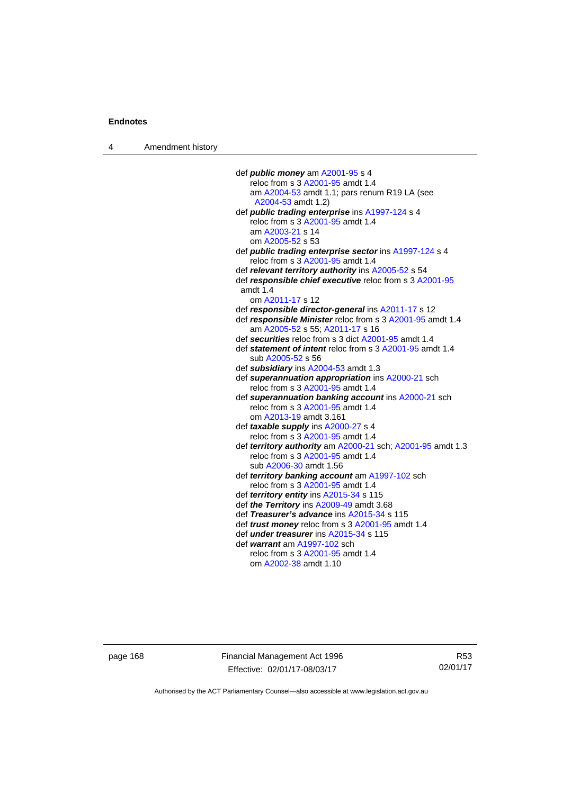4 Amendment history

 def *public money* am [A2001-95](http://www.legislation.act.gov.au/a/2001-95) s 4 reloc from s 3 [A2001-95](http://www.legislation.act.gov.au/a/2001-95) amdt 1.4 am [A2004-53](http://www.legislation.act.gov.au/a/2004-53) amdt 1.1; pars renum R19 LA (see [A2004-53](http://www.legislation.act.gov.au/a/2004-53) amdt 1.2) def *public trading enterprise* ins [A1997-124](http://www.legislation.act.gov.au/a/1997-124) s 4 reloc from s 3 [A2001-95](http://www.legislation.act.gov.au/a/2001-95) amdt 1.4 am [A2003-21](http://www.legislation.act.gov.au/a/2003-21) s 14 om [A2005-52](http://www.legislation.act.gov.au/a/2005-52) s 53 def *public trading enterprise sector* ins [A1997-124](http://www.legislation.act.gov.au/a/1997-124) s 4 reloc from s 3 [A2001-95](http://www.legislation.act.gov.au/a/2001-95) amdt 1.4 def *relevant territory authority* ins [A2005-52](http://www.legislation.act.gov.au/a/2005-52) s 54 def *responsible chief executive* reloc from s 3 [A2001-95](http://www.legislation.act.gov.au/a/2001-95) amdt 1.4 om [A2011-17](http://www.legislation.act.gov.au/a/2011-17) s 12 def *responsible director-general* ins [A2011-17](http://www.legislation.act.gov.au/a/2011-17) s 12 def *responsible Minister* reloc from s 3 [A2001-95](http://www.legislation.act.gov.au/a/2001-95) amdt 1.4 am [A2005-52](http://www.legislation.act.gov.au/a/2005-52) s 55; [A2011-17](http://www.legislation.act.gov.au/a/2011-17) s 16 def *securities* reloc from s 3 dict [A2001-95](http://www.legislation.act.gov.au/a/2001-95) amdt 1.4 def *statement of intent* reloc from s 3 [A2001-95](http://www.legislation.act.gov.au/a/2001-95) amdt 1.4 sub [A2005-52](http://www.legislation.act.gov.au/a/2005-52) s 56 def *subsidiary* ins [A2004-53](http://www.legislation.act.gov.au/a/2004-53) amdt 1.3 def *superannuation appropriation* ins [A2000-21](http://www.legislation.act.gov.au/a/2000-21) sch reloc from s 3 [A2001-95](http://www.legislation.act.gov.au/a/2001-95) amdt 1.4 def *superannuation banking account* ins [A2000-21](http://www.legislation.act.gov.au/a/2000-21) sch reloc from s 3 [A2001-95](http://www.legislation.act.gov.au/a/2001-95) amdt 1.4 om [A2013-19](http://www.legislation.act.gov.au/a/2013-19) amdt 3.161 def *taxable supply* ins [A2000-27](http://www.legislation.act.gov.au/a/2000-27) s 4 reloc from s 3 [A2001-95](http://www.legislation.act.gov.au/a/2001-95) amdt 1.4 def *territory authority* am [A2000-21](http://www.legislation.act.gov.au/a/2000-21) sch; [A2001-95](http://www.legislation.act.gov.au/a/2001-95) amdt 1.3 reloc from s 3 [A2001-95](http://www.legislation.act.gov.au/a/2001-95) amdt 1.4 sub [A2006-30](http://www.legislation.act.gov.au/a/2006-30) amdt 1.56 def *territory banking account* am [A1997-102](http://www.legislation.act.gov.au/a/1997-102) sch reloc from s 3 [A2001-95](http://www.legislation.act.gov.au/a/2001-95) amdt 1.4 def *territory entity* ins [A2015-34](http://www.legislation.act.gov.au/a/2015-34/default.asp) s 115 def *the Territory* ins [A2009-49](http://www.legislation.act.gov.au/a/2009-49) amdt 3.68 def *Treasurer's advance* ins [A2015-34](http://www.legislation.act.gov.au/a/2015-34/default.asp) s 115 def *trust money* reloc from s 3 [A2001-95](http://www.legislation.act.gov.au/a/2001-95) amdt 1.4 def *under treasurer* ins [A2015-34](http://www.legislation.act.gov.au/a/2015-34/default.asp) s 115 def *warrant* am [A1997-102](http://www.legislation.act.gov.au/a/1997-102) sch reloc from s 3 [A2001-95](http://www.legislation.act.gov.au/a/2001-95) amdt 1.4 om [A2002-38](http://www.legislation.act.gov.au/a/2002-38) amdt 1.10

page 168 Financial Management Act 1996 Effective: 02/01/17-08/03/17

R53 02/01/17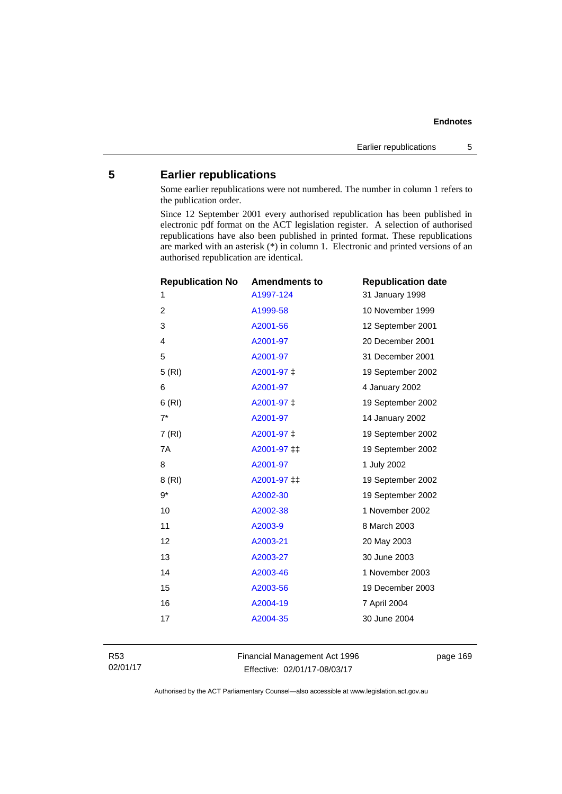# **5 Earlier republications**

Some earlier republications were not numbered. The number in column 1 refers to the publication order.

Since 12 September 2001 every authorised republication has been published in electronic pdf format on the ACT legislation register. A selection of authorised republications have also been published in printed format. These republications are marked with an asterisk (\*) in column 1. Electronic and printed versions of an authorised republication are identical.

| <b>Republication No</b> | <b>Amendments to</b> | <b>Republication date</b> |
|-------------------------|----------------------|---------------------------|
| 1                       | A1997-124            | 31 January 1998           |
| $\overline{2}$          | A1999-58             | 10 November 1999          |
| 3                       | A2001-56             | 12 September 2001         |
| 4                       | A2001-97             | 20 December 2001          |
| 5                       | A2001-97             | 31 December 2001          |
| 5(RI)                   | A2001-97 ‡           | 19 September 2002         |
| 6                       | A2001-97             | 4 January 2002            |
| 6(RI)                   | A2001-97 ‡           | 19 September 2002         |
| $7^*$                   | A2001-97             | 14 January 2002           |
| 7 (RI)                  | A2001-97 ‡           | 19 September 2002         |
| 7A                      | A2001-97 ‡‡          | 19 September 2002         |
| 8                       | A2001-97             | 1 July 2002               |
| 8 (RI)                  | A2001-97 ‡‡          | 19 September 2002         |
| $9*$                    | A2002-30             | 19 September 2002         |
| 10                      | A2002-38             | 1 November 2002           |
| 11                      | A2003-9              | 8 March 2003              |
| 12                      | A2003-21             | 20 May 2003               |
| 13                      | A2003-27             | 30 June 2003              |
| 14                      | A2003-46             | 1 November 2003           |
| 15                      | A2003-56             | 19 December 2003          |
| 16                      | A2004-19             | 7 April 2004              |
| 17                      | A2004-35             | 30 June 2004              |
|                         |                      |                           |

R53 02/01/17 Financial Management Act 1996 Effective: 02/01/17-08/03/17

page 169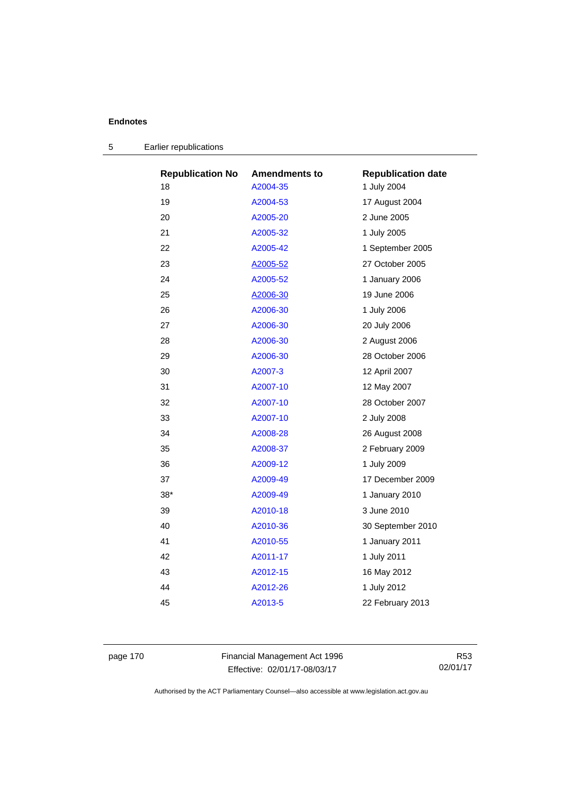| <b>Republication No</b> | <b>Amendments to</b> | <b>Republication date</b> |
|-------------------------|----------------------|---------------------------|
| 18                      | A2004-35             | 1 July 2004               |
| 19                      | A2004-53             | 17 August 2004            |
| 20                      | A2005-20             | 2 June 2005               |
| 21                      | A2005-32             | 1 July 2005               |
| 22                      | A2005-42             | 1 September 2005          |
| 23                      | A2005-52             | 27 October 2005           |
| 24                      | A2005-52             | 1 January 2006            |
| 25                      | A2006-30             | 19 June 2006              |
| 26                      | A2006-30             | 1 July 2006               |
| 27                      | A2006-30             | 20 July 2006              |
| 28                      | A2006-30             | 2 August 2006             |
| 29                      | A2006-30             | 28 October 2006           |
| 30                      | A2007-3              | 12 April 2007             |
| 31                      | A2007-10             | 12 May 2007               |
| 32                      | A2007-10             | 28 October 2007           |
| 33                      | A2007-10             | 2 July 2008               |
| 34                      | A2008-28             | 26 August 2008            |
| 35                      | A2008-37             | 2 February 2009           |
| 36                      | A2009-12             | 1 July 2009               |
| 37                      | A2009-49             | 17 December 2009          |
| $38*$                   | A2009-49             | 1 January 2010            |
| 39                      | A2010-18             | 3 June 2010               |
| 40                      | A2010-36             | 30 September 2010         |
| 41                      | A2010-55             | 1 January 2011            |
| 42                      | A2011-17             | 1 July 2011               |
| 43                      | A2012-15             | 16 May 2012               |
| 44                      | A2012-26             | 1 July 2012               |
| 45                      | A2013-5              | 22 February 2013          |
|                         |                      |                           |

|  | Earlier republications |  |
|--|------------------------|--|
|--|------------------------|--|

page 170 Financial Management Act 1996 Effective: 02/01/17-08/03/17

R53 02/01/17